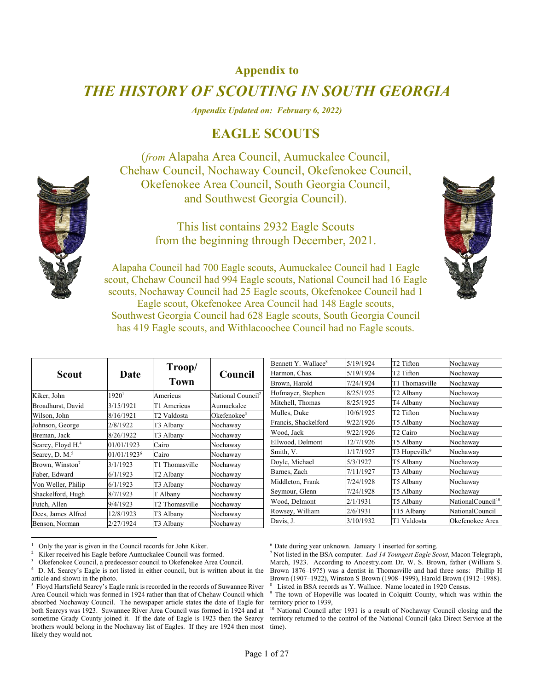## **Appendix to**

## *THE HISTORY OF SCOUTING IN SOUTH GEORGIA*

*Appendix Updated on: February 6, 2022)* 

## **EAGLE SCOUTS**

(*from* Alapaha Area Council, Aumuckalee Council, Chehaw Council, Nochaway Council, Okefenokee Council, Okefenokee Area Council, South Georgia Council, and Southwest Georgia Council).

> This list contains 2932 Eagle Scouts from the beginning through December, 2021.



Alapaha Council had 700 Eagle scouts, Aumuckalee Council had 1 Eagle scout, Chehaw Council had 994 Eagle scouts, National Council had 16 Eagle scouts, Nochaway Council had 25 Eagle scouts, Okefenokee Council had 1 Eagle scout, Okefenokee Area Council had 148 Eagle scouts, Southwest Georgia Council had 628 Eagle scouts, South Georgia Council has 419 Eagle scouts, and Withlacoochee Council had no Eagle scouts.

|                               |                         |                |                               | Bennett Y. Wallace <sup>8</sup> | 5/19/1924 | T2 Tifton                 | Nochaway                      |
|-------------------------------|-------------------------|----------------|-------------------------------|---------------------------------|-----------|---------------------------|-------------------------------|
| <b>Scout</b>                  | Date                    | Troop/         | Council                       | Harmon, Chas.                   | 5/19/1924 | T2 Tifton                 | Nochaway                      |
|                               |                         | <b>Town</b>    |                               | Brown, Harold                   | 7/24/1924 | T1 Thomasville            | Nochaway                      |
| Kiker, John                   | $1920^1$                | Americus       | National Council <sup>2</sup> | Hofmayer, Stephen               | 8/25/1925 | T2 Albanv                 | Nochaway                      |
| Broadhurst, David             | 3/15/1921               | T1 Americus    | Aumuckalee                    | Mitchell, Thomas                | 8/25/1925 | T4 Albany                 | Nochaway                      |
| Wilson, John                  | 8/16/1921               | T2 Valdosta    | Okefenokee $3$                | Mulles, Duke                    | 10/6/1925 | T2 Tifton                 | Nochaway                      |
| Johnson, George               | 2/8/1922                | T3 Albany      | Nochaway                      | Francis, Shackelford            | 9/22/1926 | T5 Albany                 | Nochaway                      |
| Breman, Jack                  | 8/26/1922               | T3 Albany      | Nochaway                      | Wood, Jack                      | 9/22/1926 | T <sub>2</sub> Cairo      | Nochaway                      |
| Searcy, Floyd H. <sup>4</sup> | 01/01/1923              | Cairo          | Nochaway                      | Ellwood, Delmont                | 12/7/1926 | T5 Albany                 | Nochaway                      |
| Searcy, D. M. <sup>5</sup>    | 01/01/1923 <sup>6</sup> | Cairo          | Nochaway                      | Smith, V.                       | 1/17/1927 | T3 Hopeville <sup>9</sup> | Nochaway                      |
| Brown, Winston <sup>7</sup>   | 3/1/1923                | T1 Thomasville | Nochaway                      | Doyle, Michael                  | 5/3/1927  | T5 Albany                 | Nochaway                      |
| Faber, Edward                 | 6/1/1923                | T2 Albany      | Nochaway                      | Barnes, Zach                    | 7/11/1927 | T3 Albany                 | Nochaway                      |
| Von Weller, Philip            | 6/1/1923                | T3 Albany      | Nochaway                      | Middleton, Frank                | 7/24/1928 | T5 Albany                 | Nochaway                      |
| Shackelford, Hugh             | 8/7/1923                | T Albany       | Nochaway                      | Seymour, Glenn                  | 7/24/1928 | T5 Albany                 | Nochaway                      |
| Futch, Allen                  | 9/4/1923                | T2 Thomasville | Nochaway                      | Wood, Delmont                   | 2/1/1931  | T5 Albany                 | NationalCouncil <sup>10</sup> |
| Dees, James Alfred            | 12/8/1923               | T3 Albany      | Nochaway                      | Rowsey, William                 | 2/6/1931  | T15 Albany                | NationalCouncil               |
| Benson, Norman                | 2/27/1924               | T3 Albany      | Nochaway                      | Davis, J.                       | 3/10/1932 | T1 Valdosta               | Okefenokee Area               |

<sup>1</sup> Only the year is given in the Council records for John Kiker.

 $\overline{a}$ 

<sup>6</sup> Date during year unknown. January 1 inserted for sorting.

 Not listed in the BSA computer. *Lad 14 Youngest Eagle Scout*, Macon Telegraph, March, 1923. According to Ancestry.com Dr. W. S. Brown, father (William S. Brown 1876–1975) was a dentist in Thomasville and had three sons: Phillip H Brown (1907–1922), Winston S Brown (1908–1999), Harold Brown (1912–1988). 8 Listed in BSA records as Y. Wallace. Name located in 1920 Census.

<sup>9</sup> The town of Hopeville was located in Colquitt County, which was within the territory prior to 1939,<br> $\frac{10 \text{ National Council}}{24}$ 

National Council after 1931 is a result of Nochaway Council closing and the territory returned to the control of the National Council (aka Direct Service at the time).

<sup>2</sup> Kiker received his Eagle before Aumuckalee Council was formed.

<sup>3</sup> <sup>3</sup> Okefenokee Council, a predecessor council to Okefenokee Area Council.<br><sup>4</sup> D. M. Searcy's Eagle is not listed in either council, but is written about

D. M. Searcy's Eagle is not listed in either council, but is written about in the article and shown in the photo.

<sup>&</sup>lt;sup>5</sup> Floyd Hartsfield Searcy's Eagle rank is recorded in the records of Suwannee River Area Council which was formed in 1924 rather than that of Chehaw Council which absorbed Nochaway Council. The newspaper article states the date of Eagle for both Searcys was 1923. Suwannee River Area Council was formed in 1924 and at sometime Grady County joined it. If the date of Eagle is 1923 then the Searcy brothers would belong in the Nochaway list of Eagles. If they are 1924 then most likely they would not.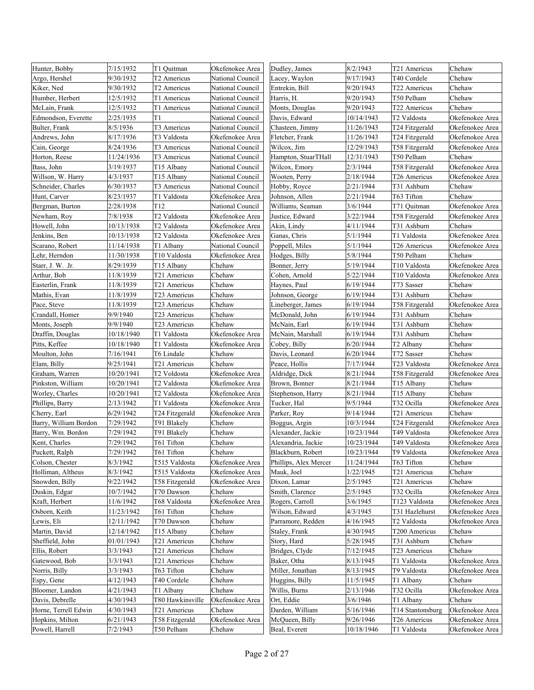| Hunter, Bobby         | 7/15/1932  | T1 Quitman               | Okefenokee Area  | Dudley, James         | 8/2/1943   | T21 Americus           | Chehaw          |
|-----------------------|------------|--------------------------|------------------|-----------------------|------------|------------------------|-----------------|
| Argo, Hershel         | 9/30/1932  | T2 Americus              | National Council | Lacey, Waylon         | 9/17/1943  | T40 Cordele            | Chehaw          |
| Kiker, Ned            | 9/30/1932  | T2 Americus              | National Council | Entrekin, Bill        | 9/20/1943  | T22 Americus           | Chehaw          |
| Humber, Herbert       | 12/5/1932  | T1 Americus              | National Council | Harris, H.            | 9/20/1943  | T50 Pelham             | Chehaw          |
| McLain, Frank         | 12/5/1932  | T1 Americus              | National Council | Monts, Douglas        | 9/20/1943  | T22 Americus           | Chehaw          |
| Edmondson, Everette   | 2/25/1935  | T1                       | National Council | Davis, Edward         | 10/14/1943 | T2 Valdosta            | Okefenokee Area |
| Bulter, Frank         | 8/5/1936   | T3 Americus              | National Council | Chasteen, Jimmy       | 11/26/1943 | T24 Fitzgerald         | Okefenokee Area |
| Andrews, John         | 8/17/1936  | T3 Valdosta              | Okefenokee Area  | Fletcher, Frank       | 11/26/1943 | T24 Fitzgerald         | Okefenokee Area |
| Cain, George          | 8/24/1936  | T3 Americus              | National Council | Wilcox, Jim           | 12/29/1943 | T58 Fitzgerald         | Okefenokee Area |
| Horton, Reese         | 11/24/1936 | T3 Americus              | National Council | Hampton, StuarTHall   | 12/31/1943 | T50 Pelham             | Chehaw          |
| Bass, John            | 3/19/1937  | T15 Albany               | National Council | Wilcox, Emory         | 2/3/1944   | T58 Fitzgerald         | Okefenokee Area |
| Willson, W. Harry     | 4/3/1937   | T15 Albany               | National Council | Wooten, Perry         | 2/18/1944  | T26 Americus           | Okefenokee Area |
| Schneider, Charles    | 6/30/1937  | T3 Americus              | National Council | Hobby, Royce          | 2/21/1944  | T31 Ashburn            | Chehaw          |
| Hunt, Carver          | 8/23/1937  | T1 Valdosta              | Okefenokee Area  | Johnson, Allen        | 2/21/1944  | T63 Tifton             | Chehaw          |
| Bergman, Burton       | 2/28/1938  | T <sub>12</sub>          | National Council | Williams, Seaman      | 3/6/1944   | T71 Quitman            | Okefenokee Area |
| Newham, Roy           | 7/8/1938   | T2 Valdosta              | Okefenokee Area  | Justice, Edward       | 3/22/1944  | T58 Fitzgerald         | Okefenokee Area |
| Howell, John          | 10/13/1938 | T2 Valdosta              | Okefenokee Area  | Akin, Lindy           | 4/11/1944  | T31 Ashburn            | Chehaw          |
| Jenkins, Ben          | 10/13/1938 | T2 Valdosta              | Okefenokee Area  | Ganas, Chris          | 5/1/1944   | T1 Valdosta            | Okefenokee Area |
| Scarano, Robert       | 11/14/1938 | T1 Albany                | National Council | Poppell, Miles        | 5/1/1944   | T26 Americus           | Okefenokee Area |
| Lehr, Herndon         | 11/30/1938 | T10 Valdosta             | Okefenokee Area  | Hodges, Billy         | 5/8/1944   | T50 Pelham             | Chehaw          |
| Starr, J. W. Jr.      | 8/29/1939  | T15 Albany               | Chehaw           | Bonner, Jerry         | 5/19/1944  | T10 Valdosta           | Okefenokee Area |
| Arthur, Bob           | 11/8/1939  | T21 Americus             | Chehaw           | Cohen, Arnold         | 5/22/1944  | T10 Valdosta           | Okefenokee Area |
| Easterlin, Frank      | 11/8/1939  | T21 Americus             | Chehaw           | Haynes, Paul          | 6/19/1944  | T73 Sasser             | Chehaw          |
| Mathis, Evan          | 11/8/1939  | T23 Americus             | Chehaw           | Johnson, George       | 6/19/1944  | T31 Ashburn            | Chehaw          |
| Pace, Steve           | 11/8/1939  | T23 Americus             | Chehaw           | Lineberger, James     | 6/19/1944  | T58 Fitzgerald         | Okefenokee Area |
| Crandall, Homer       | 9/9/1940   | T23 Americus             | Chehaw           | McDonald, John        | 6/19/1944  | T31 Ashburn            | Chehaw          |
| Monts, Joseph         | 9/9/1940   | T23 Americus             | Chehaw           | McNain, Earl          | 6/19/1944  | T31 Ashburn            | Chehaw          |
| Draffin, Douglas      | 10/18/1940 | T1 Valdosta              | Okefenokee Area  | McNain, Marshall      | 6/19/1944  | T31 Ashburn            | Chehaw          |
| Pitts, Keffee         | 10/18/1940 | T1 Valdosta              | Okefenokee Area  | Cobey, Billy          | 6/20/1944  | T2 Albany              | Chehaw          |
| Moulton, John         | 7/16/1941  | T6 Lindale               | Chehaw           | Davis, Leonard        | 6/20/1944  | T72 Sasser             | Chehaw          |
| Elam, Billy           | 9/25/1941  | T21 Americus             | Chehaw           | Peace, Hollis         | 7/17/1944  | T23 Valdosta           | Okefenokee Area |
| Graham, Warren        | 10/20/1941 | T2 Voldosta              | Okefenokee Area  | Aldridge, Dick        | 8/21/1944  | T58 Fitzgerald         | Okefenokee Area |
| Pinkston, William     | 10/20/1941 | T2 Valdosta              | Okefenokee Area  | Brown, Bonner         | 8/21/1944  | T <sub>15</sub> Albany | Chehaw          |
| Worley, Charles       | 10/20/1941 | T2 Valdosta              | Okefenokee Area  | Stephenson, Harry     | 8/21/1944  | T15 Albany             | Chehaw          |
| Phillips, Barry       | 2/13/1942  | T1 Valdosta              | Okefenokee Area  | Tucker, Hal           | 9/5/1944   | T32 Ocilla             | Okefenokee Area |
| Cherry, Earl          | 6/29/1942  | T24 Fitzgerald           | Okefenokee Area  | Parker, Roy           | 9/14/1944  | T21 Americus           | Chehaw          |
| Barry, William Bordon | 7/29/1942  | T91 Blakely              | Chehaw           | Boggus, Argin         | 10/3/1944  | T24 Fitzgerald         | Okefenokee Area |
| Barry, Wm. Bordon     | 7/29/1942  | T91 Blakely              | Chehaw           | Alexander, Jackie     | 10/23/1944 | T49 Valdosta           | Okefenokee Area |
| Kent, Charles         | 7/29/1942  | T61 Tifton               | Chehaw           | Alexandria, Jackie    | 10/23/1944 | T49 Valdosta           | Okefenokee Area |
| Puckett, Ralph        | 7/29/1942  | T61 Tifton               | Chehaw           | Blackburn, Robert     | 10/23/1944 | T9 Valdosta            | Okefenokee Area |
| Colson, Chester       | 8/3/1942   | T515 Valdosta            | Okefenokee Area  | Phillips, Alex Mercer | 11/24/1944 | T63 Tifton             | Chehaw          |
| Holliman, Altheus     | 8/3/1942   | T515 Valdosta            | Okefenokee Area  | Mauk, Joel            | 1/22/1945  | T21 Americua           | Chehaw          |
| Snowden, Billy        | 9/22/1942  | T58 Fitzgerald           | Okefenokee Area  | Dixon, Lamar          | 2/5/1945   | T21 Americus           | Chehaw          |
| Duskin, Edgar         | 10/7/1942  | T70 Dawson               | Chehaw           | Smith, Clarence       | 2/5/1945   | T32 Ocilla             | Okefenokee Area |
| Kraft, Herbert        | 11/6/1942  | T68 Valdosta             | Okefenokee Area  | Rogers, Carroll       | 3/6/1945   | T123 Valdosta          | Okefenokee Area |
| Osborn, Keith         | 11/23/1942 | T61 Tifton               | Chehaw           | Wilson, Edward        | 4/3/1945   | T31 Hazlehurst         | Okefenokee Area |
| Lewis, Eli            | 12/11/1942 | T70 Dawson               | Chehaw           | Parramore, Redden     | 4/16/1945  | T2 Valdosta            | Okefenokee Area |
| Martin, David         | 12/14/1942 | T15 Albany               | Chehaw           | Staley, Frank         | 4/30/1945  | T200 Americus          | Chehaw          |
| Sheffield, John       | 01/01/1943 | T21 Americus             | Chehaw           | Story, Hard           | 5/28/1945  | T31 Ashburn            | Chehaw          |
| Ellis, Robert         | 3/3/1943   | T <sub>21</sub> Americus | Chehaw           | Bridges, Clyde        | 7/12/1945  | T23 Americus           | Chehaw          |
| Gatewood, Bob         | 3/3/1943   | T21 Americus             | Chehaw           | Baker, Otha           | 8/13/1945  | T1 Valdosta            | Okefenokee Area |
| Norris, Billy         | 3/3/1943   | T63 Tifton               | Chehaw           | Miller, Jonathan      | 8/13/1945  | T9 Valdosta            | Okefenokee Area |
| Espy, Gene            | 4/12/1943  | T40 Cordele              | Chehaw           | Huggins, Billy        | 11/5/1945  | T1 Albany              | Chehaw          |
| Bloomer, Landon       | 4/21/1943  | T1 Albany                | Chehaw           | Willis, Burns         | 2/13/1946  | T32 Ocilla             | Okefenokee Area |
| Davis, Debrelle       | 4/30/1943  | T80 Hawkinsville         | Okefenokee Area  | Ort, Eddie            | 3/6/1946   | T1 Albany              | Chehaw          |
| Horne, Terrell Edwin  | 4/30/1943  | T21 Americus             | Chehaw           | Darden, William       | 5/16/1946  | T14 Stantonsburg       | Okefenokee Area |
| Hopkins, Milton       | 6/21/1943  | T58 Fitzgerald           | Okefenokee Area  | McQueen, Billy        | 9/26/1946  | T26 Americus           | Okefenokee Area |
| Powell, Harrell       | 7/2/1943   | T50 Pelham               | Chehaw           | Beal, Everett         | 10/18/1946 | T1 Valdosta            | Okefenokee Area |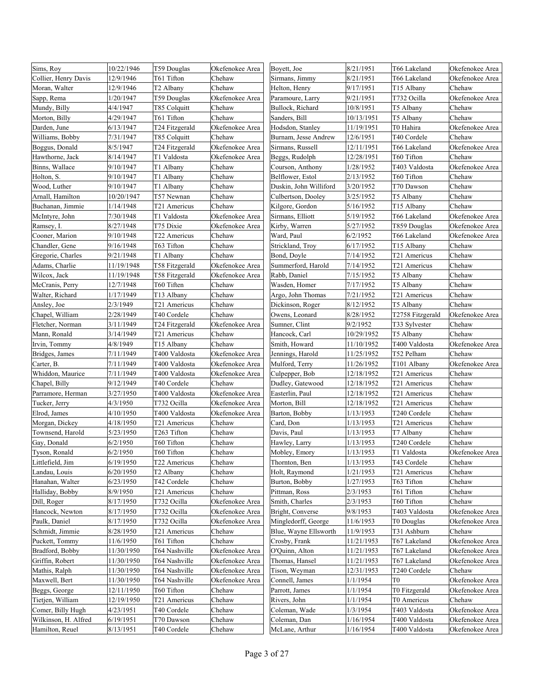| Sims, Roy            | 10/22/1946 | T59 Douglas           | Okefenokee Area | Boyett, Joe            | 8/21/1951  | T66 Lakeland     | Okefenokee Area |
|----------------------|------------|-----------------------|-----------------|------------------------|------------|------------------|-----------------|
| Collier, Henry Davis | 12/9/1946  | T61 Tifton            | Chehaw          | Sirmans, Jimmy         | 8/21/1951  | T66 Lakeland     | Okefenokee Area |
| Moran, Walter        | 12/9/1946  | T2 Albany             | Chehaw          | Helton, Henry          | 9/17/1951  | T15 Albany       | Chehaw          |
| Sapp, Rema           | 1/20/1947  | T59 Douglas           | Okefenokee Area | Paramoure, Larry       | 9/21/1951  | T732 Ocilla      | Okefenokee Area |
| Mundy, Billy         | 4/4/1947   | T85 Colquitt          | Chehaw          | Bullock, Richard       | 10/8/1951  | T5 Albany        | Chehaw          |
| Morton, Billy        | 4/29/1947  | T61 Tifton            | Chehaw          | Sanders, Bill          | 10/13/1951 | T5 Albany        | Chehaw          |
| Darden, June         | 6/13/1947  | T24 Fitzgerald        | Okefenokee Area | Hodsdon, Stanley       | 11/19/1951 | T0 Hahira        | Okefenokee Area |
| Williams, Bobby      | 7/31/1947  | T85 Colquitt          | Chehaw          | Burnam, Jesse Andrew   | 12/6/1951  | T40 Cordele      | Chehaw          |
| Boggus, Donald       | 8/5/1947   | T24 Fitzgerald        | Okefenokee Area | Sirmans, Russell       | 12/11/1951 | T66 Lakeland     | Okefenokee Area |
| Hawthorne, Jack      | 8/14/1947  | T1 Valdosta           | Okefenokee Area | Beggs, Rudolph         | 12/28/1951 | T60 Tifton       | Chehaw          |
| Binns, Wallace       | 9/10/1947  | T1 Albany             | Chehaw          | Courson, Anthony       | 1/28/1952  | T403 Valdosta    | Okefenokee Area |
| Holton, S.           | 9/10/1947  | T1 Albany             | Chehaw          | Belflower, Estol       | 2/13/1952  | T60 Tifton       | Chehaw          |
| Wood, Luther         | 9/10/1947  | T1 Albany             | Chehaw          | Duskin, John Williford | 3/20/1952  | T70 Dawson       | Chehaw          |
| Arnall, Hamilton     | 10/20/1947 | T57 Newnan            | Chehaw          | Culbertson, Dooley     | 3/25/1952  | T5 Albany        | Chehaw          |
| Buchanan, Jimmie     | 1/14/1948  | T21 Americus          | Chehaw          | Kilgore, Gordon        | 5/16/1952  | T15 Albany       | Chehaw          |
| McIntyre, John       | 7/30/1948  | T1 Valdosta           | Okefenokee Area | Sirmans, Elliott       | 5/19/1952  | T66 Lakeland     | Okefenokee Area |
| Ramsey, I.           | 8/27/1948  | T75 Dixie             | Okefenokee Area | Kirby, Warren          | 5/27/1952  | T859 Douglas     | Okefenokee Area |
| Cooner, Marion       | 9/10/1948  | T22 Americus          | Chehaw          | Ward, Paul             | 6/2/1952   | T66 Lakeland     | Okefenokee Area |
| Chandler, Gene       | 9/16/1948  | T63 Tifton            | Chehaw          | Strickland, Troy       | 6/17/1952  | T15 Albany       | Chehaw          |
| Gregorie, Charles    | 9/21/1948  | T1 Albany             | Chehaw          | Bond, Doyle            | 7/14/1952  | T21 Americus     | Chehaw          |
| Adams, Charlie       | 11/19/1948 | T58 Fitzgerald        | Okefenokee Area | Summerford, Harold     | 7/14/1952  | T21 Americus     | Chehaw          |
| Wilcox, Jack         | 11/19/1948 | T58 Fitzgerald        | Okefenokee Area | Rabb, Daniel           | 7/15/1952  | T5 Albany        | Chehaw          |
| McCranis, Perry      | 12/7/1948  | T60 Tiften            | Chehaw          | Wasden, Homer          | 7/17/1952  | T5 Albany        | Chehaw          |
| Walter, Richard      | 1/17/1949  | T13 Albany            | Chehaw          | Argo, John Thomas      | 7/21/1952  | T21 Americus     | Chehaw          |
| Ansley, Joe          | 2/3/1949   | T21 Americus          | Chehaw          | Dickinson, Roger       | 8/12/1952  | T5 Albany        | Chehaw          |
| Chapel, William      | 2/28/1949  | T40 Cordele           | Chehaw          | Owens, Leonard         | 8/28/1952  | T2758 Fitzgerald | Okefenokee Area |
| Fletcher, Norman     | 3/11/1949  | T24 Fitzgerald        | Okefenokee Area | Sumner, Clint          | 9/2/1952   | T33 Sylvester    | Chehaw          |
| Mann, Ronald         | 3/14/1949  | T21 Americus          | Chehaw          | Hancock, Carl          | 10/29/1952 | T5 Albany        | Chehaw          |
| Irvin, Tommy         | 4/8/1949   | T15 Albany            | Chehaw          | Smith, Howard          | 11/10/1952 | T400 Valdosta    | Okefenokee Area |
| Bridges, James       | 7/11/1949  | T400 Valdosta         | Okefenokee Area | Jennings, Harold       | 11/25/1952 | T52 Pelham       | Chehaw          |
| Carter, B.           | 7/11/1949  | T400 Valdosta         | Okefenokee Area | Mulford, Terry         | 11/26/1952 | T101 Albany      | Okefenokee Area |
| Whiddon, Maurice     | 7/11/1949  | T400 Valdosta         | Okefenokee Area | Culpepper, Bob         | 12/18/1952 | T21 Americus     | Chehaw          |
| Chapel, Billy        | 9/12/1949  | T40 Cordele           | Chehaw          | Dudley, Gatewood       | 12/18/1952 | T21 Americus     | Chehaw          |
| Parramore, Herman    | 3/27/1950  | T400 Valdosta         | Okefenokee Area | Easterlin, Paul        | 12/18/1952 | T21 Americus     | Chehaw          |
| Tucker, Jerry        | 4/3/1950   | T732 Ocilla           | Okefenokee Area | Morton, Bill           | 12/18/1952 | T21 Americus     | Chehaw          |
| Elrod, James         | 4/10/1950  | T400 Valdosta         | Okefenokee Area | Barton, Bobby          | 1/13/1953  | T240 Cordele     | Chehaw          |
| Morgan, Dickey       | 4/18/1950  | T21 Americus          | Chehaw          | Card, Don              | 1/13/1953  | T21 Americus     | Chehaw          |
| Townsend, Harold     | 5/23/1950  | T263 Tifton           | Chehaw          | Davis, Paul            | 1/13/1953  | T7 Albany        | Chehaw          |
| Gay, Donald          | 6/2/1950   | T60 Tifton            | Chehaw          | Hawley, Larry          | 1/13/1953  | T240 Cordele     | Chehaw          |
| Tyson, Ronald        | 6/2/1950   | T60 Tifton            | Chehaw          | Mobley, Emory          | 1/13/1953  | T1 Valdosta      | Okefenokee Area |
| Littlefield, Jim     | 6/19/1950  | T22 Americus          | Chehaw          | Thornton, Ben          | 1/13/1953  | T43 Cordele      | Chehaw          |
| Landau, Louis        | 6/20/1950  | T <sub>2</sub> Albany | Chehaw          | Holt, Raymond          | 1/21/1953  | T21 Americus     | Chehaw          |
| Hanahan, Walter      | 6/23/1950  | T42 Cordele           | Chehaw          | Burton, Bobby          | 1/27/1953  | T63 Tifton       | Chehaw          |
| Halliday, Bobby      | 8/9/1950   | T21 Americus          | Chehaw          | Pittman, Ross          | 2/3/1953   | T61 Tifton       | Chehaw          |
| Dill, Roger          | 8/17/1950  | T732 Ocilla           | Okefenokee Area | Smith, Charles         | 2/3/1953   | T60 Tifton       | Chehaw          |
| Hancock, Newton      | 8/17/1950  | T732 Ocilla           | Okefenokee Area | Bright, Converse       | 9/8/1953   | T403 Valdosta    | Okefenokee Area |
| Paulk, Daniel        | 8/17/1950  | T732 Ocilla           | Okefenokee Area | Mingledorff, George    | 11/6/1953  | T0 Douglas       | Okefenokee Area |
| Schmidt, Jimmie      | 8/28/1950  | T21 Americus          | Chehaw          | Blue, Wayne Ellsworth  | 11/9/1953  | T31 Ashburn      | Chehaw          |
| Puckett, Tommy       | 11/6/1950  | T61 Tifton            | Chehaw          | Crosby, Frank          | 11/21/1953 | T67 Lakeland     | Okefenokee Area |
| Bradford, Bobby      | 11/30/1950 | T64 Nashville         | Okefenokee Area | O'Quinn, Alton         | 11/21/1953 | T67 Lakeland     | Okefenokee Area |
| Griffin, Robert      | 11/30/1950 | T64 Nashville         | Okefenokee Area | Thomas, Hansel         | 11/21/1953 | T67 Lakeland     | Okefenokee Area |
| Mathis, Ralph        | 11/30/1950 | T64 Nashville         | Okefenokee Area | Tison, Weyman          | 12/31/1953 | T240 Cordele     | Chehaw          |
| Maxwell, Bert        | 11/30/1950 | T64 Nashville         | Okefenokee Area | Connell, James         | 1/1/1954   | T0               | Okefenokee Area |
| Beggs, George        | 12/11/1950 | T60 Tifton            | Chehaw          | Parrott, James         | 1/1/1954   | T0 Fitzgerald    | Okefenokee Area |
| Tietjen, William     | 12/19/1950 | T21 Americus          | Chehaw          | Rivers, John           | 1/1/1954   | T0 Americus      | Chehaw          |
| Comer, Billy Hugh    | 4/23/1951  | T40 Cordele           | Chehaw          | Coleman, Wade          | 1/3/1954   | T403 Valdosta    | Okefenokee Area |
| Wilkinson, H. Alfred | 6/19/1951  | T70 Dawson            | Chehaw          | Coleman, Dan           | 1/16/1954  | T400 Valdosta    | Okefenokee Area |
| Hamilton, Reuel      | 8/13/1951  | T40 Cordele           | Chehaw          | McLane, Arthur         | 1/16/1954  | T400 Valdosta    | Okefenokee Area |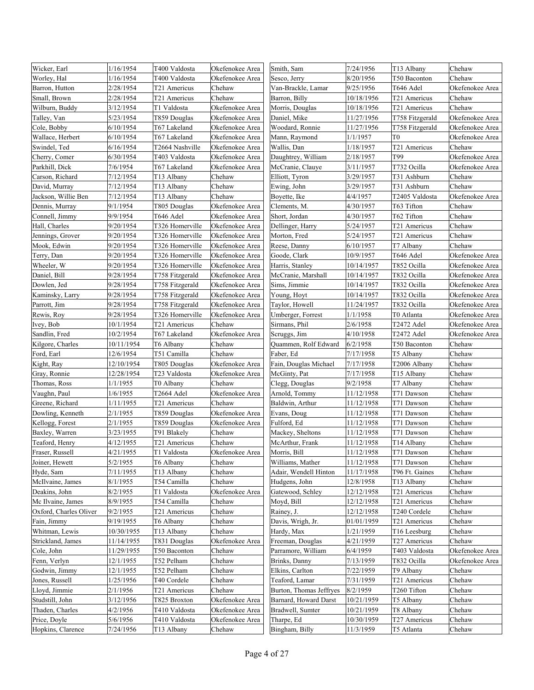| Wicker, Earl           | 1/16/1954  | T400 Valdosta   | Okefenokee Area | Smith, Sam              | 7/24/1956  | T13 Albany      | Chehaw          |
|------------------------|------------|-----------------|-----------------|-------------------------|------------|-----------------|-----------------|
| Worley, Hal            | 1/16/1954  | T400 Valdosta   | Okefenokee Area | Sesco, Jerry            | 8/20/1956  | T50 Baconton    | Chehaw          |
| Barron, Hutton         | 2/28/1954  | T21 Americus    | Chehaw          | Van-Brackle, Lamar      | 9/25/1956  | T646 Adel       | Okefenokee Area |
| Small, Brown           | 2/28/1954  | T21 Americus    | Chehaw          | Barron, Billy           | 10/18/1956 | T21 Americus    | Chehaw          |
| Wilburn, Buddy         | 3/12/1954  | T1 Valdosta     | Okefenokee Area | Morris, Douglas         | 10/18/1956 | T21 Americus    | Chehaw          |
| Talley, Van            | 5/23/1954  | T859 Douglas    | Okefenokee Area | Daniel, Mike            | 11/27/1956 | T758 Fitzgerald | Okefenokee Area |
| Cole, Bobby            | 6/10/1954  | T67 Lakeland    | Okefenokee Area | Woodard, Ronnie         | 11/27/1956 | T758 Fitzgerald | Okefenokee Area |
| Wallace, Herbert       | 6/10/1954  | T67 Lakeland    | Okefenokee Area | Mann, Raymond           | 1/1/1957   | T0              | Okefenokee Area |
| Swindel, Ted           | 6/16/1954  | T2664 Nashville | Okefenokee Area | Wallis, Dan             | 1/18/1957  | T21 Americus    | Chehaw          |
| Cherry, Comer          | 6/30/1954  | T403 Valdosta   | Okefenokee Area | Daughtrey, William      | 2/18/1957  | T99             | Okefenokee Area |
| Parkhill, Dick         | 7/6/1954   | T67 Lakeland    | Okefenokee Area | McCranie, Clauye        | 3/11/1957  | T732 Ocilla     | Okefenokee Area |
| Carson, Richard        | 7/12/1954  | T13 Albany      | Chehaw          | Elliott, Tyron          | 3/29/1957  | T31 Ashburn     | Chehaw          |
| David, Murray          | 7/12/1954  | T13 Albany      | Chehaw          | Ewing, John             | 3/29/1957  | T31 Ashburn     | Chehaw          |
| Jackson, Willie Ben    | 7/12/1954  | T13 Albany      | Chehaw          | Boyette, Ike            | 4/4/1957   | T2405 Valdosta  | Okefenokee Area |
| Dennis, Murray         | 9/1/1954   | T805 Douglas    | Okefenokee Area | Clements, M.            | 4/30/1957  | T63 Tifton      | Chehaw          |
| Connell, Jimmy         | 9/9/1954   | T646 Adel       | Okefenokee Area | Short, Jordan           | 4/30/1957  | T62 Tifton      | Chehaw          |
| Hall, Charles          | 9/20/1954  | T326 Homerville | Okefenokee Area | Dellinger, Harry        | 5/24/1957  | T21 Americus    | Chehaw          |
| Jennings, Grover       | 9/20/1954  | T326 Homerville | Okefenokee Area | Morton, Fred            | 5/24/1957  | T21 Americus    | Chehaw          |
| Mook, Edwin            | 9/20/1954  | T326 Homerville | Okefenokee Area | Reese, Danny            | 6/10/1957  | T7 Albany       | Chehaw          |
| Terry, Dan             | 9/20/1954  | T326 Homerville | Okefenokee Area | Goode, Clark            | 10/9/1957  | T646 Adel       | Okefenokee Area |
| Wheeler, W             | 9/20/1954  | T326 Homerville | Okefenokee Area | Harris, Stanley         | 10/14/1957 | T852 Ocilla     | Okefenokee Area |
| Daniel, Bill           | 9/28/1954  | T758 Fitzgerald | Okefenokee Area | McCranie, Marshall      | 10/14/1957 | T832 Ocilla     | Okefenokee Area |
| Dowlen, Jed            | 9/28/1954  | T758 Fitzgerald | Okefenokee Area | Sims, Jimmie            | 10/14/1957 | T832 Ocilla     | Okefenokee Area |
| Kaminsky, Larry        | 9/28/1954  | T758 Fitzgerald | Okefenokee Area | Young, Hoyt             | 10/14/1957 | T832 Ocilla     | Okefenokee Area |
| Parrott, Jim           | 9/28/1954  | T758 Fitzgerald | Okefenokee Area | Taylor, Howell          | 11/24/1957 | T832 Ocilla     | Okefenokee Area |
| Rewis, Roy             | 9/28/1954  | T326 Homerville | Okefenokee Area | Umberger, Forrest       | 1/1/1958   | T0 Atlanta      | Okefenokee Area |
| Ivey, Bob              | 10/1/1954  | T21 Americus    | Chehaw          | Sirmans, Phil           | 2/6/1958   | T2472 Adel      | Okefenokee Area |
| Sandlin, Fred          | 10/2/1954  | T67 Lakeland    | Okefenokee Area | Scruggs, Jim            | 4/10/1958  | T2472 Adel      | Okefenokee Area |
| Kilgore, Charles       | 10/11/1954 | T6 Albany       | Chehaw          | Quammen, Rolf Edward    | 6/2/1958   | T50 Baconton    | Chehaw          |
| Ford, Earl             | 12/6/1954  | T51 Camilla     | Chehaw          | Faber, Ed               | 7/17/1958  | T5 Albany       | Chehaw          |
| Kight, Ray             | 12/10/1954 | T805 Douglas    | Okefenokee Area | Fain, Douglas Michael   | 7/17/1958  | T2006 Albany    | Chehaw          |
| Gray, Ronnie           | 12/28/1954 | T23 Valdosta    | Okefenokee Area | McGinty, Pat            | 7/17/1958  | T15 Albany      | Chehaw          |
| Thomas, Ross           | 1/1/1955   | T0 Albany       | Chehaw          | Clegg, Douglas          | 9/2/1958   | T7 Albany       | Chehaw          |
| Vaughn, Paul           | 1/6/1955   | T2664 Adel      | Okefenokee Area | Arnold, Tommy           | 11/12/1958 | T71 Dawson      | Chehaw          |
| Greene, Richard        | 1/11/1955  | T21 Americus    | Chehaw          | Baldwin, Arthur         | 11/12/1958 | T71 Dawson      | Chehaw          |
| Dowling, Kenneth       | 2/1/1955   | T859 Douglas    | Okefenokee Area | Evans, Doug             | 11/12/1958 | T71 Dawson      | Chehaw          |
| Kellogg, Forest        | 2/1/1955   | T859 Douglas    | Okefenokee Area | Fulford, Ed             | 11/12/1958 | T71 Dawson      | Chehaw          |
| Baxley, Warren         | 3/23/1955  | T91 Blakely     | Chehaw          | Mackey, Sheltons        | 11/12/1958 | T71 Dawson      | Chehaw          |
| Teaford, Henry         | 4/12/1955  | T21 Americus    | Chehaw          | McArthur, Frank         | 11/12/1958 | T14 Albany      | Chehaw          |
| Fraser, Russell        | 4/21/1955  | T1 Valdosta     | Okefenokee Area | Morris, Bill            | 11/12/1958 | T71 Dawson      | Chehaw          |
| Joiner, Hewett         | 5/2/1955   | T6 Albany       | Chehaw          | Williams, Mather        | 11/12/1958 | T71 Dawson      | Chehaw          |
| Hyde, Sam              | 7/11/1955  | T13 Albany      | Chehaw          | Adair, Wendell Hinton   | 11/17/1958 | T96 Ft. Gaines  | Chehaw          |
| McIlvaine, James       | 8/1/1955   | T54 Camilla     | Chehaw          | Hudgens, John           | 12/8/1958  | T13 Albany      | Chehaw          |
| Deakins, John          | 8/2/1955   | T1 Valdosta     | Okefenokee Area | Gatewood, Schley        | 12/12/1958 | T21 Americus    | Chehaw          |
| Mc Ilvaine, James      | 8/9/1955   | T54 Camilla     | Chehaw          | Moyd, Bill              | 12/12/1958 | T21 Americus    | Chehaw          |
| Oxford, Charles Oliver | 9/2/1955   | T21 Americus    | Chehaw          | Rainey, J.              | 12/12/1958 | T240 Cordele    | Chehaw          |
| Fain, Jimmy            | 9/19/1955  | T6 Albany       | Chehaw          | Davis, Wrigh, Jr.       | 01/01/1959 | T21 Americus    | Chehaw          |
| Whitman, Lewis         | 10/30/1955 | T13 Albany      | Chehaw          | Hardy, Max              | 1/21/1959  | T16 Leesburg    | Chehaw          |
| Strickland, James      | 11/14/1955 | T831 Douglas    | Okefenokee Area | Freeman, Douglas        | 4/21/1959  | T27 Americus    | Chehaw          |
| Cole, John             | 11/29/1955 | T50 Baconton    | Chehaw          | Parramore, William      | 6/4/1959   | T403 Valdosta   | Okefenokee Area |
| Fenn, Verlyn           | 12/1/1955  | T52 Pelham      | Chehaw          | Brinks, Danny           | 7/13/1959  | T832 Ocilla     | Okefenokee Area |
| Godwin, Jimmy          | 12/1/1955  | T52 Pelham      | Chehaw          | Elkins, Carlton         | 7/22/1959  | T9 Albany       | Chehaw          |
| Jones, Russell         | 1/25/1956  | T40 Cordele     | Chehaw          | Teaford, Lamar          | 7/31/1959  | T21 Americus    | Chehaw          |
| Lloyd, Jimmie          | 2/1/1956   | T21 Americus    | Chehaw          | Burton, Thomas Jeffryes | 8/2/1959   | T260 Tifton     | Chehaw          |
| Studstill, John        | 3/12/1956  | T825 Broxton    | Okefenokee Area | Barnard, Howard Darst   | 10/21/1959 | T5 Albany       | Chehaw          |
| Thaden, Charles        | 4/2/1956   | T410 Valdosta   | Okefenokee Area | Bradwell, Sumter        | 10/21/1959 | T8 Albany       | Chehaw          |
| Price, Doyle           | 5/6/1956   | T410 Valdosta   | Okefenokee Area | Tharpe, Ed              | 10/30/1959 | T27 Americus    | Chehaw          |
| Hopkins, Clarence      | 7/24/1956  | T13 Albany      | Chehaw          | Bingham, Billy          | 11/3/1959  | T5 Atlanta      | Chehaw          |
|                        |            |                 |                 |                         |            |                 |                 |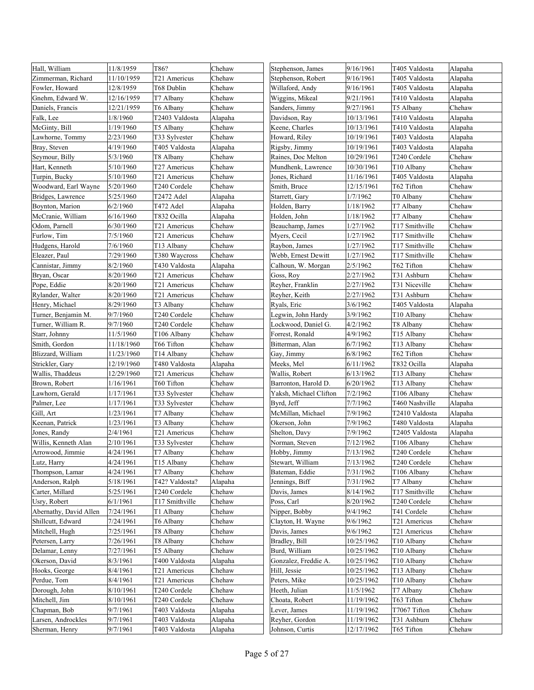| Hall, William          | 11/8/1959  | T86?           | Chehaw  | Stephenson, James      | 9/16/1961  | T405 Valdosta  | Alapaha |
|------------------------|------------|----------------|---------|------------------------|------------|----------------|---------|
| Zimmerman, Richard     | 11/10/1959 | T21 Americus   | Chehaw  | Stephenson, Robert     | 9/16/1961  | T405 Valdosta  | Alapaha |
| Fowler, Howard         | 12/8/1959  | T68 Dublin     | Chehaw  | Willaford, Andy        | 9/16/1961  | T405 Valdosta  | Alapaha |
| Gnehm, Edward W.       | 12/16/1959 | T7 Albany      | Chehaw  | Wiggins, Mikeal        | 9/21/1961  | T410 Valdosta  | Alapaha |
| Daniels, Francis       | 12/21/1959 | T6 Albany      | Chehaw  | Sanders, Jimmy         | 9/27/1961  | T5 Albany      | Chehaw  |
| Falk, Lee              | 1/8/1960   | T2403 Valdosta | Alapaha | Davidson, Ray          | 10/13/1961 | T410 Valdosta  | Alapaha |
| McGinty, Bill          | 1/19/1960  | T5 Albany      | Chehaw  | Keene, Charles         | 10/13/1961 | T410 Valdosta  | Alapaha |
| Lawhorne, Tommy        | 2/23/1960  | T33 Sylvester  | Chehaw  | Howard, Riley          | 10/19/1961 | T403 Valdosta  | Alapaha |
| Bray, Steven           | 4/19/1960  | T405 Valdosta  | Alapaha | Rigsby, Jimmy          | 10/19/1961 | Γ403 Valdosta  | Alapaha |
| Seymour, Billy         | 5/3/1960   | T8 Albany      | Chehaw  | Raines, Doc Melton     | 10/29/1961 | T240 Cordele   | Chehaw  |
| Hart, Kenneth          | 5/10/1960  | T27 Americus   | Chehaw  | Mundhenk, Lawrence     | 10/30/1961 | T10 Albany     | Chehaw  |
| Turpin, Bucky          | 5/10/1960  | T21 Americus   | Chehaw  | Jones, Richard         | 11/16/1961 | T405 Valdosta  | Alapaha |
| Woodward, Earl Wayne   | 5/20/1960  | T240 Cordele   | Chehaw  | Smith, Bruce           | 12/15/1961 | T62 Tifton     | Chehaw  |
| Bridges, Lawrence      | 5/25/1960  | T2472 Adel     | Alapaha | Starrett, Gary         | 1/7/1962   | T0 Albany      | Chehaw  |
| Boynton, Marion        | 6/2/1960   | T472 Adel      | Alapaha | Holden, Barry          | 1/18/1962  | T7 Albany      | Chehaw  |
| McCranie, William      | 6/16/1960  | T832 Ocilla    | Alapaha | Holden, John           | 1/18/1962  | T7 Albany      | Chehaw  |
| Odom, Parnell          | 6/30/1960  | T21 Americus   | Chehaw  | Beauchamp, James       | 1/27/1962  | T17 Smithville | Chehaw  |
| Furlow, Tim            | 7/5/1960   | T21 Americus   | Chehaw  | Myers, Cecil           | 1/27/1962  | T17 Smithville | Chehaw  |
| Hudgens, Harold        | 7/6/1960   | T13 Albany     | Chehaw  | Raybon, James          | 1/27/1962  | T17 Smithville | Chehaw  |
| Eleazer, Paul          | 7/29/1960  | T380 Waycross  | Chehaw  | Webb, Ernest Dewitt    | 1/27/1962  | T17 Smithville | Chehaw  |
| Cannistar, Jimmy       | 8/2/1960   | T430 Valdosta  | Alapaha | Calhoun, W. Morgan     | 2/5/1962   | T62 Tifton     | Chehaw  |
| Bryan, Oscar           | 8/20/1960  | T21 Americus   | Chehaw  | Goss, Roy              | 2/27/1962  | T31 Ashburn    | Chehaw  |
| Pope, Eddie            | 8/20/1960  | T21 Americus   | Chehaw  | Reyher, Franklin       | 2/27/1962  | T31 Niceville  | Chehaw  |
| Rylander, Walter       | 8/20/1960  | T21 Americus   | Chehaw  | Reyher, Keith          | 2/27/1962  | T31 Ashburn    | Chehaw  |
| Henry, Michael         | 8/29/1960  | T3 Albany      | Chehaw  | Ryals, Eric            | 3/6/1962   | T405 Valdosta  | Alapaha |
| Turner, Benjamin M.    | 9/7/1960   | T240 Cordele   | Chehaw  | Legwin, John Hardy     | 3/9/1962   | T10 Albany     | Chehaw  |
| Turner, William R.     | 9/7/1960   | T240 Cordele   | Chehaw  | Lockwood, Daniel G.    | 4/2/1962   | T8 Albany      | Chehaw  |
| Starr, Johnny          | 11/5/1960  | T106 Albany    | Chehaw  | Forrest, Ronald        | 4/9/1962   | T15 Albany     | Chehaw  |
| Smith, Gordon          | 11/18/1960 | T66 Tifton     | Chehaw  | Bitterman, Alan        | 6/7/1962   | T13 Albany     | Chehaw  |
| Blizzard, William      | 11/23/1960 | T14 Albany     | Chehaw  | Gay, Jimmy             | 6/8/1962   | T62 Tifton     | Chehaw  |
| Strickler, Gary        | 12/19/1960 | T480 Valdosta  | Alapaha | Meeks, Mel             | 6/11/1962  | T832 Ocilla    | Alapaha |
| Wallis, Thaddeus       | 12/29/1960 | T21 Americus   | Chehaw  | Wallis, Robert         | 6/13/1962  | T13 Albany     | Chehaw  |
| Brown, Robert          | 1/16/1961  | T60 Tifton     | Chehaw  | Barronton, Harold D.   | 6/20/1962  | T13 Albany     | Chehaw  |
| Lawhorn, Gerald        | 1/17/1961  | T33 Sylvester  | Chehaw  | Yaksh, Michael Clifton | 7/2/1962   | T106 Albany    | Chehaw  |
| Palmer, Lee            | 1/17/1961  | T33 Sylvester  | Chehaw  | Byrd, Jeff             | 7/7/1962   | T460 Nashville | Alapaha |
| Gill, Art              | 1/23/1961  | T7 Albany      | Chehaw  | McMillan, Michael      | 7/9/1962   | T2410 Valdosta | Alapaha |
| Keenan, Patrick        | 1/23/1961  | T3 Albany      | Chehaw  | Okerson, John          | 7/9/1962   | T480 Valdosta  | Alapaha |
| Jones, Randy           | 2/4/1961   | T21 Americus   | Chehaw  | Shelton, Davy          | 7/9/1962   | T2405 Valdosta | Alapaha |
| Willis, Kenneth Alan   | 2/10/1961  | T33 Sylvester  | Chehaw  | Norman, Steven         | 7/12/1962  | T106 Albany    | Chehaw  |
| Arrowood, Jimmie       | 4/24/1961  | T7 Albany      | Chehaw  | Hobby, Jimmy           | 7/13/1962  | T240 Cordele   | Chehaw  |
| Lutz, Harry            | 4/24/1961  | T15 Albany     | Chehaw  | Stewart, William       | 7/13/1962  | T240 Cordele   | Chehaw  |
| Thompson, Lamar        | 4/24/1961  | T7 Albany      | Chehaw  | Bateman, Eddie         | 7/31/1962  | T106 Albany    | Chehaw  |
| Anderson, Ralph        | 5/18/1961  | T42? Valdosta? | Alapaha | Jennings, Biff         | 7/31/1962  | T7 Albany      | Chehaw  |
| Carter, Millard        | 5/25/1961  | T240 Cordele   | Chehaw  | Davis, James           | 8/14/1962  | T17 Smithville | Chehaw  |
| Usry, Robert           | 6/1/1961   | T17 Smithville | Chehaw  | Poss, Carl             | 8/20/1962  | T240 Cordele   | Chehaw  |
| Abernathy, David Allen | 7/24/1961  | T1 Albany      | Chehaw  | Nipper, Bobby          | 9/4/1962   | T41 Cordele    | Chehaw  |
| Shillcutt, Edward      | 7/24/1961  | T6 Albany      | Chehaw  | Clayton, H. Wayne      | 9/6/1962   | T21 Americus   | Chehaw  |
| Mitchell, Hugh         | 7/25/1961  | T8 Albany      | Chehaw  | Davis, James           | 9/6/1962   | T21 Americus   | Chehaw  |
| Petersen, Larry        | 7/26/1961  | T8 Albany      | Chehaw  | Bradley, Bill          | 10/25/1962 | T10 Albany     | Chehaw  |
| Delamar, Lenny         | 7/27/1961  | T5 Albany      | Chehaw  | Burd, William          | 10/25/1962 | T10 Albany     | Chehaw  |
| Okerson, David         | 8/3/1961   | T400 Valdosta  | Alapaha | Gonzalez, Freddie A.   | 10/25/1962 | T10 Albany     | Chehaw  |
| Hooks, George          | 8/4/1961   | T21 Americus   | Chehaw  | Hill, Jessie           | 10/25/1962 | T13 Albany     | Chehaw  |
| Perdue, Tom            | 8/4/1961   | T21 Americus   | Chehaw  | Peters, Mike           | 10/25/1962 | T10 Albany     | Chehaw  |
| Dorough, John          | 8/10/1961  | T240 Cordele   | Chehaw  | Heeth, Julian          | 11/5/1962  | T7 Albany      | Chehaw  |
| Mitchell, Jim          | 8/10/1961  | T240 Cordele   | Chehaw  | Choata, Robert         | 11/19/1962 | T63 Tifton     | Chehaw  |
| Chapman, Bob           | 9/7/1961   | T403 Valdosta  | Alapaha | Lever, James           | 11/19/1962 | T7067 Tifton   | Chehaw  |
| Larsen, Androckles     | 9/7/1961   | T403 Valdosta  | Alapaha | Reyher, Gordon         | 11/19/1962 | T31 Ashburn    | Chehaw  |
| Sherman, Henry         | 9/7/1961   | T403 Valdosta  | Alapaha | Johnson, Curtis        | 12/17/1962 | T65 Tifton     | Chehaw  |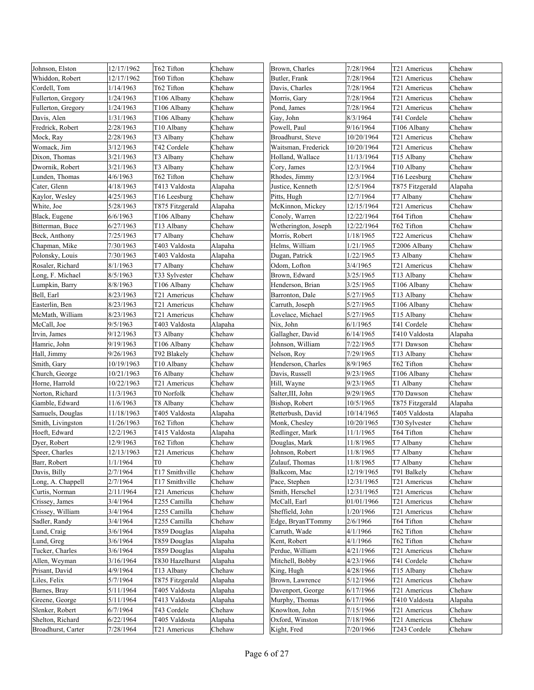| Johnson, Elston    | 12/17/1962 | T62 Tifton             | Chehaw  | Brown, Charles       | 7/28/1964  | T21 Americus    | Chehaw  |
|--------------------|------------|------------------------|---------|----------------------|------------|-----------------|---------|
| Whiddon, Robert    | 12/17/1962 | T60 Tifton             | Chehaw  | Butler, Frank        | 7/28/1964  | T21 Americus    | Chehaw  |
| Cordell, Tom       | 1/14/1963  | T62 Tifton             | Chehaw  | Davis, Charles       | 7/28/1964  | T21 Americus    | Chehaw  |
| Fullerton, Gregory | 1/24/1963  | T106 Albany            | Chehaw  | Morris, Gary         | 7/28/1964  | T21 Americus    | Chehaw  |
| Fullerton, Gregory | 1/24/1963  | T106 Albany            | Chehaw  | Pond, James          | 7/28/1964  | T21 Americus    | Chehaw  |
| Davis, Alen        | 1/31/1963  | T106 Albany            | Chehaw  | Gay, John            | 8/3/1964   | T41 Cordele     | Chehaw  |
| Fredrick, Robert   | 2/28/1963  | T <sub>10</sub> Albany | Chehaw  | Powell, Paul         | 9/16/1964  | T106 Albany     | Chehaw  |
| Mock, Ray          | 2/28/1963  | T3 Albany              | Chehaw  | Broadhurst, Steve    | 10/20/1964 | T21 Americus    | Chehaw  |
| Womack, Jim        | 3/12/1963  | T42 Cordele            | Chehaw  | Waitsman, Frederick  | 10/20/1964 | T21 Americus    | Chehaw  |
| Dixon, Thomas      | 3/21/1963  | T3 Albany              | Chehaw  | Holland, Wallace     | 11/13/1964 | T15 Albany      | Chehaw  |
| Dwornik, Robert    | 3/21/1963  | T3 Albany              | Chehaw  | Cory, James          | 12/3/1964  | T10 Albany      | Chehaw  |
| Lunden, Thomas     | 4/6/1963   | T62 Tifton             | Chehaw  | Rhodes, Jimmy        | 12/3/1964  | T16 Leesburg    | Chehaw  |
| Cater, Glenn       | 4/18/1963  | T413 Valdosta          | Alapaha | Justice, Kenneth     | 12/5/1964  | T875 Fitzgerald | Alapaha |
| Kaylor, Wesley     | 4/25/1963  | T16 Leesburg           | Chehaw  | Pitts, Hugh          | 12/7/1964  | T7 Albany       | Chehaw  |
| White, Joe         | 5/28/1963  | T875 Fitzgerald        | Alapaha | McKinnon, Mickey     | 12/15/1964 | T21 Americus    | Chehaw  |
| Black, Eugene      | 6/6/1963   | T106 Albany            | Chehaw  | Conoly, Warren       | 12/22/1964 | T64 Tifton      | Chehaw  |
| Bitterman, Buce    | 6/27/1963  | T13 Albany             | Chehaw  | Wetherington, Joseph | 12/22/1964 | T62 Tifton      | Chehaw  |
| Beck, Anthony      | 7/25/1963  | T7 Albany              | Chehaw  | Morris, Robert       | 1/18/1965  | T22 Americus    | Chehaw  |
| Chapman, Mike      | 7/30/1963  | T403 Valdosta          | Alapaha | Helms, William       | 1/21/1965  | T2006 Albany    | Chehaw  |
| Polonsky, Louis    | 7/30/1963  | T403 Valdosta          | Alapaha | Dugan, Patrick       | 1/22/1965  | T3 Albany       | Chehaw  |
| Rosaler, Richard   | 8/1/1963   | T7 Albany              | Chehaw  | Odom, Lofton         | 3/4/1965   | T21 Americus    | Chehaw  |
| Long, F. Michael   | 8/5/1963   | T33 Sylvester          | Chehaw  | Brown, Edward        | 3/25/1965  | T13 Albany      | Chehaw  |
| Lumpkin, Barry     | 8/8/1963   | T106 Albany            | Chehaw  | Henderson, Brian     | 3/25/1965  | T106 Albany     | Chehaw  |
| Bell, Earl         | 8/23/1963  | T21 Americus           | Chehaw  | Barronton, Dale      | 5/27/1965  | T13 Albany      | Chehaw  |
| Easterlin, Ben     | 8/23/1963  | T21 Americus           | Chehaw  | Carruth, Joseph      | 5/27/1965  | T106 Albany     | Chehaw  |
| McMath, William    | 8/23/1963  | T21 Americus           | Chehaw  | Lovelace, Michael    | 5/27/1965  | T15 Albany      | Chehaw  |
| McCall, Joe        | 9/5/1963   | T403 Valdosta          | Alapaha | Nix, John            | 6/1/1965   | T41 Cordele     | Chehaw  |
| Irvin, James       | 9/12/1963  | T3 Albany              | Chehaw  | Gallagher, David     | 6/14/1965  | T410 Valdosta   | Alapaha |
| Hamric, John       | 9/19/1963  | T106 Albany            | Chehaw  | Johnson, William     | 7/22/1965  | T71 Dawson      | Chehaw  |
| Hall, Jimmy        | 9/26/1963  | T92 Blakely            | Chehaw  | Nelson, Roy          | 7/29/1965  | T13 Albany      | Chehaw  |
| Smith, Gary        | 10/19/1963 | T10 Albany             | Chehaw  | Henderson, Charles   | 8/9/1965   | T62 Tifton      | Chehaw  |
| Church, George     | 10/21/1963 | T6 Albany              | Chehaw  | Davis, Russell       | 9/23/1965  | T106 Albany     | Chehaw  |
| Horne, Harrold     | 10/22/1963 | T21 Americus           | Chehaw  | Hill, Wayne          | 9/23/1965  | T1 Albany       | Chehaw  |
| Norton, Richard    | 11/3/1963  | T0 Norfolk             | Chehaw  | Salter, III, John    | 9/29/1965  | T70 Dawson      | Chehaw  |
| Gamble, Edward     | 11/6/1963  | T8 Albany              | Chehaw  | Bishop, Robert       | 10/5/1965  | T875 Fitzgerald | Alapaha |
| Samuels, Douglas   | 11/18/1963 | T405 Valdosta          | Alapaha | Retterbush, David    | 10/14/1965 | T405 Valdosta   | Alapaha |
| Smith, Livingston  | 11/26/1963 | T62 Tifton             | Chehaw  | Monk, Chesley        | 10/20/1965 | T30 Sylvester   | Chehaw  |
| Hoeft, Edward      | 12/2/1963  | T415 Valdosta          | Alapaha | Redlinger, Mark      | 11/1/1965  | T64 Tifton      | Chehaw  |
| Dyer, Robert       | 12/9/1963  | T62 Tifton             | Chehaw  | Douglas, Mark        | 11/8/1965  | T7 Albany       | Chehaw  |
| Speer, Charles     | 12/13/1963 | T21 Americus           | Chehaw  | Johnson, Robert      | 11/8/1965  | T7 Albany       | Chehaw  |
| Barr, Robert       | 1/1/1964   | T0                     | Chehaw  | Zulauf, Thomas       | 11/8/1965  | T7 Albany       | Chehaw  |
| Davis, Billy       | 2/7/1964   | T17 Smithville         | Chehaw  | Balkcom, Mac         | 12/19/1965 | T91 Balkely     | Chehaw  |
| Long, A. Chappell  | 2/7/1964   | T17 Smithville         | Chehaw  | Pace, Stephen        | 12/31/1965 | T21 Americus    | Chehaw  |
| Curtis, Norman     | 2/11/1964  | T21 Americus           | Chehaw  | Smith, Herschel      | 12/31/1965 | T21 Americus    | Chehaw  |
| Crissey, James     | 3/4/1964   | T255 Camilla           | Chehaw  | McCall, Earl         | 01/01/1966 | T21 Americus    | Chehaw  |
| Crissey, William   | 3/4/1964   | T255 Camilla           | Chehaw  | Sheffield, John      | 1/20/1966  | T21 Americus    | Chehaw  |
| Sadler, Randy      | 3/4/1964   | T255 Camilla           | Chehaw  | Edge, BryanTTommy    | 2/6/1966   | T64 Tifton      | Chehaw  |
| Lund, Craig        | 3/6/1964   | T859 Douglas           | Alapaha | Carruth, Wade        | 4/1/1966   | T62 Tifton      | Chehaw  |
| Lund, Greg         | 3/6/1964   | T859 Douglas           | Alapaha | Kent, Robert         | 4/1/1966   | T62 Tifton      | Chehaw  |
| Tucker, Charles    | 3/6/1964   | T859 Douglas           | Alapaha | Perdue, William      | 4/21/1966  | T21 Americus    | Chehaw  |
| Allen, Weyman      | 3/16/1964  | T830 Hazelhurst        | Alapaha | Mitchell, Bobby      | 4/23/1966  | T41 Cordele     | Chehaw  |
| Prisant, David     | 4/9/1964   | T13 Albany             | Chehaw  | King, Hugh           | 4/28/1966  | T15 Albany      | Chehaw  |
| Liles, Felix       | 5/7/1964   | T875 Fitzgerald        | Alapaha | Brown, Lawrence      | 5/12/1966  | T21 Americus    | Chehaw  |
| Barnes, Bray       | 5/11/1964  | T405 Valdosta          | Alapaha | Davenport, George    | 6/17/1966  | T21 Americus    | Chehaw  |
| Greene, George     | 5/11/1964  | T413 Valdosta          | Alapaha | Murphy, Thomas       | 6/17/1966  | T410 Valdosta   | Alapaha |
| Slenker, Robert    | 6/7/1964   | T43 Cordele            | Chehaw  | Knowlton, John       | 7/15/1966  | T21 Americus    | Chehaw  |
| Shelton, Richard   | 6/22/1964  | T405 Valdosta          | Alapaha | Oxford, Winston      | 7/18/1966  | T21 Americus    | Chehaw  |
| Broadhurst, Carter | 7/28/1964  | T21 Americus           | Chehaw  | Kight, Fred          | 7/20/1966  | T243 Cordele    | Chehaw  |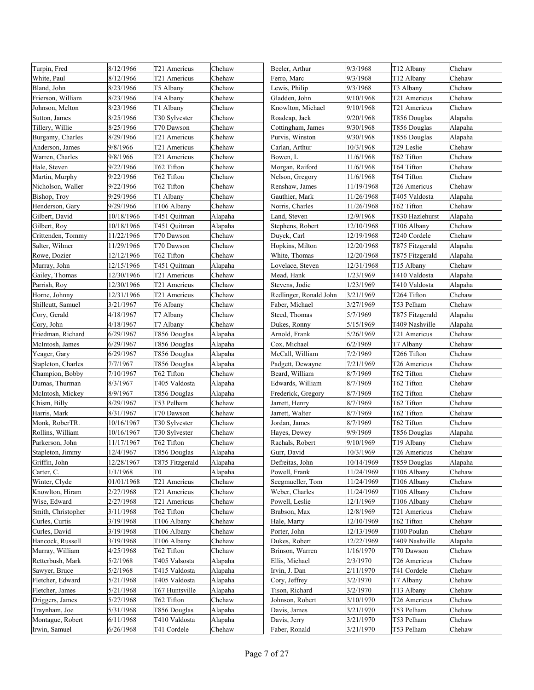| Turpin, Fred       | 8/12/1966  | T21 Americus    | Chehaw  | Beeler, Arthur         | 9/3/1968   | T12 Albany      | Chehaw  |
|--------------------|------------|-----------------|---------|------------------------|------------|-----------------|---------|
| White, Paul        | 8/12/1966  | T21 Americus    | Chehaw  | Ferro, Marc            | 9/3/1968   | T12 Albany      | Chehaw  |
| Bland, John        | 8/23/1966  | T5 Albany       | Chehaw  | Lewis, Philip          | 9/3/1968   | T3 Albany       | Chehaw  |
| Frierson, William  | 8/23/1966  | T4 Albany       | Chehaw  | Gladden, John          | 9/10/1968  | T21 Americus    | Chehaw  |
| Johnson, Melton    | 8/23/1966  | T1 Albany       | Chehaw  | Knowlton, Michael      | 9/10/1968  | T21 Americus    | Chehaw  |
| Sutton, James      | 8/25/1966  | T30 Sylvester   | Chehaw  | Roadcap, Jack          | 9/20/1968  | T856 Douglas    | Alapaha |
| Tillery, Willie    | 8/25/1966  | T70 Dawson      | Chehaw  | Cottingham, James      | 9/30/1968  | T856 Douglas    | Alapaha |
| Burgamy, Charles   | 8/29/1966  | T21 Americus    | Chehaw  | Purvis, Winston        | 9/30/1968  | T856 Douglas    | Alapaha |
| Anderson, James    | 9/8/1966   | T21 Americus    | Chehaw  | Carlan, Arthur         | 10/3/1968  | T29 Leslie      | Chehaw  |
| Warren, Charles    | 9/8/1966   | T21 Americus    | Chehaw  | Bowen, L               | 11/6/1968  | T62 Tifton      | Chehaw  |
| Hale, Steven       | 9/22/1966  | T62 Tifton      | Chehaw  | Morgan, Raiford        | 11/6/1968  | T64 Tifton      | Chehaw  |
| Martin, Murphy     | 9/22/1966  | T62 Tifton      | Chehaw  | Nelson, Gregory        | 11/6/1968  | T64 Tifton      | Chehaw  |
| Nicholson, Waller  | 9/22/1966  | T62 Tifton      | Chehaw  | Renshaw, James         | 11/19/1968 | T26 Americus    | Chehaw  |
| Bishop, Troy       | 9/29/1966  | T1 Albany       | Chehaw  | Gauthier, Mark         | 11/26/1968 | T405 Valdosta   | Alapaha |
| Henderson, Gary    | 9/29/1966  | T106 Albany     | Chehaw  | Norris, Charles        | 11/26/1968 | T62 Tifton      | Chehaw  |
| Gilbert, David     | 10/18/1966 | T451 Quitman    | Alapaha | Land, Steven           | 12/9/1968  | T830 Hazlehurst | Alapaha |
| Gilbert, Roy       | 10/18/1966 | T451 Quitman    | Alapaha | Stephens, Robert       | 12/10/1968 | T106 Albany     | Chehaw  |
| Crittenden, Tommy  | 11/22/1966 | T70 Dawson      | Chehaw  | Duyck, Carl            | 12/19/1968 | T240 Cordele    | Chehaw  |
| Salter, Wilmer     | 11/29/1966 | T70 Dawson      | Chehaw  | Hopkins, Milton        | 12/20/1968 | T875 Fitzgerald | Alapaha |
| Rowe, Dozier       | 12/12/1966 | T62 Tifton      | Chehaw  | White, Thomas          | 12/20/1968 | T875 Fitzgerald | Alapaha |
| Murray, John       | 12/15/1966 | T451 Quitman    | Alapaha | Lovelace, Steven       | 12/31/1968 | T15 Albany      | Chehaw  |
| Gailey, Thomas     | 12/30/1966 | T21 Americus    | Chehaw  | Mead, Hank             | 1/23/1969  | T410 Valdosta   | Alapaha |
| Parrish, Roy       | 12/30/1966 | T21 Americus    | Chehaw  | Stevens, Jodie         | 1/23/1969  | T410 Valdosta   | Alapaha |
| Horne, Johnny      | 12/31/1966 | T21 Americus    | Chehaw  | Redlinger, Ronald John | 3/21/1969  | T264 Tifton     | Chehaw  |
| Shillcutt, Samuel  | 3/21/1967  | T6 Albany       | Chehaw  | Faber, Michael         | 3/27/1969  | T53 Pelham      | Chehaw  |
| Cory, Gerald       | 4/18/1967  | T7 Albany       | Chehaw  | Steed, Thomas          | 5/7/1969   | T875 Fitzgerald | Alapaha |
| Cory, John         | 4/18/1967  | T7 Albany       | Chehaw  | Dukes, Ronny           | 5/15/1969  | T409 Nashville  | Alapaha |
| Friedman, Richard  | 6/29/1967  | T856 Douglas    | Alapaha | Arnold, Frank          | 5/26/1969  | T21 Americus    | Chehaw  |
| McIntosh, James    | 6/29/1967  | T856 Douglas    | Alapaha | Cox, Michael           | 6/2/1969   | T7 Albany       | Chehaw  |
| Yeager, Gary       | 6/29/1967  | T856 Douglas    | Alapaha | McCall, William        | 7/2/1969   | T266 Tifton     | Chehaw  |
| Stapleton, Charles | 7/7/1967   | T856 Douglas    | Alapaha | Padgett, Dewayne       | 7/21/1969  | T26 Americus    | Chehaw  |
| Champion, Bobby    | 7/10/1967  | T62 Tifton      | Chehaw  | Beard, William         | 8/7/1969   | T62 Tifton      | Chehaw  |
| Dumas, Thurman     | 8/3/1967   | T405 Valdosta   | Alapaha | Edwards, William       | 8/7/1969   | T62 Tifton      | Chehaw  |
| McIntosh, Mickey   | 8/9/1967   | T856 Douglas    | Alapaha | Frederick, Gregory     | 8/7/1969   | T62 Tifton      | Chehaw  |
| Chism, Billy       | 8/29/1967  | T53 Pelham      | Chehaw  | Jarrett, Henry         | 8/7/1969   | T62 Tifton      | Chehaw  |
| Harris, Mark       | 8/31/1967  | T70 Dawson      | Chehaw  | Jarrett, Walter        | 8/7/1969   | T62 Tifton      | Chehaw  |
| Monk, RoberTR.     | 10/16/1967 | T30 Sylvester   | Chehaw  | Jordan, James          | 8/7/1969   | T62 Tifton      | Chehaw  |
| Rollins, William   | 10/16/1967 | T30 Sylvester   | Chehaw  | Hayes, Dewey           | 9/9/1969   | T856 Douglas    | Alapaha |
| Parkerson, John    | 11/17/1967 | T62 Tifton      | Chehaw  | Rachals, Robert        | 9/10/1969  | T19 Albany      | Chehaw  |
| Stapleton, Jimmy   | 12/4/1967  | T856 Douglas    | Alapaha | Gurr, David            | 10/3/1969  | T26 Americus    | Chehaw  |
| Griffin, John      | 12/28/1967 | T875 Fitzgerald | Alapaha | Defreitas, John        | 10/14/1969 | T859 Douglas    | Alapaha |
| Carter, C.         | 1/1/1968   | T0              | Alapaha | Powell, Frank          | 11/24/1969 | T106 Albany     | Chehaw  |
| Winter, Clyde      | 01/01/1968 | T21 Americus    | Chehaw  | Seegmueller, Tom       | 11/24/1969 | T106 Albany     | Chehaw  |
| Knowlton, Hiram    | 2/27/1968  | T21 Americus    | Chehaw  | Weber, Charles         | 11/24/1969 | T106 Albany     | Chehaw  |
| Wise, Edward       | 2/27/1968  | T21 Americus    | Chehaw  | Powell, Leslie         | 12/1/1969  | T106 Albany     | Chehaw  |
| Smith, Christopher | 3/11/1968  | T62 Tifton      | Chehaw  | Brabson, Max           | 12/8/1969  | T21 Americus    | Chehaw  |
| Curles, Curtis     | 3/19/1968  | T106 Albany     | Chehaw  | Hale, Marty            | 12/10/1969 | T62 Tifton      | Chehaw  |
| Curles, David      | 3/19/1968  | T106 Albany     | Chehaw  | Porter, John           | 12/13/1969 | T100 Poulan     | Chehaw  |
| Hancock, Russell   | 3/19/1968  | T106 Albany     | Chehaw  | Dukes, Robert          | 12/22/1969 | T409 Nashville  | Alapaha |
| Murray, William    | 4/25/1968  | T62 Tifton      | Chehaw  | Brinson, Warren        | 1/16/1970  | T70 Dawson      | Chehaw  |
| Retterbush, Mark   | 5/2/1968   | T405 Valsosta   | Alapaha | Ellis, Michael         | 2/3/1970   | T26 Americus    | Chehaw  |
| Sawyer, Bruce      | 5/2/1968   | T415 Valdosta   | Alapaha | Irvin, J. Dan          | 2/11/1970  | T41 Cordele     | Chehaw  |
| Fletcher, Edward   | 5/21/1968  | T405 Valdosta   | Alapaha | Cory, Jeffrey          | 3/2/1970   | T7 Albany       | Chehaw  |
| Fletcher, James    | 5/21/1968  | T67 Huntsville  | Alapaha | Tison, Richard         | 3/2/1970   | T13 Albany      | Chehaw  |
| Driggers, James    | 5/27/1968  | T62 Tifton      | Chehaw  | Johnson, Robert        | 3/10/1970  | T26 Americus    | Chehaw  |
| Traynham, Joe      | 5/31/1968  | T856 Douglas    | Alapaha | Davis, James           | 3/21/1970  | T53 Pelham      | Chehaw  |
| Montague, Robert   | 6/11/1968  | T410 Valdosta   | Alapaha | Davis, Jerry           | 3/21/1970  | T53 Pelham      | Chehaw  |
| Irwin, Samuel      | 6/26/1968  | T41 Cordele     | Chehaw  | Faber, Ronald          | 3/21/1970  | T53 Pelham      | Chehaw  |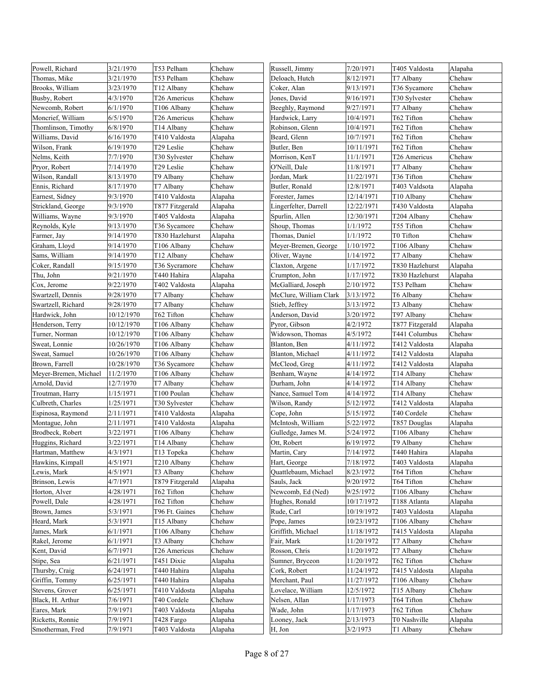| Powell, Richard       | 3/21/1970  | T53 Pelham             | Chehaw  | Russell, Jimmy         | 7/20/1971  | T405 Valdosta   | Alapaha |
|-----------------------|------------|------------------------|---------|------------------------|------------|-----------------|---------|
| Thomas, Mike          | 3/21/1970  | T53 Pelham             | Chehaw  | Deloach, Hutch         | 8/12/1971  | T7 Albany       | Chehaw  |
| Brooks, William       | 3/23/1970  | T12 Albany             | Chehaw  | Coker, Alan            | 9/13/1971  | T36 Sycamore    | Chehaw  |
| Busby, Robert         | 4/3/1970   | T26 Americus           | Chehaw  | Jones, David           | 9/16/1971  | T30 Sylvester   | Chehaw  |
| Newcomb, Robert       | 6/1/1970   | T106 Albany            | Chehaw  | Beeghly, Raymond       | 9/27/1971  | T7 Albany       | Chehaw  |
| Moncrief, William     | 6/5/1970   | T26 Americus           | Chehaw  | Hardwick, Larry        | 10/4/1971  | T62 Tifton      | Chehaw  |
| Thomlinson, Timothy   | 6/8/1970   | T14 Albany             | Chehaw  | Robinson, Glenn        | 10/4/1971  | T62 Tifton      | Chehaw  |
| Williams, David       | 6/16/1970  | T410 Valdosta          | Alapaha | Beard, Glenn           | 10/7/1971  | T62 Tifton      | Chehaw  |
| Wilson, Frank         | 6/19/1970  | T29 Leslie             | Chehaw  | Butler, Ben            | 10/11/1971 | T62 Tifton      | Chehaw  |
| Nelms, Keith          | 7/7/1970   | T30 Sylvester          | Chehaw  | Morrison, KenT         | 11/1/1971  | T26 Americus    | Chehaw  |
| Pryor, Robert         | 7/14/1970  | T29 Leslie             | Chehaw  | O'Neill, Dale          | 11/8/1971  | T7 Albany       | Chehaw  |
| Wilson, Randall       | 8/13/1970  | T9 Albany              | Chehaw  | Jordan, Mark           | 11/22/1971 | T36 Tifton      | Chehaw  |
| Ennis, Richard        | 8/17/1970  | T7 Albany              | Chehaw  | Butler, Ronald         | 12/8/1971  | T403 Valdsota   | Alapaha |
| Earnest, Sidney       | 9/3/1970   | T410 Valdosta          | Alapaha | Forester, James        | 12/14/1971 | T10 Albany      | Chehaw  |
| Strickland, George    | 9/3/1970   | T877 Fitzgerald        | Alapaha | Lingerfelter, Darrell  | 12/22/1971 | T430 Valdosta   | Alapaha |
| Williams, Wayne       | 9/3/1970   | T405 Valdosta          | Alapaha | Spurlin, Allen         | 12/30/1971 | T204 Albany     | Chehaw  |
| Reynolds, Kyle        | 9/13/1970  | T36 Sycamore           | Chehaw  | Shoup, Thomas          | 1/1/1972   | T55 Tifton      | Chehaw  |
| Farmer, Jay           | 9/14/1970  | T830 Hazlehurst        | Alapaha | Thomas, Daniel         | 1/1/1972   | T0 Tifton       | Chehaw  |
| Graham, Lloyd         | 9/14/1970  | T106 Albany            | Chehaw  | Meyer-Bremen, George   | 1/10/1972  | T106 Albany     | Chehaw  |
| Sams, William         | 9/14/1970  | T <sub>12</sub> Albany | Chehaw  | Oliver, Wayne          | 1/14/1972  | T7 Albany       | Chehaw  |
| Coker, Randall        | 9/15/1970  | T36 Sycramore          | Chehaw  | Claxton, Argene        | 1/17/1972  | T830 Hazlehurst | Alapaha |
| Thu, John             | 9/21/1970  | T440 Hahira            | Alapaha | Crumpton, John         | 1/17/1972  | T830 Hazlehurst | Alapaha |
| Cox, Jerome           | 9/22/1970  | T402 Valdosta          | Alapaha | McGalliard, Joseph     | 2/10/1972  | T53 Pelham      | Chehaw  |
| Swartzell, Dennis     | 9/28/1970  | T7 Albany              | Chehaw  | McClure, William Clark | 3/13/1972  | T6 Albany       | Chehaw  |
| Swartzell, Richard    | 9/28/1970  | T7 Albany              | Chehaw  | Stieb, Jeffrey         | 3/13/1972  | T3 Albany       | Chehaw  |
| Hardwick, John        | 10/12/1970 | T62 Tifton             | Chehaw  | Anderson, David        | 3/20/1972  | T97 Albany      | Chehaw  |
| Henderson, Terry      | 10/12/1970 | T106 Albany            | Chehaw  | Pyror, Gibson          | 4/2/1972   | T877 Fitzgerald | Alapaha |
| Turner, Norman        | 10/12/1970 | T106 Albany            | Chehaw  | Widowson, Thomas       | 4/5/1972   | T441 Columbus   | Chehaw  |
| Sweat, Lonnie         | 10/26/1970 | T106 Albany            | Chehaw  | Blanton, Ben           | 4/11/1972  | T412 Valdosta   | Alapaha |
| Sweat, Samuel         | 10/26/1970 | T106 Albany            | Chehaw  | Blanton, Michael       | 4/11/1972  | T412 Valdosta   | Alapaha |
| Brown, Farrell        | 10/28/1970 | T36 Sycamore           | Chehaw  | McCleod, Greg          | 4/11/1972  | T412 Valdosta   | Alapaha |
| Meyer-Bremen, Michael | 11/2/1970  | T106 Albany            | Chehaw  | Benham, Wayne          | 4/14/1972  | T14 Albany      | Chehaw  |
| Arnold, David         | 12/7/1970  | T7 Albany              | Chehaw  | Durham, John           | 4/14/1972  | T14 Albany      | Chehaw  |
| Troutman, Harry       | 1/15/1971  | T100 Poulan            | Chehaw  | Nance, Samuel Tom      | 4/14/1972  | T14 Albany      | Chehaw  |
| Culbreth, Charles     | 1/25/1971  | T30 Sylvester          | Chehaw  | Wilson, Randy          | 5/12/1972  | T412 Valdosta   | Alapaha |
| Espinosa, Raymond     | 2/11/1971  | T410 Valdosta          | Alapaha | Cope, John             | 5/15/1972  | T40 Cordele     | Chehaw  |
| Montague, John        | 2/11/1971  | T410 Valdosta          | Alapaha | McIntosh, William      | 5/22/1972  | T857 Douglas    | Alapaha |
| Brodbeck, Robert      | 3/22/1971  | T106 Albany            | Chehaw  | Gulledge, James M.     | 5/24/1972  | T106 Albany     | Chehaw  |
| Huggins, Richard      | 3/22/1971  | T14 Albany             | Chehaw  | Ott, Robert            | 6/19/1972  | T9 Albany       | Chehaw  |
| Hartman, Matthew      | 4/3/1971   | T13 Topeka             | Chehaw  | Martin, Cary           | 7/14/1972  | T440 Hahira     | Alapaha |
| Hawkins, Kimpall      | 4/5/1971   | T210 Albany            | Chehaw  | Hart, George           | 7/18/1972  | T403 Valdosta   | Alapaha |
| Lewis, Mark           | 4/5/1971   | T3 Albany              | Chehaw  | Quattlebaum, Michael   | 8/23/1972  | T64 Tifton      | Chehaw  |
| Brinson, Lewis        | 4/7/1971   | T879 Fitzgerald        | Alapaha | Sauls, Jack            | 9/20/1972  | T64 Tifton      | Chehaw  |
| Horton, Alver         | 4/28/1971  | T62 Tifton             | Chehaw  | Newcomb, Ed (Ned)      | 9/25/1972  | T106 Albany     | Chehaw  |
| Powell, Dale          | 4/28/1971  | T62 Tifton             | Chehaw  | Hughes, Ronald         | 10/17/1972 | T188 Atlanta    | Alapaha |
| Brown, James          | 5/3/1971   | T96 Ft. Gaines         | Chehaw  | Rude, Carl             | 10/19/1972 | T403 Valdosta   | Alapaha |
| Heard, Mark           | 5/3/1971   | T15 Albany             | Chehaw  | Pope, James            | 10/23/1972 | T106 Albany     | Chehaw  |
| James, Mark           | 6/1/1971   | T106 Albany            | Chehaw  | Griffith, Michael      | 11/18/1972 | T415 Valdosta   | Alapaha |
| Rakel, Jerome         | 6/1/1971   | T3 Albany              | Chehaw  | Fair, Mark             | 11/20/1972 | T7 Albany       | Chehaw  |
| Kent, David           | 6/7/1971   | T26 Americus           | Chehaw  | Rosson, Chris          | 11/20/1972 | T7 Albany       | Chehaw  |
| Stipe, Sea            | 6/21/1971  | T451 Dixie             | Alapaha | Sumner, Bryceon        | 11/20/1972 | T62 Tifton      | Chehaw  |
| Thursby, Craig        | 6/24/1971  | T440 Hahira            | Alapaha | Cork, Robert           | 11/24/1972 | T415 Valdosta   | Alapaha |
| Griffin, Tommy        | 6/25/1971  | T440 Hahira            | Alapaha | Merchant, Paul         | 11/27/1972 | T106 Albany     | Chehaw  |
| Stevens, Grover       | 6/25/1971  | T410 Valdosta          | Alapaha | Lovelace, William      | 12/5/1972  | T15 Albany      | Chehaw  |
| Black, H. Arthur      | 7/6/1971   | T40 Cordele            | Chehaw  | Nelsen, Allan          | 1/17/1973  | T64 Tifton      | Chehaw  |
| Eares, Mark           | 7/9/1971   | T403 Valdosta          | Alapaha | Wade, John             | 1/17/1973  | T62 Tifton      | Chehaw  |
| Ricketts, Ronnie      | 7/9/1971   | T428 Fargo             | Alapaha | Looney, Jack           | 2/13/1973  | T0 Nashville    | Alapaha |
| Smotherman, Fred      | 7/9/1971   | T403 Valdosta          | Alapaha | H, Jon                 | 3/2/1973   | T1 Albany       | Chehaw  |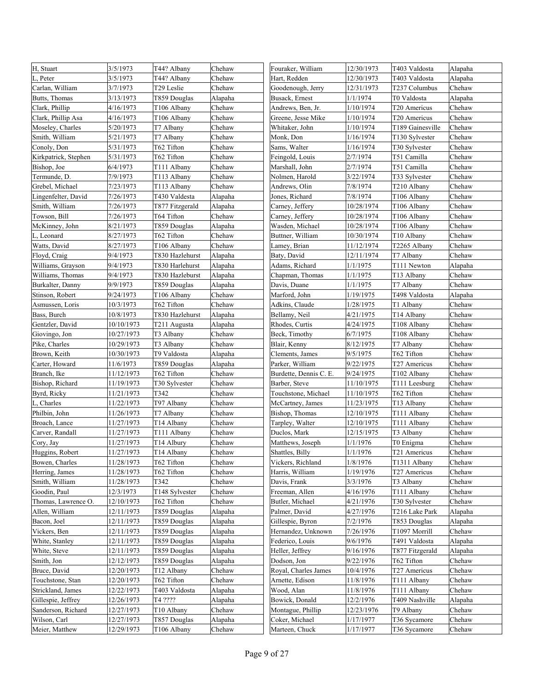| H, Stuart            | 3/5/1973   | T44? Albany            | Chehaw  | Fouraker, William      | 12/30/1973 | T403 Valdosta    | Alapaha |
|----------------------|------------|------------------------|---------|------------------------|------------|------------------|---------|
| L, Peter             | 3/5/1973   | T44? Albany            | Chehaw  | Hart, Redden           | 12/30/1973 | T403 Valdosta    | Alapaha |
| Carlan, William      | 3/7/1973   | T29 Leslie             | Chehaw  | Goodenough, Jerry      | 12/31/1973 | T237 Columbus    | Chehaw  |
| Butts, Thomas        | 3/13/1973  | T859 Douglas           | Alapaha | Busack, Ernest         | 1/1/1974   | T0 Valdosta      | Alapaha |
| Clark, Phillip       | 4/16/1973  | T106 Albany            | Chehaw  | Andrews, Ben, Jr.      | 1/10/1974  | T20 Americus     | Chehaw  |
| Clark, Phillip Asa   | 4/16/1973  | T106 Albany            | Chehaw  | Greene, Jesse Mike     | 1/10/1974  | T20 Americus     | Chehaw  |
| Moseley, Charles     | 5/20/1973  | T7 Albany              | Chehaw  | Whitaker, John         | 1/10/1974  | T189 Gainesville | Chehaw  |
| Smith, William       | 5/21/1973  | T7 Albany              | Chehaw  | Monk, Don              | 1/16/1974  | T130 Sylvester   | Chehaw  |
| Conoly, Don          | 5/31/1973  | T62 Tifton             | Chehaw  | Sams, Walter           | 1/16/1974  | T30 Sylvester    | Chehaw  |
| Kirkpatrick, Stephen | 5/31/1973  | T62 Tifton             | Chehaw  | Feingold, Louis        | 2/7/1974   | T51 Camilla      | Chehaw  |
| Bishop, Joe          | 6/4/1973   | T111 Albany            | Chehaw  | Marshall, John         | 2/7/1974   | T51 Camilla      | Chehaw  |
| Termunde, D.         | 7/9/1973   | T113 Albany            | Chehaw  | Nolmen, Harold         | 3/22/1974  | T33 Sylvester    | Chehaw  |
| Grebel, Michael      | 7/23/1973  | T113 Albany            | Chehaw  | Andrews, Olin          | 7/8/1974   | T210 Albany      | Chehaw  |
| Lingenfelter, David  | 7/26/1973  | T430 Valdesta          | Alapaha | Jones, Richard         | 7/8/1974   | T106 Albany      | Chehaw  |
| Smith, William       | 7/26/1973  | T877 Fitzgerald        | Alapaha | Carney, Jeffery        | 10/28/1974 | T106 Albany      | Chehaw  |
| Towson, Bill         | 7/26/1973  | T64 Tifton             | Chehaw  | Carney, Jeffery        | 10/28/1974 | T106 Albany      | Chehaw  |
| McKinney, John       | 8/21/1973  | T859 Douglas           | Alapaha | Wasden, Michael        | 10/28/1974 | T106 Albany      | Chehaw  |
| L, Leonard           | 8/27/1973  | T62 Tifton             | Chehaw  | Buttner, William       | 10/30/1974 | T10 Albany       | Chehaw  |
| Watts, David         | 8/27/1973  | T106 Albany            | Chehaw  | Lamey, Brian           | 11/12/1974 | T2265 Albany     | Chehaw  |
| Floyd, Craig         | 9/4/1973   | T830 Hazlehurst        | Alapaha | Baty, David            | 12/11/1974 | T7 Albany        | Chehaw  |
| Williams, Grayson    | 9/4/1973   | T830 Harlehurst        | Alapaha | Adams, Richard         | 1/1/1975   | T111 Newton      | Alapaha |
| Williams, Thomas     | 9/4/1973   | T830 Hazleburst        | Alapaha | Chapman, Thomas        | 1/1/1975   | T13 Albany       | Chehaw  |
| Burkalter, Danny     | 9/9/1973   | T859 Douglas           | Alapaha | Davis, Duane           | 1/1/1975   | T7 Albany        | Chehaw  |
| Stinson, Robert      | 9/24/1973  | T106 Albany            | Chehaw  | Marford, John          | 1/19/1975  | T498 Valdosta    | Alapaha |
| Asmussen, Loris      | 10/3/1973  | T62 Tifton             | Chehaw  | Adkins, Claude         | 1/28/1975  | T1 Albany        | Chehaw  |
| Bass, Burch          | 10/8/1973  | T830 Hazlehurst        | Alapaha | Bellamy, Neil          | 4/21/1975  | T14 Albany       | Chehaw  |
| Gentzler, David      | 10/10/1973 | T211 Augusta           | Alapaha | Rhodes, Curtis         | 4/24/1975  | T108 Albany      | Chehaw  |
| Giovingo, Jon        | 10/27/1973 | T3 Albany              | Chehaw  | Beck, Timothy          | 6/7/1975   | T108 Albany      | Chehaw  |
| Pike, Charles        | 10/29/1973 | T3 Albany              | Chehaw  | Blair, Kenny           | 8/12/1975  | T7 Albany        | Chehaw  |
| Brown, Keith         | 10/30/1973 | T9 Valdosta            | Alapaha | Clements, James        | 9/5/1975   | T62 Tifton       | Chehaw  |
| Carter, Howard       | 11/6/1973  | T859 Douglas           | Alapaha | Parker, William        | 9/22/1975  | T27 Americus     | Chehaw  |
| Branch, Ike          | 11/12/1973 | T62 Tifton             | Chehaw  | Burdette, Dennis C. E. | 9/24/1975  | T102 Albany      | Chehaw  |
| Bishop, Richard      | 11/19/1973 | T30 Sylvester          | Chehaw  | Barber, Steve          | 11/10/1975 | T111 Leesburg    | Chehaw  |
| Byrd, Ricky          | 11/21/1973 | T342                   | Chehaw  | Touchstone, Michael    | 11/10/1975 | T62 Tifton       | Chehaw  |
| L, Charles           | 11/22/1973 | T97 Albany             | Chehaw  | McCartney, James       | 11/23/1975 | T13 Albany       | Chehaw  |
| Philbin, John        | 11/26/1973 | T7 Albany              | Chehaw  | Bishop, Thomas         | 12/10/1975 | T111 Albany      | Chehaw  |
| Broach, Lance        | 11/27/1973 | T14 Albany             | Chehaw  | Tarpley, Walter        | 12/10/1975 | T111 Albany      | Chehaw  |
| Carver, Randall      | 11/27/1973 | T111 Albany            | Chehaw  | Duclos, Mark           | 12/15/1975 | T3 Albany        | Chehaw  |
| Cory, Jay            | 11/27/1973 | T14 Albury             | Chehaw  | Matthews, Joseph       | 1/1/1976   | T0 Enigma        | Chehaw  |
| Huggins, Robert      | 11/27/1973 | T <sub>14</sub> Albany | Chehaw  | Shattles, Billy        | 1/1/1976   | T21 Americus     | Chehaw  |
| Bowen, Charles       | 11/28/1973 | T62 Tifton             | Chehaw  | Vickers, Richland      | 1/8/1976   | T1311 Albany     | Chehaw  |
| Herring, James       | 11/28/1973 | T62 Tifton             | Chehaw  | Harris, William        | 1/19/1976  | T27 Americus     | Chehaw  |
| Smith, William       | 11/28/1973 | T342                   | Chehaw  | Davis, Frank           | 3/3/1976   | T3 Albany        | Chehaw  |
| Goodin, Paul         | 12/3/1973  | T148 Sylvester         | Chehaw  | Freeman, Allen         | 4/16/1976  | T111 Albany      | Chehaw  |
| Thomas, Lawrence O.  | 12/10/1973 | T62 Tifton             | Chehaw  | Butler, Michael        | 4/21/1976  | T30 Sylvester    | Chehaw  |
| Allen, William       | 12/11/1973 | T859 Douglas           | Alapaha | Palmer, David          | 4/27/1976  | T216 Lake Park   | Alapaha |
| Bacon, Joel          | 12/11/1973 | T859 Douglas           | Alapaha | Gillespie, Byron       | 7/2/1976   | T853 Douglas     | Alapaha |
| Vickers, Ben         | 12/11/1973 | T859 Douglas           | Alapaha | Hernandez, Unknown     | 7/26/1976  | T1097 Morrill    | Chehaw  |
| White, Stanley       | 12/11/1973 | T859 Douglas           | Alapaha | Federico, Louis        | 9/6/1976   | T491 Valdosta    | Alapaha |
| White, Steve         | 12/11/1973 | T859 Douglas           | Alapaha | Heller, Jeffrey        | 9/16/1976  | T877 Fitzgerald  | Alapaha |
| Smith, Jon           | 12/12/1973 | T859 Douglas           | Alapaha | Dodson, Jon            | 9/22/1976  | T62 Tifton       | Chehaw  |
| Bruce, David         | 12/20/1973 | T12 Albany             | Chehaw  | Royal, Charles James   | 10/4/1976  | T27 Americus     | Chehaw  |
| Touchstone, Stan     | 12/20/1973 | T62 Tifton             | Chehaw  | Arnette, Edison        | 11/8/1976  | T111 Albany      | Chehaw  |
| Strickland, James    | 12/22/1973 | T403 Valdosta          | Alapaha | Wood, Alan             | 11/8/1976  | T111 Albany      | Chehaw  |
| Gillespie, Jeffrey   | 12/26/1973 | T4 ????                | Alapaha | Bowick, Donald         | 12/2/1976  | T409 Nashville   | Alapaha |
| Sanderson, Richard   | 12/27/1973 | T10 Albany             | Chehaw  | Montague, Phillip      | 12/23/1976 | T9 Albany        | Chehaw  |
| Wilson, Carl         | 12/27/1973 | T857 Douglas           | Alapaha | Coker, Michael         | 1/17/1977  | T36 Sycamore     | Chehaw  |
| Meier, Matthew       | 12/29/1973 | T106 Albany            | Chehaw  | Marteen, Chuck         | 1/17/1977  | T36 Sycamore     | Chehaw  |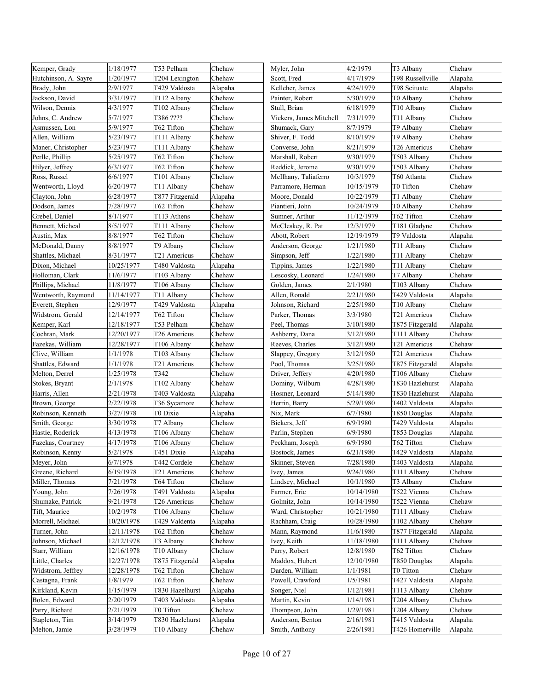| 1/20/1977<br>4/17/1979<br>T98 Russellville<br>Hutchinson, A. Sayre<br>T204 Lexington<br>Chehaw<br>Scott, Fred<br>Alapaha<br>2/9/1977<br>T429 Valdosta<br>Kelleher, James<br>4/24/1979<br>T98 Scituate<br>Brady, John<br>Alapaha<br>Alapaha<br>Jackson, David<br>3/31/1977<br>T112 Albany<br>Chehaw<br>Painter, Robert<br>5/30/1979<br>T0 Albany<br>Chehaw<br>4/3/1977<br>6/18/1979<br>Chehaw<br>Wilson, Dennis<br>T102 Albany<br>Chehaw<br>Stull, Brian<br>T10 Albany<br>T386 ????<br>Chehaw<br>Johns, C. Andrew<br>5/7/1977<br>Chehaw<br>Vickers, James Mitchell<br>7/31/1979<br>T11 Albany<br>Chehaw<br>Asmussen, Lon<br>5/9/1977<br>T62 Tifton<br>Chehaw<br>Shumack, Gary<br>8/7/1979<br>T9 Albany<br>Shiver, F. Todd<br>Allen, William<br>5/23/1977<br>T111 Albany<br>Chehaw<br>8/10/1979<br>T9 Albany<br>Chehaw<br>Maner, Christopher<br>Converse, John<br>T26 Americus<br>Chehaw<br>5/23/1977<br>T111 Albany<br>Chehaw<br>8/21/1979<br>Chehaw<br>Perlle, Phillip<br>5/25/1977<br>T62 Tifton<br>Chehaw<br>Marshall, Robert<br>9/30/1979<br>T503 Albany<br>Chehaw<br>Hilyer, Jeffrey<br>T62 Tifton<br>Chehaw<br>Reddick, Jerome<br>9/30/1979<br>T503 Albany<br>6/3/1977<br>Chehaw<br>Ross, Russel<br>6/6/1977<br>T101 Albany<br>Chehaw<br>McIlhany, Taliaferro<br>10/3/1979<br>T60 Atlanta<br>Chehaw<br>Wentworth, Lloyd<br>6/20/1977<br>T11 Albany<br>Chehaw<br>Parramore, Herman<br>10/15/1979<br>T0 Tifton<br>Chehaw<br>6/28/1977<br>T877 Fitzgerald<br>10/22/1979<br>Alapaha<br>Moore, Donald<br>T1 Albany<br>Clayton, John<br>Chehaw<br>Dodson, James<br>7/28/1977<br>T62 Tifton<br>Chehaw<br>Piantieri, John<br>10/24/1979<br>T0 Albany<br>T62 Tifton<br>Chehaw<br>Grebel, Daniel<br>8/1/1977<br>T113 Athens<br>Chehaw<br>Sumner, Arthur<br>11/12/1979<br>Bennett, Micheal<br>8/5/1977<br>T111 Albany<br>Chehaw<br>McCleskey, R. Pat<br>12/3/1979<br>T181 Gladyne<br>Chehaw<br>Austin, Max<br>8/8/1977<br>T62 Tifton<br>Chehaw<br>Abott, Robert<br>12/19/1979<br>T9 Valdosta<br>Alapaha<br>McDonald, Danny<br>T9 Albany<br>8/8/1977<br>Chehaw<br>Anderson, George<br>1/21/1980<br>T11 Albany<br>Chehaw<br>Chehaw<br>Chehaw<br>Shattles, Michael<br>8/31/1977<br>T21 Americus<br>Simpson, Jeff<br>1/22/1980<br>T11 Albany<br>Chehaw<br>Dixon, Michael<br>10/25/1977<br>T480 Valdosta<br>Alapaha<br>Tippins, James<br>1/22/1980<br>T11 Albany<br>Chehaw<br>Holloman, Clark<br>11/6/1977<br>T103 Albany<br>Chehaw<br>1/24/1980<br>T7 Albany<br>Lescosky, Leonard<br>11/8/1977<br>Chehaw<br>2/1/1980<br>Chehaw<br>Phillips, Michael<br>T106 Albany<br>Golden, James<br>T103 Albany<br>Wentworth, Raymond<br>T11 Albany<br>Chehaw<br>Allen, Ronald<br>2/21/1980<br>T429 Valdosta<br>Alapaha<br>11/14/1977<br>Johnson, Richard<br>Everett, Stephen<br>12/9/1977<br>T429 Valdosta<br>2/25/1980<br>T <sub>10</sub> Albany<br>Chehaw<br>Alapaha<br>Widstrom, Gerald<br>T62 Tifton<br>Parker, Thomas<br>Chehaw<br>12/14/1977<br>Chehaw<br>3/3/1980<br>T21 Americus<br>T53 Pelham<br>Kemper, Karl<br>12/18/1977<br>Chehaw<br>Peel, Thomas<br>3/10/1980<br>T875 Fitzgerald<br>Alapaha<br>Cochran, Mark<br>12/20/1977<br>T26 Americus<br>Chehaw<br>Ashberry, Dana<br>3/12/1980<br>T111 Albany<br>Chehaw<br>Chehaw<br>Fazekas, William<br>3/12/1980<br>12/28/1977<br>T106 Albany<br>Chehaw<br>Reeves, Charles<br>T21 Americus<br>Chehaw<br>Clive, William<br>1/1/1978<br>T103 Albany<br>Chehaw<br>3/12/1980<br>T21 Americus<br>Slappey, Gregory<br>3/25/1980<br>Shattles, Edward<br>1/1/1978<br>T21 Americus<br>Chehaw<br>Pool, Thomas<br>T875 Fitzgerald<br>Alapaha<br>Chehaw<br>4/20/1980<br>Chehaw<br>Melton, Derrel<br>1/25/1978<br>T342<br>Driver, Jeffery<br>T106 Albany<br>Dominy, Wilburn<br>Stokes, Bryant<br>2/1/1978<br>T102 Albany<br>Chehaw<br>4/28/1980<br>T830 Hazlehurst<br>Alapaha<br>Harris, Allen<br>2/21/1978<br>T403 Valdosta<br>Hosmer, Leonard<br>5/14/1980<br>T830 Hazlehurst<br>Alapaha<br>Alapaha<br>Brown, George<br>2/22/1978<br>Chehaw<br>5/29/1980<br>T402 Valdosta<br>Alapaha<br>T36 Sycamore<br>Herrin, Barry<br>T0 Dixie<br>Robinson, Kenneth<br>3/27/1978<br>Alapaha<br>Nix, Mark<br>6/7/1980<br>T850 Douglas<br>Alapaha<br>Chehaw<br>Bickers, Jeff<br>6/9/1980<br>Smith, George<br>3/30/1978<br>T7 Albany<br>T429 Valdosta<br>Alapaha<br>6/9/1980<br>Hastie, Roderick<br>4/13/1978<br>T106 Albany<br>Chehaw<br>Parlin, Stephen<br>T853 Douglas<br>Alapaha<br>6/9/1980<br>Chehaw<br>4/17/1978<br>T106 Albany<br>T62 Tifton<br>Fazekas, Courtney<br>Chehaw<br>Peckham, Joseph<br>T451 Dixie<br>6/21/1980<br>T429 Valdosta<br>Alapaha<br>Robinson, Kenny<br>5/2/1978<br>Alapaha<br>Bostock, James<br>6/7/1978<br>T442 Cordele<br>7/28/1980<br>T403 Valdosta<br>Meyer, John<br>Chehaw<br>Skinner, Steven<br>Alapaha<br>Greene, Richard<br>6/19/1978<br>T21 Americus<br>Chehaw<br>Ivey, James<br>9/24/1980<br>T111 Albany<br>Chehaw<br>Miller, Thomas<br>7/21/1978<br>T64 Tifton<br>Lindsey, Michael<br>10/1/1980<br>T3 Albany<br>Chehaw<br>Chehaw<br>Young, John<br>7/26/1978<br>T491 Valdosta<br>Farmer, Eric<br>10/14/1980<br>T522 Vienna<br>Chehaw<br>Alapaha<br>Shumake, Patrick<br>9/21/1978<br>Chehaw<br>Golmitz, John<br>10/14/1980<br>T522 Vienna<br>Chehaw<br>T26 Americus<br>10/2/1978<br>10/21/1980<br>Chehaw<br>Tift, Maurice<br>T106 Albany<br>Chehaw<br>Ward, Christopher<br>T111 Albany<br>Morrell, Michael<br>10/20/1978<br>T429 Valdenta<br>Rachham, Craig<br>10/28/1980<br>T102 Albany<br>Chehaw<br>Alapaha<br>Turner, John<br>12/11/1978<br>T62 Tifton<br>Chehaw<br>Mann, Raymond<br>11/6/1980<br>T877 Fitzgerald<br>Alapaha<br>Johnson, Michael<br>12/12/1978<br>T3 Albany<br>Chehaw<br>Ivey, Keith<br>11/18/1980<br>T111 Albany<br>Chehaw<br>Parry, Robert<br>T62 Tifton<br>Starr, William<br>T <sub>10</sub> Albany<br>12/8/1980<br>Chehaw<br>12/16/1978<br>Chehaw<br>Little, Charles<br>12/27/1978<br>T875 Fitzgerald<br>Maddox, Hubert<br>12/10/1980<br>T850 Douglas<br>Alapaha<br>Alapaha<br>Widstrom, Jeffrey<br>12/28/1978<br>T62 Tifton<br>Darden, William<br>T0 Titton<br>Chehaw<br>Chehaw<br>1/1/1981<br>Castagna, Frank<br>1/8/1979<br>T62 Tifton<br>Powell, Crawford<br>1/5/1981<br>T427 Valdosta<br>Chehaw<br>Alapaha<br>Kirkland, Kevin<br>1/15/1979<br>T830 Hazelhurst<br>Alapaha<br>Songer, Niel<br>1/12/1981<br>T113 Albany<br>Chehaw<br>2/20/1979<br>Bolen, Edward<br>T403 Valdosta<br>Martin, Kevin<br>1/14/1981<br>T204 Albany<br>Chehaw<br>Alapaha<br>2/21/1979<br>T0 Tifton<br>Thompson, John<br>1/29/1981<br>T204 Albany<br>Parry, Richard<br>Chehaw<br>Chehaw<br>3/14/1979<br>2/16/1981<br>Stapleton, Tim<br>T830 Hazlehurst<br>Anderson, Benton<br>T415 Valdosta<br>Alapaha<br>Alapaha | Kemper, Grady | 1/18/1977 | T53 Pelham | Chehaw | Myler, John    | 4/2/1979  | T3 Albany       | Chehaw  |
|----------------------------------------------------------------------------------------------------------------------------------------------------------------------------------------------------------------------------------------------------------------------------------------------------------------------------------------------------------------------------------------------------------------------------------------------------------------------------------------------------------------------------------------------------------------------------------------------------------------------------------------------------------------------------------------------------------------------------------------------------------------------------------------------------------------------------------------------------------------------------------------------------------------------------------------------------------------------------------------------------------------------------------------------------------------------------------------------------------------------------------------------------------------------------------------------------------------------------------------------------------------------------------------------------------------------------------------------------------------------------------------------------------------------------------------------------------------------------------------------------------------------------------------------------------------------------------------------------------------------------------------------------------------------------------------------------------------------------------------------------------------------------------------------------------------------------------------------------------------------------------------------------------------------------------------------------------------------------------------------------------------------------------------------------------------------------------------------------------------------------------------------------------------------------------------------------------------------------------------------------------------------------------------------------------------------------------------------------------------------------------------------------------------------------------------------------------------------------------------------------------------------------------------------------------------------------------------------------------------------------------------------------------------------------------------------------------------------------------------------------------------------------------------------------------------------------------------------------------------------------------------------------------------------------------------------------------------------------------------------------------------------------------------------------------------------------------------------------------------------------------------------------------------------------------------------------------------------------------------------------------------------------------------------------------------------------------------------------------------------------------------------------------------------------------------------------------------------------------------------------------------------------------------------------------------------------------------------------------------------------------------------------------------------------------------------------------------------------------------------------------------------------------------------------------------------------------------------------------------------------------------------------------------------------------------------------------------------------------------------------------------------------------------------------------------------------------------------------------------------------------------------------------------------------------------------------------------------------------------------------------------------------------------------------------------------------------------------------------------------------------------------------------------------------------------------------------------------------------------------------------------------------------------------------------------------------------------------------------------------------------------------------------------------------------------------------------------------------------------------------------------------------------------------------------------------------------------------------------------------------------------------------------------------------------------------------------------------------------------------------------------------------------------------------------------------------------------------------------------------------------------------------------------------------------------------------------------------------------------------------------------------------------------------------------------------------------------------------------------------------------------------------------------------------------------------------------------------------------------------------------------------------------------------------------------------------------------------------------------------------------------------------------------------------------------------------------------------------------------------------------------------------------------------------------------------------------------------------------------------------------------------------------------------------------------------------------------------------------------------------------------------------------------------------------------------------------------------------------------------------------------------------------------------------------------------------------------------------------------------------------------------------------------------------------------------------------------------------------------------------------------------------------------------------------------------------------------------------------------------------------------------------------------------------------------------------------------------------------------------------------------------------------------|---------------|-----------|------------|--------|----------------|-----------|-----------------|---------|
|                                                                                                                                                                                                                                                                                                                                                                                                                                                                                                                                                                                                                                                                                                                                                                                                                                                                                                                                                                                                                                                                                                                                                                                                                                                                                                                                                                                                                                                                                                                                                                                                                                                                                                                                                                                                                                                                                                                                                                                                                                                                                                                                                                                                                                                                                                                                                                                                                                                                                                                                                                                                                                                                                                                                                                                                                                                                                                                                                                                                                                                                                                                                                                                                                                                                                                                                                                                                                                                                                                                                                                                                                                                                                                                                                                                                                                                                                                                                                                                                                                                                                                                                                                                                                                                                                                                                                                                                                                                                                                                                                                                                                                                                                                                                                                                                                                                                                                                                                                                                                                                                                                                                                                                                                                                                                                                                                                                                                                                                                                                                                                                                                                                                                                                                                                                                                                                                                                                                                                                                                                                                                                                                                                                                                                                                                                                                                                                                                                                                                                                                                                                                                                                                |               |           |            |        |                |           |                 |         |
|                                                                                                                                                                                                                                                                                                                                                                                                                                                                                                                                                                                                                                                                                                                                                                                                                                                                                                                                                                                                                                                                                                                                                                                                                                                                                                                                                                                                                                                                                                                                                                                                                                                                                                                                                                                                                                                                                                                                                                                                                                                                                                                                                                                                                                                                                                                                                                                                                                                                                                                                                                                                                                                                                                                                                                                                                                                                                                                                                                                                                                                                                                                                                                                                                                                                                                                                                                                                                                                                                                                                                                                                                                                                                                                                                                                                                                                                                                                                                                                                                                                                                                                                                                                                                                                                                                                                                                                                                                                                                                                                                                                                                                                                                                                                                                                                                                                                                                                                                                                                                                                                                                                                                                                                                                                                                                                                                                                                                                                                                                                                                                                                                                                                                                                                                                                                                                                                                                                                                                                                                                                                                                                                                                                                                                                                                                                                                                                                                                                                                                                                                                                                                                                                |               |           |            |        |                |           |                 |         |
|                                                                                                                                                                                                                                                                                                                                                                                                                                                                                                                                                                                                                                                                                                                                                                                                                                                                                                                                                                                                                                                                                                                                                                                                                                                                                                                                                                                                                                                                                                                                                                                                                                                                                                                                                                                                                                                                                                                                                                                                                                                                                                                                                                                                                                                                                                                                                                                                                                                                                                                                                                                                                                                                                                                                                                                                                                                                                                                                                                                                                                                                                                                                                                                                                                                                                                                                                                                                                                                                                                                                                                                                                                                                                                                                                                                                                                                                                                                                                                                                                                                                                                                                                                                                                                                                                                                                                                                                                                                                                                                                                                                                                                                                                                                                                                                                                                                                                                                                                                                                                                                                                                                                                                                                                                                                                                                                                                                                                                                                                                                                                                                                                                                                                                                                                                                                                                                                                                                                                                                                                                                                                                                                                                                                                                                                                                                                                                                                                                                                                                                                                                                                                                                                |               |           |            |        |                |           |                 |         |
|                                                                                                                                                                                                                                                                                                                                                                                                                                                                                                                                                                                                                                                                                                                                                                                                                                                                                                                                                                                                                                                                                                                                                                                                                                                                                                                                                                                                                                                                                                                                                                                                                                                                                                                                                                                                                                                                                                                                                                                                                                                                                                                                                                                                                                                                                                                                                                                                                                                                                                                                                                                                                                                                                                                                                                                                                                                                                                                                                                                                                                                                                                                                                                                                                                                                                                                                                                                                                                                                                                                                                                                                                                                                                                                                                                                                                                                                                                                                                                                                                                                                                                                                                                                                                                                                                                                                                                                                                                                                                                                                                                                                                                                                                                                                                                                                                                                                                                                                                                                                                                                                                                                                                                                                                                                                                                                                                                                                                                                                                                                                                                                                                                                                                                                                                                                                                                                                                                                                                                                                                                                                                                                                                                                                                                                                                                                                                                                                                                                                                                                                                                                                                                                                |               |           |            |        |                |           |                 |         |
|                                                                                                                                                                                                                                                                                                                                                                                                                                                                                                                                                                                                                                                                                                                                                                                                                                                                                                                                                                                                                                                                                                                                                                                                                                                                                                                                                                                                                                                                                                                                                                                                                                                                                                                                                                                                                                                                                                                                                                                                                                                                                                                                                                                                                                                                                                                                                                                                                                                                                                                                                                                                                                                                                                                                                                                                                                                                                                                                                                                                                                                                                                                                                                                                                                                                                                                                                                                                                                                                                                                                                                                                                                                                                                                                                                                                                                                                                                                                                                                                                                                                                                                                                                                                                                                                                                                                                                                                                                                                                                                                                                                                                                                                                                                                                                                                                                                                                                                                                                                                                                                                                                                                                                                                                                                                                                                                                                                                                                                                                                                                                                                                                                                                                                                                                                                                                                                                                                                                                                                                                                                                                                                                                                                                                                                                                                                                                                                                                                                                                                                                                                                                                                                                |               |           |            |        |                |           |                 |         |
|                                                                                                                                                                                                                                                                                                                                                                                                                                                                                                                                                                                                                                                                                                                                                                                                                                                                                                                                                                                                                                                                                                                                                                                                                                                                                                                                                                                                                                                                                                                                                                                                                                                                                                                                                                                                                                                                                                                                                                                                                                                                                                                                                                                                                                                                                                                                                                                                                                                                                                                                                                                                                                                                                                                                                                                                                                                                                                                                                                                                                                                                                                                                                                                                                                                                                                                                                                                                                                                                                                                                                                                                                                                                                                                                                                                                                                                                                                                                                                                                                                                                                                                                                                                                                                                                                                                                                                                                                                                                                                                                                                                                                                                                                                                                                                                                                                                                                                                                                                                                                                                                                                                                                                                                                                                                                                                                                                                                                                                                                                                                                                                                                                                                                                                                                                                                                                                                                                                                                                                                                                                                                                                                                                                                                                                                                                                                                                                                                                                                                                                                                                                                                                                                |               |           |            |        |                |           |                 |         |
|                                                                                                                                                                                                                                                                                                                                                                                                                                                                                                                                                                                                                                                                                                                                                                                                                                                                                                                                                                                                                                                                                                                                                                                                                                                                                                                                                                                                                                                                                                                                                                                                                                                                                                                                                                                                                                                                                                                                                                                                                                                                                                                                                                                                                                                                                                                                                                                                                                                                                                                                                                                                                                                                                                                                                                                                                                                                                                                                                                                                                                                                                                                                                                                                                                                                                                                                                                                                                                                                                                                                                                                                                                                                                                                                                                                                                                                                                                                                                                                                                                                                                                                                                                                                                                                                                                                                                                                                                                                                                                                                                                                                                                                                                                                                                                                                                                                                                                                                                                                                                                                                                                                                                                                                                                                                                                                                                                                                                                                                                                                                                                                                                                                                                                                                                                                                                                                                                                                                                                                                                                                                                                                                                                                                                                                                                                                                                                                                                                                                                                                                                                                                                                                                |               |           |            |        |                |           |                 |         |
|                                                                                                                                                                                                                                                                                                                                                                                                                                                                                                                                                                                                                                                                                                                                                                                                                                                                                                                                                                                                                                                                                                                                                                                                                                                                                                                                                                                                                                                                                                                                                                                                                                                                                                                                                                                                                                                                                                                                                                                                                                                                                                                                                                                                                                                                                                                                                                                                                                                                                                                                                                                                                                                                                                                                                                                                                                                                                                                                                                                                                                                                                                                                                                                                                                                                                                                                                                                                                                                                                                                                                                                                                                                                                                                                                                                                                                                                                                                                                                                                                                                                                                                                                                                                                                                                                                                                                                                                                                                                                                                                                                                                                                                                                                                                                                                                                                                                                                                                                                                                                                                                                                                                                                                                                                                                                                                                                                                                                                                                                                                                                                                                                                                                                                                                                                                                                                                                                                                                                                                                                                                                                                                                                                                                                                                                                                                                                                                                                                                                                                                                                                                                                                                                |               |           |            |        |                |           |                 |         |
|                                                                                                                                                                                                                                                                                                                                                                                                                                                                                                                                                                                                                                                                                                                                                                                                                                                                                                                                                                                                                                                                                                                                                                                                                                                                                                                                                                                                                                                                                                                                                                                                                                                                                                                                                                                                                                                                                                                                                                                                                                                                                                                                                                                                                                                                                                                                                                                                                                                                                                                                                                                                                                                                                                                                                                                                                                                                                                                                                                                                                                                                                                                                                                                                                                                                                                                                                                                                                                                                                                                                                                                                                                                                                                                                                                                                                                                                                                                                                                                                                                                                                                                                                                                                                                                                                                                                                                                                                                                                                                                                                                                                                                                                                                                                                                                                                                                                                                                                                                                                                                                                                                                                                                                                                                                                                                                                                                                                                                                                                                                                                                                                                                                                                                                                                                                                                                                                                                                                                                                                                                                                                                                                                                                                                                                                                                                                                                                                                                                                                                                                                                                                                                                                |               |           |            |        |                |           |                 |         |
|                                                                                                                                                                                                                                                                                                                                                                                                                                                                                                                                                                                                                                                                                                                                                                                                                                                                                                                                                                                                                                                                                                                                                                                                                                                                                                                                                                                                                                                                                                                                                                                                                                                                                                                                                                                                                                                                                                                                                                                                                                                                                                                                                                                                                                                                                                                                                                                                                                                                                                                                                                                                                                                                                                                                                                                                                                                                                                                                                                                                                                                                                                                                                                                                                                                                                                                                                                                                                                                                                                                                                                                                                                                                                                                                                                                                                                                                                                                                                                                                                                                                                                                                                                                                                                                                                                                                                                                                                                                                                                                                                                                                                                                                                                                                                                                                                                                                                                                                                                                                                                                                                                                                                                                                                                                                                                                                                                                                                                                                                                                                                                                                                                                                                                                                                                                                                                                                                                                                                                                                                                                                                                                                                                                                                                                                                                                                                                                                                                                                                                                                                                                                                                                                |               |           |            |        |                |           |                 |         |
|                                                                                                                                                                                                                                                                                                                                                                                                                                                                                                                                                                                                                                                                                                                                                                                                                                                                                                                                                                                                                                                                                                                                                                                                                                                                                                                                                                                                                                                                                                                                                                                                                                                                                                                                                                                                                                                                                                                                                                                                                                                                                                                                                                                                                                                                                                                                                                                                                                                                                                                                                                                                                                                                                                                                                                                                                                                                                                                                                                                                                                                                                                                                                                                                                                                                                                                                                                                                                                                                                                                                                                                                                                                                                                                                                                                                                                                                                                                                                                                                                                                                                                                                                                                                                                                                                                                                                                                                                                                                                                                                                                                                                                                                                                                                                                                                                                                                                                                                                                                                                                                                                                                                                                                                                                                                                                                                                                                                                                                                                                                                                                                                                                                                                                                                                                                                                                                                                                                                                                                                                                                                                                                                                                                                                                                                                                                                                                                                                                                                                                                                                                                                                                                                |               |           |            |        |                |           |                 |         |
|                                                                                                                                                                                                                                                                                                                                                                                                                                                                                                                                                                                                                                                                                                                                                                                                                                                                                                                                                                                                                                                                                                                                                                                                                                                                                                                                                                                                                                                                                                                                                                                                                                                                                                                                                                                                                                                                                                                                                                                                                                                                                                                                                                                                                                                                                                                                                                                                                                                                                                                                                                                                                                                                                                                                                                                                                                                                                                                                                                                                                                                                                                                                                                                                                                                                                                                                                                                                                                                                                                                                                                                                                                                                                                                                                                                                                                                                                                                                                                                                                                                                                                                                                                                                                                                                                                                                                                                                                                                                                                                                                                                                                                                                                                                                                                                                                                                                                                                                                                                                                                                                                                                                                                                                                                                                                                                                                                                                                                                                                                                                                                                                                                                                                                                                                                                                                                                                                                                                                                                                                                                                                                                                                                                                                                                                                                                                                                                                                                                                                                                                                                                                                                                                |               |           |            |        |                |           |                 |         |
|                                                                                                                                                                                                                                                                                                                                                                                                                                                                                                                                                                                                                                                                                                                                                                                                                                                                                                                                                                                                                                                                                                                                                                                                                                                                                                                                                                                                                                                                                                                                                                                                                                                                                                                                                                                                                                                                                                                                                                                                                                                                                                                                                                                                                                                                                                                                                                                                                                                                                                                                                                                                                                                                                                                                                                                                                                                                                                                                                                                                                                                                                                                                                                                                                                                                                                                                                                                                                                                                                                                                                                                                                                                                                                                                                                                                                                                                                                                                                                                                                                                                                                                                                                                                                                                                                                                                                                                                                                                                                                                                                                                                                                                                                                                                                                                                                                                                                                                                                                                                                                                                                                                                                                                                                                                                                                                                                                                                                                                                                                                                                                                                                                                                                                                                                                                                                                                                                                                                                                                                                                                                                                                                                                                                                                                                                                                                                                                                                                                                                                                                                                                                                                                                |               |           |            |        |                |           |                 |         |
|                                                                                                                                                                                                                                                                                                                                                                                                                                                                                                                                                                                                                                                                                                                                                                                                                                                                                                                                                                                                                                                                                                                                                                                                                                                                                                                                                                                                                                                                                                                                                                                                                                                                                                                                                                                                                                                                                                                                                                                                                                                                                                                                                                                                                                                                                                                                                                                                                                                                                                                                                                                                                                                                                                                                                                                                                                                                                                                                                                                                                                                                                                                                                                                                                                                                                                                                                                                                                                                                                                                                                                                                                                                                                                                                                                                                                                                                                                                                                                                                                                                                                                                                                                                                                                                                                                                                                                                                                                                                                                                                                                                                                                                                                                                                                                                                                                                                                                                                                                                                                                                                                                                                                                                                                                                                                                                                                                                                                                                                                                                                                                                                                                                                                                                                                                                                                                                                                                                                                                                                                                                                                                                                                                                                                                                                                                                                                                                                                                                                                                                                                                                                                                                                |               |           |            |        |                |           |                 |         |
|                                                                                                                                                                                                                                                                                                                                                                                                                                                                                                                                                                                                                                                                                                                                                                                                                                                                                                                                                                                                                                                                                                                                                                                                                                                                                                                                                                                                                                                                                                                                                                                                                                                                                                                                                                                                                                                                                                                                                                                                                                                                                                                                                                                                                                                                                                                                                                                                                                                                                                                                                                                                                                                                                                                                                                                                                                                                                                                                                                                                                                                                                                                                                                                                                                                                                                                                                                                                                                                                                                                                                                                                                                                                                                                                                                                                                                                                                                                                                                                                                                                                                                                                                                                                                                                                                                                                                                                                                                                                                                                                                                                                                                                                                                                                                                                                                                                                                                                                                                                                                                                                                                                                                                                                                                                                                                                                                                                                                                                                                                                                                                                                                                                                                                                                                                                                                                                                                                                                                                                                                                                                                                                                                                                                                                                                                                                                                                                                                                                                                                                                                                                                                                                                |               |           |            |        |                |           |                 |         |
|                                                                                                                                                                                                                                                                                                                                                                                                                                                                                                                                                                                                                                                                                                                                                                                                                                                                                                                                                                                                                                                                                                                                                                                                                                                                                                                                                                                                                                                                                                                                                                                                                                                                                                                                                                                                                                                                                                                                                                                                                                                                                                                                                                                                                                                                                                                                                                                                                                                                                                                                                                                                                                                                                                                                                                                                                                                                                                                                                                                                                                                                                                                                                                                                                                                                                                                                                                                                                                                                                                                                                                                                                                                                                                                                                                                                                                                                                                                                                                                                                                                                                                                                                                                                                                                                                                                                                                                                                                                                                                                                                                                                                                                                                                                                                                                                                                                                                                                                                                                                                                                                                                                                                                                                                                                                                                                                                                                                                                                                                                                                                                                                                                                                                                                                                                                                                                                                                                                                                                                                                                                                                                                                                                                                                                                                                                                                                                                                                                                                                                                                                                                                                                                                |               |           |            |        |                |           |                 |         |
|                                                                                                                                                                                                                                                                                                                                                                                                                                                                                                                                                                                                                                                                                                                                                                                                                                                                                                                                                                                                                                                                                                                                                                                                                                                                                                                                                                                                                                                                                                                                                                                                                                                                                                                                                                                                                                                                                                                                                                                                                                                                                                                                                                                                                                                                                                                                                                                                                                                                                                                                                                                                                                                                                                                                                                                                                                                                                                                                                                                                                                                                                                                                                                                                                                                                                                                                                                                                                                                                                                                                                                                                                                                                                                                                                                                                                                                                                                                                                                                                                                                                                                                                                                                                                                                                                                                                                                                                                                                                                                                                                                                                                                                                                                                                                                                                                                                                                                                                                                                                                                                                                                                                                                                                                                                                                                                                                                                                                                                                                                                                                                                                                                                                                                                                                                                                                                                                                                                                                                                                                                                                                                                                                                                                                                                                                                                                                                                                                                                                                                                                                                                                                                                                |               |           |            |        |                |           |                 |         |
|                                                                                                                                                                                                                                                                                                                                                                                                                                                                                                                                                                                                                                                                                                                                                                                                                                                                                                                                                                                                                                                                                                                                                                                                                                                                                                                                                                                                                                                                                                                                                                                                                                                                                                                                                                                                                                                                                                                                                                                                                                                                                                                                                                                                                                                                                                                                                                                                                                                                                                                                                                                                                                                                                                                                                                                                                                                                                                                                                                                                                                                                                                                                                                                                                                                                                                                                                                                                                                                                                                                                                                                                                                                                                                                                                                                                                                                                                                                                                                                                                                                                                                                                                                                                                                                                                                                                                                                                                                                                                                                                                                                                                                                                                                                                                                                                                                                                                                                                                                                                                                                                                                                                                                                                                                                                                                                                                                                                                                                                                                                                                                                                                                                                                                                                                                                                                                                                                                                                                                                                                                                                                                                                                                                                                                                                                                                                                                                                                                                                                                                                                                                                                                                                |               |           |            |        |                |           |                 |         |
|                                                                                                                                                                                                                                                                                                                                                                                                                                                                                                                                                                                                                                                                                                                                                                                                                                                                                                                                                                                                                                                                                                                                                                                                                                                                                                                                                                                                                                                                                                                                                                                                                                                                                                                                                                                                                                                                                                                                                                                                                                                                                                                                                                                                                                                                                                                                                                                                                                                                                                                                                                                                                                                                                                                                                                                                                                                                                                                                                                                                                                                                                                                                                                                                                                                                                                                                                                                                                                                                                                                                                                                                                                                                                                                                                                                                                                                                                                                                                                                                                                                                                                                                                                                                                                                                                                                                                                                                                                                                                                                                                                                                                                                                                                                                                                                                                                                                                                                                                                                                                                                                                                                                                                                                                                                                                                                                                                                                                                                                                                                                                                                                                                                                                                                                                                                                                                                                                                                                                                                                                                                                                                                                                                                                                                                                                                                                                                                                                                                                                                                                                                                                                                                                |               |           |            |        |                |           |                 |         |
|                                                                                                                                                                                                                                                                                                                                                                                                                                                                                                                                                                                                                                                                                                                                                                                                                                                                                                                                                                                                                                                                                                                                                                                                                                                                                                                                                                                                                                                                                                                                                                                                                                                                                                                                                                                                                                                                                                                                                                                                                                                                                                                                                                                                                                                                                                                                                                                                                                                                                                                                                                                                                                                                                                                                                                                                                                                                                                                                                                                                                                                                                                                                                                                                                                                                                                                                                                                                                                                                                                                                                                                                                                                                                                                                                                                                                                                                                                                                                                                                                                                                                                                                                                                                                                                                                                                                                                                                                                                                                                                                                                                                                                                                                                                                                                                                                                                                                                                                                                                                                                                                                                                                                                                                                                                                                                                                                                                                                                                                                                                                                                                                                                                                                                                                                                                                                                                                                                                                                                                                                                                                                                                                                                                                                                                                                                                                                                                                                                                                                                                                                                                                                                                                |               |           |            |        |                |           |                 |         |
|                                                                                                                                                                                                                                                                                                                                                                                                                                                                                                                                                                                                                                                                                                                                                                                                                                                                                                                                                                                                                                                                                                                                                                                                                                                                                                                                                                                                                                                                                                                                                                                                                                                                                                                                                                                                                                                                                                                                                                                                                                                                                                                                                                                                                                                                                                                                                                                                                                                                                                                                                                                                                                                                                                                                                                                                                                                                                                                                                                                                                                                                                                                                                                                                                                                                                                                                                                                                                                                                                                                                                                                                                                                                                                                                                                                                                                                                                                                                                                                                                                                                                                                                                                                                                                                                                                                                                                                                                                                                                                                                                                                                                                                                                                                                                                                                                                                                                                                                                                                                                                                                                                                                                                                                                                                                                                                                                                                                                                                                                                                                                                                                                                                                                                                                                                                                                                                                                                                                                                                                                                                                                                                                                                                                                                                                                                                                                                                                                                                                                                                                                                                                                                                                |               |           |            |        |                |           |                 |         |
|                                                                                                                                                                                                                                                                                                                                                                                                                                                                                                                                                                                                                                                                                                                                                                                                                                                                                                                                                                                                                                                                                                                                                                                                                                                                                                                                                                                                                                                                                                                                                                                                                                                                                                                                                                                                                                                                                                                                                                                                                                                                                                                                                                                                                                                                                                                                                                                                                                                                                                                                                                                                                                                                                                                                                                                                                                                                                                                                                                                                                                                                                                                                                                                                                                                                                                                                                                                                                                                                                                                                                                                                                                                                                                                                                                                                                                                                                                                                                                                                                                                                                                                                                                                                                                                                                                                                                                                                                                                                                                                                                                                                                                                                                                                                                                                                                                                                                                                                                                                                                                                                                                                                                                                                                                                                                                                                                                                                                                                                                                                                                                                                                                                                                                                                                                                                                                                                                                                                                                                                                                                                                                                                                                                                                                                                                                                                                                                                                                                                                                                                                                                                                                                                |               |           |            |        |                |           |                 |         |
|                                                                                                                                                                                                                                                                                                                                                                                                                                                                                                                                                                                                                                                                                                                                                                                                                                                                                                                                                                                                                                                                                                                                                                                                                                                                                                                                                                                                                                                                                                                                                                                                                                                                                                                                                                                                                                                                                                                                                                                                                                                                                                                                                                                                                                                                                                                                                                                                                                                                                                                                                                                                                                                                                                                                                                                                                                                                                                                                                                                                                                                                                                                                                                                                                                                                                                                                                                                                                                                                                                                                                                                                                                                                                                                                                                                                                                                                                                                                                                                                                                                                                                                                                                                                                                                                                                                                                                                                                                                                                                                                                                                                                                                                                                                                                                                                                                                                                                                                                                                                                                                                                                                                                                                                                                                                                                                                                                                                                                                                                                                                                                                                                                                                                                                                                                                                                                                                                                                                                                                                                                                                                                                                                                                                                                                                                                                                                                                                                                                                                                                                                                                                                                                                |               |           |            |        |                |           |                 |         |
|                                                                                                                                                                                                                                                                                                                                                                                                                                                                                                                                                                                                                                                                                                                                                                                                                                                                                                                                                                                                                                                                                                                                                                                                                                                                                                                                                                                                                                                                                                                                                                                                                                                                                                                                                                                                                                                                                                                                                                                                                                                                                                                                                                                                                                                                                                                                                                                                                                                                                                                                                                                                                                                                                                                                                                                                                                                                                                                                                                                                                                                                                                                                                                                                                                                                                                                                                                                                                                                                                                                                                                                                                                                                                                                                                                                                                                                                                                                                                                                                                                                                                                                                                                                                                                                                                                                                                                                                                                                                                                                                                                                                                                                                                                                                                                                                                                                                                                                                                                                                                                                                                                                                                                                                                                                                                                                                                                                                                                                                                                                                                                                                                                                                                                                                                                                                                                                                                                                                                                                                                                                                                                                                                                                                                                                                                                                                                                                                                                                                                                                                                                                                                                                                |               |           |            |        |                |           |                 |         |
|                                                                                                                                                                                                                                                                                                                                                                                                                                                                                                                                                                                                                                                                                                                                                                                                                                                                                                                                                                                                                                                                                                                                                                                                                                                                                                                                                                                                                                                                                                                                                                                                                                                                                                                                                                                                                                                                                                                                                                                                                                                                                                                                                                                                                                                                                                                                                                                                                                                                                                                                                                                                                                                                                                                                                                                                                                                                                                                                                                                                                                                                                                                                                                                                                                                                                                                                                                                                                                                                                                                                                                                                                                                                                                                                                                                                                                                                                                                                                                                                                                                                                                                                                                                                                                                                                                                                                                                                                                                                                                                                                                                                                                                                                                                                                                                                                                                                                                                                                                                                                                                                                                                                                                                                                                                                                                                                                                                                                                                                                                                                                                                                                                                                                                                                                                                                                                                                                                                                                                                                                                                                                                                                                                                                                                                                                                                                                                                                                                                                                                                                                                                                                                                                |               |           |            |        |                |           |                 |         |
|                                                                                                                                                                                                                                                                                                                                                                                                                                                                                                                                                                                                                                                                                                                                                                                                                                                                                                                                                                                                                                                                                                                                                                                                                                                                                                                                                                                                                                                                                                                                                                                                                                                                                                                                                                                                                                                                                                                                                                                                                                                                                                                                                                                                                                                                                                                                                                                                                                                                                                                                                                                                                                                                                                                                                                                                                                                                                                                                                                                                                                                                                                                                                                                                                                                                                                                                                                                                                                                                                                                                                                                                                                                                                                                                                                                                                                                                                                                                                                                                                                                                                                                                                                                                                                                                                                                                                                                                                                                                                                                                                                                                                                                                                                                                                                                                                                                                                                                                                                                                                                                                                                                                                                                                                                                                                                                                                                                                                                                                                                                                                                                                                                                                                                                                                                                                                                                                                                                                                                                                                                                                                                                                                                                                                                                                                                                                                                                                                                                                                                                                                                                                                                                                |               |           |            |        |                |           |                 |         |
|                                                                                                                                                                                                                                                                                                                                                                                                                                                                                                                                                                                                                                                                                                                                                                                                                                                                                                                                                                                                                                                                                                                                                                                                                                                                                                                                                                                                                                                                                                                                                                                                                                                                                                                                                                                                                                                                                                                                                                                                                                                                                                                                                                                                                                                                                                                                                                                                                                                                                                                                                                                                                                                                                                                                                                                                                                                                                                                                                                                                                                                                                                                                                                                                                                                                                                                                                                                                                                                                                                                                                                                                                                                                                                                                                                                                                                                                                                                                                                                                                                                                                                                                                                                                                                                                                                                                                                                                                                                                                                                                                                                                                                                                                                                                                                                                                                                                                                                                                                                                                                                                                                                                                                                                                                                                                                                                                                                                                                                                                                                                                                                                                                                                                                                                                                                                                                                                                                                                                                                                                                                                                                                                                                                                                                                                                                                                                                                                                                                                                                                                                                                                                                                                |               |           |            |        |                |           |                 |         |
|                                                                                                                                                                                                                                                                                                                                                                                                                                                                                                                                                                                                                                                                                                                                                                                                                                                                                                                                                                                                                                                                                                                                                                                                                                                                                                                                                                                                                                                                                                                                                                                                                                                                                                                                                                                                                                                                                                                                                                                                                                                                                                                                                                                                                                                                                                                                                                                                                                                                                                                                                                                                                                                                                                                                                                                                                                                                                                                                                                                                                                                                                                                                                                                                                                                                                                                                                                                                                                                                                                                                                                                                                                                                                                                                                                                                                                                                                                                                                                                                                                                                                                                                                                                                                                                                                                                                                                                                                                                                                                                                                                                                                                                                                                                                                                                                                                                                                                                                                                                                                                                                                                                                                                                                                                                                                                                                                                                                                                                                                                                                                                                                                                                                                                                                                                                                                                                                                                                                                                                                                                                                                                                                                                                                                                                                                                                                                                                                                                                                                                                                                                                                                                                                |               |           |            |        |                |           |                 |         |
|                                                                                                                                                                                                                                                                                                                                                                                                                                                                                                                                                                                                                                                                                                                                                                                                                                                                                                                                                                                                                                                                                                                                                                                                                                                                                                                                                                                                                                                                                                                                                                                                                                                                                                                                                                                                                                                                                                                                                                                                                                                                                                                                                                                                                                                                                                                                                                                                                                                                                                                                                                                                                                                                                                                                                                                                                                                                                                                                                                                                                                                                                                                                                                                                                                                                                                                                                                                                                                                                                                                                                                                                                                                                                                                                                                                                                                                                                                                                                                                                                                                                                                                                                                                                                                                                                                                                                                                                                                                                                                                                                                                                                                                                                                                                                                                                                                                                                                                                                                                                                                                                                                                                                                                                                                                                                                                                                                                                                                                                                                                                                                                                                                                                                                                                                                                                                                                                                                                                                                                                                                                                                                                                                                                                                                                                                                                                                                                                                                                                                                                                                                                                                                                                |               |           |            |        |                |           |                 |         |
|                                                                                                                                                                                                                                                                                                                                                                                                                                                                                                                                                                                                                                                                                                                                                                                                                                                                                                                                                                                                                                                                                                                                                                                                                                                                                                                                                                                                                                                                                                                                                                                                                                                                                                                                                                                                                                                                                                                                                                                                                                                                                                                                                                                                                                                                                                                                                                                                                                                                                                                                                                                                                                                                                                                                                                                                                                                                                                                                                                                                                                                                                                                                                                                                                                                                                                                                                                                                                                                                                                                                                                                                                                                                                                                                                                                                                                                                                                                                                                                                                                                                                                                                                                                                                                                                                                                                                                                                                                                                                                                                                                                                                                                                                                                                                                                                                                                                                                                                                                                                                                                                                                                                                                                                                                                                                                                                                                                                                                                                                                                                                                                                                                                                                                                                                                                                                                                                                                                                                                                                                                                                                                                                                                                                                                                                                                                                                                                                                                                                                                                                                                                                                                                                |               |           |            |        |                |           |                 |         |
|                                                                                                                                                                                                                                                                                                                                                                                                                                                                                                                                                                                                                                                                                                                                                                                                                                                                                                                                                                                                                                                                                                                                                                                                                                                                                                                                                                                                                                                                                                                                                                                                                                                                                                                                                                                                                                                                                                                                                                                                                                                                                                                                                                                                                                                                                                                                                                                                                                                                                                                                                                                                                                                                                                                                                                                                                                                                                                                                                                                                                                                                                                                                                                                                                                                                                                                                                                                                                                                                                                                                                                                                                                                                                                                                                                                                                                                                                                                                                                                                                                                                                                                                                                                                                                                                                                                                                                                                                                                                                                                                                                                                                                                                                                                                                                                                                                                                                                                                                                                                                                                                                                                                                                                                                                                                                                                                                                                                                                                                                                                                                                                                                                                                                                                                                                                                                                                                                                                                                                                                                                                                                                                                                                                                                                                                                                                                                                                                                                                                                                                                                                                                                                                                |               |           |            |        |                |           |                 |         |
|                                                                                                                                                                                                                                                                                                                                                                                                                                                                                                                                                                                                                                                                                                                                                                                                                                                                                                                                                                                                                                                                                                                                                                                                                                                                                                                                                                                                                                                                                                                                                                                                                                                                                                                                                                                                                                                                                                                                                                                                                                                                                                                                                                                                                                                                                                                                                                                                                                                                                                                                                                                                                                                                                                                                                                                                                                                                                                                                                                                                                                                                                                                                                                                                                                                                                                                                                                                                                                                                                                                                                                                                                                                                                                                                                                                                                                                                                                                                                                                                                                                                                                                                                                                                                                                                                                                                                                                                                                                                                                                                                                                                                                                                                                                                                                                                                                                                                                                                                                                                                                                                                                                                                                                                                                                                                                                                                                                                                                                                                                                                                                                                                                                                                                                                                                                                                                                                                                                                                                                                                                                                                                                                                                                                                                                                                                                                                                                                                                                                                                                                                                                                                                                                |               |           |            |        |                |           |                 |         |
|                                                                                                                                                                                                                                                                                                                                                                                                                                                                                                                                                                                                                                                                                                                                                                                                                                                                                                                                                                                                                                                                                                                                                                                                                                                                                                                                                                                                                                                                                                                                                                                                                                                                                                                                                                                                                                                                                                                                                                                                                                                                                                                                                                                                                                                                                                                                                                                                                                                                                                                                                                                                                                                                                                                                                                                                                                                                                                                                                                                                                                                                                                                                                                                                                                                                                                                                                                                                                                                                                                                                                                                                                                                                                                                                                                                                                                                                                                                                                                                                                                                                                                                                                                                                                                                                                                                                                                                                                                                                                                                                                                                                                                                                                                                                                                                                                                                                                                                                                                                                                                                                                                                                                                                                                                                                                                                                                                                                                                                                                                                                                                                                                                                                                                                                                                                                                                                                                                                                                                                                                                                                                                                                                                                                                                                                                                                                                                                                                                                                                                                                                                                                                                                                |               |           |            |        |                |           |                 |         |
|                                                                                                                                                                                                                                                                                                                                                                                                                                                                                                                                                                                                                                                                                                                                                                                                                                                                                                                                                                                                                                                                                                                                                                                                                                                                                                                                                                                                                                                                                                                                                                                                                                                                                                                                                                                                                                                                                                                                                                                                                                                                                                                                                                                                                                                                                                                                                                                                                                                                                                                                                                                                                                                                                                                                                                                                                                                                                                                                                                                                                                                                                                                                                                                                                                                                                                                                                                                                                                                                                                                                                                                                                                                                                                                                                                                                                                                                                                                                                                                                                                                                                                                                                                                                                                                                                                                                                                                                                                                                                                                                                                                                                                                                                                                                                                                                                                                                                                                                                                                                                                                                                                                                                                                                                                                                                                                                                                                                                                                                                                                                                                                                                                                                                                                                                                                                                                                                                                                                                                                                                                                                                                                                                                                                                                                                                                                                                                                                                                                                                                                                                                                                                                                                |               |           |            |        |                |           |                 |         |
|                                                                                                                                                                                                                                                                                                                                                                                                                                                                                                                                                                                                                                                                                                                                                                                                                                                                                                                                                                                                                                                                                                                                                                                                                                                                                                                                                                                                                                                                                                                                                                                                                                                                                                                                                                                                                                                                                                                                                                                                                                                                                                                                                                                                                                                                                                                                                                                                                                                                                                                                                                                                                                                                                                                                                                                                                                                                                                                                                                                                                                                                                                                                                                                                                                                                                                                                                                                                                                                                                                                                                                                                                                                                                                                                                                                                                                                                                                                                                                                                                                                                                                                                                                                                                                                                                                                                                                                                                                                                                                                                                                                                                                                                                                                                                                                                                                                                                                                                                                                                                                                                                                                                                                                                                                                                                                                                                                                                                                                                                                                                                                                                                                                                                                                                                                                                                                                                                                                                                                                                                                                                                                                                                                                                                                                                                                                                                                                                                                                                                                                                                                                                                                                                |               |           |            |        |                |           |                 |         |
|                                                                                                                                                                                                                                                                                                                                                                                                                                                                                                                                                                                                                                                                                                                                                                                                                                                                                                                                                                                                                                                                                                                                                                                                                                                                                                                                                                                                                                                                                                                                                                                                                                                                                                                                                                                                                                                                                                                                                                                                                                                                                                                                                                                                                                                                                                                                                                                                                                                                                                                                                                                                                                                                                                                                                                                                                                                                                                                                                                                                                                                                                                                                                                                                                                                                                                                                                                                                                                                                                                                                                                                                                                                                                                                                                                                                                                                                                                                                                                                                                                                                                                                                                                                                                                                                                                                                                                                                                                                                                                                                                                                                                                                                                                                                                                                                                                                                                                                                                                                                                                                                                                                                                                                                                                                                                                                                                                                                                                                                                                                                                                                                                                                                                                                                                                                                                                                                                                                                                                                                                                                                                                                                                                                                                                                                                                                                                                                                                                                                                                                                                                                                                                                                |               |           |            |        |                |           |                 |         |
|                                                                                                                                                                                                                                                                                                                                                                                                                                                                                                                                                                                                                                                                                                                                                                                                                                                                                                                                                                                                                                                                                                                                                                                                                                                                                                                                                                                                                                                                                                                                                                                                                                                                                                                                                                                                                                                                                                                                                                                                                                                                                                                                                                                                                                                                                                                                                                                                                                                                                                                                                                                                                                                                                                                                                                                                                                                                                                                                                                                                                                                                                                                                                                                                                                                                                                                                                                                                                                                                                                                                                                                                                                                                                                                                                                                                                                                                                                                                                                                                                                                                                                                                                                                                                                                                                                                                                                                                                                                                                                                                                                                                                                                                                                                                                                                                                                                                                                                                                                                                                                                                                                                                                                                                                                                                                                                                                                                                                                                                                                                                                                                                                                                                                                                                                                                                                                                                                                                                                                                                                                                                                                                                                                                                                                                                                                                                                                                                                                                                                                                                                                                                                                                                |               |           |            |        |                |           |                 |         |
|                                                                                                                                                                                                                                                                                                                                                                                                                                                                                                                                                                                                                                                                                                                                                                                                                                                                                                                                                                                                                                                                                                                                                                                                                                                                                                                                                                                                                                                                                                                                                                                                                                                                                                                                                                                                                                                                                                                                                                                                                                                                                                                                                                                                                                                                                                                                                                                                                                                                                                                                                                                                                                                                                                                                                                                                                                                                                                                                                                                                                                                                                                                                                                                                                                                                                                                                                                                                                                                                                                                                                                                                                                                                                                                                                                                                                                                                                                                                                                                                                                                                                                                                                                                                                                                                                                                                                                                                                                                                                                                                                                                                                                                                                                                                                                                                                                                                                                                                                                                                                                                                                                                                                                                                                                                                                                                                                                                                                                                                                                                                                                                                                                                                                                                                                                                                                                                                                                                                                                                                                                                                                                                                                                                                                                                                                                                                                                                                                                                                                                                                                                                                                                                                |               |           |            |        |                |           |                 |         |
|                                                                                                                                                                                                                                                                                                                                                                                                                                                                                                                                                                                                                                                                                                                                                                                                                                                                                                                                                                                                                                                                                                                                                                                                                                                                                                                                                                                                                                                                                                                                                                                                                                                                                                                                                                                                                                                                                                                                                                                                                                                                                                                                                                                                                                                                                                                                                                                                                                                                                                                                                                                                                                                                                                                                                                                                                                                                                                                                                                                                                                                                                                                                                                                                                                                                                                                                                                                                                                                                                                                                                                                                                                                                                                                                                                                                                                                                                                                                                                                                                                                                                                                                                                                                                                                                                                                                                                                                                                                                                                                                                                                                                                                                                                                                                                                                                                                                                                                                                                                                                                                                                                                                                                                                                                                                                                                                                                                                                                                                                                                                                                                                                                                                                                                                                                                                                                                                                                                                                                                                                                                                                                                                                                                                                                                                                                                                                                                                                                                                                                                                                                                                                                                                |               |           |            |        |                |           |                 |         |
|                                                                                                                                                                                                                                                                                                                                                                                                                                                                                                                                                                                                                                                                                                                                                                                                                                                                                                                                                                                                                                                                                                                                                                                                                                                                                                                                                                                                                                                                                                                                                                                                                                                                                                                                                                                                                                                                                                                                                                                                                                                                                                                                                                                                                                                                                                                                                                                                                                                                                                                                                                                                                                                                                                                                                                                                                                                                                                                                                                                                                                                                                                                                                                                                                                                                                                                                                                                                                                                                                                                                                                                                                                                                                                                                                                                                                                                                                                                                                                                                                                                                                                                                                                                                                                                                                                                                                                                                                                                                                                                                                                                                                                                                                                                                                                                                                                                                                                                                                                                                                                                                                                                                                                                                                                                                                                                                                                                                                                                                                                                                                                                                                                                                                                                                                                                                                                                                                                                                                                                                                                                                                                                                                                                                                                                                                                                                                                                                                                                                                                                                                                                                                                                                |               |           |            |        |                |           |                 |         |
|                                                                                                                                                                                                                                                                                                                                                                                                                                                                                                                                                                                                                                                                                                                                                                                                                                                                                                                                                                                                                                                                                                                                                                                                                                                                                                                                                                                                                                                                                                                                                                                                                                                                                                                                                                                                                                                                                                                                                                                                                                                                                                                                                                                                                                                                                                                                                                                                                                                                                                                                                                                                                                                                                                                                                                                                                                                                                                                                                                                                                                                                                                                                                                                                                                                                                                                                                                                                                                                                                                                                                                                                                                                                                                                                                                                                                                                                                                                                                                                                                                                                                                                                                                                                                                                                                                                                                                                                                                                                                                                                                                                                                                                                                                                                                                                                                                                                                                                                                                                                                                                                                                                                                                                                                                                                                                                                                                                                                                                                                                                                                                                                                                                                                                                                                                                                                                                                                                                                                                                                                                                                                                                                                                                                                                                                                                                                                                                                                                                                                                                                                                                                                                                                |               |           |            |        |                |           |                 |         |
|                                                                                                                                                                                                                                                                                                                                                                                                                                                                                                                                                                                                                                                                                                                                                                                                                                                                                                                                                                                                                                                                                                                                                                                                                                                                                                                                                                                                                                                                                                                                                                                                                                                                                                                                                                                                                                                                                                                                                                                                                                                                                                                                                                                                                                                                                                                                                                                                                                                                                                                                                                                                                                                                                                                                                                                                                                                                                                                                                                                                                                                                                                                                                                                                                                                                                                                                                                                                                                                                                                                                                                                                                                                                                                                                                                                                                                                                                                                                                                                                                                                                                                                                                                                                                                                                                                                                                                                                                                                                                                                                                                                                                                                                                                                                                                                                                                                                                                                                                                                                                                                                                                                                                                                                                                                                                                                                                                                                                                                                                                                                                                                                                                                                                                                                                                                                                                                                                                                                                                                                                                                                                                                                                                                                                                                                                                                                                                                                                                                                                                                                                                                                                                                                |               |           |            |        |                |           |                 |         |
|                                                                                                                                                                                                                                                                                                                                                                                                                                                                                                                                                                                                                                                                                                                                                                                                                                                                                                                                                                                                                                                                                                                                                                                                                                                                                                                                                                                                                                                                                                                                                                                                                                                                                                                                                                                                                                                                                                                                                                                                                                                                                                                                                                                                                                                                                                                                                                                                                                                                                                                                                                                                                                                                                                                                                                                                                                                                                                                                                                                                                                                                                                                                                                                                                                                                                                                                                                                                                                                                                                                                                                                                                                                                                                                                                                                                                                                                                                                                                                                                                                                                                                                                                                                                                                                                                                                                                                                                                                                                                                                                                                                                                                                                                                                                                                                                                                                                                                                                                                                                                                                                                                                                                                                                                                                                                                                                                                                                                                                                                                                                                                                                                                                                                                                                                                                                                                                                                                                                                                                                                                                                                                                                                                                                                                                                                                                                                                                                                                                                                                                                                                                                                                                                |               |           |            |        |                |           |                 |         |
|                                                                                                                                                                                                                                                                                                                                                                                                                                                                                                                                                                                                                                                                                                                                                                                                                                                                                                                                                                                                                                                                                                                                                                                                                                                                                                                                                                                                                                                                                                                                                                                                                                                                                                                                                                                                                                                                                                                                                                                                                                                                                                                                                                                                                                                                                                                                                                                                                                                                                                                                                                                                                                                                                                                                                                                                                                                                                                                                                                                                                                                                                                                                                                                                                                                                                                                                                                                                                                                                                                                                                                                                                                                                                                                                                                                                                                                                                                                                                                                                                                                                                                                                                                                                                                                                                                                                                                                                                                                                                                                                                                                                                                                                                                                                                                                                                                                                                                                                                                                                                                                                                                                                                                                                                                                                                                                                                                                                                                                                                                                                                                                                                                                                                                                                                                                                                                                                                                                                                                                                                                                                                                                                                                                                                                                                                                                                                                                                                                                                                                                                                                                                                                                                |               |           |            |        |                |           |                 |         |
|                                                                                                                                                                                                                                                                                                                                                                                                                                                                                                                                                                                                                                                                                                                                                                                                                                                                                                                                                                                                                                                                                                                                                                                                                                                                                                                                                                                                                                                                                                                                                                                                                                                                                                                                                                                                                                                                                                                                                                                                                                                                                                                                                                                                                                                                                                                                                                                                                                                                                                                                                                                                                                                                                                                                                                                                                                                                                                                                                                                                                                                                                                                                                                                                                                                                                                                                                                                                                                                                                                                                                                                                                                                                                                                                                                                                                                                                                                                                                                                                                                                                                                                                                                                                                                                                                                                                                                                                                                                                                                                                                                                                                                                                                                                                                                                                                                                                                                                                                                                                                                                                                                                                                                                                                                                                                                                                                                                                                                                                                                                                                                                                                                                                                                                                                                                                                                                                                                                                                                                                                                                                                                                                                                                                                                                                                                                                                                                                                                                                                                                                                                                                                                                                |               |           |            |        |                |           |                 |         |
|                                                                                                                                                                                                                                                                                                                                                                                                                                                                                                                                                                                                                                                                                                                                                                                                                                                                                                                                                                                                                                                                                                                                                                                                                                                                                                                                                                                                                                                                                                                                                                                                                                                                                                                                                                                                                                                                                                                                                                                                                                                                                                                                                                                                                                                                                                                                                                                                                                                                                                                                                                                                                                                                                                                                                                                                                                                                                                                                                                                                                                                                                                                                                                                                                                                                                                                                                                                                                                                                                                                                                                                                                                                                                                                                                                                                                                                                                                                                                                                                                                                                                                                                                                                                                                                                                                                                                                                                                                                                                                                                                                                                                                                                                                                                                                                                                                                                                                                                                                                                                                                                                                                                                                                                                                                                                                                                                                                                                                                                                                                                                                                                                                                                                                                                                                                                                                                                                                                                                                                                                                                                                                                                                                                                                                                                                                                                                                                                                                                                                                                                                                                                                                                                |               |           |            |        |                |           |                 |         |
|                                                                                                                                                                                                                                                                                                                                                                                                                                                                                                                                                                                                                                                                                                                                                                                                                                                                                                                                                                                                                                                                                                                                                                                                                                                                                                                                                                                                                                                                                                                                                                                                                                                                                                                                                                                                                                                                                                                                                                                                                                                                                                                                                                                                                                                                                                                                                                                                                                                                                                                                                                                                                                                                                                                                                                                                                                                                                                                                                                                                                                                                                                                                                                                                                                                                                                                                                                                                                                                                                                                                                                                                                                                                                                                                                                                                                                                                                                                                                                                                                                                                                                                                                                                                                                                                                                                                                                                                                                                                                                                                                                                                                                                                                                                                                                                                                                                                                                                                                                                                                                                                                                                                                                                                                                                                                                                                                                                                                                                                                                                                                                                                                                                                                                                                                                                                                                                                                                                                                                                                                                                                                                                                                                                                                                                                                                                                                                                                                                                                                                                                                                                                                                                                |               |           |            |        |                |           |                 |         |
|                                                                                                                                                                                                                                                                                                                                                                                                                                                                                                                                                                                                                                                                                                                                                                                                                                                                                                                                                                                                                                                                                                                                                                                                                                                                                                                                                                                                                                                                                                                                                                                                                                                                                                                                                                                                                                                                                                                                                                                                                                                                                                                                                                                                                                                                                                                                                                                                                                                                                                                                                                                                                                                                                                                                                                                                                                                                                                                                                                                                                                                                                                                                                                                                                                                                                                                                                                                                                                                                                                                                                                                                                                                                                                                                                                                                                                                                                                                                                                                                                                                                                                                                                                                                                                                                                                                                                                                                                                                                                                                                                                                                                                                                                                                                                                                                                                                                                                                                                                                                                                                                                                                                                                                                                                                                                                                                                                                                                                                                                                                                                                                                                                                                                                                                                                                                                                                                                                                                                                                                                                                                                                                                                                                                                                                                                                                                                                                                                                                                                                                                                                                                                                                                |               |           |            |        |                |           |                 |         |
|                                                                                                                                                                                                                                                                                                                                                                                                                                                                                                                                                                                                                                                                                                                                                                                                                                                                                                                                                                                                                                                                                                                                                                                                                                                                                                                                                                                                                                                                                                                                                                                                                                                                                                                                                                                                                                                                                                                                                                                                                                                                                                                                                                                                                                                                                                                                                                                                                                                                                                                                                                                                                                                                                                                                                                                                                                                                                                                                                                                                                                                                                                                                                                                                                                                                                                                                                                                                                                                                                                                                                                                                                                                                                                                                                                                                                                                                                                                                                                                                                                                                                                                                                                                                                                                                                                                                                                                                                                                                                                                                                                                                                                                                                                                                                                                                                                                                                                                                                                                                                                                                                                                                                                                                                                                                                                                                                                                                                                                                                                                                                                                                                                                                                                                                                                                                                                                                                                                                                                                                                                                                                                                                                                                                                                                                                                                                                                                                                                                                                                                                                                                                                                                                |               |           |            |        |                |           |                 |         |
|                                                                                                                                                                                                                                                                                                                                                                                                                                                                                                                                                                                                                                                                                                                                                                                                                                                                                                                                                                                                                                                                                                                                                                                                                                                                                                                                                                                                                                                                                                                                                                                                                                                                                                                                                                                                                                                                                                                                                                                                                                                                                                                                                                                                                                                                                                                                                                                                                                                                                                                                                                                                                                                                                                                                                                                                                                                                                                                                                                                                                                                                                                                                                                                                                                                                                                                                                                                                                                                                                                                                                                                                                                                                                                                                                                                                                                                                                                                                                                                                                                                                                                                                                                                                                                                                                                                                                                                                                                                                                                                                                                                                                                                                                                                                                                                                                                                                                                                                                                                                                                                                                                                                                                                                                                                                                                                                                                                                                                                                                                                                                                                                                                                                                                                                                                                                                                                                                                                                                                                                                                                                                                                                                                                                                                                                                                                                                                                                                                                                                                                                                                                                                                                                |               |           |            |        |                |           |                 |         |
|                                                                                                                                                                                                                                                                                                                                                                                                                                                                                                                                                                                                                                                                                                                                                                                                                                                                                                                                                                                                                                                                                                                                                                                                                                                                                                                                                                                                                                                                                                                                                                                                                                                                                                                                                                                                                                                                                                                                                                                                                                                                                                                                                                                                                                                                                                                                                                                                                                                                                                                                                                                                                                                                                                                                                                                                                                                                                                                                                                                                                                                                                                                                                                                                                                                                                                                                                                                                                                                                                                                                                                                                                                                                                                                                                                                                                                                                                                                                                                                                                                                                                                                                                                                                                                                                                                                                                                                                                                                                                                                                                                                                                                                                                                                                                                                                                                                                                                                                                                                                                                                                                                                                                                                                                                                                                                                                                                                                                                                                                                                                                                                                                                                                                                                                                                                                                                                                                                                                                                                                                                                                                                                                                                                                                                                                                                                                                                                                                                                                                                                                                                                                                                                                |               |           |            |        |                |           |                 |         |
|                                                                                                                                                                                                                                                                                                                                                                                                                                                                                                                                                                                                                                                                                                                                                                                                                                                                                                                                                                                                                                                                                                                                                                                                                                                                                                                                                                                                                                                                                                                                                                                                                                                                                                                                                                                                                                                                                                                                                                                                                                                                                                                                                                                                                                                                                                                                                                                                                                                                                                                                                                                                                                                                                                                                                                                                                                                                                                                                                                                                                                                                                                                                                                                                                                                                                                                                                                                                                                                                                                                                                                                                                                                                                                                                                                                                                                                                                                                                                                                                                                                                                                                                                                                                                                                                                                                                                                                                                                                                                                                                                                                                                                                                                                                                                                                                                                                                                                                                                                                                                                                                                                                                                                                                                                                                                                                                                                                                                                                                                                                                                                                                                                                                                                                                                                                                                                                                                                                                                                                                                                                                                                                                                                                                                                                                                                                                                                                                                                                                                                                                                                                                                                                                |               |           |            |        |                |           |                 |         |
|                                                                                                                                                                                                                                                                                                                                                                                                                                                                                                                                                                                                                                                                                                                                                                                                                                                                                                                                                                                                                                                                                                                                                                                                                                                                                                                                                                                                                                                                                                                                                                                                                                                                                                                                                                                                                                                                                                                                                                                                                                                                                                                                                                                                                                                                                                                                                                                                                                                                                                                                                                                                                                                                                                                                                                                                                                                                                                                                                                                                                                                                                                                                                                                                                                                                                                                                                                                                                                                                                                                                                                                                                                                                                                                                                                                                                                                                                                                                                                                                                                                                                                                                                                                                                                                                                                                                                                                                                                                                                                                                                                                                                                                                                                                                                                                                                                                                                                                                                                                                                                                                                                                                                                                                                                                                                                                                                                                                                                                                                                                                                                                                                                                                                                                                                                                                                                                                                                                                                                                                                                                                                                                                                                                                                                                                                                                                                                                                                                                                                                                                                                                                                                                                |               |           |            |        |                |           |                 |         |
|                                                                                                                                                                                                                                                                                                                                                                                                                                                                                                                                                                                                                                                                                                                                                                                                                                                                                                                                                                                                                                                                                                                                                                                                                                                                                                                                                                                                                                                                                                                                                                                                                                                                                                                                                                                                                                                                                                                                                                                                                                                                                                                                                                                                                                                                                                                                                                                                                                                                                                                                                                                                                                                                                                                                                                                                                                                                                                                                                                                                                                                                                                                                                                                                                                                                                                                                                                                                                                                                                                                                                                                                                                                                                                                                                                                                                                                                                                                                                                                                                                                                                                                                                                                                                                                                                                                                                                                                                                                                                                                                                                                                                                                                                                                                                                                                                                                                                                                                                                                                                                                                                                                                                                                                                                                                                                                                                                                                                                                                                                                                                                                                                                                                                                                                                                                                                                                                                                                                                                                                                                                                                                                                                                                                                                                                                                                                                                                                                                                                                                                                                                                                                                                                |               |           |            |        |                |           |                 |         |
|                                                                                                                                                                                                                                                                                                                                                                                                                                                                                                                                                                                                                                                                                                                                                                                                                                                                                                                                                                                                                                                                                                                                                                                                                                                                                                                                                                                                                                                                                                                                                                                                                                                                                                                                                                                                                                                                                                                                                                                                                                                                                                                                                                                                                                                                                                                                                                                                                                                                                                                                                                                                                                                                                                                                                                                                                                                                                                                                                                                                                                                                                                                                                                                                                                                                                                                                                                                                                                                                                                                                                                                                                                                                                                                                                                                                                                                                                                                                                                                                                                                                                                                                                                                                                                                                                                                                                                                                                                                                                                                                                                                                                                                                                                                                                                                                                                                                                                                                                                                                                                                                                                                                                                                                                                                                                                                                                                                                                                                                                                                                                                                                                                                                                                                                                                                                                                                                                                                                                                                                                                                                                                                                                                                                                                                                                                                                                                                                                                                                                                                                                                                                                                                                |               |           |            |        |                |           |                 |         |
|                                                                                                                                                                                                                                                                                                                                                                                                                                                                                                                                                                                                                                                                                                                                                                                                                                                                                                                                                                                                                                                                                                                                                                                                                                                                                                                                                                                                                                                                                                                                                                                                                                                                                                                                                                                                                                                                                                                                                                                                                                                                                                                                                                                                                                                                                                                                                                                                                                                                                                                                                                                                                                                                                                                                                                                                                                                                                                                                                                                                                                                                                                                                                                                                                                                                                                                                                                                                                                                                                                                                                                                                                                                                                                                                                                                                                                                                                                                                                                                                                                                                                                                                                                                                                                                                                                                                                                                                                                                                                                                                                                                                                                                                                                                                                                                                                                                                                                                                                                                                                                                                                                                                                                                                                                                                                                                                                                                                                                                                                                                                                                                                                                                                                                                                                                                                                                                                                                                                                                                                                                                                                                                                                                                                                                                                                                                                                                                                                                                                                                                                                                                                                                                                |               |           |            |        |                |           |                 |         |
|                                                                                                                                                                                                                                                                                                                                                                                                                                                                                                                                                                                                                                                                                                                                                                                                                                                                                                                                                                                                                                                                                                                                                                                                                                                                                                                                                                                                                                                                                                                                                                                                                                                                                                                                                                                                                                                                                                                                                                                                                                                                                                                                                                                                                                                                                                                                                                                                                                                                                                                                                                                                                                                                                                                                                                                                                                                                                                                                                                                                                                                                                                                                                                                                                                                                                                                                                                                                                                                                                                                                                                                                                                                                                                                                                                                                                                                                                                                                                                                                                                                                                                                                                                                                                                                                                                                                                                                                                                                                                                                                                                                                                                                                                                                                                                                                                                                                                                                                                                                                                                                                                                                                                                                                                                                                                                                                                                                                                                                                                                                                                                                                                                                                                                                                                                                                                                                                                                                                                                                                                                                                                                                                                                                                                                                                                                                                                                                                                                                                                                                                                                                                                                                                | Melton, Jamie | 3/28/1979 | T10 Albany | Chehaw | Smith, Anthony | 2/26/1981 | T426 Homerville | Alapaha |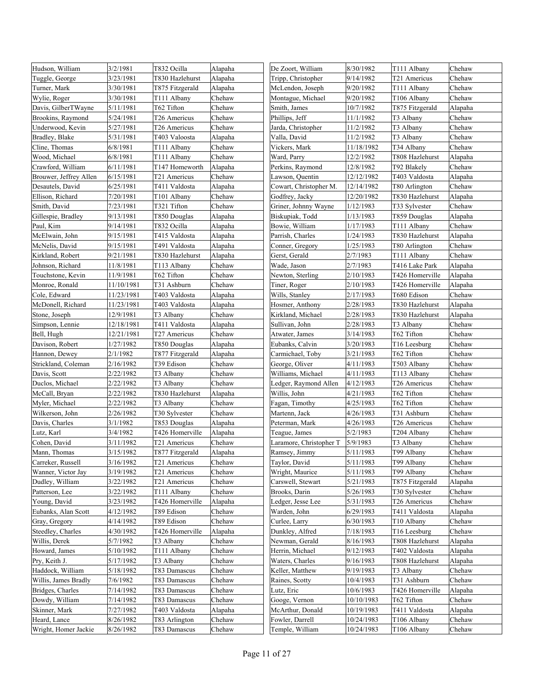| Hudson, William        | 3/2/1981   | T832 Ocilla     | Alapaha | De Zoort, William       | 8/30/1982  | T111 Albany     | Chehaw  |
|------------------------|------------|-----------------|---------|-------------------------|------------|-----------------|---------|
| Tuggle, George         | 3/23/1981  | T830 Hazlehurst | Alapaha | Tripp, Christopher      | 9/14/1982  | T21 Americus    | Chehaw  |
| Turner, Mark           | 3/30/1981  | T875 Fitzgerald | Alapaha | McLendon, Joseph        | 9/20/1982  | T111 Albany     | Chehaw  |
| Wylie, Roger           | 3/30/1981  | T111 Albany     | Chehaw  | Montague, Michael       | 9/20/1982  | T106 Albany     | Chehaw  |
| Davis, GilberTWayne    | 5/11/1981  | T62 Tifton      | Chehaw  | Smith, James            | 10/7/1982  | T875 Fitzgerald | Alapaha |
| Brookins, Raymond      | 5/24/1981  | T26 Americus    | Chehaw  | Phillips, Jeff          | 11/1/1982  | T3 Albany       | Chehaw  |
| Underwood, Kevin       | 5/27/1981  | T26 Americus    | Chehaw  | Jarda, Christopher      | 11/2/1982  | T3 Albany       | Chehaw  |
| Bradley, Blake         | 5/31/1981  | T403 Valoosta   | Alapaha | Valla, David            | 11/2/1982  | T3 Albany       | Chehaw  |
| Cline, Thomas          | 6/8/1981   | T111 Albany     | Chehaw  | Vickers, Mark           | 11/18/1982 | T34 Albany      | Chehaw  |
| Wood, Michael          | 6/8/1981   | T111 Albany     | Chehaw  | Ward, Parry             | 12/2/1982  | T808 Hazlehurst | Alapaha |
| Crawford, William      | 6/11/1981  | T147 Homeworth  | Alapaha | Perkins, Raymond        | 12/8/1982  | T92 Blakely     | Chehaw  |
| Brouwer, Jeffrey Allen | 6/15/1981  | T21 Americus    | Chehaw  | Lawson, Quentin         | 12/12/1982 | T403 Valdosta   | Alapaha |
| Desautels, David       | 6/25/1981  | T411 Valdosta   | Alapaha | Cowart, Christopher M.  | 12/14/1982 | T80 Arlington   | Chehaw  |
| Ellison, Richard       | 7/20/1981  | T101 Albany     | Chehaw  | Godfrey, Jacky          | 12/20/1982 | T830 Hazlehurst | Alapaha |
| Smith, David           | 7/23/1981  | T321 Tifton     | Chehaw  | Griner, Johnny Wayne    | 1/12/1983  | T33 Sylvester   | Chehaw  |
| Gillespie, Bradley     | 9/13/1981  | T850 Douglas    | Alapaha | Biskupiak, Todd         | 1/13/1983  | T859 Douglas    | Alapaha |
| Paul, Kim              | 9/14/1981  | T832 Ocilla     | Alapaha | Bowie, William          | 1/17/1983  | T111 Albany     | Chehaw  |
| McElwain, John         | 9/15/1981  | T415 Valdosta   | Alapaha | Parrish, Charles        | 1/24/1983  | T830 Hazlehurst | Alapaha |
| McNelis, David         | 9/15/1981  | T491 Valdosta   | Alapaha | Conner, Gregory         | 1/25/1983  | T80 Arlington   | Chehaw  |
| Kirkland, Robert       | 9/21/1981  | T830 Hazlehurst | Alapaha | Gerst, Gerald           | 2/7/1983   | T111 Albany     | Chehaw  |
| Johnson, Richard       | 11/8/1981  | T113 Albany     | Chehaw  | Wade, Jason             | 2/7/1983   | T416 Lake Park  | Alapaha |
| Touchstone, Kevin      | 11/9/1981  | T62 Tifton      | Chehaw  | Newton, Sterling        | 2/10/1983  | T426 Homerville | Alapaha |
| Monroe, Ronald         | 11/10/1981 | T31 Ashburn     | Chehaw  | Tiner, Roger            | 2/10/1983  | T426 Homerville | Alapaha |
| Cole, Edward           | 11/23/1981 | T403 Valdosta   | Alapaha | Wills, Stanley          | 2/17/1983  | T680 Edison     | Chehaw  |
| McDonell, Richard      | 11/23/1981 | T403 Valdosta   | Alapaha | Hosmer, Anthony         | 2/28/1983  | T830 Hazlehurst | Alapaha |
| Stone, Joseph          | 12/9/1981  | T3 Albany       | Chehaw  | Kirkland, Michael       | 2/28/1983  | T830 Hazlehurst | Alapaha |
| Simpson, Lennie        | 2/18/1981  | T411 Valdosta   | Alapaha | Sullivan, John          | 2/28/1983  | T3 Albany       | Chehaw  |
| Bell, Hugh             | 12/21/1981 | T27 Americus    | Chehaw  | Atwater, James          | 3/14/1983  | T62 Tifton      | Chehaw  |
| Davison, Robert        | 1/27/1982  | T850 Douglas    | Alapaha | Eubanks, Calvin         | 3/20/1983  | T16 Leesburg    | Chehaw  |
| Hannon, Dewey          | 2/1/1982   | T877 Fitzgerald | Alapaha | Carmichael, Toby        | 3/21/1983  | T62 Tifton      | Chehaw  |
| Strickland, Coleman    | 2/16/1982  | T39 Edison      | Chehaw  | George, Oliver          | 4/11/1983  | T503 Albany     | Chehaw  |
| Davis, Scott           | 2/22/1982  | T3 Albany       | Chehaw  | Williams, Michael       | 4/11/1983  | T113 Albany     | Chehaw  |
| Duclos, Michael        | 2/22/1982  | T3 Albany       | Chehaw  | Ledger, Raymond Allen   | 4/12/1983  | T26 Americus    | Chehaw  |
| McCall, Bryan          | 2/22/1982  | T830 Hazlehurst | Alapaha | Willis, John            | 4/21/1983  | T62 Tifton      | Chehaw  |
| Myler, Michael         | 2/22/1982  | T3 Albany       | Chehaw  | Fagan, Timothy          | 4/25/1983  | T62 Tifton      | Chehaw  |
| Wilkerson, John        | 2/26/1982  | T30 Sylvester   | Chehaw  | Martenn, Jack           | 4/26/1983  | T31 Ashburn     | Chehaw  |
| Davis, Charles         | 3/1/1982   | T853 Douglas    | Alapaha | Peterman, Mark          | 4/26/1983  | T26 Americus    | Chehaw  |
| Lutz, Karl             | 3/4/1982   | T426 Homerville | Alapaha | Teague, James           | 5/2/1983   | T204 Albany     | Chehaw  |
| Cohen, David           | 3/11/1982  | T21 Americus    | Chehaw  | Laramore, Christopher T | 5/9/1983   | T3 Albany       | Chehaw  |
| Mann, Thomas           | 3/15/1982  | T877 Fitzgerald | Alapaha | Ramsey, Jimmy           | 5/11/1983  | T99 Albany      | Chehaw  |
| Carreker, Russell      | 3/16/1982  | T21 Americus    | Chehaw  | Taylor, David           | 5/11/1983  | T99 Albany      | Chehaw  |
| Wanner, Victor Jay     | 3/19/1982  | T21 Americus    | Chehaw  | Wright, Maurice         | 5/11/1983  | T99 Albany      | Chehaw  |
| Dudley, William        | 3/22/1982  | T21 Americus    | Chehaw  | Carswell, Stewart       | 5/21/1983  | T875 Fitzgerald | Alapaha |
| Patterson, Lee         | 3/22/1982  | T111 Albany     | Chehaw  | Brooks, Darin           | 5/26/1983  | T30 Sylvester   | Chehaw  |
| Young, David           | 3/23/1982  | T426 Homerville | Alapaha | Ledger, Jesse Lee       | 5/31/1983  | T26 Americus    | Chehaw  |
| Eubanks, Alan Scott    | 4/12/1982  | T89 Edison      | Chehaw  | Warden, John            | 6/29/1983  | T411 Valdosta   | Alapaha |
| Gray, Gregory          | 4/14/1982  | T89 Edison      | Chehaw  | Curlee, Larry           | 6/30/1983  | T10 Albany      | Chehaw  |
| Steedley, Charles      | 4/30/1982  | T426 Homerville | Alapaha | Dunkley, Alfred         | 7/18/1983  | T16 Leesburg    | Chehaw  |
| Willis, Derek          | 5/7/1982   | T3 Albany       | Chehaw  | Newman, Gerald          | 8/16/1983  | T808 Hazlehurst | Alapaha |
| Howard, James          | 5/10/1982  | T111 Albany     | Chehaw  | Herrin, Michael         | 9/12/1983  | T402 Valdosta   | Alapaha |
| Pry, Keith J.          | 5/17/1982  | T3 Albany       | Chehaw  | Waters, Charles         | 9/16/1983  | T808 Hazlehurst | Alapaha |
| Haddock, William       | 5/18/1982  | T83 Damascus    | Chehaw  | Keller, Matthew         | 9/19/1983  | T3 Albany       | Chehaw  |
| Willis, James Bradly   | 7/6/1982   | T83 Damascus    | Chehaw  | Raines, Scotty          | 10/4/1983  | T31 Ashburn     | Chehaw  |
| Bridges, Charles       | 7/14/1982  | T83 Damascus    | Chehaw  | Lutz, Eric              | 10/6/1983  | T426 Homerville | Alapaha |
| Dowdy, William         | 7/14/1982  | T83 Damascus    | Chehaw  | Googe, Vernon           | 10/10/1983 | T62 Tifton      | Chehaw  |
| Skinner, Mark          | 7/27/1982  | T403 Valdosta   | Alapaha | McArthur, Donald        | 10/19/1983 | T411 Valdosta   | Alapaha |
| Heard, Lance           | 8/26/1982  | T83 Arlington   | Chehaw  | Fowler, Darrell         | 10/24/1983 | T106 Albany     | Chehaw  |
| Wright, Homer Jackie   | 8/26/1982  | T83 Damascus    | Chehaw  | Temple, William         | 10/24/1983 | T106 Albany     | Chehaw  |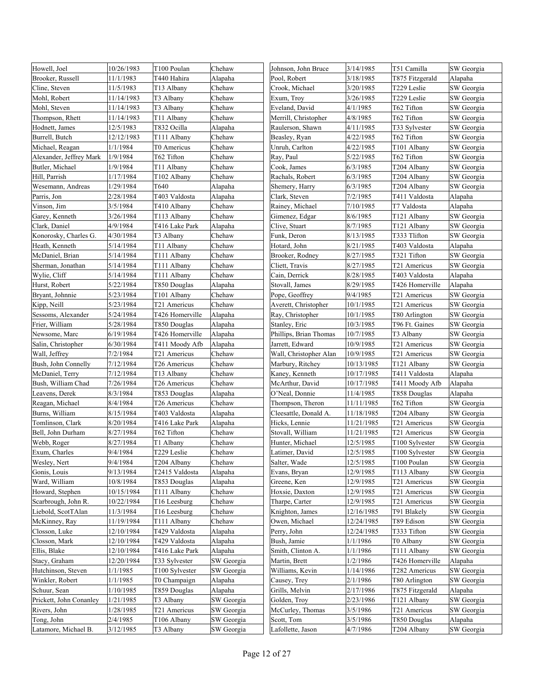| Howell, Joel            | 10/26/1983 | T100 Poulan     | Chehaw     | Johnson, John Bruce    | 3/14/1985  | T51 Camilla     | SW Georgia |
|-------------------------|------------|-----------------|------------|------------------------|------------|-----------------|------------|
| Brooker, Russell        | 11/1/1983  | T440 Hahira     | Alapaha    | Pool, Robert           | 3/18/1985  | T875 Fitzgerald | Alapaha    |
| Cline, Steven           | 11/5/1983  | T13 Albany      | Chehaw     | Crook, Michael         | 3/20/1985  | T229 Leslie     | SW Georgia |
| Mohl, Robert            | 11/14/1983 | T3 Albany       | Chehaw     | Exum, Troy             | 3/26/1985  | T229 Leslie     | SW Georgia |
| Mohl, Steven            | 11/14/1983 | T3 Albany       | Chehaw     | Eveland, David         | 4/1/1985   | T62 Tifton      | SW Georgia |
| Thompson, Rhett         | 11/14/1983 | T11 Albany      | Chehaw     | Merrill, Christopher   | 4/8/1985   | T62 Tifton      | SW Georgia |
| Hodnett, James          | 12/5/1983  | T832 Ocilla     | Alapaha    | Raulerson, Shawn       | 4/11/1985  | T33 Sylvester   | SW Georgia |
| Burrell, Butch          | 12/12/1983 | T111 Albany     | Chehaw     | Beasley, Ryan          | 4/22/1985  | T62 Tifton      | SW Georgia |
| Michael, Reagan         | 1/1/1984   | T0 Americus     | Chehaw     | Unruh, Carlton         | 4/22/1985  | T101 Albany     | SW Georgia |
| Alexander, Jeffrey Mark | 1/9/1984   | T62 Tifton      | Chehaw     | Ray, Paul              | 5/22/1985  | T62 Tifton      | SW Georgia |
| Butler, Michael         | 1/9/1984   | T11 Albany      | Chehaw     | Cook, James            | 6/3/1985   | T204 Albany     | SW Georgia |
| Hill, Parrish           | 1/17/1984  | T102 Albany     | Chehaw     | Rachals, Robert        | 6/3/1985   | T204 Albany     | SW Georgia |
| Wesemann, Andreas       | 1/29/1984  | T640            | Alapaha    | Shemery, Harry         | 6/3/1985   | T204 Albany     | SW Georgia |
| Parris, Jon             | 2/28/1984  | T403 Valdosta   | Alapaha    | Clark, Steven          | 7/2/1985   | T411 Valdosta   | Alapaha    |
| Vinson, Jim             | 3/5/1984   | T410 Albany     | Chehaw     | Rainey, Michael        | 7/10/1985  | T7 Valdosta     | Alapaha    |
| Garey, Kenneth          | 3/26/1984  | T113 Albany     | Chehaw     | Gimenez, Edgar         | 8/6/1985   | T121 Albany     | SW Georgia |
| Clark, Daniel           | 4/9/1984   | T416 Lake Park  | Alapaha    | Clive, Stuart          | 8/7/1985   | T121 Albany     | SW Georgia |
| Konorosky, Charles G.   | 4/30/1984  | T3 Albany       | Chehaw     | Funk, Deron            | 8/13/1985  | T333 Tlifton    | SW Georgia |
| Heath, Kenneth          | 5/14/1984  | T11 Albany      | Chehaw     | Hotard, John           | 8/21/1985  | T403 Valdosta   | Alapaha    |
| McDaniel, Brian         | 5/14/1984  | T111 Albany     | Chehaw     | Brooker, Rodney        | 8/27/1985  | T321 Tifton     | SW Georgia |
| Sherman, Jonathan       | 5/14/1984  | T111 Albany     | Chehaw     | Cliett, Travis         | 8/27/1985  | T21 Americus    | SW Georgia |
| Wylie, Cliff            | 5/14/1984  | T111 Albany     | Chehaw     | Cain, Derrick          | 8/28/1985  | T403 Valdosta   | Alapaha    |
| Hurst, Robert           | 5/22/1984  | T850 Douglas    | Alapaha    | Stovall, James         | 8/29/1985  | T426 Homerville | Alapaha    |
| Bryant, Johnnie         | 5/23/1984  | T101 Albany     | Chehaw     | Pope, Geoffrey         | 9/4/1985   | T21 Americus    | SW Georgia |
| Kipp, Neill             | 5/23/1984  | T21 Americus    | Chehaw     | Averett, Christopher   | 10/1/1985  | T21 Americus    | SW Georgia |
| Sessoms, Alexander      | 5/24/1984  | T426 Homerville | Alapaha    | Ray, Christopher       | 10/1/1985  | T80 Arlington   | SW Georgia |
| Frier, William          | 5/28/1984  | T850 Douglas    | Alapaha    | Stanley, Eric          | 10/3/1985  | T96 Ft. Gaines  | SW Georgia |
| Newsome, Marc           | 6/19/1984  | T426 Homerville | Alapaha    | Phillips, Brian Thomas | 10/7/1985  | T3 Albany       | SW Georgia |
| Salin, Christopher      | 6/30/1984  | T411 Moody Afb  | Alapaha    | Jarrett, Edward        | 10/9/1985  | T21 Americus    | SW Georgia |
| Wall, Jeffrey           | 7/2/1984   | T21 Americus    | Chehaw     | Wall, Christopher Alan | 10/9/1985  | T21 Americus    | SW Georgia |
| Bush, John Connelly     | 7/12/1984  | T26 Americus    | Chehaw     | Marbury, Ritchey       | 10/13/1985 | T121 Albany     | SW Georgia |
| McDaniel, Terry         | 7/12/1984  | T13 Albany      | Chehaw     | Kaney, Kenneth         | 10/17/1985 | T411 Valdosta   | Alapaha    |
| Bush, William Chad      | 7/26/1984  | T26 Americus    | Chehaw     | McArthur, David        | 10/17/1985 | T411 Moody Afb  | Alapaha    |
| Leavens, Derek          | 8/3/1984   | T853 Douglas    | Alapaha    | O'Neal, Donnie         | 11/4/1985  | T858 Douglas    | Alapaha    |
| Reagan, Michael         | 8/4/1984   | T26 Americus    | Chehaw     | Thompson, Theron       | 11/11/1985 | T62 Tifton      | SW Georgia |
| Burns, William          | 8/15/1984  | T403 Valdosta   | Alapaha    | Cleesattle, Donald A.  | 11/18/1985 | T204 Albany     | SW Georgia |
| Tomlinson, Clark        | 8/20/1984  | T416 Lake Park  | Alapaha    | Hicks, Lennie          | 11/21/1985 | T21 Americus    | SW Georgia |
| Bell, John Durham       | 8/27/1984  | T62 Tifton      | Chehaw     | Stovall, William       | 11/21/1985 | T21 Americus    | SW Georgia |
| Webb, Roger             | 8/27/1984  | T1 Albany       | Chehaw     | Hunter, Michael        | 12/5/1985  | T100 Sylvester  | SW Georgia |
| Exum, Charles           | 9/4/1984   | T229 Leslie     | Chehaw     | Latimer, David         | 12/5/1985  | T100 Sylvester  | SW Georgia |
| Wesley, Nert            | 9/4/1984   | T204 Albany     | Chehaw     | Salter, Wade           | 12/5/1985  | T100 Poulan     | SW Georgia |
| Gonis, Louis            | 9/13/1984  | T2415 Valdosta  | Alapaha    | Evans, Bryan           | 12/9/1985  | T113 Albany     | SW Georgia |
| Ward, William           | 10/8/1984  | T853 Douglas    | Alapaha    | Greene, Ken            | 12/9/1985  | T21 Americus    | SW Georgia |
| Howard, Stephen         | 10/15/1984 | T111 Albany     | Chehaw     | Hoxsie, Daxton         | 12/9/1985  | T21 Americus    | SW Georgia |
| Scarbrough, John R.     | 10/22/1984 | T16 Leesburg    | Chehaw     | Tharpe, Carter         | 12/9/1985  | T21 Americus    | SW Georgia |
| Liebold, ScotTAlan      | 11/3/1984  | T16 Leesburg    | Chehaw     | Knighton, James        | 12/16/1985 | T91 Blakely     | SW Georgia |
| McKinney, Ray           | 11/19/1984 | T111 Albany     | Chehaw     | Owen, Michael          | 12/24/1985 | T89 Edison      | SW Georgia |
| Closson, Luke           | 12/10/1984 | T429 Valdosta   | Alapaha    | Perry, John            | 12/24/1985 | T333 Tifton     | SW Georgia |
| Closson, Mark           | 12/10/1984 | T429 Valdosta   | Alapaha    | Bush, Jamie            | 1/1/1986   | T0 Albany       | SW Georgia |
| Ellis, Blake            | 12/10/1984 | T416 Lake Park  | Alapaha    | Smith, Clinton A.      | 1/1/1986   | T111 Albany     | SW Georgia |
| Stacy, Graham           | 12/20/1984 | T33 Sylvester   | SW Georgia | Martin, Brett          | 1/2/1986   | T426 Homerville | Alapaha    |
| Hutchinson, Steven      | 1/1/1985   | T100 Sylvester  | SW Georgia | Williams, Kevin        | 1/14/1986  | T282 Americus   | SW Georgia |
| Winkler, Robert         | 1/1/1985   | T0 Champaign    | Alapaha    | Causey, Trey           | 2/1/1986   | T80 Arlington   | SW Georgia |
| Schuur, Sean            | 1/10/1985  | T859 Douglas    | Alapaha    | Grills, Melvin         | 2/17/1986  | T875 Fitzgerald | Alapaha    |
| Prickett, John Conanley | 1/21/1985  | T3 Albany       | SW Georgia | Golden, Troy           | 2/23/1986  | T121 Albany     | SW Georgia |
| Rivers, John            | 1/28/1985  | T21 Americus    | SW Georgia | McCurley, Thomas       | 3/5/1986   | T21 Americus    | SW Georgia |
| Tong, John              | 2/4/1985   | T106 Albany     | SW Georgia | Scott, Tom             | 3/5/1986   | T850 Douglas    | Alapaha    |
| Latamore, Michael B.    | 3/12/1985  | T3 Albany       | SW Georgia | Lafollette, Jason      | 4/7/1986   | T204 Albany     | SW Georgia |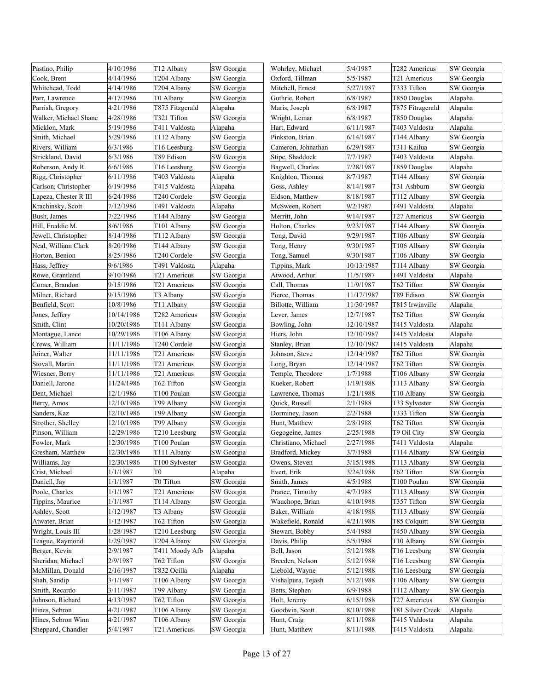| Pastino, Philip       | 4/10/1986  | T <sub>12</sub> Albany | SW Georgia | Wohrley, Michael    | 5/4/1987   | T282 Americus            | SW Georgia |
|-----------------------|------------|------------------------|------------|---------------------|------------|--------------------------|------------|
| Cook, Brent           | 4/14/1986  | T204 Albany            | SW Georgia | Oxford, Tillman     | 5/5/1987   | T <sub>21</sub> Americus | SW Georgia |
| Whitehead, Todd       | 4/14/1986  | T204 Albany            | SW Georgia | Mitchell, Ernest    | 5/27/1987  | T333 Tifton              | SW Georgia |
| Parr, Lawrence        | 4/17/1986  | T0 Albany              | SW Georgia | Guthrie, Robert     | 6/8/1987   | T850 Douglas             | Alapaha    |
| Parrish, Gregory      | 4/21/1986  | T875 Fitzgerald        | Alapaha    | Maris, Joseph       | 6/8/1987   | T875 Fitrzgerald         | Alapaha    |
| Walker, Michael Shane | 4/28/1986  | T321 Tifton            | SW Georgia | Wright, Lemar       | 6/8/1987   | T850 Douglas             | Alapaha    |
| Micklon, Mark         | 5/19/1986  | T411 Valdosta          | Alapaha    | Hart, Edward        | 6/11/1987  | T403 Valdosta            | Alapaha    |
| Smith, Michael        | 5/29/1986  | T112 Albany            | SW Georgia | Pinkston, Brian     | 6/14/1987  | T144 Albany              | SW Georgia |
| Rivers, William       | 6/3/1986   | T16 Leesburg           | SW Georgia | Cameron, Johnathan  | 6/29/1987  | T311 Kailua              | SW Georgia |
| Strickland, David     | 6/3/1986   | T89 Edison             | SW Georgia | Stipe, Shaddock     | 7/7/1987   | T403 Valdosta            | Alapaha    |
| Roberson, Andy R.     | 6/6/1986   | T16 Leesburg           | SW Georgia | Bagwell, Charles    | 7/28/1987  | T859 Douglas             | Alapaha    |
| Rigg, Christopher     | 6/11/1986  | T403 Valdosta          | Alapaha    | Knighton, Thomas    | 8/7/1987   | T144 Albany              | SW Georgia |
| Carlson, Christopher  | 6/19/1986  | T415 Valdosta          | Alapaha    | Goss, Ashley        | 8/14/1987  | T31 Ashburn              | SW Georgia |
| Lapeza, Chester R III | 6/24/1986  | T240 Cordele           | SW Georgia | Eidson, Matthew     | 8/18/1987  | T112 Albany              | SW Georgia |
| Krachinsky, Scott     | 7/12/1986  | T491 Valdosta          | Alapaha    | McSween, Robert     | 9/2/1987   | T491 Valdosta            | Alapaha    |
| Bush, James           | 7/22/1986  | T144 Albany            | SW Georgia | Merritt, John       | 9/14/1987  | T27 Americus             | SW Georgia |
| Hill, Freddie M.      | 8/6/1986   | T101 Albany            | SW Georgia | Holton, Charles     | 9/23/1987  | T144 Albany              | SW Georgia |
| Jewell, Christopher   | 8/14/1986  | T112 Albany            | SW Georgia | Tong, David         | 9/29/1987  | T106 Albany              | SW Georgia |
| Neal, William Clark   | 8/20/1986  | T144 Albany            | SW Georgia | Tong, Henry         | 9/30/1987  | T106 Albany              | SW Georgia |
| Horton, Benion        | 8/25/1986  | T240 Cordele           | SW Georgia | Tong, Samuel        | 9/30/1987  | T106 Albany              | SW Georgia |
| Hass, Jeffrey         | 9/6/1986   | T491 Valdosta          | Alapaha    | Tippins, Mark       | 10/13/1987 | T114 Albany              | SW Georgia |
|                       | 9/10/1986  |                        |            |                     |            | T491 Valdosta            |            |
| Rowe, Grantland       |            | T21 Americus           | SW Georgia | Atwood, Arthur      | 11/5/1987  |                          | Alapaha    |
| Comer, Brandon        | 9/15/1986  | T21 Americus           | SW Georgia | Call, Thomas        | 11/9/1987  | T62 Tifton               | SW Georgia |
| Milner, Richard       | 9/15/1986  | T3 Albany              | SW Georgia | Pierce, Thomas      | 11/17/1987 | T89 Edison               | SW Georgia |
| Benfield, Scott       | 10/8/1986  | T11 Albany             | SW Georgia | Billotte, William   | 11/30/1987 | T815 Irwinville          | Alapaha    |
| Jones, Jeffery        | 10/14/1986 | T282 Americus          | SW Georgia | Lever, James        | 12/7/1987  | T62 Tifton               | SW Georgia |
| Smith, Clint          | 10/20/1986 | T111 Albany            | SW Georgia | Bowling, John       | 12/10/1987 | T415 Valdosta            | Alapaha    |
| Montague, Lance       | 10/29/1986 | T106 Albany            | SW Georgia | Hiers, John         | 12/10/1987 | T415 Valdosta            | Alapaha    |
| Crews, William        | 11/11/1986 | T240 Cordele           | SW Georgia | Stanley, Brian      | 12/10/1987 | T415 Valdosta            | Alapaha    |
| Joiner, Walter        | 11/11/1986 | T21 Americus           | SW Georgia | Johnson, Steve      | 12/14/1987 | T62 Tifton               | SW Georgia |
| Stovall, Martin       | 11/11/1986 | T21 Americus           | SW Georgia | Long, Bryan         | 12/14/1987 | T62 Tifton               | SW Georgia |
| Wiesner, Berry        | 11/11/1986 | T21 Americus           | SW Georgia | Temple, Theodore    | 1/7/1988   | T106 Albany              | SW Georgia |
| Daniell, Jarone       | 11/24/1986 | T62 Tifton             | SW Georgia | Kueker, Robert      | 1/19/1988  | T113 Albany              | SW Georgia |
| Dent, Michael         | 12/1/1986  | T100 Poulan            | SW Georgia | Lawrence, Thomas    | 1/21/1988  | T10 Albany               | SW Georgia |
| Berry, Amos           | 12/10/1986 | T99 Albany             | SW Georgia | Quick, Russell      | 2/1/1988   | T33 Sylvester            | SW Georgia |
| Sanders, Kaz          | 12/10/1986 | T99 Albany             | SW Georgia | Dorminey, Jason     | 2/2/1988   | T333 Tifton              | SW Georgia |
| Strother, Shelley     | 12/10/1986 | T99 Albany             | SW Georgia | Hunt, Matthew       | 2/8/1988   | T62 Tifton               | SW Georgia |
| Pinson, William       | 12/29/1986 | T210 Leesburg          | SW Georgia | Gegogeine, James    | 2/25/1988  | T9 Oil City              | SW Georgia |
| Fowler, Mark          | 12/30/1986 | T100 Poulan            | SW Georgia | Christiano, Michael | 2/27/1988  | T411 Valdosta            | Alapaha    |
| Gresham, Matthew      | 12/30/1986 | T111 Albany            | SW Georgia | Bradford, Mickey    | 3/7/1988   | T114 Albany              | SW Georgia |
| Williams, Jay         | 12/30/1986 | T100 Sylvester         | SW Georgia | Owens, Steven       | 3/15/1988  | T113 Albany              | SW Georgia |
| Crist, Michael        | 1/1/1987   | T0                     | Alapaha    | Evert, Erik         | 3/24/1988  | T62 Tifton               | SW Georgia |
| Daniell, Jay          | 1/1/1987   | T0 Tifton              | SW Georgia | Smith, James        | 4/5/1988   | T100 Poulan              | SW Georgia |
| Poole, Charles        | 1/1/1987   | T21 Americus           | SW Georgia | Prance, Timothy     | 4/7/1988   | T113 Albany              | SW Georgia |
| Tippins, Maurice      | 1/1/1987   | T114 Albany            | SW Georgia | Wauchope, Brian     | 4/10/1988  | T357 Tifton              | SW Georgia |
| Ashley, Scott         | 1/12/1987  | T3 Albany              | SW Georgia | Baker, William      | 4/18/1988  | T113 Albany              | SW Georgia |
| Atwater, Brian        | 1/12/1987  | T62 Tifton             | SW Georgia | Wakefield, Ronald   | 4/21/1988  | T85 Colquitt             | SW Georgia |
| Wright, Louis III     | 1/28/1987  | T210 Leesburg          | SW Georgia | Stewart, Bobby      | 5/4/1988   | T450 Albany              | SW Georgia |
| Teague, Raymond       | 1/29/1987  | T204 Albany            | SW Georgia | Davis, Philip       | 5/5/1988   | T10 Albany               | SW Georgia |
| Berger, Kevin         | 2/9/1987   | T411 Moody Afb         | Alapaha    | Bell, Jason         | 5/12/1988  | T16 Leesburg             | SW Georgia |
| Sheridan, Michael     | 2/9/1987   | T62 Tifton             | SW Georgia | Breeden, Nelson     | 5/12/1988  | T16 Leesburg             | SW Georgia |
| McMillan, Donald      | 2/16/1987  | T832 Ocilla            | Alapaha    | Liebold, Wayne      | 5/12/1988  | T16 Leesburg             | SW Georgia |
| Shah, Sandip          | 3/1/1987   | T106 Albany            | SW Georgia | Vishalpura, Tejash  | 5/12/1988  | T106 Albany              | SW Georgia |
| Smith, Recardo        | 3/11/1987  | T99 Albany             | SW Georgia | Betts, Stephen      | 6/9/1988   | T112 Albany              | SW Georgia |
| Johnson, Richard      | 4/13/1987  | T62 Tifton             | SW Georgia | Holt, Jeremy        | 6/15/1988  | T27 Americus             | SW Georgia |
| Hines, Sebron         | 4/21/1987  | T106 Albany            | SW Georgia | Goodwin, Scott      | 8/10/1988  | T81 Silver Creek         | Alapaha    |
| Hines, Sebron Winn    | 4/21/1987  | T106 Albany            | SW Georgia | Hunt, Craig         | 8/11/1988  | T415 Valdosta            | Alapaha    |
| Sheppard, Chandler    | 5/4/1987   | T21 Americus           | SW Georgia | Hunt, Matthew       | 8/11/1988  | T415 Valdosta            | Alapaha    |
|                       |            |                        |            |                     |            |                          |            |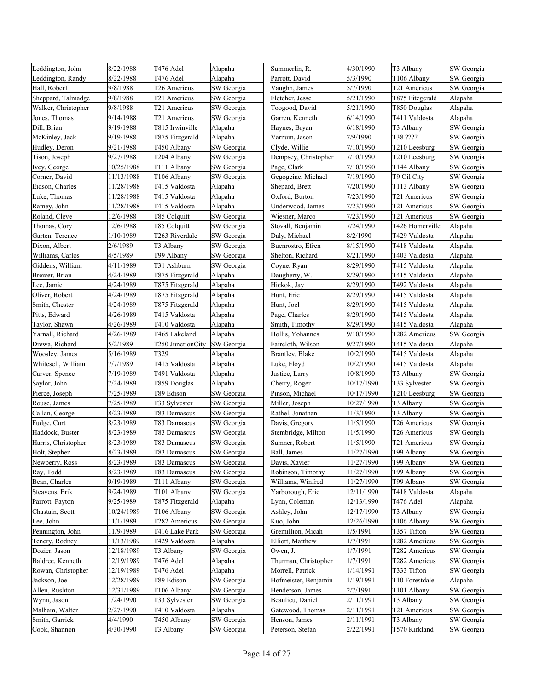| Leddington, John    | 8/22/1988  | T476 Adel         | Alapaha    | Summerlin, R.        | 4/30/1990  | T3 Albany       | SW Georgia |
|---------------------|------------|-------------------|------------|----------------------|------------|-----------------|------------|
| Leddington, Randy   | 8/22/1988  | T476 Adel         | Alapaha    | Parrott, David       | 5/3/1990   | T106 Albany     | SW Georgia |
| Hall, RoberT        | 9/8/1988   | T26 Americus      | SW Georgia | Vaughn, James        | 5/7/1990   | T21 Americus    | SW Georgia |
| Sheppard, Talmadge  | 9/8/1988   | T21 Americus      | SW Georgia | Fletcher, Jesse      | 5/21/1990  | T875 Fitzgerald | Alapaha    |
| Walker, Christopher | 9/8/1988   | T21 Americus      | SW Georgia | Toogood, David       | 5/21/1990  | T850 Douglas    | Alapaha    |
| Jones, Thomas       | 9/14/1988  | T21 Americus      | SW Georgia | Garren, Kenneth      | 6/14/1990  | T411 Valdosta   | Alapaha    |
| Dill, Brian         | 9/19/1988  | T815 Irwinville   | Alapaha    | Haynes, Bryan        | 6/18/1990  | T3 Albany       | SW Georgia |
| McKinley, Jack      | 9/19/1988  | T875 Fitzgerald   | Alapaha    | Varnum, Jason        | 7/9/1990   | T38 ????        | SW Georgia |
| Hudley, Deron       | 9/21/1988  | T450 Albany       | SW Georgia | Clyde, Willie        | 7/10/1990  | T210 Leesburg   | SW Georgia |
| Tison, Joseph       | 9/27/1988  | T204 Albany       | SW Georgia | Dempsey, Christopher | 7/10/1990  | T210 Leesburg   | SW Georgia |
| Ivey, George        | 10/25/1988 | T111 Albany       | SW Georgia | Page, Clark          | 7/10/1990  | T144 Albany     | SW Georgia |
| Corner, David       | 11/13/1988 | T106 Albany       | SW Georgia | Gegogeine, Michael   | 7/19/1990  | T9 Oil City     | SW Georgia |
| Eidson, Charles     | 11/28/1988 | T415 Valdosta     | Alapaha    | Shepard, Brett       | 7/20/1990  | T113 Albany     | SW Georgia |
| Luke, Thomas        | 11/28/1988 | T415 Valdosta     | Alapaha    | Oxford, Burton       | 7/23/1990  | T21 Americus    | SW Georgia |
| Ramey, John         | 11/28/1988 | T415 Valdosta     | Alapaha    | Underwood, James     | 7/23/1990  | T21 Americus    | SW Georgia |
| Roland, Cleve       | 12/6/1988  | T85 Colquitt      | SW Georgia | Wiesner, Marco       | 7/23/1990  | T21 Americus    | SW Georgia |
| Thomas, Cory        | 12/6/1988  | T85 Colquitt      | SW Georgia | Stovall, Benjamin    | 7/24/1990  | T426 Homerville | Alapaha    |
| Garten, Terence     | 1/10/1989  | T263 Riverdale    | SW Georgia | Daly, Michael        | 8/2/1990   | T429 Valdosta   | Alapaha    |
| Dixon, Albert       | 2/6/1989   | T3 Albany         | SW Georgia | Buenrostro, Efren    | 8/15/1990  | T418 Valdosta   | Alapaha    |
| Williams, Carlos    | 4/5/1989   | T99 Albany        | SW Georgia | Shelton, Richard     | 8/21/1990  | T403 Valdosta   | Alapaha    |
| Giddens, William    | 4/11/1989  | T31 Ashburn       | SW Georgia | Coyne, Ryan          | 8/29/1990  | T415 Valdosta   | Alapaha    |
| Brewer, Brian       | 4/24/1989  | T875 Fitzgerald   | Alapaha    | Daugherty, W.        | 8/29/1990  | T415 Valdosta   | Alapaha    |
| Lee, Jamie          | 4/24/1989  | T875 Fitzgerald   | Alapaha    | Hickok, Jay          | 8/29/1990  | T492 Valdosta   | Alapaha    |
| Oliver, Robert      | 4/24/1989  | T875 Fitzgerald   | Alapaha    | Hunt, Eric           | 8/29/1990  | T415 Valdosta   | Alapaha    |
| Smith, Chester      | 4/24/1989  | T875 Fitzgerald   | Alapaha    | Hunt, Joel           | 8/29/1990  | T415 Valdosta   | Alapaha    |
| Pitts, Edward       | 4/26/1989  | T415 Valdosta     | Alapaha    | Page, Charles        | 8/29/1990  | T415 Valdosta   | Alapaha    |
| Taylor, Shawn       | 4/26/1989  | T410 Valdosta     | Alapaha    | Smith, Timothy       | 8/29/1990  | T415 Valdosta   | Alapaha    |
| Yarnall, Richard    | 4/26/1989  | T465 Lakeland     | Alapaha    | Hollis, Yohannes     | 9/10/1990  | T282 Americus   | SW Georgia |
| Drewa, Richard      | 5/2/1989   | T250 JunctionCity | SW Georgia | Faircloth, Wilson    | 9/27/1990  | T415 Valdosta   | Alapaha    |
| Woosley, James      | 5/16/1989  | T329              | Alapaha    | Brantley, Blake      | 10/2/1990  | T415 Valdosta   | Alapaha    |
| Whitesell, William  | 7/7/1989   | T415 Valdosta     | Alapaha    | Luke, Floyd          | 10/2/1990  | T415 Valdosta   | Alapaha    |
| Carver, Spence      | 7/19/1989  | T491 Valdosta     | Alapaha    | Justice, Larry       | 10/8/1990  | T3 Albany       | SW Georgia |
| Saylor, John        | 7/24/1989  | T859 Douglas      | Alapaha    | Cherry, Roger        | 10/17/1990 | T33 Sylvester   | SW Georgia |
| Pierce, Joseph      | 7/25/1989  | T89 Edison        | SW Georgia | Pinson, Michael      | 10/17/1990 | T210 Leesburg   | SW Georgia |
| Rouse, James        | 7/25/1989  | T33 Sylvester     | SW Georgia | Miller, Joseph       | 10/27/1990 | T3 Albany       | SW Georgia |
| Callan, George      | 8/23/1989  | T83 Damascus      | SW Georgia | Rathel, Jonathan     | 11/3/1990  | T3 Albany       | SW Georgia |
| Fudge, Curt         | 8/23/1989  | T83 Damascus      | SW Georgia | Davis, Gregory       | 11/5/1990  | T26 Americus    | SW Georgia |
| Haddock, Buster     | 8/23/1989  | T83 Damascus      | SW Georgia | Stembridge, Milton   | 11/5/1990  | T26 Americus    | SW Georgia |
| Harris, Christopher | 8/23/1989  | T83 Damascus      | SW Georgia | Sumner, Robert       | 11/5/1990  | T21 Americus    | SW Georgia |
| Holt, Stephen       | 8/23/1989  | T83 Damascus      | SW Georgia | Ball, James          | 11/27/1990 | T99 Albany      | SW Georgia |
| Newberry, Ross      | 8/23/1989  | T83 Damascus      | SW Georgia | Davis, Xavier        | 11/27/1990 | T99 Albany      | SW Georgia |
| Ray, Todd           | 8/23/1989  | T83 Damascus      | SW Georgia | Robinson, Timothy    | 11/27/1990 | T99 Albany      | SW Georgia |
| Bean, Charles       | 9/19/1989  | T111 Albany       | SW Georgia | Williams, Winfred    | 11/27/1990 | T99 Albany      | SW Georgia |
| Steavens, Erik      | 9/24/1989  | T101 Albany       | SW Georgia | Yarborough, Eric     | 12/11/1990 | T418 Valdosta   | Alapaha    |
| Parrott, Payton     | 9/25/1989  | T875 Fitzgerald   | Alapaha    | Lynn, Coleman        | 12/13/1990 | T476 Adel       | Alapaha    |
| Chastain, Scott     | 10/24/1989 | T106 Albany       | SW Georgia | Ashley, John         | 12/17/1990 | T3 Albany       | SW Georgia |
| Lee, John           | 11/1/1989  | T282 Americus     | SW Georgia | Kuo, John            | 12/26/1990 | T106 Albany     | SW Georgia |
| Pennington, John    | 11/9/1989  | T416 Lake Park    | SW Georgia | Gremillion, Micah    | 1/5/1991   | T357 Tifton     | SW Georgia |
| Tenery, Rodney      | 11/13/1989 | T429 Valdosta     | Alapaha    | Elliott, Matthew     | 1/7/1991   | T282 Americus   | SW Georgia |
| Dozier, Jason       | 12/18/1989 | T3 Albany         | SW Georgia | Owen, J.             | 1/7/1991   | T282 Americus   | SW Georgia |
| Baldree, Kenneth    | 12/19/1989 | T476 Adel         | Alapaha    | Thurman, Christopher | 1/7/1991   | T282 Americus   | SW Georgia |
| Rowan, Christopher  | 12/19/1989 | T476 Adel         | Alapaha    | Morrell, Patrick     | 1/14/1991  | T333 Tifton     | SW Georgia |
| Jackson, Joe        | 12/28/1989 | T89 Edison        | SW Georgia | Hofmeister, Benjamin | 1/19/1991  | T10 Forestdale  | Alapaha    |
| Allen, Rushton      | 12/31/1989 | T106 Albany       | SW Georgia | Henderson, James     | 2/7/1991   | T101 Albany     | SW Georgia |
| Wynn, Jason         | 1/24/1990  | T33 Sylvester     | SW Georgia | Beaulieu, Daniel     | 2/11/1991  | T3 Albany       | SW Georgia |
| Malham, Walter      | 2/27/1990  | T410 Valdosta     | Alapaha    | Gatewood, Thomas     | 2/11/1991  | T21 Americus    | SW Georgia |
| Smith, Garrick      | 4/4/1990   | T450 Albany       | SW Georgia | Henson, James        | 2/11/1991  | T3 Albany       | SW Georgia |
| Cook, Shannon       | 4/30/1990  | T3 Albany         | SW Georgia | Peterson, Stefan     | 2/22/1991  | T570 Kirkland   | SW Georgia |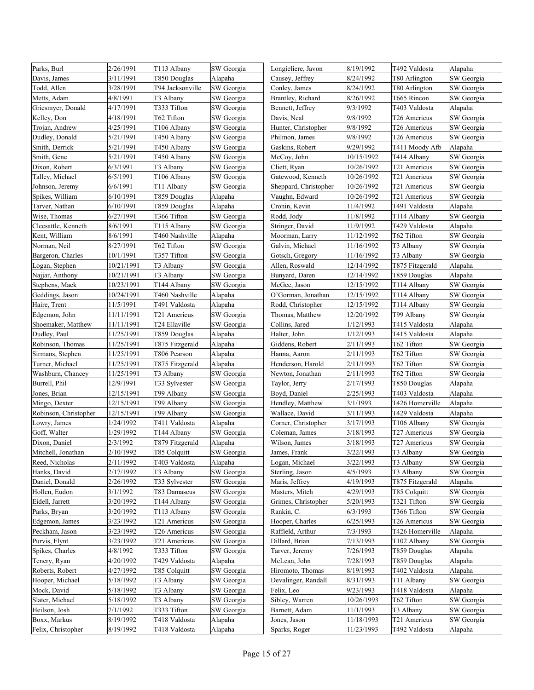| Parks, Burl           | 2/26/1991  | T113 Albany      | SW Georgia | Longieliere, Javon    | 8/19/1992  | T492 Valdosta   | Alapaha    |
|-----------------------|------------|------------------|------------|-----------------------|------------|-----------------|------------|
| Davis, James          | 3/11/1991  | T850 Douglas     | Alapaha    | Causey, Jeffrey       | 8/24/1992  | T80 Arlington   | SW Georgia |
| Todd, Allen           | 3/28/1991  | T94 Jacksonville | SW Georgia | Conley, James         | 8/24/1992  | T80 Arlington   | SW Georgia |
| Metts, Adam           | 4/8/1991   | T3 Albany        | SW Georgia | Brantley, Richard     | 8/26/1992  | T665 Rincon     | SW Georgia |
| Griesmyer, Donald     | 4/17/1991  | T333 Tifton      | SW Georgia | Bennett, Jeffrey      | 9/3/1992   | T403 Valdosta   | Alapaha    |
| Kelley, Don           | 4/18/1991  | T62 Tifton       | SW Georgia | Davis, Neal           | 9/8/1992   | T26 Americus    | SW Georgia |
| Trojan, Andrew        | 4/25/1991  | T106 Albany      | SW Georgia | Hunter, Christopher   | 9/8/1992   | T26 Americus    | SW Georgia |
| Dudley, Donald        | 5/21/1991  | T450 Albany      | SW Georgia | Philmon, James        | 9/8/1992   | T26 Americus    | SW Georgia |
| Smith, Derrick        | 5/21/1991  | T450 Albany      | SW Georgia | Gaskins, Robert       | 9/29/1992  | T411 Moody Afb  | Alapaha    |
| Smith, Gene           | 5/21/1991  | T450 Albany      | SW Georgia | McCoy, John           | 10/15/1992 | T414 Albany     | SW Georgia |
| Dixon, Robert         | 6/3/1991   | T3 Albany        | SW Georgia | Cliett, Ryan          | 10/26/1992 | T21 Americus    | SW Georgia |
| Talley, Michael       | 6/5/1991   | T106 Albany      | SW Georgia | Gatewood, Kenneth     | 10/26/1992 | T21 Americus    | SW Georgia |
| Johnson, Jeremy       | 6/6/1991   | T11 Albany       | SW Georgia | Sheppard, Christopher | 10/26/1992 | T21 Americus    | SW Georgia |
| Spikes, William       | 6/10/1991  | T859 Douglas     | Alapaha    | Vaughn, Edward        | 10/26/1992 | T21 Americus    | SW Georgia |
| Tarver, Nathan        | 6/10/1991  | T859 Douglas     | Alapaha    | Cronin, Kevin         | 11/4/1992  | T491 Valdosta   | Alapaha    |
| Wise, Thomas          | 6/27/1991  | T366 Tifton      | SW Georgia | Rodd, Jody            | 11/8/1992  | T114 Albany     | SW Georgia |
| Cleesattle, Kenneth   | 8/6/1991   | T115 Albany      | SW Georgia | Stringer, David       | 11/9/1992  | T429 Valdosta   | Alapaha    |
| Kent, William         | 8/6/1991   | T460 Nashville   | Alapaha    | Moorman, Larry        | 11/12/1992 | T62 Tifton      | SW Georgia |
| Norman, Neil          | 8/27/1991  | T62 Tifton       | SW Georgia | Galvin, Michael       | 11/16/1992 | T3 Albany       | SW Georgia |
| Bargeron, Charles     | 10/1/1991  | T357 Tifton      | SW Georgia | Gotsch, Gregory       | 11/16/1992 | T3 Albany       | SW Georgia |
| Logan, Stephen        | 10/21/1991 | T3 Albany        | SW Georgia | Allen, Roswald        | 12/14/1992 | T875 Fitzgerald | Alapaha    |
| Najjar, Anthony       | 10/21/1991 | T3 Albany        | SW Georgia | Bunyard, Daren        | 12/14/1992 | T859 Douglas    | Alapaha    |
| Stephens, Mack        | 10/23/1991 | T144 Albany      | SW Georgia | McGee, Jason          | 12/15/1992 | T114 Albany     | SW Georgia |
| Geddings, Jason       | 10/24/1991 | T460 Nashville   | Alapaha    | O'Gorman, Jonathan    | 12/15/1992 | T114 Albany     | SW Georgia |
| Haire, Trent          | 11/5/1991  | T491 Valdosta    | Alapaha    | Rodd, Christopher     | 12/15/1992 | T114 Albany     | SW Georgia |
| Edgemon, John         | 11/11/1991 | T21 Americus     | SW Georgia | Thomas, Matthew       | 12/20/1992 | T99 Albany      | SW Georgia |
| Shoemaker, Matthew    | 11/11/1991 | T24 Ellaville    | SW Georgia | Collins, Jared        | 1/12/1993  | T415 Valdosta   | Alapaha    |
| Dudley, Paul          | 11/25/1991 | T859 Douglas     | Alapaha    | Halter, John          | 1/12/1993  | T415 Valdosta   | Alapaha    |
| Robinson, Thomas      | 11/25/1991 | T875 Fitzgerald  | Alapaha    | Giddens, Robert       | 2/11/1993  | T62 Tifton      | SW Georgia |
| Sirmans, Stephen      | 11/25/1991 | T806 Pearson     | Alapaha    | Hanna, Aaron          | 2/11/1993  | T62 Tifton      | SW Georgia |
| Turner, Michael       | 11/25/1991 | T875 Fitzgerald  | Alapaha    | Henderson, Harold     | 2/11/1993  | T62 Tifton      | SW Georgia |
| Washburn, Chancey     | 11/25/1991 | T3 Albany        | SW Georgia | Newton, Jonathan      | 2/11/1993  | T62 Tifton      | SW Georgia |
| Burrell, Phil         | 12/9/1991  | T33 Sylvester    | SW Georgia | Taylor, Jerry         | 2/17/1993  | T850 Douglas    | Alapaha    |
| Jones, Brian          | 12/15/1991 | T99 Albany       | SW Georgia | Boyd, Daniel          | 2/25/1993  | T403 Valdosta   | Alapaha    |
| Mingo, Dexter         | 12/15/1991 | T99 Albany       | SW Georgia | Hendley, Matthew      | 3/1/1993   | T426 Homerville | Alapaha    |
| Robinson, Christopher | 12/15/1991 | T99 Albany       | SW Georgia | Wallace, David        | 3/11/1993  | T429 Valdosta   | Alapaha    |
| Lowry, James          | 1/24/1992  | T411 Valdosta    | Alapaha    | Corner, Christopher   | 3/17/1993  | T106 Albany     | SW Georgia |
| Goff, Walter          | 1/29/1992  | T144 Albany      | SW Georgia | Coleman, James        | 3/18/1993  | T27 Americus    | SW Georgia |
| Dixon, Daniel         | 2/3/1992   | T879 Fitzgerald  | Alapaha    | Wilson, James         | 3/18/1993  | T27 Americus    | SW Georgia |
| Mitchell, Jonathan    | 2/10/1992  | T85 Colquitt     | SW Georgia | James, Frank          | 3/22/1993  | T3 Albany       | SW Georgia |
| Reed, Nicholas        | 2/11/1992  | T403 Valdosta    | Alapaha    | Logan, Michael        | 3/22/1993  | T3 Albany       | SW Georgia |
| Hanks, David          | 2/17/1992  | T3 Albany        | SW Georgia | Sterling, Jason       | 4/5/1993   | T3 Albany       | SW Georgia |
| Daniel, Donald        | 2/26/1992  | T33 Sylvester    | SW Georgia | Maris, Jeffrey        | 4/19/1993  | T875 Fitzgerald | Alapaha    |
| Hollen, Eudon         | 3/1/1992   | T83 Damascus     | SW Georgia | Masters, Mitch        | 4/29/1993  | T85 Colquitt    | SW Georgia |
| Eidell, Jarrett       | 3/20/1992  | T144 Albany      | SW Georgia | Grimes, Christopher   | 5/20/1993  | T321 Tifton     | SW Georgia |
| Parks, Bryan          | 3/20/1992  | T113 Albany      | SW Georgia | Rankin, C.            | 6/3/1993   | T366 Tifton     | SW Georgia |
| Edgemon, James        | 3/23/1992  | T21 Americus     | SW Georgia | Hooper, Charles       | 6/25/1993  | T26 Americus    | SW Georgia |
| Peckham, Jason        | 3/23/1992  | T26 Americus     | SW Georgia | Raffield, Arthur      | 7/3/1993   | T426 Homerville | Alapaha    |
| Purvis, Flynt         | 3/23/1992  | T21 Americus     | SW Georgia | Dillard, Brian        | 7/13/1993  | T102 Albany     | SW Georgia |
| Spikes, Charles       | 4/8/1992   | T333 Tifton      | SW Georgia | Tarver, Jeremy        | 7/26/1993  | T859 Douglas    | Alapaha    |
| Tenery, Ryan          | 4/20/1992  | T429 Valdosta    | Alapaha    | McLean, John          | 7/28/1993  | T859 Douglas    | Alapaha    |
| Roberts, Robert       | 4/27/1992  | T85 Colquitt     | SW Georgia | Hiromoto, Thomas      | 8/19/1993  | T402 Valdosta   | Alapaha    |
| Hooper, Michael       | 5/18/1992  | T3 Albany        | SW Georgia | Devalinger, Randall   | 8/31/1993  | T11 Albany      | SW Georgia |
| Mock, David           | 5/18/1992  | T3 Albany        | SW Georgia | Felix, Leo            | 9/23/1993  | T418 Valdosta   | Alapaha    |
| Slater, Michael       | 5/18/1992  | T3 Albany        | SW Georgia | Sibley, Warren        | 10/26/1993 | T62 Tifton      | SW Georgia |
| Heilson, Josh         | 7/1/1992   | T333 Tifton      | SW Georgia | Barnett, Adam         | 11/1/1993  | T3 Albany       | SW Georgia |
| Boxx, Markus          | 8/19/1992  | T418 Valdosta    | Alapaha    | Jones, Jason          | 11/18/1993 | T21 Americus    | SW Georgia |
| Felix, Christopher    | 8/19/1992  | T418 Valdosta    | Alapaha    | Sparks, Roger         | 11/23/1993 | T492 Valdosta   | Alapaha    |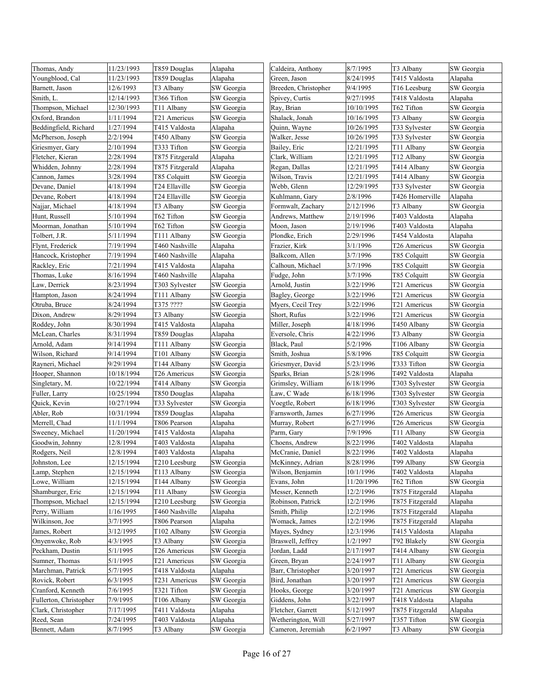| Thomas, Andy           | 11/23/1993 | T859 Douglas    | Alapaha    | Caldeira, Anthony    | 8/7/1995   | T3 Albany       | SW Georgia |
|------------------------|------------|-----------------|------------|----------------------|------------|-----------------|------------|
| Youngblood, Cal        | 11/23/1993 | T859 Douglas    | Alapaha    | Green, Jason         | 8/24/1995  | T415 Valdosta   | Alapaha    |
| Barnett, Jason         | 12/6/1993  | T3 Albany       | SW Georgia | Breeden, Christopher | 9/4/1995   | T16 Leesburg    | SW Georgia |
| Smith, L.              | 12/14/1993 | T366 Tifton     | SW Georgia | Spivey, Curtis       | 9/27/1995  | T418 Valdosta   | Alapaha    |
| Thompson, Michael      | 12/30/1993 | T11 Albany      | SW Georgia | Ray, Brian           | 10/10/1995 | T62 Tifton      | SW Georgia |
| Oxford, Brandon        | 1/11/1994  | T21 Americus    | SW Georgia | Shalack, Jonah       | 10/16/1995 | T3 Albany       | SW Georgia |
| Beddingfield, Richard  | 1/27/1994  | T415 Valdosta   | Alapaha    | Quinn, Wayne         | 10/26/1995 | T33 Sylvester   | SW Georgia |
| McPherson, Joseph      | 2/2/1994   | T450 Albany     | SW Georgia | Walker, Jesse        | 10/26/1995 | T33 Sylvester   | SW Georgia |
| Griesmyer, Gary        | 2/10/1994  | T333 Tifton     | SW Georgia | Bailey, Eric         | 12/21/1995 | T11 Albany      | SW Georgia |
| Fletcher, Kieran       | 2/28/1994  | T875 Fitzgerald | Alapaha    | Clark, William       | 12/21/1995 | T12 Albany      | SW Georgia |
| Whidden, Johnny        | 2/28/1994  | T875 Fitzgerald | Alapaha    | Regan, Dallas        | 12/21/1995 | T414 Albany     | SW Georgia |
| Cannon, James          | 3/28/1994  | T85 Colquitt    | SW Georgia | Wilson, Travis       | 12/21/1995 | T414 Albany     | SW Georgia |
| Devane, Daniel         | 4/18/1994  | T24 Ellaville   | SW Georgia | Webb, Glenn          | 12/29/1995 | T33 Sylvester   | SW Georgia |
| Devane, Robert         | 4/18/1994  | T24 Ellaville   | SW Georgia | Kuhlmann, Gary       | 2/8/1996   | T426 Homerville | Alapaha    |
| Najjar, Michael        | 4/18/1994  | T3 Albany       | SW Georgia | Formwalt, Zachary    | 2/12/1996  | T3 Albany       | SW Georgia |
| Hunt, Russell          | 5/10/1994  | T62 Tifton      | SW Georgia | Andrews, Matthew     | 2/19/1996  | T403 Valdosta   | Alapaha    |
| Moorman, Jonathan      | 5/10/1994  | T62 Tifton      | SW Georgia | Moon, Jason          | 2/19/1996  | T403 Valdosta   | Alapaha    |
| Tolbert, J.R.          | 5/11/1994  | T111 Albany     | SW Georgia | Plondke, Erich       | 2/29/1996  | T454 Valdosta   | Alapaha    |
| Flynt, Frederick       | 7/19/1994  | T460 Nashville  | Alapaha    | Frazier, Kirk        | 3/1/1996   | T26 Americus    | SW Georgia |
| Hancock, Kristopher    | 7/19/1994  | T460 Nashville  | Alapaha    | Balkcom, Allen       | 3/7/1996   | T85 Colquitt    | SW Georgia |
| Rackley, Eric          | 7/21/1994  | T415 Valdosta   | Alapaha    | Calhoun, Michael     | 3/7/1996   | T85 Colquitt    | SW Georgia |
| Thomas, Luke           | 8/16/1994  | T460 Nashville  | Alapaha    | Fudge, John          | 3/7/1996   | T85 Colquitt    | SW Georgia |
| Law, Derrick           | 8/23/1994  | T303 Sylvester  | SW Georgia | Arnold, Justin       | 3/22/1996  | T21 Americus    | SW Georgia |
| Hampton, Jason         | 8/24/1994  | T111 Albany     | SW Georgia | Bagley, George       | 3/22/1996  | T21 Americus    | SW Georgia |
| Otruba, Bruce          | 8/24/1994  | T375 ????       | SW Georgia | Myers, Cecil Trey    | 3/22/1996  | T21 Americus    | SW Georgia |
| Dixon, Andrew          | 8/29/1994  | T3 Albany       | SW Georgia | Short, Rufus         | 3/22/1996  | T21 Americus    | SW Georgia |
| Roddey, John           | 8/30/1994  | T415 Valdosta   | Alapaha    | Miller, Joseph       | 4/18/1996  | T450 Albany     | SW Georgia |
| McLean, Charles        | 8/31/1994  | T859 Douglas    | Alapaha    | Eversole, Chris      | 4/22/1996  | T3 Albany       | SW Georgia |
| Arnold, Adam           | 9/14/1994  | T111 Albany     | SW Georgia | Black, Paul          | 5/2/1996   | T106 Albany     | SW Georgia |
| Wilson, Richard        | 9/14/1994  | T101 Albany     | SW Georgia | Smith, Joshua        | 5/8/1996   | T85 Colquitt    | SW Georgia |
| Rayneri, Michael       | 9/29/1994  | T144 Albany     | SW Georgia | Griesmyer, David     | 5/23/1996  | T333 Tifton     | SW Georgia |
| Hooper, Shannon        | 10/18/1994 | T26 Americus    | SW Georgia | Sparks, Brian        | 5/28/1996  | T492 Valdosta   | Alapaha    |
| Singletary, M.         | 10/22/1994 | T414 Albany     | SW Georgia | Grimsley, William    | 6/18/1996  | T303 Sylvester  | SW Georgia |
| Fuller, Larry          | 10/25/1994 | T850 Douglas    | Alapaha    | Law, C Wade          | 6/18/1996  | T303 Sylvester  | SW Georgia |
| Quick, Kevin           | 10/27/1994 | T33 Sylvester   | SW Georgia | Voegtle, Robert      | 6/18/1996  | T303 Sylvester  | SW Georgia |
| Abler, Rob             | 10/31/1994 | T859 Douglas    | Alapaha    | Farnsworth, James    | 6/27/1996  | T26 Americus    | SW Georgia |
| Merrell, Chad          | 11/1/1994  | T806 Pearson    | Alapaha    | Murray, Robert       | 6/27/1996  | T26 Americus    | SW Georgia |
| Sweeney, Michael       | 11/20/1994 | T415 Valdosta   | Alapaha    | Parm, Gary           | 7/9/1996   | T11 Albany      | SW Georgia |
| Goodwin, Johnny        | 12/8/1994  | T403 Valdosta   | Alapaha    | Choens, Andrew       | 8/22/1996  | T402 Valdosta   | Alapaha    |
| Rodgers, Neil          | 12/8/1994  | T403 Valdosta   | Alapaha    | McCranie, Daniel     | 8/22/1996  | T402 Valdosta   | Alapaha    |
| Johnston, Lee          | 12/15/1994 | T210 Leesburg   | SW Georgia | McKinney, Adrian     | 8/28/1996  | T99 Albany      | SW Georgia |
| Lamp, Stephen          | 12/15/1994 | T113 Albany     | SW Georgia | Wilson, Benjamin     | 10/1/1996  | Γ402 Valdosta   | Alapaha    |
| Lowe, William          | 12/15/1994 | T144 Albany     | SW Georgia | Evans, John          | 11/20/1996 | Γ62 Tifton      | SW Georgia |
| Shamburger, Eric       | 12/15/1994 | T11 Albany      | SW Georgia | Messer, Kenneth      | 12/2/1996  | T875 Fitzgerald | Alapaha    |
| Thompson, Michael      | 12/15/1994 | T210 Leesburg   | SW Georgia | Robinson, Patrick    | 12/2/1996  | T875 Fitzgerald | Alapaha    |
| Perry, William         | 1/16/1995  | T460 Nashville  | Alapaha    | Smith, Philip        | 12/2/1996  | T875 Fitzgerald | Alapaha    |
| Wilkinson, Joe         | 3/7/1995   | T806 Pearson    | Alapaha    | Womack, James        | 12/2/1996  | T875 Fitzgerald | Alapaha    |
| James, Robert          | 3/12/1995  | T102 Albany     | SW Georgia | Mayes, Sydney        | 12/3/1996  | T415 Valdosta   | Alapaha    |
| Onyenwoke, Rob         | 4/3/1995   | T3 Albany       | SW Georgia | Braswell, Jeffrey    | 1/2/1997   | T92 Blakely     | SW Georgia |
| Peckham, Dustin        | 5/1/1995   | T26 Americus    | SW Georgia | Jordan, Ladd         | 2/17/1997  | T414 Albany     | SW Georgia |
| Sumner, Thomas         | 5/1/1995   | T21 Americus    | SW Georgia | Green, Bryan         | 2/24/1997  | T11 Albany      | SW Georgia |
| Marchman, Patrick      | 5/7/1995   | T418 Valdosta   | Alapaha    | Barr, Christopher    | 3/20/1997  | T21 Americus    | SW Georgia |
| Rovick, Robert         | 6/3/1995   | T231 Americus   | SW Georgia | Bird, Jonathan       | 3/20/1997  | T21 Americus    | SW Georgia |
| Cranford, Kenneth      | 7/6/1995   | T321 Tifton     | SW Georgia | Hooks, George        | 3/20/1997  | T21 Americus    | SW Georgia |
| Fullerton, Christopher | 7/9/1995   | T106 Albany     | SW Georgia | Giddens, John        | 3/22/1997  | T418 Valdosta   | Alapaha    |
| Clark, Christopher     | 7/17/1995  | T411 Valdosta   | Alapaha    | Fletcher, Garrett    | 5/12/1997  | T875 Fitzgerald | Alapaha    |
| Reed, Sean             | 7/24/1995  | T403 Valdosta   | Alapaha    | Wetherington, Will   | 5/27/1997  | T357 Tifton     | SW Georgia |
| Bennett, Adam          | 8/7/1995   | T3 Albany       | SW Georgia | Cameron, Jeremiah    | 6/2/1997   | T3 Albany       | SW Georgia |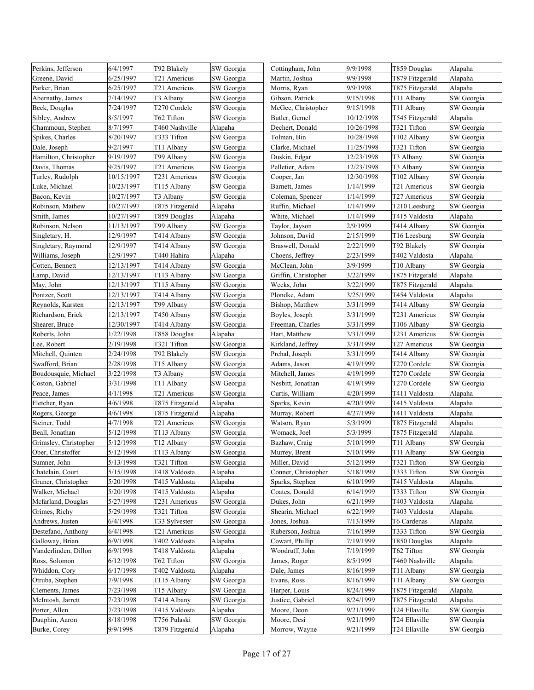| Perkins, Jefferson    | 6/4/1997   | T92 Blakely            | SW Georgia | Cottingham, John     | 9/9/1998   | T859 Douglas    | Alapaha               |
|-----------------------|------------|------------------------|------------|----------------------|------------|-----------------|-----------------------|
| Greene, David         | 6/25/1997  | T21 Americus           | SW Georgia | Martin, Joshua       | 9/9/1998   | T879 Fitzgerald | Alapaha               |
| Parker, Brian         | 6/25/1997  | T21 Americus           | SW Georgia | Morris, Ryan         | 9/9/1998   | T875 Fitzgerald | Alapaha               |
| Abernathy, James      | 7/14/1997  | T3 Albany              | SW Georgia | Gibson, Patrick      | 9/15/1998  | T11 Albany      | SW Georgia            |
| Beck, Douglas         | 7/24/1997  | T270 Cordele           | SW Georgia | McGee, Christopher   | 9/15/1998  | T11 Albany      | SW Georgia            |
| Sibley, Andrew        | 8/5/1997   | T62 Tifton             | SW Georgia | Butler, Gemel        | 10/12/1998 | T545 Fitzgerald | Alapaha               |
| Chammoun, Stephen     | 8/7/1997   | T460 Nashville         | Alapaha    | Dechert, Donald      | 10/26/1998 | T321 Tifton     | SW Georgia            |
| Spikes, Charles       | 8/20/1997  | T333 Tifton            | SW Georgia | Tolman, Bin          | 10/28/1998 | T102 Albany     | SW Georgia            |
| Dale, Joseph          | 9/2/1997   | T11 Albany             | SW Georgia | Clarke, Michael      | 11/25/1998 | T321 Tifton     | SW Georgia            |
| Hamilton, Christopher | 9/19/1997  | T99 Albany             | SW Georgia | Duskin, Edgar        | 12/23/1998 | T3 Albany       | SW Georgia            |
| Davis, Thomas         | 9/25/1997  | T21 Americus           | SW Georgia | Pelletier, Adam      | 12/23/1998 | T3 Albany       | SW Georgia            |
| Turley, Rudolph       | 10/15/1997 | T231 Americus          | SW Georgia | Cooper, Jan          | 12/30/1998 | T102 Albany     | SW Georgia            |
| Luke, Michael         | 10/23/1997 | T115 Albany            | SW Georgia | Barnett, James       | 1/14/1999  | T21 Americus    | SW Georgia            |
| Bacon, Kevin          | 10/27/1997 | T3 Albany              | SW Georgia | Coleman, Spencer     | 1/14/1999  | T27 Americus    | SW Georgia            |
| Robinson, Mathew      | 10/27/1997 | T875 Fitzgerald        | Alapaha    | Ruffin, Michael      | 1/14/1999  | T210 Leesburg   | SW Georgia            |
| Smith, James          | 10/27/1997 | T859 Douglas           | Alapaha    | White, Michael       | 1/14/1999  | T415 Valdosta   | Alapaha               |
| Robinson, Nelson      | 11/13/1997 | T99 Albany             | SW Georgia | Taylor, Jayson       | 2/9/1999   | T414 Albany     | SW Georgia            |
| Singletary, H.        | 12/9/1997  | T414 Albany            | SW Georgia | Johnson, David       | 2/15/1999  | T16 Leesburg    | SW Georgia            |
| Singletary, Raymond   | 12/9/1997  | T414 Albany            | SW Georgia | Braswell, Donald     | 2/22/1999  | T92 Blakely     | SW Georgia            |
| Williams, Joseph      | 12/9/1997  | T440 Hahira            | Alapaha    | Choens, Jeffrey      | 2/23/1999  | T402 Valdosta   | Alapaha               |
| Cotten, Bennett       | 12/13/1997 | T414 Albany            | SW Georgia | McClean, John        | 3/9/1999   | T10 Albany      | SW Georgia            |
| Lamp, David           | 12/13/1997 | T113 Albany            | SW Georgia | Griffin, Christopher | 3/22/1999  | T875 Fitzgerald | Alapaha               |
| May, John             | 12/13/1997 | T115 Albany            | SW Georgia | Weeks, John          | 3/22/1999  | T875 Fitzgerald | Alapaha               |
| Pontzer, Scott        | 12/13/1997 | T414 Albany            | SW Georgia | Plondke, Adam        | 3/25/1999  | T454 Valdosta   | Alapaha               |
| Reynolds, Karsten     | 12/13/1997 | T99 Albany             | SW Georgia | Bishop, Matthew      | 3/31/1999  | T414 Albany     | SW Georgia            |
| Richardson, Erick     | 12/13/1997 | T450 Albany            | SW Georgia | Boyles, Joseph       | 3/31/1999  | T231 Americus   | SW Georgia            |
| Shearer, Bruce        | 12/30/1997 | T414 Albany            | SW Georgia | Freeman, Charles     | 3/31/1999  | T106 Albany     | SW Georgia            |
| Roberts, John         | 1/22/1998  | T858 Douglas           | Alapaha    | Hart, Matthew        | 3/31/1999  | T231 Americus   | SW Georgia            |
| Lee, Robert           | 2/19/1998  | T321 Tifton            | SW Georgia | Kirkland, Jeffrey    | 3/31/1999  | T27 Americus    | SW Georgia            |
| Mitchell, Quinten     | 2/24/1998  | T92 Blakely            | SW Georgia | Prchal, Joseph       | 3/31/1999  | T414 Albany     | SW Georgia            |
| Swafford, Brian       | 2/28/1998  | T15 Albany             | SW Georgia | Adams, Jason         | 4/19/1999  | T270 Cordele    | SW Georgia            |
| Boudousquie, Michael  | 3/22/1998  | T3 Albany              | SW Georgia | Mitchell, James      | 4/19/1999  | T270 Cordele    | SW Georgia            |
| Coston, Gabriel       | 3/31/1998  | T11 Albany             | SW Georgia | Nesbitt, Jonathan    | 4/19/1999  | T270 Cordele    | SW Georgia            |
| Peace, James          | 4/1/1998   | T21 Americus           | SW Georgia | Curtis, William      | 4/20/1999  | T411 Valdosta   | Alapaha               |
| Fletcher, Ryan        | 4/6/1998   | T875 Fitzgerald        | Alapaha    | Sparks, Kevin        | 4/20/1999  | T415 Valdosta   | Alapaha               |
| Rogers, George        | 4/6/1998   | T875 Fitzgerald        | Alapaha    | Murray, Robert       | 4/27/1999  | T411 Valdosta   | Alapaha               |
| Steiner, Todd         | 4/7/1998   | T21 Americus           | SW Georgia | Watson, Ryan         | 5/3/1999   | T875 Fitzgerald | Alapaha               |
| Beall, Jonathan       | 5/12/1998  | T113 Albany            | SW Georgia | Womack, Joel         | 5/3/1999   | T875 Fitzgerald | Alapaha               |
| Grimsley, Christopher | 5/12/1998  | T <sub>12</sub> Albany | SW Georgia | Bazhaw, Craig        | 5/10/1999  | T11 Albany      | SW Georgia            |
| Ober, Christoffer     | 5/12/1998  | T113 Albany            | SW Georgia | Murrey, Brent        | 5/10/1999  | T11 Albany      | SW Georgia            |
| Sumner, John          | 5/13/1998  | T321 Tifton            | SW Georgia | Miller, David        | 5/12/1999  | T321 Tifton     | SW Georgia            |
| Chatelain, Court      | 5/15/1998  | T418 Valdosta          | Alapaha    | Conner, Christopher  | 5/18/1999  | T333 Tifton     | SW Georgia            |
| Gruner, Christopher   | 5/20/1998  | T415 Valdosta          | Alapaha    | Sparks, Stephen      | 6/10/1999  | T415 Valdosta   | Alapaha               |
| Walker, Michael       | 5/20/1998  | T415 Valdosta          | Alapaha    | Coates, Donald       | 6/14/1999  | T333 Tifton     | SW Georgia            |
| Mcfarland, Douglas    | 5/27/1998  | T231 Americus          | SW Georgia | Dukes, John          | 6/21/1999  | T403 Valdosta   | Alapaha               |
| Grimes, Richy         | 5/29/1998  | T321 Tifton            | SW Georgia | Shearin, Michael     | 6/22/1999  | T403 Valdosta   | Alapaha               |
| Andrews, Justen       | 6/4/1998   | T33 Sylvester          | SW Georgia | Jones, Joshua        | 7/13/1999  | T6 Cardenas     |                       |
| Destefano, Anthony    | 6/4/1998   | T21 Americus           | SW Georgia | Ruberson, Joshua     | 7/16/1999  | T333 Tifton     | Alapaha<br>SW Georgia |
| Galloway, Brian       | 6/9/1998   | T402 Valdosta          | Alapaha    | Cowart, Phillip      | 7/19/1999  | T850 Douglas    |                       |
| Vanderlinden, Dillon  | 6/9/1998   | T418 Valdosta          | Alapaha    | Woodruff, John       | 7/19/1999  | T62 Tifton      | Alapaha<br>SW Georgia |
|                       |            |                        |            |                      |            |                 |                       |
| Ross, Solomon         | 6/12/1998  | T62 Tifton             | SW Georgia | James, Roger         | 8/5/1999   | T460 Nashville  | Alapaha               |
| Whiddon, Cory         | 6/17/1998  | T402 Valdosta          | Alapaha    | Dale, James          | 8/16/1999  | T11 Albany      | SW Georgia            |
| Otruba, Stephen       | 7/9/1998   | T115 Albany            | SW Georgia | Evans, Ross          | 8/16/1999  | T11 Albany      | SW Georgia            |
| Clements, James       | 7/23/1998  | T15 Albany             | SW Georgia | Harper, Louis        | 8/24/1999  | T875 Fitzgerald | Alapaha               |
| McIntosh, Jarrett     | 7/23/1998  | T414 Albany            | SW Georgia | Justice, Gabriel     | 8/24/1999  | T875 Fitzgerald | Alapaha               |
| Porter, Allen         | 7/23/1998  | T415 Valdosta          | Alapaha    | Moore, Deon          | 9/21/1999  | T24 Ellaville   | SW Georgia            |
| Dauphin, Aaron        | 8/18/1998  | T756 Pulaski           | SW Georgia | Moore, Desi          | 9/21/1999  | T24 Ellaville   | SW Georgia            |
| Burke, Corey          | 9/9/1998   | T879 Fitzgerald        | Alapaha    | Morrow, Wayne        | 9/21/1999  | T24 Ellaville   | SW Georgia            |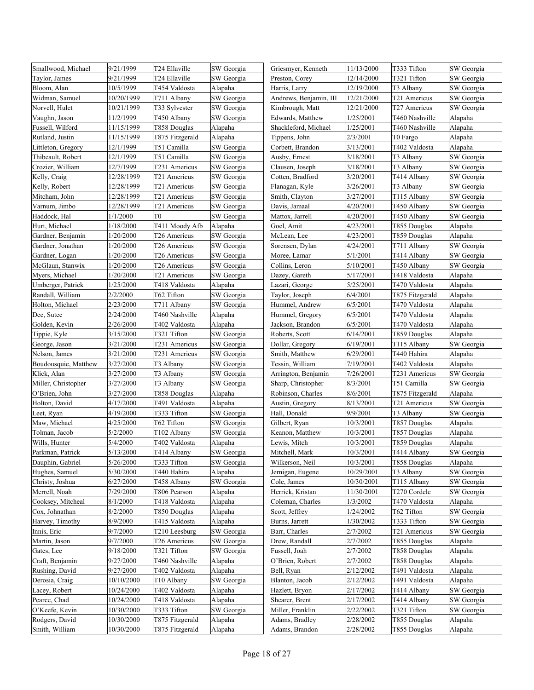| Smallwood, Michael   | 9/21/1999  | T24 Ellaville   | SW Georgia | Griesmyer, Kenneth     | 11/13/2000 | T333 Tifton     | SW Georgia |
|----------------------|------------|-----------------|------------|------------------------|------------|-----------------|------------|
| Taylor, James        | 9/21/1999  | T24 Ellaville   | SW Georgia | Preston, Corey         | 12/14/2000 | T321 Tifton     | SW Georgia |
| Bloom, Alan          | 10/5/1999  | T454 Valdosta   | Alapaha    | Harris, Larry          | 12/19/2000 | T3 Albany       | SW Georgia |
| Widman, Samuel       | 10/20/1999 | T711 Albany     | SW Georgia | Andrews, Benjamin, III | 12/21/2000 | T21 Americus    | SW Georgia |
| Norvell, Hulet       | 10/21/1999 | T33 Sylvester   | SW Georgia | Kimbrough, Matt        | 12/21/2000 | T27 Americus    | SW Georgia |
| Vaughn, Jason        | 11/2/1999  | T450 Albany     | SW Georgia | Edwards, Matthew       | 1/25/2001  | T460 Nashville  | Alapaha    |
| Fussell, Wilford     | 11/15/1999 | T858 Douglas    | Alapaha    | Shackleford, Michael   | 1/25/2001  | T460 Nashville  | Alapaha    |
| Rutland, Justin      | 11/15/1999 | T875 Fitzgerald | Alapaha    | Tippens, John          | 2/3/2001   | T0 Fargo        | Alapaha    |
| Littleton, Gregory   | 12/1/1999  | T51 Camilla     | SW Georgia | Corbett, Brandon       | 3/13/2001  | T402 Valdosta   | Alapaha    |
| Thibeault, Robert    | 12/1/1999  | T51 Camilla     | SW Georgia | Ausby, Ernest          | 3/18/2001  | T3 Albany       | SW Georgia |
| Crozier, William     | 12/7/1999  | T231 Americus   | SW Georgia | Clausen, Joseph        | 3/18/2001  | T3 Albany       | SW Georgia |
| Kelly, Craig         | 12/28/1999 | T21 Americus    | SW Georgia | Cotten, Bradford       | 3/20/2001  | T414 Albany     | SW Georgia |
| Kelly, Robert        | 12/28/1999 | T21 Americus    | SW Georgia | Flanagan, Kyle         | 3/26/2001  | T3 Albany       | SW Georgia |
| Mitcham, John        | 12/28/1999 | T21 Americus    | SW Georgia | Smith, Clayton         | 3/27/2001  | T115 Albany     | SW Georgia |
| Varnum, Jimbo        | 12/28/1999 | T21 Americus    | SW Georgia | Davis, Jamaal          | 4/20/2001  | T450 Albany     | SW Georgia |
| Haddock, Hal         | 1/1/2000   | T0              | SW Georgia | Mattox, Jarrell        | 4/20/2001  | T450 Albany     | SW Georgia |
| Hurt, Michael        | 1/18/2000  | T411 Moody Afb  | Alapaha    | Goel, Amit             | 4/23/2001  | T855 Douglas    | Alapaha    |
| Gardner, Benjamin    | 1/20/2000  | T26 Americus    | SW Georgia | McLean, Lee            | 4/23/2001  | T859 Douglas    | Alapaha    |
| Gardner, Jonathan    | 1/20/2000  | T26 Americus    | SW Georgia | Sorensen, Dylan        | 4/24/2001  | T711 Albany     | SW Georgia |
| Gardner, Logan       | 1/20/2000  | T26 Americus    | SW Georgia | Moree, Lamar           | 5/1/2001   | T414 Albany     | SW Georgia |
| McGlaun, Stanwix     | 1/20/2000  | T26 Americus    | SW Georgia | Collins, Leron         | 5/10/2001  | T450 Albany     | SW Georgia |
| Myers, Michael       | 1/20/2000  | T21 Americus    | SW Georgia | Dazey, Gareth          | 5/17/2001  | T418 Valdosta   | Alapaha    |
| Umberger, Patrick    | 1/25/2000  | T418 Valdosta   | Alapaha    | Lazari, George         | 5/25/2001  | T470 Valdosta   | Alapaha    |
| Randall, William     | 2/2/2000   | T62 Tifton      | SW Georgia | Taylor, Joseph         | 6/4/2001   | T875 Fitzgerald | Alapaha    |
| Holton, Michael      | 2/23/2000  | T711 Albany     | SW Georgia | Hummel, Andrew         | 6/5/2001   | T470 Valdosta   | Alapaha    |
| Dee, Sutee           | 2/24/2000  | T460 Nashville  | Alapaha    | Hummel, Gregory        | 6/5/2001   | T470 Valdosta   | Alapaha    |
| Golden, Kevin        | 2/26/2000  | T402 Valdosta   | Alapaha    | Jackson, Brandon       | 6/5/2001   | T470 Valdosta   | Alapaha    |
| Tippie, Kyle         | 3/15/2000  | T321 Tifton     | SW Georgia | Roberts, Scott         | 6/14/2001  | T859 Douglas    | Alapaha    |
| George, Jason        | 3/21/2000  | T231 Americus   | SW Georgia | Dollar, Gregory        | 6/19/2001  | T115 Albany     | SW Georgia |
| Nelson, James        | 3/21/2000  | T231 Americus   | SW Georgia | Smith, Matthew         | 6/29/2001  | T440 Hahira     | Alapaha    |
| Boudousquie, Matthew | 3/27/2000  | T3 Albany       | SW Georgia | Tessin, William        | 7/19/2001  | T402 Valdosta   | Alapaha    |
| Klick, Alan          | 3/27/2000  | T3 Albany       | SW Georgia | Arrington, Benjamin    | 7/26/2001  | T231 Americus   | SW Georgia |
| Miller, Christopher  | 3/27/2000  | T3 Albany       | SW Georgia | Sharp, Christopher     | 8/3/2001   | T51 Camilla     | SW Georgia |
| O'Brien, John        | 3/27/2000  | T858 Douglas    | Alapaha    | Robinson, Charles      | 8/6/2001   | T875 Fitzgerald | Alapaha    |
| Holton, David        | 4/17/2000  | T491 Valdosta   | Alapaha    | Austin, Gregory        | 8/13/2001  | T21 Americus    | SW Georgia |
| Leet, Ryan           | 4/19/2000  | T333 Tifton     | SW Georgia | Hall, Donald           | 9/9/2001   | T3 Albany       | SW Georgia |
| Maw, Michael         | 4/25/2000  | T62 Tifton      | SW Georgia | Gilbert, Ryan          | 10/3/2001  | T857 Douglas    | Alapaha    |
| Tolman, Jacob        | 5/2/2000   | T102 Albany     | SW Georgia | Keanon, Matthew        | 10/3/2001  | T857 Douglas    | Alapaha    |
| Wills, Hunter        | 5/4/2000   | T402 Valdosta   | Alapaha    | Lewis, Mitch           | 10/3/2001  | T859 Douglas    | Alapaha    |
| Parkman, Patrick     | 5/13/2000  | T414 Albany     | SW Georgia | Mitchell, Mark         | 10/3/2001  | T414 Albany     | SW Georgia |
| Dauphin, Gabriel     | 5/26/2000  | T333 Tifton     | SW Georgia | Wilkerson, Neil        | 10/3/2001  | T858 Douglas    | Alapaha    |
| Hughes, Samuel       | 5/30/2000  | T440 Hahira     | Alapaha    | Jernigan, Eugene       | 10/29/2001 | T3 Albany       | SW Georgia |
| Christy, Joshua      | 6/27/2000  | T458 Albany     | SW Georgia | Cole, James            | 10/30/2001 | T115 Albany     | SW Georgia |
| Merrell, Noah        | 7/29/2000  | T806 Pearson    | Alapaha    | Herrick, Kristan       | 11/30/2001 | T270 Cordele    | SW Georgia |
| Cooksey, Mitcheal    | 8/1/2000   | T418 Valdosta   | Alapaha    | Coleman, Charles       | 1/3/2002   | T470 Valdosta   | Alapaha    |
| Cox, Johnathan       | 8/2/2000   | T850 Douglas    | Alapaha    | Scott, Jeffrey         | 1/24/2002  | T62 Tifton      | SW Georgia |
| Harvey, Timothy      | 8/9/2000   | T415 Valdosta   | Alapaha    | Burns, Jarrett         | 1/30/2002  | T333 Tifton     | SW Georgia |
| Innis, Eric          | 9/7/2000   | T210 Leesburg   | SW Georgia | Barr, Charles          | 2/7/2002   | T21 Americus    | SW Georgia |
| Martin, Jason        | 9/7/2000   | T26 Americus    | SW Georgia | Drew, Randall          | 2/7/2002   | T855 Douglas    | Alapaha    |
| Gates, Lee           | 9/18/2000  | T321 Tifton     | SW Georgia | Fussell, Joah          | 2/7/2002   | T858 Douglas    | Alapaha    |
| Craft, Benjamin      | 9/27/2000  | T460 Nashville  | Alapaha    | O'Brien, Robert        | 2/7/2002   | T858 Douglas    | Alapaha    |
| Rushing, David       | 9/27/2000  | T402 Valdosta   | Alapaha    | Bell, Ryan             | 2/12/2002  | T491 Valdosta   | Alapaha    |
| Derosia, Craig       | 10/10/2000 | T10 Albany      | SW Georgia | Blanton, Jacob         | 2/12/2002  | T491 Valdosta   | Alapaha    |
| Lacey, Robert        | 10/24/2000 | T402 Valdosta   | Alapaha    | Hazlett, Bryon         | 2/17/2002  | T414 Albany     | SW Georgia |
| Pearce, Chad         | 10/24/2000 | T418 Valdosta   | Alapaha    | Shearer, Brent         | 2/17/2002  | T414 Albany     | SW Georgia |
| O'Keefe, Kevin       | 10/30/2000 | T333 Tifton     | SW Georgia | Miller, Franklin       | 2/22/2002  | T321 Tifton     | SW Georgia |
| Rodgers, David       | 10/30/2000 | T875 Fitzgerald | Alapaha    | Adams, Bradley         | 2/28/2002  | T855 Douglas    | Alapaha    |
| Smith, William       | 10/30/2000 | T875 Fitzgerald | Alapaha    | Adams, Brandon         | 2/28/2002  | T855 Douglas    | Alapaha    |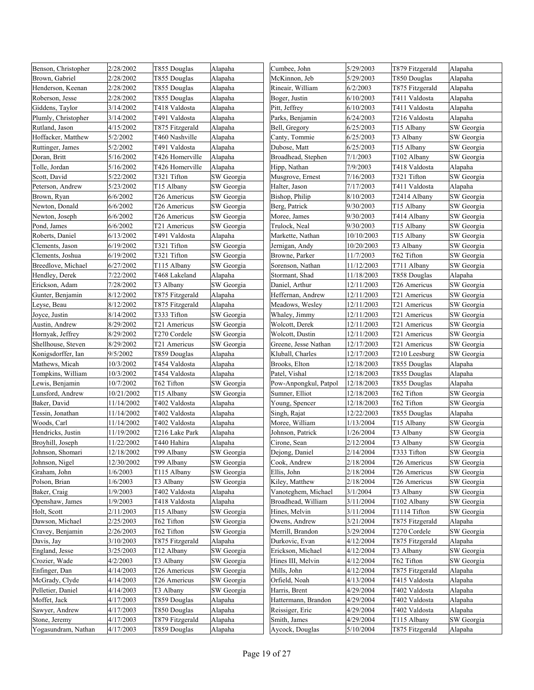| Benson, Christopher | 2/28/2002  | T855 Douglas    | Alapaha    | Cumbee, John          | 5/29/2003  | T879 Fitzgerald | Alapaha    |
|---------------------|------------|-----------------|------------|-----------------------|------------|-----------------|------------|
| Brown, Gabriel      | 2/28/2002  | T855 Douglas    | Alapaha    | McKinnon, Jeb         | 5/29/2003  | T850 Douglas    | Alapaha    |
| Henderson, Keenan   | 2/28/2002  | T855 Douglas    | Alapaha    | Rineair, William      | 6/2/2003   | T875 Fitzgerald | Alapaha    |
| Roberson, Jesse     | 2/28/2002  | T855 Douglas    | Alapaha    | Boger, Justin         | 6/10/2003  | T411 Valdosta   | Alapaha    |
| Giddens, Taylor     | 3/14/2002  | T418 Valdosta   | Alapaha    | Pitt, Jeffrey         | 6/10/2003  | T411 Valdosta   | Alapaha    |
| Plumly, Christopher | 3/14/2002  | T491 Valdosta   | Alapaha    | Parks, Benjamin       | 6/24/2003  | T216 Valdosta   | Alapaha    |
| Rutland, Jason      | 4/15/2002  | T875 Fitzgerald | Alapaha    | Bell, Gregory         | 6/25/2003  | T15 Albany      | SW Georgia |
| Hoffacker, Matthew  | 5/2/2002   | T460 Nashville  | Alapaha    | Canty, Tommie         | 6/25/2003  | T3 Albany       | SW Georgia |
| Ruttinger, James    | 5/2/2002   | T491 Valdosta   | Alapaha    | Dubose, Matt          | 6/25/2003  | T15 Albany      | SW Georgia |
| Doran, Britt        | 5/16/2002  | T426 Homerville | Alapaha    | Broadhead, Stephen    | 7/1/2003   | T102 Albany     | SW Georgia |
| Tolle, Jordan       | 5/16/2002  | T426 Homerville | Alapaha    | Hipp, Nathan          | 7/9/2003   | T418 Valdosta   | Alapaha    |
| Scott, David        | 5/22/2002  | T321 Tifton     | SW Georgia | Musgrove, Ernest      | 7/16/2003  | T321 Tifton     | SW Georgia |
| Peterson, Andrew    | 5/23/2002  | T15 Albany      | SW Georgia | Halter, Jason         | 7/17/2003  | T411 Valdosta   | Alapaha    |
| Brown, Ryan         | 6/6/2002   | T26 Americus    | SW Georgia | Bishop, Philip        | 8/10/2003  | T2414 Albany    | SW Georgia |
| Newton, Donald      | 6/6/2002   | T26 Americus    | SW Georgia | Berg, Patrick         | 9/30/2003  | T15 Albany      | SW Georgia |
| Newton, Joseph      | 6/6/2002   | T26 Americus    | SW Georgia | Moree, James          | 9/30/2003  | T414 Albany     | SW Georgia |
| Pond, James         | 6/6/2002   | T21 Americus    | SW Georgia | Trulock, Neal         | 9/30/2003  | T15 Albany      | SW Georgia |
| Roberts, Daniel     | 6/13/2002  | T491 Valdosta   | Alapaha    | Markette, Nathan      | 10/10/2003 | T15 Albany      | SW Georgia |
| Clements, Jason     | 6/19/2002  | T321 Tifton     | SW Georgia | Jernigan, Andy        | 10/20/2003 | T3 Albany       | SW Georgia |
| Clements, Joshua    | 6/19/2002  | T321 Tifton     | SW Georgia | Browne, Parker        | 11/7/2003  | T62 Tifton      | SW Georgia |
| Breedlove, Michael  | 6/27/2002  | T115 Albany     | SW Georgia | Sorenson, Nathan      | 11/12/2003 | T711 Albany     | SW Georgia |
| Hendley, Derek      | 7/22/2002  | T468 Lakeland   | Alapaha    | Stormant, Shad        | 11/18/2003 | T858 Douglas    | Alapaha    |
| Erickson, Adam      | 7/28/2002  | T3 Albany       | SW Georgia | Daniel, Arthur        | 12/11/2003 | T26 Americus    | SW Georgia |
| Gunter, Benjamin    | 8/12/2002  | T875 Fitzgerald | Alapaha    | Heffernan, Andrew     | 12/11/2003 | T21 Americus    | SW Georgia |
| Leyse, Beau         | 8/12/2002  | T875 Fitzgerald | Alapaha    | Meadows, Wesley       | 12/11/2003 | T21 Americus    | SW Georgia |
| Joyce, Justin       | 8/14/2002  | T333 Tifton     | SW Georgia | Whaley, Jimmy         | 12/11/2003 | T21 Americus    | SW Georgia |
| Austin, Andrew      | 8/29/2002  | T21 Americus    | SW Georgia | Wolcott, Derek        | 12/11/2003 | T21 Americus    | SW Georgia |
| Hornyak, Jeffrey    | 8/29/2002  | T270 Cordele    | SW Georgia | Wolcott, Dustin       | 12/11/2003 | T21 Americus    | SW Georgia |
| Shellhouse, Steven  | 8/29/2002  | T21 Americus    | SW Georgia | Greene, Jesse Nathan  | 12/17/2003 | T21 Americus    | SW Georgia |
| Konigsdorffer, Ian  | 9/5/2002   | T859 Douglas    | Alapaha    | Kluball, Charles      | 12/17/2003 | T210 Leesburg   | SW Georgia |
| Mathews, Micah      | 10/3/2002  | T454 Valdosta   | Alapaha    | Brooks, Elton         | 12/18/2003 | T855 Douglas    | Alapaha    |
| Tompkins, William   | 10/3/2002  | T454 Valdosta   | Alapaha    | Patel, Vishal         | 12/18/2003 | T855 Douglas    | Alapaha    |
| Lewis, Benjamin     | 10/7/2002  | T62 Tifton      | SW Georgia | Pow-Anpongkul, Patpol | 12/18/2003 | T855 Douglas    | Alapaha    |
| Lunsford, Andrew    | 10/21/2002 | T15 Albany      | SW Georgia | Sumner, Elliot        | 12/18/2003 | T62 Tifton      | SW Georgia |
| Baker, David        | 11/14/2002 | T402 Valdosta   | Alapaha    | Young, Spencer        | 12/18/2003 | T62 Tifton      | SW Georgia |
| Tessin, Jonathan    | 11/14/2002 | T402 Valdosta   | Alapaha    | Singh, Rajat          | 12/22/2003 | T855 Douglas    | Alapaha    |
| Woods, Carl         | 11/14/2002 | T402 Valdosta   | Alapaha    | Moree, William        | 1/13/2004  | T15 Albany      | SW Georgia |
| Hendricks, Justin   | 11/19/2002 | T216 Lake Park  | Alapaha    | Johnson, Patrick      | 1/26/2004  | T3 Albany       | SW Georgia |
| Broyhill, Joseph    | 11/22/2002 | T440 Hahira     | Alapaha    | Cirone, Sean          | 2/12/2004  | T3 Albany       | SW Georgia |
| Johnson, Shomari    | 12/18/2002 | T99 Albany      | SW Georgia | Dejong, Daniel        | 2/14/2004  | T333 Tifton     | SW Georgia |
| Johnson, Nigel      | 12/30/2002 | T99 Albany      | SW Georgia | Cook, Andrew          | 2/18/2004  | T26 Americus    | SW Georgia |
| Graham, John        | 1/6/2003   | T115 Albany     | SW Georgia | Ellis, John           | 2/18/2004  | T26 Americus    | SW Georgia |
| Polson, Brian       | 1/6/2003   | T3 Albany       | SW Georgia | Kiley, Matthew        | 2/18/2004  | T26 Americus    | SW Georgia |
| Baker, Craig        | 1/9/2003   | T402 Valdosta   | Alapaha    | Vanoteghem, Michael   | 3/1/2004   | T3 Albany       | SW Georgia |
| Openshaw, James     | 1/9/2003   | T418 Valdosta   | Alapaha    | Broadhead, William    | 3/11/2004  | T102 Albany     | SW Georgia |
| Holt, Scott         | 2/11/2003  | T15 Albany      | SW Georgia | Hines, Melvin         | 3/11/2004  | T1114 Tifton    | SW Georgia |
| Dawson, Michael     | 2/25/2003  | T62 Tifton      | SW Georgia | Owens, Andrew         | 3/21/2004  | T875 Fitzgerald | Alapaha    |
| Cravey, Benjamin    | 2/26/2003  | T62 Tifton      | SW Georgia | Merrill, Brandon      | 3/29/2004  | T270 Cordele    | SW Georgia |
| Davis, Jay          | 3/10/2003  | T875 Fitzgerald | Alapaha    | Durkovic, Evan        | 4/12/2004  | T875 Fitzgerald | Alapaha    |
| England, Jesse      | 3/25/2003  | T12 Albany      | SW Georgia | Erickson, Michael     | 4/12/2004  | T3 Albany       | SW Georgia |
| Crozier, Wade       | 4/2/2003   | T3 Albany       | SW Georgia | Hines III, Melvin     | 4/12/2004  | T62 Tifton      | SW Georgia |
| Enfinger, Dan       | 4/14/2003  | T26 Americus    | SW Georgia | Mills, John           | 4/12/2004  | T875 Fitzgerald | Alapaha    |
| McGrady, Clyde      | 4/14/2003  | T26 Americus    | SW Georgia | Orfield, Noah         | 4/13/2004  | T415 Valdosta   | Alapaha    |
| Pelletier, Daniel   | 4/14/2003  | T3 Albany       | SW Georgia | Harris, Brent         | 4/29/2004  | T402 Valdosta   | Alapaha    |
| Moffet, Jack        | 4/17/2003  | T859 Douglas    | Alapaha    | Hattermann, Brandon   | 4/29/2004  | T402 Valdosta   | Alapaha    |
| Sawyer, Andrew      | 4/17/2003  | T850 Douglas    | Alapaha    | Reissiger, Eric       | 4/29/2004  | T402 Valdosta   | Alapaha    |
| Stone, Jeremy       | 4/17/2003  | T879 Fitzgerald | Alapaha    | Smith, James          | 4/29/2004  | T115 Albany     | SW Georgia |
| Yogasundram, Nathan | 4/17/2003  | T859 Douglas    | Alapaha    | Aycock, Douglas       | 5/10/2004  | T875 Fitzgerald | Alapaha    |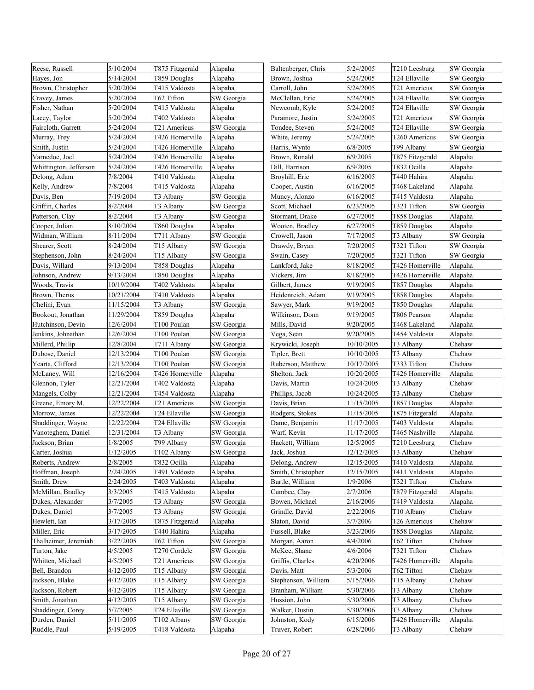| Reese, Russell         | 5/10/2004  | T875 Fitzgerald | Alapaha    | Baltenberger, Chris | 5/24/2005  | T210 Leesburg   | SW Georgia |
|------------------------|------------|-----------------|------------|---------------------|------------|-----------------|------------|
| Hayes, Jon             | 5/14/2004  | T859 Douglas    | Alapaha    | Brown, Joshua       | 5/24/2005  | T24 Ellaville   | SW Georgia |
| Brown, Christopher     | 5/20/2004  | T415 Valdosta   | Alapaha    | Carroll, John       | 5/24/2005  | T21 Americus    | SW Georgia |
| Cravey, James          | 5/20/2004  | T62 Tifton      | SW Georgia | McClellan, Eric     | 5/24/2005  | T24 Ellaville   | SW Georgia |
| Fisher, Nathan         | 5/20/2004  | T415 Valdosta   | Alapaha    | Newcomb, Kyle       | 5/24/2005  | T24 Ellaville   | SW Georgia |
| Lacey, Taylor          | 5/20/2004  | T402 Valdosta   | Alapaha    | Paramore, Justin    | 5/24/2005  | T21 Americus    | SW Georgia |
| Faircloth, Garrett     | 5/24/2004  | T21 Americus    | SW Georgia | Tondee, Steven      | 5/24/2005  | T24 Ellaville   | SW Georgia |
| Murray, Trey           | 5/24/2004  | T426 Homerville | Alapaha    | White, Jeremy       | 5/24/2005  | T260 Americus   | SW Georgia |
| Smith, Justin          | 5/24/2004  | T426 Homerville | Alapaha    | Harris, Wynto       | 6/8/2005   | T99 Albany      | SW Georgia |
| Varnedoe, Joel         | 5/24/2004  | T426 Homerville | Alapaha    | Brown, Ronald       | 6/9/2005   | T875 Fitzgerald | Alapaha    |
| Whittington, Jefferson | 5/24/2004  | T426 Homerville | Alapaha    | Dill, Harrison      | 6/9/2005   | T832 Ocilla     | Alapaha    |
| Delong, Adam           | 7/8/2004   | T410 Valdosta   | Alapaha    | Broyhill, Eric      | 6/16/2005  | T440 Hahira     | Alapaha    |
| Kelly, Andrew          | 7/8/2004   | T415 Valdosta   | Alapaha    | Cooper, Austin      | 6/16/2005  | T468 Lakeland   | Alapaha    |
| Davis, Ben             | 7/19/2004  | T3 Albany       | SW Georgia | Muncy, Alonzo       | 6/16/2005  | T415 Valdosta   | Alapaha    |
| Griffin, Charles       | 8/2/2004   | T3 Albany       | SW Georgia | Scott, Michael      | 6/23/2005  | T321 Tifton     | SW Georgia |
| Patterson, Clay        | 8/2/2004   | T3 Albany       | SW Georgia | Stormant, Drake     | 6/27/2005  | T858 Douglas    | Alapaha    |
| Cooper, Julian         | 8/10/2004  | T860 Douglas    | Alapaha    | Wooten, Bradley     | 6/27/2005  | T859 Douglas    | Alapaha    |
| Widman, William        | 8/11/2004  | T711 Albany     | SW Georgia | Crowell, Jason      | 7/17/2005  | T3 Albany       | SW Georgia |
| Shearer, Scott         | 8/24/2004  | T15 Albany      | SW Georgia | Drawdy, Bryan       | 7/20/2005  | T321 Tifton     | SW Georgia |
| Stephenson, John       | 8/24/2004  | T15 Albany      | SW Georgia | Swain, Casey        | 7/20/2005  | T321 Tifton     | SW Georgia |
| Davis, Willard         | 9/13/2004  | T858 Douglas    | Alapaha    | Lankford, Jake      | 8/18/2005  | T426 Homerville | Alapaha    |
| Johnson, Andrew        | 9/13/2004  | T850 Douglas    | Alapaha    | Vickers, Jim        | 8/18/2005  | T426 Homerville | Alapaha    |
| Woods, Travis          | 10/19/2004 | T402 Valdosta   | Alapaha    | Gilbert, James      | 9/19/2005  | T857 Douglas    | Alapaha    |
| Brown, Therus          | 10/21/2004 | T410 Valdosta   | Alapaha    | Heidenreich, Adam   | 9/19/2005  | T858 Douglas    | Alapaha    |
| Chelini, Evan          | 11/15/2004 | T3 Albany       | SW Georgia | Sawyer, Mark        | 9/19/2005  | T850 Douglas    | Alapaha    |
| Bookout, Jonathan      | 11/29/2004 | T859 Douglas    | Alapaha    | Wilkinson, Donn     | 9/19/2005  | T806 Pearson    | Alapaha    |
| Hutchinson, Devin      | 12/6/2004  | T100 Poulan     | SW Georgia | Mills, David        | 9/20/2005  | T468 Lakeland   | Alapaha    |
| Jenkins, Johnathan     | 12/6/2004  | T100 Poulan     | SW Georgia | Vega, Sean          | 9/20/2005  | T454 Valdosta   | Alapaha    |
| Millerd, Phillip       | 12/8/2004  | T711 Albany     | SW Georgia | Krywicki, Joseph    | 10/10/2005 | T3 Albany       | Chehaw     |
| Dubose, Daniel         | 12/13/2004 | T100 Poulan     | SW Georgia | Tipler, Brett       | 10/10/2005 | T3 Albany       | Chehaw     |
| Yearta, Clifford       | 12/13/2004 | T100 Poulan     | SW Georgia | Ruberson, Matthew   | 10/17/2005 | T333 Tifton     | Chehaw     |
| McLaney, Will          | 12/16/2004 | T426 Homerville | Alapaha    | Shelton, Jack       | 10/20/2005 | T426 Homerville | Alapaha    |
| Glennon, Tyler         | 12/21/2004 | T402 Valdosta   | Alapaha    | Davis, Martin       | 10/24/2005 | T3 Albany       | Chehaw     |
| Mangels, Colby         | 12/21/2004 | T454 Valdosta   | Alapaha    | Phillips, Jacob     | 10/24/2005 | T3 Albany       | Chehaw     |
| Greene, Emory M.       | 12/22/2004 | T21 Americus    | SW Georgia | Davis, Brian        | 11/15/2005 | T857 Douglas    | Alapaha    |
| Morrow, James          | 12/22/2004 | T24 Ellaville   | SW Georgia | Rodgers, Stokes     | 11/15/2005 | T875 Fitzgerald | Alapaha    |
| Shaddinger, Wayne      | 12/22/2004 | T24 Ellaville   | SW Georgia | Dame, Benjamin      | 11/17/2005 | T403 Valdosta   | Alapaha    |
| Vanoteghem, Daniel     | 12/31/2004 | T3 Albany       | SW Georgia | Warf, Kevin         | 11/17/2005 | T465 Nashville  | Alapaha    |
| Jackson, Brian         | 1/8/2005   | T99 Albany      | SW Georgia | Hackett, William    | 12/5/2005  | T210 Leesburg   | Chehaw     |
| Carter, Joshua         | 1/12/2005  | T102 Albany     | SW Georgia | Jack, Joshua        | 12/12/2005 | T3 Albany       | Chehaw     |
| Roberts, Andrew        | 2/8/2005   | T832 Ocilla     | Alapaha    | Delong, Andrew      | 12/15/2005 | T410 Valdosta   | Alapaha    |
| Hoffman, Joseph        | 2/24/2005  | T491 Valdosta   | Alapaha    | Smith, Christopher  | 12/15/2005 | T411 Valdosta   | Alapaha    |
| Smith, Drew            | 2/24/2005  | T403 Valdosta   | Alapaha    | Burtle, William     | 1/9/2006   | T321 Tifton     | Chehaw     |
| McMillan, Bradley      | 3/3/2005   | T415 Valdosta   | Alapaha    | Cumbee, Clay        | 2/7/2006   | T879 Fitzgerald | Alapaha    |
| Dukes, Alexander       | 3/7/2005   | T3 Albany       | SW Georgia | Bowen, Michael      | 2/16/2006  | T419 Valdosta   | Alapaha    |
| Dukes, Daniel          | 3/7/2005   | T3 Albany       | SW Georgia | Grindle, David      | 2/22/2006  | T10 Albany      | Chehaw     |
| Hewlett, Ian           | 3/17/2005  | T875 Fitzgerald | Alapaha    | Slaton, David       | 3/7/2006   | T26 Americus    | Chehaw     |
| Miller, Eric           | 3/17/2005  | T440 Hahira     | Alapaha    | Fussell, Blake      | 3/23/2006  | T858 Douglas    | Alapaha    |
| Thalheimer, Jeremiah   | 3/22/2005  | T62 Tifton      | SW Georgia | Morgan, Aaron       | 4/4/2006   | T62 Tifton      | Chehaw     |
| Turton, Jake           | 4/5/2005   | T270 Cordele    | SW Georgia | McKee, Shane        | 4/6/2006   | T321 Tifton     | Chehaw     |
| Whitten, Michael       | 4/5/2005   | T21 Americus    | SW Georgia | Griffis, Charles    | 4/20/2006  | T426 Homerville | Alapaha    |
| Bell, Brandon          | 4/12/2005  | T15 Albany      | SW Georgia | Davis, Matt         | 5/3/2006   | T62 Tifton      | Chehaw     |
| Jackson, Blake         | 4/12/2005  | T15 Albany      | SW Georgia | Stephenson, William | 5/15/2006  | T15 Albany      | Chehaw     |
| Jackson, Robert        | 4/12/2005  | T15 Albany      | SW Georgia | Branham, William    | 5/30/2006  | T3 Albany       | Chehaw     |
| Smith, Jonathan        | 4/12/2005  | T15 Albany      | SW Georgia | Hussion, John       | 5/30/2006  | T3 Albany       | Chehaw     |
| Shaddinger, Corey      | 5/7/2005   | T24 Ellaville   | SW Georgia | Walker, Dustin      | 5/30/2006  | T3 Albany       | Chehaw     |
| Durden, Daniel         | 5/11/2005  | T102 Albany     | SW Georgia | Johnston, Kody      | 6/15/2006  | T426 Homerville | Alapaha    |
| Ruddle, Paul           | 5/19/2005  | T418 Valdosta   | Alapaha    | Truver, Robert      | 6/28/2006  | T3 Albany       | Chehaw     |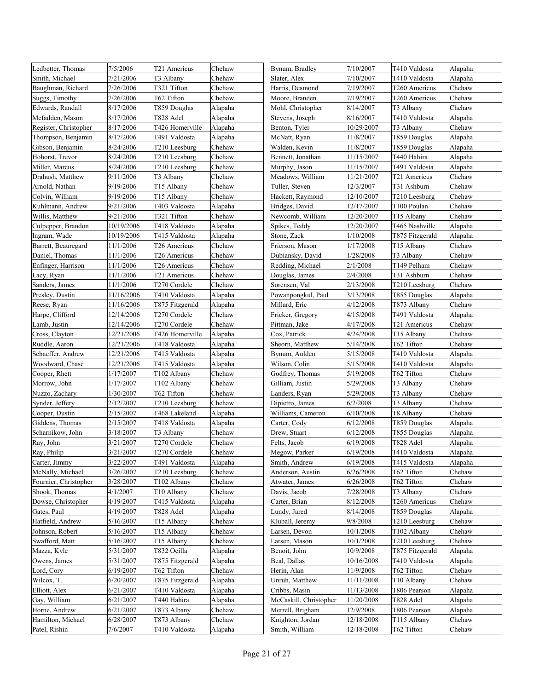| Ledbetter, Thomas             | 7/5/2006               | T21 Americus              | Chehaw           | Bynum, Bradley                | 7/10/2007              | T410 Valdosta                    | Alapaha |
|-------------------------------|------------------------|---------------------------|------------------|-------------------------------|------------------------|----------------------------------|---------|
| Smith, Michael                | 7/21/2006              | T3 Albany                 | Chehaw           | Slater, Alex                  | 7/10/2007              | T410 Valdosta                    | Alapaha |
| Baughman, Richard             | 7/26/2006              | T321 Tifton               | Chehaw           | Harris, Desmond               | 7/19/2007              | T260 Americus                    | Chehaw  |
| Suggs, Timothy                | 7/26/2006              | T62 Tifton                | Chehaw           | Moore, Branden                | 7/19/2007              | T260 Americus                    | Chehaw  |
| Edwards, Randall              | 8/17/2006              | T859 Douglas              | Alapaha          | Mohl, Christopher             | 8/14/2007              | T3 Albany                        | Chehaw  |
| Mcfadden, Mason               | 8/17/2006              | T828 Adel                 | Alapaha          | Stevens, Joseph               | 8/16/2007              | T410 Valdosta                    | Alapaha |
| Register, Christopher         | 8/17/2006              | T426 Homerville           | Alapaha          | Benton, Tyler                 | 10/29/2007             | T3 Albany                        | Chehaw  |
| Thompson, Benjamin            | 8/17/2006              | T491 Valdosta             | Alapaha          | McNatt, Ryan                  | 11/8/2007              | T859 Douglas                     | Alapaha |
| Gibson, Benjamin              | 8/24/2006              | T210 Leesburg             | Chehaw           | Walden, Kevin                 | 11/8/2007              | T859 Douglas                     | Alapaha |
| Hohorst, Trevor               | 8/24/2006              | T210 Leesburg             | Chehaw           | Bennett, Jonathan             | 11/15/2007             | T440 Hahira                      | Alapaha |
| Miller, Marcus                | 8/24/2006              | T210 Leesburg             | Chehaw           | Murphy, Jason                 | 11/15/2007             | T491 Valdosta                    | Alapaha |
| Drahush, Matthew              | 9/11/2006              | T3 Albany                 | Chehaw           | Meadows, William              | 11/21/2007             | T21 Americus                     | Chehaw  |
| Arnold, Nathan                | 9/19/2006              | T15 Albany                | Chehaw           | Tuller, Steven                | 12/3/2007              | T31 Ashburn                      | Chehaw  |
| Colvin, William               | 9/19/2006              | T15 Albany                | Chehaw           | Hackett, Raymond              | 12/10/2007             | T210 Leesburg                    | Chehaw  |
| Kuhlmann, Andrew              | 9/21/2006              | T403 Valdosta             | Alapaha          | Bridges, David                | 12/17/2007             | T100 Poulan                      | Chehaw  |
| Willis, Matthew               | 9/21/2006              | T321 Tifton               | Chehaw           | Newcomb, William              | 12/20/2007             | T15 Albany                       | Chehaw  |
| Culpepper, Brandon            | 10/19/2006             | T418 Valdosta             | Alapaha          | Spikes, Teddy                 | 12/20/2007             | T465 Nashville                   | Alapaha |
| Ingram, Wade                  | 10/19/2006             | T415 Valdosta             | Alapaha          | Stone, Zack                   | 1/10/2008              | T875 Fitzgerald                  | Alapaha |
| Barrett, Beauregard           | 11/1/2006              | T26 Americus              | Chehaw           | Frierson, Mason               | 1/17/2008              | T15 Albany                       | Chehaw  |
| Daniel, Thomas                | 11/1/2006              | T26 Americus              | Chehaw           | Dubiansky, David              | 1/28/2008              | T3 Albany                        | Chehaw  |
| Enfinger, Harrison            | 11/1/2006              | T26 Americus              | Chehaw           | Redding, Michael              | 2/1/2008               | T149 Pelham                      | Chehaw  |
| Lacy, Ryan                    | 11/1/2006              | T21 Americus              | Chehaw           | Douglas, James                | 2/4/2008               | T31 Ashburn                      | Chehaw  |
| Sanders, James                | 11/1/2006              | T270 Cordele              | Chehaw           | Sorensen, Val                 | 2/13/2008              | T210 Leesburg                    | Chehaw  |
| Presley, Dustin               | 11/16/2006             | T410 Valdosta             | Alapaha          | Powanpongkul, Paul            | 3/13/2008              | T855 Douglas                     | Alapaha |
| Reese, Ryan                   | 11/16/2006             | T875 Fitzgerald           | Alapaha          | Millard, Eric                 | 4/12/2008              | T873 Albany                      | Chehaw  |
| Harpe, Clifford               | 12/14/2006             | T270 Cordele              | Chehaw           | Fricker, Gregory              | 4/15/2008              | T491 Valdosta                    | Alapaha |
| Lamb, Justin                  | 12/14/2006             | T270 Cordele              | Chehaw           | Pittman, Jake                 | 4/17/2008              | T21 Americus                     | Chehaw  |
| Cross, Clayton                | 12/21/2006             | T426 Homerville           | Alapaha          | Cox, Patrick                  | 4/24/2008              | T15 Albany                       | Chehaw  |
| Ruddle, Aaron                 | 12/21/2006             | T418 Valdosta             | Alapaha          | Sheorn, Matthew               | 5/14/2008              | T62 Tifton                       | Chehaw  |
| Schaeffer, Andrew             | 12/21/2006             | T415 Valdosta             | Alapaha          | Bynum, Aulden                 | 5/15/2008              | T410 Valdosta                    | Alapaha |
| Woodward, Chase               | 12/21/2006             | T415 Valdosta             | Alapaha          | Wilson, Colin                 | 5/15/2008              | T410 Valdosta                    | Alapaha |
| Cooper, Rhett                 | 1/17/2007              | T102 Albany               | Chehaw           | Godfrey, Thomas               | 5/19/2008              | T62 Tifton                       | Chehaw  |
| Morrow, John                  | 1/17/2007              | T102 Albany               | Chehaw           | Gilliam, Justin               | 5/29/2008              | T3 Albany                        | Chehaw  |
| Nuzzo, Zachary                | 1/30/2007              | T62 Tifton                | Chehaw           | Landers, Ryan                 | 5/29/2008              | T3 Albany                        | Chehaw  |
| Synder, Jeffery               | 2/12/2007              | T210 Leesburg             | Chehaw           | Dipietro, James               | 6/2/2008               | T3 Albany                        | Chehaw  |
| Cooper, Dustin                | 2/15/2007              | T468 Lakeland             | Alapaha          | Williams, Cameron             | 6/10/2008              | T8 Albany                        | Chehaw  |
| Giddens, Thomas               | 2/15/2007              | T418 Valdosta             | Alapaha          | Carter, Cody                  | 6/12/2008              | T859 Douglas                     | Alapaha |
| Scharnikow, John              | 3/18/2007              | T3 Albany                 | Chehaw           | Drew, Stuart                  | 6/12/2008              | T855 Douglas                     | Alapaha |
| Ray, John                     | 3/21/2007              | T270 Cordele              | Chehaw           | Felts, Jacob                  | 6/19/2008              | T828 Adel                        | Alapaha |
| Ray, Philip                   | 3/21/2007              | T270 Cordele              | Chehaw           | Megow, Parker                 | 6/19/2008              | T410 Valdosta                    | Alapaha |
| Carter, Jimmy                 | 3/22/2007              | T491 Valdosta             | Alapaha          | Smith, Andrew                 | 6/19/2008              | T415 Valdosta                    | Alapaha |
| McNally, Michael              | 3/26/2007              | T210 Leesburg             | Chehaw           | Anderson, Austin              | 6/26/2008              | T62 Tifton                       | Chehaw  |
| Fournier, Christopher         | 3/28/2007              | T102 Albany               | Chehaw           | Atwater, James                | 6/26/2008              | T62 Tifton                       | Chehaw  |
| Shook, Thomas                 | 4/1/2007               | T10 Albany                | Chehaw           | Davis, Jacob                  | 7/28/2008              | T3 Albany                        | Chehaw  |
| Dowse, Christopher            | 4/19/2007              | T415 Valdosta             | Alapaha          | Carter, Brian                 | 8/12/2008              | T260 Americus                    | Chehaw  |
| Gates, Paul                   | 4/19/2007              | T828 Adel                 |                  | Lundy, Jared                  | 8/14/2008              | T859 Douglas                     | Alapaha |
| Hatfield, Andrew              | 5/16/2007              |                           | Alapaha          | Kluball, Jeremy               | 9/8/2008               | T210 Leesburg                    | Chehaw  |
| Johnson, Robert               | 5/16/2007              | T15 Albany                | Chehaw<br>Chehaw | Larsen, Devon                 | 10/1/2008              | T102 Albany                      | Chehaw  |
|                               |                        | T15 Albany                | Chehaw           |                               |                        |                                  | Chehaw  |
| Swafford, Matt<br>Mazza, Kyle | 5/16/2007<br>5/31/2007 | T15 Albany<br>T832 Ocilla |                  | Larsen, Mason<br>Benoit, John | 10/1/2008<br>10/9/2008 | T210 Leesburg<br>T875 Fitzgerald |         |
|                               |                        |                           | Alapaha          |                               |                        |                                  | Alapaha |
| Owens, James                  | 5/31/2007              | T875 Fitzgerald           | Alapaha          | Beal, Dallas                  | 10/16/2008             | T410 Valdosta                    | Alapaha |
| Lord, Cory                    | 6/19/2007              | T62 Tifton                | Chehaw           | Herin, Alan                   | 11/9/2008              | T62 Tifton                       | Chehaw  |
| Wilcox, T.                    | 6/20/2007              | T875 Fitzgerald           | Alapaha          | Unruh, Matthew                | 11/11/2008             | T10 Albany                       | Chehaw  |
| Elliott, Alex                 | 6/21/2007              | T410 Valdosta             | Alapaha          | Cribbs, Masin                 | 11/13/2008             | T806 Pearson                     | Alapaha |
| Gay, William                  | 6/21/2007              | T440 Hahira               | Alapaha          | McCaskill, Christopher        | 11/20/2008             | T828 Adel                        | Alapaha |
| Horne, Andrew                 | 6/21/2007              | T873 Albany               | Chehaw           | Merrell, Brigham              | 12/9/2008              | T806 Pearson                     | Alapaha |
| Hamilton, Michael             | 6/28/2007              | T873 Albany               | Chehaw           | Knighton, Jordan              | 12/18/2008             | T115 Albany                      | Chehaw  |
| Patel, Rishin                 | 7/6/2007               | T410 Valdosta             | Alapaha          | Smith, William                | 12/18/2008             | T62 Tifton                       | Chehaw  |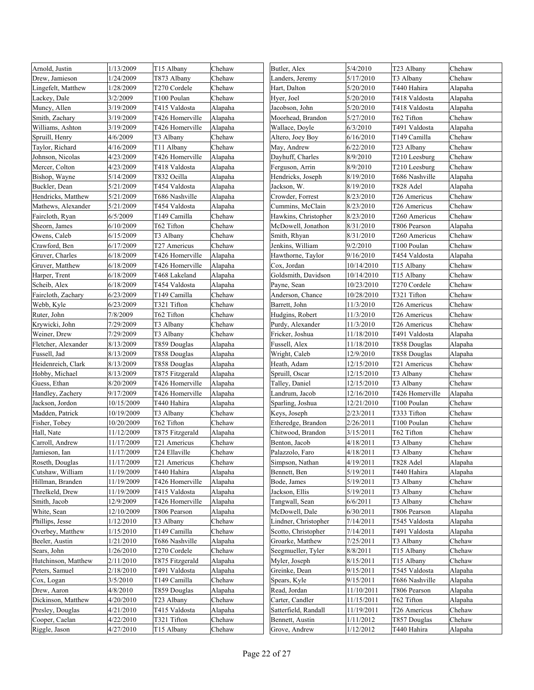| Arnold, Justin      | 1/13/2009  | T15 Albany      | Chehaw  | Butler, Alex         | 5/4/2010   | T23 Albany               | Chehaw  |
|---------------------|------------|-----------------|---------|----------------------|------------|--------------------------|---------|
| Drew, Jamieson      | 1/24/2009  | T873 Albany     | Chehaw  | Landers, Jeremy      | 5/17/2010  | T3 Albany                | Chehaw  |
| Lingefelt, Matthew  | 1/28/2009  | T270 Cordele    | Chehaw  | Hart, Dalton         | 5/20/2010  | T440 Hahira              | Alapaha |
| Lackey, Dale        | 3/2/2009   | T100 Poulan     | Chehaw  | Hyer, Joel           | 5/20/2010  | T418 Valdosta            | Alapaha |
| Muncy, Allen        | 3/19/2009  | T415 Valdosta   | Alapaha | Jacobson, John       | 5/20/2010  | T418 Valdosta            | Alapaha |
| Smith, Zachary      | 3/19/2009  | T426 Homerville | Alapaha | Moorhead, Brandon    | 5/27/2010  | T62 Tifton               | Chehaw  |
| Williams, Ashton    | 3/19/2009  | T426 Homerville | Alapaha | Wallace, Doyle       | 6/3/2010   | T491 Valdosta            | Alapaha |
| Spruill, Henry      | 4/6/2009   | T3 Albany       | Chehaw  | Altero, Joey Boy     | 6/16/2010  | T149 Camilla             | Chehaw  |
| Taylor, Richard     | 4/16/2009  | T11 Albany      | Chehaw  | May, Andrew          | 6/22/2010  | T23 Albany               | Chehaw  |
| Johnson, Nicolas    | 4/23/2009  | T426 Homerville | Alapaha | Dayhuff, Charles     | 8/9/2010   | T210 Leesburg            | Chehaw  |
| Mercer, Colton      | 4/23/2009  | T418 Valdosta   | Alapaha | Ferguson, Arrin      | 8/9/2010   | T210 Leesburg            | Chehaw  |
| Bishop, Wayne       | 5/14/2009  | T832 Ocilla     | Alapaha | Hendricks, Joseph    | 8/19/2010  | T686 Nashville           | Alapaha |
| Buckler, Dean       | 5/21/2009  | T454 Valdosta   | Alapaha | Jackson, W.          | 8/19/2010  | T828 Adel                | Alapaha |
| Hendricks, Matthew  | 5/21/2009  | T686 Nashville  | Alapaha | Crowder, Forrest     | 8/23/2010  | T26 Americus             | Chehaw  |
| Mathews, Alexander  | 5/21/2009  | T454 Valdosta   | Alapaha | Cummins, McClain     | 8/23/2010  | T26 Americus             | Chehaw  |
| Faircloth, Ryan     | 6/5/2009   | T149 Camilla    | Chehaw  | Hawkins, Christopher | 8/23/2010  | T260 Americus            | Chehaw  |
| Sheorn, James       | 6/10/2009  | T62 Tifton      | Chehaw  | McDowell, Jonathon   | 8/31/2010  | T806 Pearson             | Alapaha |
| Owens, Caleb        | 6/15/2009  | T3 Albany       | Chehaw  | Smith, Rhyan         | 8/31/2010  | T260 Americus            | Chehaw  |
| Crawford, Ben       | 6/17/2009  | T27 Americus    | Chehaw  | Jenkins, William     | 9/2/2010   | T100 Poulan              | Chehaw  |
| Gruver, Charles     | 6/18/2009  | T426 Homerville | Alapaha | Hawthorne, Taylor    | 9/16/2010  | T454 Valdosta            | Alapaha |
| Gruver, Matthew     | 6/18/2009  | T426 Homerville | Alapaha | Cox, Jordan          | 10/14/2010 | T15 Albany               | Chehaw  |
| Harper, Trent       | 6/18/2009  | T468 Lakeland   | Alapaha | Goldsmith, Davidson  | 10/14/2010 | T15 Albany               | Chehaw  |
| Scheib, Alex        | 6/18/2009  | T454 Valdosta   | Alapaha | Payne, Sean          | 10/23/2010 | T <sub>270</sub> Cordele | Chehaw  |
| Faircloth, Zachary  | 6/23/2009  | T149 Camilla    | Chehaw  | Anderson, Chance     | 10/28/2010 | T321 Tifton              | Chehaw  |
| Webb, Kyle          | 6/23/2009  | T321 Tifton     | Chehaw  | Barrett, John        | 11/3/2010  | T26 Americus             | Chehaw  |
| Ruter, John         | 7/8/2009   | T62 Tifton      | Chehaw  | Hudgins, Robert      | 11/3/2010  | T26 Americus             | Chehaw  |
| Krywicki, John      | 7/29/2009  | T3 Albany       | Chehaw  | Purdy, Alexander     | 11/3/2010  | T26 Americus             | Chehaw  |
| Weiner, Drew        | 7/29/2009  | T3 Albany       | Chehaw  | Fricker, Joshua      | 11/18/2010 | T491 Valdosta            | Alapaha |
| Fletcher, Alexander | 8/13/2009  | T859 Douglas    | Alapaha | Fussell, Alex        | 11/18/2010 | T858 Douglas             | Alapaha |
| Fussell, Jad        | 8/13/2009  | T858 Douglas    | Alapaha | Wright, Caleb        | 12/9/2010  | T858 Douglas             | Alapaha |
| Heidenreich, Clark  | 8/13/2009  | T858 Douglas    | Alapaha | Heath, Adam          | 12/15/2010 | T21 Americus             | Chehaw  |
| Hobby, Michael      | 8/13/2009  | T875 Fitzgerald | Alapaha | Spruill, Oscar       | 12/15/2010 | T3 Albany                | Chehaw  |
| Guess, Ethan        | 8/20/2009  | T426 Homerville | Alapaha | Talley, Daniel       | 12/15/2010 | T3 Albany                | Chehaw  |
| Handley, Zachery    | 9/17/2009  | T426 Homerville | Alapaha | Landrum, Jacob       | 12/16/2010 | T426 Homerville          | Alapaha |
| Jackson, Jordon     | 10/15/2009 | T440 Hahira     | Alapaha | Sparling, Joshua     | 12/21/2010 | T100 Poulan              | Chehaw  |
| Madden, Patrick     | 10/19/2009 | T3 Albany       | Chehaw  | Keys, Joseph         | 2/23/2011  | T333 Tifton              | Chehaw  |
| Fisher, Tobey       | 10/20/2009 | T62 Tifton      | Chehaw  | Etheredge, Brandon   | 2/26/2011  | T100 Poulan              | Chehaw  |
| Hall, Nate          | 11/12/2009 | T875 Fitzgerald | Alapaha | Chitwood, Brandon    | 3/15/2011  | T62 Tifton               | Chehaw  |
| Carroll, Andrew     | 11/17/2009 | T21 Americus    | Chehaw  | Benton, Jacob        | 4/18/2011  | T3 Albany                | Chehaw  |
| Jamieson, Ian       | 11/17/2009 | T24 Ellaville   | Chehaw  | Palazzolo, Faro      | 4/18/2011  | T3 Albany                | Chehaw  |
| Roseth, Douglas     | 11/17/2009 | T21 Americus    | Chehaw  | Simpson, Nathan      | 4/19/2011  | T828 Adel                | Alapaha |
| Cutshaw, William    | 11/19/2009 | T440 Hahira     | Alapaha | Bennett, Ben         | 5/19/2011  | T440 Hahira              | Alapaha |
| Hillman, Branden    | 11/19/2009 | T426 Homerville | Alapaha | Bode, James          | 5/19/2011  | T3 Albany                | Chehaw  |
| Threlkeld, Drew     | 11/19/2009 | T415 Valdosta   | Alapaha | Jackson, Ellis       | 5/19/2011  | T3 Albany                | Chehaw  |
| Smith, Jacob        | 12/9/2009  | T426 Homerville | Alapaha | Tangwall, Sean       | 6/6/2011   | T3 Albany                | Chehaw  |
| White, Sean         | 12/10/2009 | T806 Pearson    | Alapaha | McDowell, Dale       | 6/30/2011  | T806 Pearson             | Alapaha |
| Phillips, Jesse     | 1/12/2010  | T3 Albany       | Chehaw  | Lindner, Christopher | 7/14/2011  | T545 Valdosta            | Alapaha |
| Overbey, Matthew    | 1/15/2010  | T149 Camilla    | Chehaw  | Scotto, Christopher  | 7/14/2011  | T491 Valdosta            | Alapaha |
| Beeler, Austin      | 1/21/2010  | T686 Nashville  | Alapaha | Groarke, Matthew     | 7/25/2011  | T3 Albany                | Chehaw  |
| Sears, John         | 1/26/2010  | T270 Cordele    | Chehaw  | Seegmueller, Tyler   | 8/8/2011   | T15 Albany               | Chehaw  |
| Hutchinson, Matthew | 2/11/2010  | T875 Fitzgerald | Alapaha | Myler, Joseph        | 8/15/2011  | T15 Albany               | Chehaw  |
| Peters, Samuel      | 2/18/2010  | T491 Valdosta   | Alapaha | Greinke, Dean        | 9/15/2011  | T545 Valdosta            | Alapaha |
| Cox, Logan          | 3/5/2010   | T149 Camilla    | Chehaw  | Spears, Kyle         | 9/15/2011  | T686 Nashville           | Alapaha |
| Drew, Aaron         | 4/8/2010   | T859 Douglas    | Alapaha | Read, Jordan         | 11/10/2011 | T806 Pearson             | Alapaha |
| Dickinson, Matthew  | 4/20/2010  | T23 Albany      | Chehaw  | Carter, Candler      | 11/15/2011 | T62 Tifton               | Alapaha |
| Presley, Douglas    | 4/21/2010  | T415 Valdosta   | Alapaha | Satterfield, Randall | 11/19/2011 | T26 Americus             | Chehaw  |
| Cooper, Caelan      | 4/22/2010  | T321 Tifton     | Chehaw  | Bennett, Austin      | 1/11/2012  | T857 Douglas             | Chehaw  |
| Riggle, Jason       | 4/27/2010  | T15 Albany      | Chehaw  | Grove, Andrew        | 1/12/2012  | T440 Hahira              | Alapaha |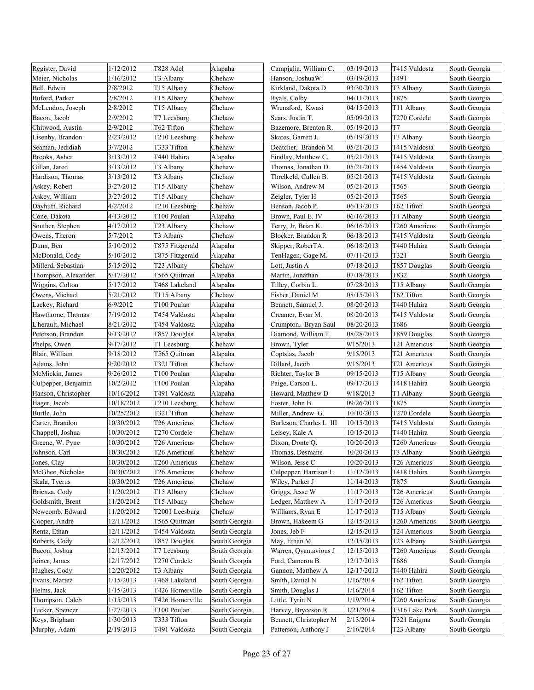| T491<br>Meier, Nicholas<br>1/16/2012<br>T3 Albany<br>Chehaw<br>Hanson, JoshuaW.<br>03/19/2013<br>South Georgia<br>2/8/2012<br>T15 Albany<br>Chehaw<br>Kirkland, Dakota D<br>03/30/2013<br>T3 Albany<br>South Georgia<br>T875<br>2/8/2012<br>T15 Albany<br>Chehaw<br>Ryals, Colby<br>04/11/2013<br>South Georgia<br>2/8/2012<br>Chehaw<br>Wrensford, Kwasi<br>04/15/2013<br>T11 Albany<br>T15 Albany<br>South Georgia<br>2/9/2012<br>Chehaw<br>05/09/2013<br>T270 Cordele<br>South Georgia<br>T7 Leesburg<br>Sears, Justin T.<br>T7<br>Chitwood, Austin<br>2/9/2012<br>T62 Tifton<br>05/19/2013<br>Chehaw<br>Bazemore, Brenton R.<br>South Georgia<br>Lisenby, Brandon<br>2/23/2012<br>T210 Leesburg<br>Chehaw<br>Skates, Garrett J.<br>05/19/2013<br>T3 Albany<br>South Georgia<br>Seaman, Jedidiah<br>3/7/2012<br>T333 Tifton<br>Chehaw<br>Deatcher, Brandon M<br>05/21/2013<br>T415 Valdosta<br>South Georgia<br>3/13/2012<br>T440 Hahira<br>05/21/2013<br>Alapaha<br>Findlay, Matthew C,<br>T415 Valdosta<br>South Georgia<br>3/13/2012<br>T3 Albany<br>Chehaw<br>05/21/2013<br>T454 Valdosta<br>Thomas, Jonathan D.<br>South Georgia<br>3/13/2012<br>05/21/2013<br>T3 Albany<br>Chehaw<br>Threlkeld, Cullen B.<br>T415 Valdosta<br>South Georgia<br>3/27/2012<br>05/21/2013<br>T565<br>Askey, Robert<br>T15 Albany<br>Chehaw<br>Wilson, Andrew M<br>South Georgia<br>3/27/2012<br>T565<br>Askey, William<br>T15 Albany<br>Chehaw<br>Zeigler, Tyler H<br>05/21/2013<br>South Georgia<br>Dayhuff, Richard<br>T62 Tifton<br>4/2/2012<br>T210 Leesburg<br>Chehaw<br>Benson, Jacob P.<br>06/13/2013<br>South Georgia<br>Cone, Dakota<br>4/13/2012<br>T100 Poulan<br>Brown, Paul E. IV<br>06/16/2013<br>T1 Albany<br>Alapaha<br>South Georgia<br>Souther, Stephen<br>4/17/2012<br>T23 Albany<br>Chehaw<br>Terry, Jr, Brian K.<br>06/16/2013<br>T260 Americus<br>South Georgia<br>5/7/2012<br>Chehaw<br>06/18/2013<br>T415 Valdosta<br>Owens, Theron<br>T3 Albany<br>Blocker, Brandon R<br>South Georgia<br>5/10/2012<br>T440 Hahira<br>Dunn, Ben<br>T875 Fitzgerald<br>Alapaha<br>Skipper, RoberTA.<br>06/18/2013<br>South Georgia<br>T321<br>McDonald, Cody<br>5/10/2012<br>07/11/2013<br>T875 Fitzgerald<br>Alapaha<br>TenHagen, Gage M.<br>South Georgia<br>5/15/2012<br>Chehaw<br>07/18/2013<br>T857 Douglas<br>T23 Albany<br>Lott, Justin A<br>South Georgia<br>5/17/2012<br>T832<br>07/18/2013<br>Thompson, Alexander<br>T565 Quitman<br>Alapaha<br>Martin, Jonathan<br>South Georgia<br>Wiggins, Colton<br>5/17/2012<br>Tilley, Corbin L.<br>07/28/2013<br>T15 Albany<br>T468 Lakeland<br>Alapaha<br>South Georgia<br>Owens, Michael<br>5/21/2012<br>08/15/2013<br>T62 Tifton<br>T115 Albany<br>Chehaw<br>Fisher, Daniel M<br>South Georgia<br>Lackey, Richard<br>6/9/2012<br>T100 Poulan<br>Alapaha<br>Bennett, Samuel J.<br>08/20/2013<br>T440 Hahira<br>South Georgia<br>7/19/2012<br>T454 Valdosta<br>Alapaha<br>Creamer, Evan M.<br>08/20/2013<br>T415 Valdosta<br>South Georgia<br>L'herault, Michael<br>8/21/2012<br>T454 Valdosta<br>Alapaha<br>Crumpton, Bryan Saul<br>08/20/2013<br>T686<br>South Georgia<br>Peterson, Brandon<br>9/13/2012<br>Diamond, William T.<br>08/28/2013<br>T859 Douglas<br>T857 Douglas<br>Alapaha<br>South Georgia<br>9/17/2012<br>Chehaw<br>Brown, Tyler<br>9/15/2013<br>T21 Americus<br>Phelps, Owen<br>T1 Leesburg<br>South Georgia<br>9/18/2012<br>T565 Quitman<br>Alapaha<br>Coptsias, Jacob<br>9/15/2013<br>T21 Americus<br>South Georgia<br>9/20/2012<br>Adams, John<br>T321 Tifton<br>Chehaw<br>9/15/2013<br>T21 Americus<br>Dillard, Jacob<br>South Georgia<br>9/26/2012<br>McMickin, James<br>T100 Poulan<br>Alapaha<br>Richter, Taylor B<br>09/15/2013<br>T15 Albany<br>South Georgia<br>10/2/2012<br>09/17/2013<br>T418 Hahira<br>Culpepper, Benjamin<br>T100 Poulan<br>Alapaha<br>Paige, Carson L.<br>South Georgia<br>10/16/2012<br>T491 Valdosta<br>Alapaha<br>Howard, Matthew D<br>9/18/2013<br>T1 Albany<br>South Georgia<br>10/18/2012<br>09/26/2013<br>T875<br>T210 Leesburg<br>Chehaw<br>Foster, John B.<br>South Georgia<br>10/25/2012<br>T321 Tifton<br>Chehaw<br>Miller, Andrew G.<br>10/10/2013<br>T270 Cordele<br>South Georgia<br>10/30/2012<br>Chehaw<br>Burleson, Charles L III<br>10/15/2013<br>T415 Valdosta<br>South Georgia<br>T <sub>26</sub> Americus<br>10/30/2012<br>10/15/2013<br>T440 Hahira<br>T270 Cordele<br>Chehaw<br>Leisey, Kale A<br>South Georgia<br>10/30/2012<br>T26 Americus<br>Dixon, Donte Q.<br>10/20/2013<br>T260 Americus<br>Chehaw<br>South Georgia<br>10/30/2012<br>10/20/2013<br>T3 Albany<br>Johnson, Carl<br>T26 Americus<br>Chehaw<br>Thomas, Desmane<br>South Georgia<br>10/30/2012<br>T260 Americus<br>Wilson, Jesse C<br>10/20/2013<br>T26 Americus<br>South Georgia<br>Chehaw<br>McGhee, Nicholas<br>T418 Hahira<br>South Georgia<br>10/30/2012<br>T26 Americus<br>Chehaw<br>Culpepper, Harrison L<br>11/12/2013<br>Wiley, Parker J<br>T875<br>Skala, Tyerus<br>0/30/2012<br>T26 Americus<br>Chehaw<br>11/14/2013<br>South Georgia<br>11/20/2012<br>T15 Albany<br>Griggs, Jesse W<br>11/17/2013<br>Chehaw<br>T26 Americus<br>South Georgia<br>Goldsmith, Brent<br>11/20/2012<br>T15 Albany<br>Chehaw<br>Ledger, Matthew A<br>11/17/2013<br>T26 Americus<br>South Georgia<br>11/20/2012<br>Williams, Ryan E<br>11/17/2013<br>T15 Albany<br>Newcomb, Edward<br>T2001 Leesburg<br>Chehaw<br>South Georgia<br>Cooper, Andre<br>12/11/2012<br>T565 Quitman<br>South Georgia<br>Brown, Hakeem G<br>12/15/2013<br>T260 Americus<br>South Georgia<br>12/11/2012<br>T454 Valdosta<br>Jones, Jeb F<br>12/15/2013<br>T24 Americus<br>South Georgia<br>South Georgia<br>12/12/2012<br>T857 Douglas<br>South Georgia<br>May, Ethan M.<br>12/15/2013<br>T23 Albany<br>South Georgia<br>12/15/2013<br>Bacon, Joshua<br>12/13/2012<br>T7 Leesburg<br>South Georgia<br>Warren, Qyantavious J<br>T260 Americus<br>South Georgia<br>Joiner, James<br>12/17/2012<br>T270 Cordele<br>South Georgia<br>Ford, Cameron B.<br>12/17/2013<br>T686<br>South Georgia<br>12/20/2012<br>T440 Hahira<br>T3 Albany<br>South Georgia<br>Gannon, Matthew A<br>12/17/2013<br>South Georgia<br>1/15/2013<br>1/16/2014<br>T62 Tifton<br>Evans, Martez<br>T468 Lakeland<br>South Georgia<br>Smith, Daniel N<br>South Georgia<br>1/15/2013<br>1/16/2014<br>T62 Tifton<br>South Georgia<br>Helms, Jack<br>T426 Homerville<br>South Georgia<br>Smith, Douglas J<br>1/15/2013<br>1/19/2014<br>Thompson, Caleb<br>T426 Homerville<br>South Georgia<br>Little, Tyrin N<br>T260 Americus<br>South Georgia | Register, David     | 1/12/2012 | T828 Adel   | Alapaha       | Campiglia, William C. | 03/19/2013 | T415 Valdosta  | South Georgia |
|-----------------------------------------------------------------------------------------------------------------------------------------------------------------------------------------------------------------------------------------------------------------------------------------------------------------------------------------------------------------------------------------------------------------------------------------------------------------------------------------------------------------------------------------------------------------------------------------------------------------------------------------------------------------------------------------------------------------------------------------------------------------------------------------------------------------------------------------------------------------------------------------------------------------------------------------------------------------------------------------------------------------------------------------------------------------------------------------------------------------------------------------------------------------------------------------------------------------------------------------------------------------------------------------------------------------------------------------------------------------------------------------------------------------------------------------------------------------------------------------------------------------------------------------------------------------------------------------------------------------------------------------------------------------------------------------------------------------------------------------------------------------------------------------------------------------------------------------------------------------------------------------------------------------------------------------------------------------------------------------------------------------------------------------------------------------------------------------------------------------------------------------------------------------------------------------------------------------------------------------------------------------------------------------------------------------------------------------------------------------------------------------------------------------------------------------------------------------------------------------------------------------------------------------------------------------------------------------------------------------------------------------------------------------------------------------------------------------------------------------------------------------------------------------------------------------------------------------------------------------------------------------------------------------------------------------------------------------------------------------------------------------------------------------------------------------------------------------------------------------------------------------------------------------------------------------------------------------------------------------------------------------------------------------------------------------------------------------------------------------------------------------------------------------------------------------------------------------------------------------------------------------------------------------------------------------------------------------------------------------------------------------------------------------------------------------------------------------------------------------------------------------------------------------------------------------------------------------------------------------------------------------------------------------------------------------------------------------------------------------------------------------------------------------------------------------------------------------------------------------------------------------------------------------------------------------------------------------------------------------------------------------------------------------------------------------------------------------------------------------------------------------------------------------------------------------------------------------------------------------------------------------------------------------------------------------------------------------------------------------------------------------------------------------------------------------------------------------------------------------------------------------------------------------------------------------------------------------------------------------------------------------------------------------------------------------------------------------------------------------------------------------------------------------------------------------------------------------------------------------------------------------------------------------------------------------------------------------------------------------------------------------------------------------------------------------------------------------------------------------------------------------------------------------------------------------------------------------------------------------------------------------------------------------------------------------------------------------------------------------------------------------------------------------------------------------------------------------------------------------------------------------------------------------------------------------------------------------------------------------------------------------------------------------------------------------------------------------------------------------------------------------------------------------------------------------------------------------------------------------------------------------------------------------------------------------------------------------------------------------------------------------------------------------------------------------------------------------------------------------------------------------------------------------------------------------------------------------------------------------------------------------------------------------------------------------------|---------------------|-----------|-------------|---------------|-----------------------|------------|----------------|---------------|
|                                                                                                                                                                                                                                                                                                                                                                                                                                                                                                                                                                                                                                                                                                                                                                                                                                                                                                                                                                                                                                                                                                                                                                                                                                                                                                                                                                                                                                                                                                                                                                                                                                                                                                                                                                                                                                                                                                                                                                                                                                                                                                                                                                                                                                                                                                                                                                                                                                                                                                                                                                                                                                                                                                                                                                                                                                                                                                                                                                                                                                                                                                                                                                                                                                                                                                                                                                                                                                                                                                                                                                                                                                                                                                                                                                                                                                                                                                                                                                                                                                                                                                                                                                                                                                                                                                                                                                                                                                                                                                                                                                                                                                                                                                                                                                                                                                                                                                                                                                                                                                                                                                                                                                                                                                                                                                                                                                                                                                                                                                                                                                                                                                                                                                                                                                                                                                                                                                                                                                                                                                                                                                                                                                                                                                                                                                                                                                                                                                                                                                                                                                       |                     |           |             |               |                       |            |                |               |
|                                                                                                                                                                                                                                                                                                                                                                                                                                                                                                                                                                                                                                                                                                                                                                                                                                                                                                                                                                                                                                                                                                                                                                                                                                                                                                                                                                                                                                                                                                                                                                                                                                                                                                                                                                                                                                                                                                                                                                                                                                                                                                                                                                                                                                                                                                                                                                                                                                                                                                                                                                                                                                                                                                                                                                                                                                                                                                                                                                                                                                                                                                                                                                                                                                                                                                                                                                                                                                                                                                                                                                                                                                                                                                                                                                                                                                                                                                                                                                                                                                                                                                                                                                                                                                                                                                                                                                                                                                                                                                                                                                                                                                                                                                                                                                                                                                                                                                                                                                                                                                                                                                                                                                                                                                                                                                                                                                                                                                                                                                                                                                                                                                                                                                                                                                                                                                                                                                                                                                                                                                                                                                                                                                                                                                                                                                                                                                                                                                                                                                                                                                       | Bell, Edwin         |           |             |               |                       |            |                |               |
|                                                                                                                                                                                                                                                                                                                                                                                                                                                                                                                                                                                                                                                                                                                                                                                                                                                                                                                                                                                                                                                                                                                                                                                                                                                                                                                                                                                                                                                                                                                                                                                                                                                                                                                                                                                                                                                                                                                                                                                                                                                                                                                                                                                                                                                                                                                                                                                                                                                                                                                                                                                                                                                                                                                                                                                                                                                                                                                                                                                                                                                                                                                                                                                                                                                                                                                                                                                                                                                                                                                                                                                                                                                                                                                                                                                                                                                                                                                                                                                                                                                                                                                                                                                                                                                                                                                                                                                                                                                                                                                                                                                                                                                                                                                                                                                                                                                                                                                                                                                                                                                                                                                                                                                                                                                                                                                                                                                                                                                                                                                                                                                                                                                                                                                                                                                                                                                                                                                                                                                                                                                                                                                                                                                                                                                                                                                                                                                                                                                                                                                                                                       | Buford, Parker      |           |             |               |                       |            |                |               |
|                                                                                                                                                                                                                                                                                                                                                                                                                                                                                                                                                                                                                                                                                                                                                                                                                                                                                                                                                                                                                                                                                                                                                                                                                                                                                                                                                                                                                                                                                                                                                                                                                                                                                                                                                                                                                                                                                                                                                                                                                                                                                                                                                                                                                                                                                                                                                                                                                                                                                                                                                                                                                                                                                                                                                                                                                                                                                                                                                                                                                                                                                                                                                                                                                                                                                                                                                                                                                                                                                                                                                                                                                                                                                                                                                                                                                                                                                                                                                                                                                                                                                                                                                                                                                                                                                                                                                                                                                                                                                                                                                                                                                                                                                                                                                                                                                                                                                                                                                                                                                                                                                                                                                                                                                                                                                                                                                                                                                                                                                                                                                                                                                                                                                                                                                                                                                                                                                                                                                                                                                                                                                                                                                                                                                                                                                                                                                                                                                                                                                                                                                                       | McLendon, Joseph    |           |             |               |                       |            |                |               |
|                                                                                                                                                                                                                                                                                                                                                                                                                                                                                                                                                                                                                                                                                                                                                                                                                                                                                                                                                                                                                                                                                                                                                                                                                                                                                                                                                                                                                                                                                                                                                                                                                                                                                                                                                                                                                                                                                                                                                                                                                                                                                                                                                                                                                                                                                                                                                                                                                                                                                                                                                                                                                                                                                                                                                                                                                                                                                                                                                                                                                                                                                                                                                                                                                                                                                                                                                                                                                                                                                                                                                                                                                                                                                                                                                                                                                                                                                                                                                                                                                                                                                                                                                                                                                                                                                                                                                                                                                                                                                                                                                                                                                                                                                                                                                                                                                                                                                                                                                                                                                                                                                                                                                                                                                                                                                                                                                                                                                                                                                                                                                                                                                                                                                                                                                                                                                                                                                                                                                                                                                                                                                                                                                                                                                                                                                                                                                                                                                                                                                                                                                                       | Bacon, Jacob        |           |             |               |                       |            |                |               |
|                                                                                                                                                                                                                                                                                                                                                                                                                                                                                                                                                                                                                                                                                                                                                                                                                                                                                                                                                                                                                                                                                                                                                                                                                                                                                                                                                                                                                                                                                                                                                                                                                                                                                                                                                                                                                                                                                                                                                                                                                                                                                                                                                                                                                                                                                                                                                                                                                                                                                                                                                                                                                                                                                                                                                                                                                                                                                                                                                                                                                                                                                                                                                                                                                                                                                                                                                                                                                                                                                                                                                                                                                                                                                                                                                                                                                                                                                                                                                                                                                                                                                                                                                                                                                                                                                                                                                                                                                                                                                                                                                                                                                                                                                                                                                                                                                                                                                                                                                                                                                                                                                                                                                                                                                                                                                                                                                                                                                                                                                                                                                                                                                                                                                                                                                                                                                                                                                                                                                                                                                                                                                                                                                                                                                                                                                                                                                                                                                                                                                                                                                                       |                     |           |             |               |                       |            |                |               |
|                                                                                                                                                                                                                                                                                                                                                                                                                                                                                                                                                                                                                                                                                                                                                                                                                                                                                                                                                                                                                                                                                                                                                                                                                                                                                                                                                                                                                                                                                                                                                                                                                                                                                                                                                                                                                                                                                                                                                                                                                                                                                                                                                                                                                                                                                                                                                                                                                                                                                                                                                                                                                                                                                                                                                                                                                                                                                                                                                                                                                                                                                                                                                                                                                                                                                                                                                                                                                                                                                                                                                                                                                                                                                                                                                                                                                                                                                                                                                                                                                                                                                                                                                                                                                                                                                                                                                                                                                                                                                                                                                                                                                                                                                                                                                                                                                                                                                                                                                                                                                                                                                                                                                                                                                                                                                                                                                                                                                                                                                                                                                                                                                                                                                                                                                                                                                                                                                                                                                                                                                                                                                                                                                                                                                                                                                                                                                                                                                                                                                                                                                                       |                     |           |             |               |                       |            |                |               |
|                                                                                                                                                                                                                                                                                                                                                                                                                                                                                                                                                                                                                                                                                                                                                                                                                                                                                                                                                                                                                                                                                                                                                                                                                                                                                                                                                                                                                                                                                                                                                                                                                                                                                                                                                                                                                                                                                                                                                                                                                                                                                                                                                                                                                                                                                                                                                                                                                                                                                                                                                                                                                                                                                                                                                                                                                                                                                                                                                                                                                                                                                                                                                                                                                                                                                                                                                                                                                                                                                                                                                                                                                                                                                                                                                                                                                                                                                                                                                                                                                                                                                                                                                                                                                                                                                                                                                                                                                                                                                                                                                                                                                                                                                                                                                                                                                                                                                                                                                                                                                                                                                                                                                                                                                                                                                                                                                                                                                                                                                                                                                                                                                                                                                                                                                                                                                                                                                                                                                                                                                                                                                                                                                                                                                                                                                                                                                                                                                                                                                                                                                                       |                     |           |             |               |                       |            |                |               |
|                                                                                                                                                                                                                                                                                                                                                                                                                                                                                                                                                                                                                                                                                                                                                                                                                                                                                                                                                                                                                                                                                                                                                                                                                                                                                                                                                                                                                                                                                                                                                                                                                                                                                                                                                                                                                                                                                                                                                                                                                                                                                                                                                                                                                                                                                                                                                                                                                                                                                                                                                                                                                                                                                                                                                                                                                                                                                                                                                                                                                                                                                                                                                                                                                                                                                                                                                                                                                                                                                                                                                                                                                                                                                                                                                                                                                                                                                                                                                                                                                                                                                                                                                                                                                                                                                                                                                                                                                                                                                                                                                                                                                                                                                                                                                                                                                                                                                                                                                                                                                                                                                                                                                                                                                                                                                                                                                                                                                                                                                                                                                                                                                                                                                                                                                                                                                                                                                                                                                                                                                                                                                                                                                                                                                                                                                                                                                                                                                                                                                                                                                                       | Brooks, Asher       |           |             |               |                       |            |                |               |
|                                                                                                                                                                                                                                                                                                                                                                                                                                                                                                                                                                                                                                                                                                                                                                                                                                                                                                                                                                                                                                                                                                                                                                                                                                                                                                                                                                                                                                                                                                                                                                                                                                                                                                                                                                                                                                                                                                                                                                                                                                                                                                                                                                                                                                                                                                                                                                                                                                                                                                                                                                                                                                                                                                                                                                                                                                                                                                                                                                                                                                                                                                                                                                                                                                                                                                                                                                                                                                                                                                                                                                                                                                                                                                                                                                                                                                                                                                                                                                                                                                                                                                                                                                                                                                                                                                                                                                                                                                                                                                                                                                                                                                                                                                                                                                                                                                                                                                                                                                                                                                                                                                                                                                                                                                                                                                                                                                                                                                                                                                                                                                                                                                                                                                                                                                                                                                                                                                                                                                                                                                                                                                                                                                                                                                                                                                                                                                                                                                                                                                                                                                       | Gillan, Jared       |           |             |               |                       |            |                |               |
|                                                                                                                                                                                                                                                                                                                                                                                                                                                                                                                                                                                                                                                                                                                                                                                                                                                                                                                                                                                                                                                                                                                                                                                                                                                                                                                                                                                                                                                                                                                                                                                                                                                                                                                                                                                                                                                                                                                                                                                                                                                                                                                                                                                                                                                                                                                                                                                                                                                                                                                                                                                                                                                                                                                                                                                                                                                                                                                                                                                                                                                                                                                                                                                                                                                                                                                                                                                                                                                                                                                                                                                                                                                                                                                                                                                                                                                                                                                                                                                                                                                                                                                                                                                                                                                                                                                                                                                                                                                                                                                                                                                                                                                                                                                                                                                                                                                                                                                                                                                                                                                                                                                                                                                                                                                                                                                                                                                                                                                                                                                                                                                                                                                                                                                                                                                                                                                                                                                                                                                                                                                                                                                                                                                                                                                                                                                                                                                                                                                                                                                                                                       | Hardison, Thomas    |           |             |               |                       |            |                |               |
|                                                                                                                                                                                                                                                                                                                                                                                                                                                                                                                                                                                                                                                                                                                                                                                                                                                                                                                                                                                                                                                                                                                                                                                                                                                                                                                                                                                                                                                                                                                                                                                                                                                                                                                                                                                                                                                                                                                                                                                                                                                                                                                                                                                                                                                                                                                                                                                                                                                                                                                                                                                                                                                                                                                                                                                                                                                                                                                                                                                                                                                                                                                                                                                                                                                                                                                                                                                                                                                                                                                                                                                                                                                                                                                                                                                                                                                                                                                                                                                                                                                                                                                                                                                                                                                                                                                                                                                                                                                                                                                                                                                                                                                                                                                                                                                                                                                                                                                                                                                                                                                                                                                                                                                                                                                                                                                                                                                                                                                                                                                                                                                                                                                                                                                                                                                                                                                                                                                                                                                                                                                                                                                                                                                                                                                                                                                                                                                                                                                                                                                                                                       |                     |           |             |               |                       |            |                |               |
|                                                                                                                                                                                                                                                                                                                                                                                                                                                                                                                                                                                                                                                                                                                                                                                                                                                                                                                                                                                                                                                                                                                                                                                                                                                                                                                                                                                                                                                                                                                                                                                                                                                                                                                                                                                                                                                                                                                                                                                                                                                                                                                                                                                                                                                                                                                                                                                                                                                                                                                                                                                                                                                                                                                                                                                                                                                                                                                                                                                                                                                                                                                                                                                                                                                                                                                                                                                                                                                                                                                                                                                                                                                                                                                                                                                                                                                                                                                                                                                                                                                                                                                                                                                                                                                                                                                                                                                                                                                                                                                                                                                                                                                                                                                                                                                                                                                                                                                                                                                                                                                                                                                                                                                                                                                                                                                                                                                                                                                                                                                                                                                                                                                                                                                                                                                                                                                                                                                                                                                                                                                                                                                                                                                                                                                                                                                                                                                                                                                                                                                                                                       |                     |           |             |               |                       |            |                |               |
|                                                                                                                                                                                                                                                                                                                                                                                                                                                                                                                                                                                                                                                                                                                                                                                                                                                                                                                                                                                                                                                                                                                                                                                                                                                                                                                                                                                                                                                                                                                                                                                                                                                                                                                                                                                                                                                                                                                                                                                                                                                                                                                                                                                                                                                                                                                                                                                                                                                                                                                                                                                                                                                                                                                                                                                                                                                                                                                                                                                                                                                                                                                                                                                                                                                                                                                                                                                                                                                                                                                                                                                                                                                                                                                                                                                                                                                                                                                                                                                                                                                                                                                                                                                                                                                                                                                                                                                                                                                                                                                                                                                                                                                                                                                                                                                                                                                                                                                                                                                                                                                                                                                                                                                                                                                                                                                                                                                                                                                                                                                                                                                                                                                                                                                                                                                                                                                                                                                                                                                                                                                                                                                                                                                                                                                                                                                                                                                                                                                                                                                                                                       |                     |           |             |               |                       |            |                |               |
|                                                                                                                                                                                                                                                                                                                                                                                                                                                                                                                                                                                                                                                                                                                                                                                                                                                                                                                                                                                                                                                                                                                                                                                                                                                                                                                                                                                                                                                                                                                                                                                                                                                                                                                                                                                                                                                                                                                                                                                                                                                                                                                                                                                                                                                                                                                                                                                                                                                                                                                                                                                                                                                                                                                                                                                                                                                                                                                                                                                                                                                                                                                                                                                                                                                                                                                                                                                                                                                                                                                                                                                                                                                                                                                                                                                                                                                                                                                                                                                                                                                                                                                                                                                                                                                                                                                                                                                                                                                                                                                                                                                                                                                                                                                                                                                                                                                                                                                                                                                                                                                                                                                                                                                                                                                                                                                                                                                                                                                                                                                                                                                                                                                                                                                                                                                                                                                                                                                                                                                                                                                                                                                                                                                                                                                                                                                                                                                                                                                                                                                                                                       |                     |           |             |               |                       |            |                |               |
|                                                                                                                                                                                                                                                                                                                                                                                                                                                                                                                                                                                                                                                                                                                                                                                                                                                                                                                                                                                                                                                                                                                                                                                                                                                                                                                                                                                                                                                                                                                                                                                                                                                                                                                                                                                                                                                                                                                                                                                                                                                                                                                                                                                                                                                                                                                                                                                                                                                                                                                                                                                                                                                                                                                                                                                                                                                                                                                                                                                                                                                                                                                                                                                                                                                                                                                                                                                                                                                                                                                                                                                                                                                                                                                                                                                                                                                                                                                                                                                                                                                                                                                                                                                                                                                                                                                                                                                                                                                                                                                                                                                                                                                                                                                                                                                                                                                                                                                                                                                                                                                                                                                                                                                                                                                                                                                                                                                                                                                                                                                                                                                                                                                                                                                                                                                                                                                                                                                                                                                                                                                                                                                                                                                                                                                                                                                                                                                                                                                                                                                                                                       |                     |           |             |               |                       |            |                |               |
|                                                                                                                                                                                                                                                                                                                                                                                                                                                                                                                                                                                                                                                                                                                                                                                                                                                                                                                                                                                                                                                                                                                                                                                                                                                                                                                                                                                                                                                                                                                                                                                                                                                                                                                                                                                                                                                                                                                                                                                                                                                                                                                                                                                                                                                                                                                                                                                                                                                                                                                                                                                                                                                                                                                                                                                                                                                                                                                                                                                                                                                                                                                                                                                                                                                                                                                                                                                                                                                                                                                                                                                                                                                                                                                                                                                                                                                                                                                                                                                                                                                                                                                                                                                                                                                                                                                                                                                                                                                                                                                                                                                                                                                                                                                                                                                                                                                                                                                                                                                                                                                                                                                                                                                                                                                                                                                                                                                                                                                                                                                                                                                                                                                                                                                                                                                                                                                                                                                                                                                                                                                                                                                                                                                                                                                                                                                                                                                                                                                                                                                                                                       |                     |           |             |               |                       |            |                |               |
|                                                                                                                                                                                                                                                                                                                                                                                                                                                                                                                                                                                                                                                                                                                                                                                                                                                                                                                                                                                                                                                                                                                                                                                                                                                                                                                                                                                                                                                                                                                                                                                                                                                                                                                                                                                                                                                                                                                                                                                                                                                                                                                                                                                                                                                                                                                                                                                                                                                                                                                                                                                                                                                                                                                                                                                                                                                                                                                                                                                                                                                                                                                                                                                                                                                                                                                                                                                                                                                                                                                                                                                                                                                                                                                                                                                                                                                                                                                                                                                                                                                                                                                                                                                                                                                                                                                                                                                                                                                                                                                                                                                                                                                                                                                                                                                                                                                                                                                                                                                                                                                                                                                                                                                                                                                                                                                                                                                                                                                                                                                                                                                                                                                                                                                                                                                                                                                                                                                                                                                                                                                                                                                                                                                                                                                                                                                                                                                                                                                                                                                                                                       |                     |           |             |               |                       |            |                |               |
|                                                                                                                                                                                                                                                                                                                                                                                                                                                                                                                                                                                                                                                                                                                                                                                                                                                                                                                                                                                                                                                                                                                                                                                                                                                                                                                                                                                                                                                                                                                                                                                                                                                                                                                                                                                                                                                                                                                                                                                                                                                                                                                                                                                                                                                                                                                                                                                                                                                                                                                                                                                                                                                                                                                                                                                                                                                                                                                                                                                                                                                                                                                                                                                                                                                                                                                                                                                                                                                                                                                                                                                                                                                                                                                                                                                                                                                                                                                                                                                                                                                                                                                                                                                                                                                                                                                                                                                                                                                                                                                                                                                                                                                                                                                                                                                                                                                                                                                                                                                                                                                                                                                                                                                                                                                                                                                                                                                                                                                                                                                                                                                                                                                                                                                                                                                                                                                                                                                                                                                                                                                                                                                                                                                                                                                                                                                                                                                                                                                                                                                                                                       |                     |           |             |               |                       |            |                |               |
|                                                                                                                                                                                                                                                                                                                                                                                                                                                                                                                                                                                                                                                                                                                                                                                                                                                                                                                                                                                                                                                                                                                                                                                                                                                                                                                                                                                                                                                                                                                                                                                                                                                                                                                                                                                                                                                                                                                                                                                                                                                                                                                                                                                                                                                                                                                                                                                                                                                                                                                                                                                                                                                                                                                                                                                                                                                                                                                                                                                                                                                                                                                                                                                                                                                                                                                                                                                                                                                                                                                                                                                                                                                                                                                                                                                                                                                                                                                                                                                                                                                                                                                                                                                                                                                                                                                                                                                                                                                                                                                                                                                                                                                                                                                                                                                                                                                                                                                                                                                                                                                                                                                                                                                                                                                                                                                                                                                                                                                                                                                                                                                                                                                                                                                                                                                                                                                                                                                                                                                                                                                                                                                                                                                                                                                                                                                                                                                                                                                                                                                                                                       | Millerd, Sebastian  |           |             |               |                       |            |                |               |
|                                                                                                                                                                                                                                                                                                                                                                                                                                                                                                                                                                                                                                                                                                                                                                                                                                                                                                                                                                                                                                                                                                                                                                                                                                                                                                                                                                                                                                                                                                                                                                                                                                                                                                                                                                                                                                                                                                                                                                                                                                                                                                                                                                                                                                                                                                                                                                                                                                                                                                                                                                                                                                                                                                                                                                                                                                                                                                                                                                                                                                                                                                                                                                                                                                                                                                                                                                                                                                                                                                                                                                                                                                                                                                                                                                                                                                                                                                                                                                                                                                                                                                                                                                                                                                                                                                                                                                                                                                                                                                                                                                                                                                                                                                                                                                                                                                                                                                                                                                                                                                                                                                                                                                                                                                                                                                                                                                                                                                                                                                                                                                                                                                                                                                                                                                                                                                                                                                                                                                                                                                                                                                                                                                                                                                                                                                                                                                                                                                                                                                                                                                       |                     |           |             |               |                       |            |                |               |
|                                                                                                                                                                                                                                                                                                                                                                                                                                                                                                                                                                                                                                                                                                                                                                                                                                                                                                                                                                                                                                                                                                                                                                                                                                                                                                                                                                                                                                                                                                                                                                                                                                                                                                                                                                                                                                                                                                                                                                                                                                                                                                                                                                                                                                                                                                                                                                                                                                                                                                                                                                                                                                                                                                                                                                                                                                                                                                                                                                                                                                                                                                                                                                                                                                                                                                                                                                                                                                                                                                                                                                                                                                                                                                                                                                                                                                                                                                                                                                                                                                                                                                                                                                                                                                                                                                                                                                                                                                                                                                                                                                                                                                                                                                                                                                                                                                                                                                                                                                                                                                                                                                                                                                                                                                                                                                                                                                                                                                                                                                                                                                                                                                                                                                                                                                                                                                                                                                                                                                                                                                                                                                                                                                                                                                                                                                                                                                                                                                                                                                                                                                       |                     |           |             |               |                       |            |                |               |
|                                                                                                                                                                                                                                                                                                                                                                                                                                                                                                                                                                                                                                                                                                                                                                                                                                                                                                                                                                                                                                                                                                                                                                                                                                                                                                                                                                                                                                                                                                                                                                                                                                                                                                                                                                                                                                                                                                                                                                                                                                                                                                                                                                                                                                                                                                                                                                                                                                                                                                                                                                                                                                                                                                                                                                                                                                                                                                                                                                                                                                                                                                                                                                                                                                                                                                                                                                                                                                                                                                                                                                                                                                                                                                                                                                                                                                                                                                                                                                                                                                                                                                                                                                                                                                                                                                                                                                                                                                                                                                                                                                                                                                                                                                                                                                                                                                                                                                                                                                                                                                                                                                                                                                                                                                                                                                                                                                                                                                                                                                                                                                                                                                                                                                                                                                                                                                                                                                                                                                                                                                                                                                                                                                                                                                                                                                                                                                                                                                                                                                                                                                       |                     |           |             |               |                       |            |                |               |
|                                                                                                                                                                                                                                                                                                                                                                                                                                                                                                                                                                                                                                                                                                                                                                                                                                                                                                                                                                                                                                                                                                                                                                                                                                                                                                                                                                                                                                                                                                                                                                                                                                                                                                                                                                                                                                                                                                                                                                                                                                                                                                                                                                                                                                                                                                                                                                                                                                                                                                                                                                                                                                                                                                                                                                                                                                                                                                                                                                                                                                                                                                                                                                                                                                                                                                                                                                                                                                                                                                                                                                                                                                                                                                                                                                                                                                                                                                                                                                                                                                                                                                                                                                                                                                                                                                                                                                                                                                                                                                                                                                                                                                                                                                                                                                                                                                                                                                                                                                                                                                                                                                                                                                                                                                                                                                                                                                                                                                                                                                                                                                                                                                                                                                                                                                                                                                                                                                                                                                                                                                                                                                                                                                                                                                                                                                                                                                                                                                                                                                                                                                       |                     |           |             |               |                       |            |                |               |
|                                                                                                                                                                                                                                                                                                                                                                                                                                                                                                                                                                                                                                                                                                                                                                                                                                                                                                                                                                                                                                                                                                                                                                                                                                                                                                                                                                                                                                                                                                                                                                                                                                                                                                                                                                                                                                                                                                                                                                                                                                                                                                                                                                                                                                                                                                                                                                                                                                                                                                                                                                                                                                                                                                                                                                                                                                                                                                                                                                                                                                                                                                                                                                                                                                                                                                                                                                                                                                                                                                                                                                                                                                                                                                                                                                                                                                                                                                                                                                                                                                                                                                                                                                                                                                                                                                                                                                                                                                                                                                                                                                                                                                                                                                                                                                                                                                                                                                                                                                                                                                                                                                                                                                                                                                                                                                                                                                                                                                                                                                                                                                                                                                                                                                                                                                                                                                                                                                                                                                                                                                                                                                                                                                                                                                                                                                                                                                                                                                                                                                                                                                       | Hawthorne, Thomas   |           |             |               |                       |            |                |               |
|                                                                                                                                                                                                                                                                                                                                                                                                                                                                                                                                                                                                                                                                                                                                                                                                                                                                                                                                                                                                                                                                                                                                                                                                                                                                                                                                                                                                                                                                                                                                                                                                                                                                                                                                                                                                                                                                                                                                                                                                                                                                                                                                                                                                                                                                                                                                                                                                                                                                                                                                                                                                                                                                                                                                                                                                                                                                                                                                                                                                                                                                                                                                                                                                                                                                                                                                                                                                                                                                                                                                                                                                                                                                                                                                                                                                                                                                                                                                                                                                                                                                                                                                                                                                                                                                                                                                                                                                                                                                                                                                                                                                                                                                                                                                                                                                                                                                                                                                                                                                                                                                                                                                                                                                                                                                                                                                                                                                                                                                                                                                                                                                                                                                                                                                                                                                                                                                                                                                                                                                                                                                                                                                                                                                                                                                                                                                                                                                                                                                                                                                                                       |                     |           |             |               |                       |            |                |               |
|                                                                                                                                                                                                                                                                                                                                                                                                                                                                                                                                                                                                                                                                                                                                                                                                                                                                                                                                                                                                                                                                                                                                                                                                                                                                                                                                                                                                                                                                                                                                                                                                                                                                                                                                                                                                                                                                                                                                                                                                                                                                                                                                                                                                                                                                                                                                                                                                                                                                                                                                                                                                                                                                                                                                                                                                                                                                                                                                                                                                                                                                                                                                                                                                                                                                                                                                                                                                                                                                                                                                                                                                                                                                                                                                                                                                                                                                                                                                                                                                                                                                                                                                                                                                                                                                                                                                                                                                                                                                                                                                                                                                                                                                                                                                                                                                                                                                                                                                                                                                                                                                                                                                                                                                                                                                                                                                                                                                                                                                                                                                                                                                                                                                                                                                                                                                                                                                                                                                                                                                                                                                                                                                                                                                                                                                                                                                                                                                                                                                                                                                                                       |                     |           |             |               |                       |            |                |               |
|                                                                                                                                                                                                                                                                                                                                                                                                                                                                                                                                                                                                                                                                                                                                                                                                                                                                                                                                                                                                                                                                                                                                                                                                                                                                                                                                                                                                                                                                                                                                                                                                                                                                                                                                                                                                                                                                                                                                                                                                                                                                                                                                                                                                                                                                                                                                                                                                                                                                                                                                                                                                                                                                                                                                                                                                                                                                                                                                                                                                                                                                                                                                                                                                                                                                                                                                                                                                                                                                                                                                                                                                                                                                                                                                                                                                                                                                                                                                                                                                                                                                                                                                                                                                                                                                                                                                                                                                                                                                                                                                                                                                                                                                                                                                                                                                                                                                                                                                                                                                                                                                                                                                                                                                                                                                                                                                                                                                                                                                                                                                                                                                                                                                                                                                                                                                                                                                                                                                                                                                                                                                                                                                                                                                                                                                                                                                                                                                                                                                                                                                                                       |                     |           |             |               |                       |            |                |               |
|                                                                                                                                                                                                                                                                                                                                                                                                                                                                                                                                                                                                                                                                                                                                                                                                                                                                                                                                                                                                                                                                                                                                                                                                                                                                                                                                                                                                                                                                                                                                                                                                                                                                                                                                                                                                                                                                                                                                                                                                                                                                                                                                                                                                                                                                                                                                                                                                                                                                                                                                                                                                                                                                                                                                                                                                                                                                                                                                                                                                                                                                                                                                                                                                                                                                                                                                                                                                                                                                                                                                                                                                                                                                                                                                                                                                                                                                                                                                                                                                                                                                                                                                                                                                                                                                                                                                                                                                                                                                                                                                                                                                                                                                                                                                                                                                                                                                                                                                                                                                                                                                                                                                                                                                                                                                                                                                                                                                                                                                                                                                                                                                                                                                                                                                                                                                                                                                                                                                                                                                                                                                                                                                                                                                                                                                                                                                                                                                                                                                                                                                                                       | Blair, William      |           |             |               |                       |            |                |               |
|                                                                                                                                                                                                                                                                                                                                                                                                                                                                                                                                                                                                                                                                                                                                                                                                                                                                                                                                                                                                                                                                                                                                                                                                                                                                                                                                                                                                                                                                                                                                                                                                                                                                                                                                                                                                                                                                                                                                                                                                                                                                                                                                                                                                                                                                                                                                                                                                                                                                                                                                                                                                                                                                                                                                                                                                                                                                                                                                                                                                                                                                                                                                                                                                                                                                                                                                                                                                                                                                                                                                                                                                                                                                                                                                                                                                                                                                                                                                                                                                                                                                                                                                                                                                                                                                                                                                                                                                                                                                                                                                                                                                                                                                                                                                                                                                                                                                                                                                                                                                                                                                                                                                                                                                                                                                                                                                                                                                                                                                                                                                                                                                                                                                                                                                                                                                                                                                                                                                                                                                                                                                                                                                                                                                                                                                                                                                                                                                                                                                                                                                                                       |                     |           |             |               |                       |            |                |               |
|                                                                                                                                                                                                                                                                                                                                                                                                                                                                                                                                                                                                                                                                                                                                                                                                                                                                                                                                                                                                                                                                                                                                                                                                                                                                                                                                                                                                                                                                                                                                                                                                                                                                                                                                                                                                                                                                                                                                                                                                                                                                                                                                                                                                                                                                                                                                                                                                                                                                                                                                                                                                                                                                                                                                                                                                                                                                                                                                                                                                                                                                                                                                                                                                                                                                                                                                                                                                                                                                                                                                                                                                                                                                                                                                                                                                                                                                                                                                                                                                                                                                                                                                                                                                                                                                                                                                                                                                                                                                                                                                                                                                                                                                                                                                                                                                                                                                                                                                                                                                                                                                                                                                                                                                                                                                                                                                                                                                                                                                                                                                                                                                                                                                                                                                                                                                                                                                                                                                                                                                                                                                                                                                                                                                                                                                                                                                                                                                                                                                                                                                                                       |                     |           |             |               |                       |            |                |               |
|                                                                                                                                                                                                                                                                                                                                                                                                                                                                                                                                                                                                                                                                                                                                                                                                                                                                                                                                                                                                                                                                                                                                                                                                                                                                                                                                                                                                                                                                                                                                                                                                                                                                                                                                                                                                                                                                                                                                                                                                                                                                                                                                                                                                                                                                                                                                                                                                                                                                                                                                                                                                                                                                                                                                                                                                                                                                                                                                                                                                                                                                                                                                                                                                                                                                                                                                                                                                                                                                                                                                                                                                                                                                                                                                                                                                                                                                                                                                                                                                                                                                                                                                                                                                                                                                                                                                                                                                                                                                                                                                                                                                                                                                                                                                                                                                                                                                                                                                                                                                                                                                                                                                                                                                                                                                                                                                                                                                                                                                                                                                                                                                                                                                                                                                                                                                                                                                                                                                                                                                                                                                                                                                                                                                                                                                                                                                                                                                                                                                                                                                                                       |                     |           |             |               |                       |            |                |               |
|                                                                                                                                                                                                                                                                                                                                                                                                                                                                                                                                                                                                                                                                                                                                                                                                                                                                                                                                                                                                                                                                                                                                                                                                                                                                                                                                                                                                                                                                                                                                                                                                                                                                                                                                                                                                                                                                                                                                                                                                                                                                                                                                                                                                                                                                                                                                                                                                                                                                                                                                                                                                                                                                                                                                                                                                                                                                                                                                                                                                                                                                                                                                                                                                                                                                                                                                                                                                                                                                                                                                                                                                                                                                                                                                                                                                                                                                                                                                                                                                                                                                                                                                                                                                                                                                                                                                                                                                                                                                                                                                                                                                                                                                                                                                                                                                                                                                                                                                                                                                                                                                                                                                                                                                                                                                                                                                                                                                                                                                                                                                                                                                                                                                                                                                                                                                                                                                                                                                                                                                                                                                                                                                                                                                                                                                                                                                                                                                                                                                                                                                                                       | Hanson, Christopher |           |             |               |                       |            |                |               |
|                                                                                                                                                                                                                                                                                                                                                                                                                                                                                                                                                                                                                                                                                                                                                                                                                                                                                                                                                                                                                                                                                                                                                                                                                                                                                                                                                                                                                                                                                                                                                                                                                                                                                                                                                                                                                                                                                                                                                                                                                                                                                                                                                                                                                                                                                                                                                                                                                                                                                                                                                                                                                                                                                                                                                                                                                                                                                                                                                                                                                                                                                                                                                                                                                                                                                                                                                                                                                                                                                                                                                                                                                                                                                                                                                                                                                                                                                                                                                                                                                                                                                                                                                                                                                                                                                                                                                                                                                                                                                                                                                                                                                                                                                                                                                                                                                                                                                                                                                                                                                                                                                                                                                                                                                                                                                                                                                                                                                                                                                                                                                                                                                                                                                                                                                                                                                                                                                                                                                                                                                                                                                                                                                                                                                                                                                                                                                                                                                                                                                                                                                                       | Hager, Jacob        |           |             |               |                       |            |                |               |
|                                                                                                                                                                                                                                                                                                                                                                                                                                                                                                                                                                                                                                                                                                                                                                                                                                                                                                                                                                                                                                                                                                                                                                                                                                                                                                                                                                                                                                                                                                                                                                                                                                                                                                                                                                                                                                                                                                                                                                                                                                                                                                                                                                                                                                                                                                                                                                                                                                                                                                                                                                                                                                                                                                                                                                                                                                                                                                                                                                                                                                                                                                                                                                                                                                                                                                                                                                                                                                                                                                                                                                                                                                                                                                                                                                                                                                                                                                                                                                                                                                                                                                                                                                                                                                                                                                                                                                                                                                                                                                                                                                                                                                                                                                                                                                                                                                                                                                                                                                                                                                                                                                                                                                                                                                                                                                                                                                                                                                                                                                                                                                                                                                                                                                                                                                                                                                                                                                                                                                                                                                                                                                                                                                                                                                                                                                                                                                                                                                                                                                                                                                       | Burtle, John        |           |             |               |                       |            |                |               |
|                                                                                                                                                                                                                                                                                                                                                                                                                                                                                                                                                                                                                                                                                                                                                                                                                                                                                                                                                                                                                                                                                                                                                                                                                                                                                                                                                                                                                                                                                                                                                                                                                                                                                                                                                                                                                                                                                                                                                                                                                                                                                                                                                                                                                                                                                                                                                                                                                                                                                                                                                                                                                                                                                                                                                                                                                                                                                                                                                                                                                                                                                                                                                                                                                                                                                                                                                                                                                                                                                                                                                                                                                                                                                                                                                                                                                                                                                                                                                                                                                                                                                                                                                                                                                                                                                                                                                                                                                                                                                                                                                                                                                                                                                                                                                                                                                                                                                                                                                                                                                                                                                                                                                                                                                                                                                                                                                                                                                                                                                                                                                                                                                                                                                                                                                                                                                                                                                                                                                                                                                                                                                                                                                                                                                                                                                                                                                                                                                                                                                                                                                                       | Carter, Brandon     |           |             |               |                       |            |                |               |
|                                                                                                                                                                                                                                                                                                                                                                                                                                                                                                                                                                                                                                                                                                                                                                                                                                                                                                                                                                                                                                                                                                                                                                                                                                                                                                                                                                                                                                                                                                                                                                                                                                                                                                                                                                                                                                                                                                                                                                                                                                                                                                                                                                                                                                                                                                                                                                                                                                                                                                                                                                                                                                                                                                                                                                                                                                                                                                                                                                                                                                                                                                                                                                                                                                                                                                                                                                                                                                                                                                                                                                                                                                                                                                                                                                                                                                                                                                                                                                                                                                                                                                                                                                                                                                                                                                                                                                                                                                                                                                                                                                                                                                                                                                                                                                                                                                                                                                                                                                                                                                                                                                                                                                                                                                                                                                                                                                                                                                                                                                                                                                                                                                                                                                                                                                                                                                                                                                                                                                                                                                                                                                                                                                                                                                                                                                                                                                                                                                                                                                                                                                       | Chappell, Joshua    |           |             |               |                       |            |                |               |
|                                                                                                                                                                                                                                                                                                                                                                                                                                                                                                                                                                                                                                                                                                                                                                                                                                                                                                                                                                                                                                                                                                                                                                                                                                                                                                                                                                                                                                                                                                                                                                                                                                                                                                                                                                                                                                                                                                                                                                                                                                                                                                                                                                                                                                                                                                                                                                                                                                                                                                                                                                                                                                                                                                                                                                                                                                                                                                                                                                                                                                                                                                                                                                                                                                                                                                                                                                                                                                                                                                                                                                                                                                                                                                                                                                                                                                                                                                                                                                                                                                                                                                                                                                                                                                                                                                                                                                                                                                                                                                                                                                                                                                                                                                                                                                                                                                                                                                                                                                                                                                                                                                                                                                                                                                                                                                                                                                                                                                                                                                                                                                                                                                                                                                                                                                                                                                                                                                                                                                                                                                                                                                                                                                                                                                                                                                                                                                                                                                                                                                                                                                       | Greene, W. Pyne     |           |             |               |                       |            |                |               |
|                                                                                                                                                                                                                                                                                                                                                                                                                                                                                                                                                                                                                                                                                                                                                                                                                                                                                                                                                                                                                                                                                                                                                                                                                                                                                                                                                                                                                                                                                                                                                                                                                                                                                                                                                                                                                                                                                                                                                                                                                                                                                                                                                                                                                                                                                                                                                                                                                                                                                                                                                                                                                                                                                                                                                                                                                                                                                                                                                                                                                                                                                                                                                                                                                                                                                                                                                                                                                                                                                                                                                                                                                                                                                                                                                                                                                                                                                                                                                                                                                                                                                                                                                                                                                                                                                                                                                                                                                                                                                                                                                                                                                                                                                                                                                                                                                                                                                                                                                                                                                                                                                                                                                                                                                                                                                                                                                                                                                                                                                                                                                                                                                                                                                                                                                                                                                                                                                                                                                                                                                                                                                                                                                                                                                                                                                                                                                                                                                                                                                                                                                                       |                     |           |             |               |                       |            |                |               |
|                                                                                                                                                                                                                                                                                                                                                                                                                                                                                                                                                                                                                                                                                                                                                                                                                                                                                                                                                                                                                                                                                                                                                                                                                                                                                                                                                                                                                                                                                                                                                                                                                                                                                                                                                                                                                                                                                                                                                                                                                                                                                                                                                                                                                                                                                                                                                                                                                                                                                                                                                                                                                                                                                                                                                                                                                                                                                                                                                                                                                                                                                                                                                                                                                                                                                                                                                                                                                                                                                                                                                                                                                                                                                                                                                                                                                                                                                                                                                                                                                                                                                                                                                                                                                                                                                                                                                                                                                                                                                                                                                                                                                                                                                                                                                                                                                                                                                                                                                                                                                                                                                                                                                                                                                                                                                                                                                                                                                                                                                                                                                                                                                                                                                                                                                                                                                                                                                                                                                                                                                                                                                                                                                                                                                                                                                                                                                                                                                                                                                                                                                                       | Jones, Clay         |           |             |               |                       |            |                |               |
|                                                                                                                                                                                                                                                                                                                                                                                                                                                                                                                                                                                                                                                                                                                                                                                                                                                                                                                                                                                                                                                                                                                                                                                                                                                                                                                                                                                                                                                                                                                                                                                                                                                                                                                                                                                                                                                                                                                                                                                                                                                                                                                                                                                                                                                                                                                                                                                                                                                                                                                                                                                                                                                                                                                                                                                                                                                                                                                                                                                                                                                                                                                                                                                                                                                                                                                                                                                                                                                                                                                                                                                                                                                                                                                                                                                                                                                                                                                                                                                                                                                                                                                                                                                                                                                                                                                                                                                                                                                                                                                                                                                                                                                                                                                                                                                                                                                                                                                                                                                                                                                                                                                                                                                                                                                                                                                                                                                                                                                                                                                                                                                                                                                                                                                                                                                                                                                                                                                                                                                                                                                                                                                                                                                                                                                                                                                                                                                                                                                                                                                                                                       |                     |           |             |               |                       |            |                |               |
|                                                                                                                                                                                                                                                                                                                                                                                                                                                                                                                                                                                                                                                                                                                                                                                                                                                                                                                                                                                                                                                                                                                                                                                                                                                                                                                                                                                                                                                                                                                                                                                                                                                                                                                                                                                                                                                                                                                                                                                                                                                                                                                                                                                                                                                                                                                                                                                                                                                                                                                                                                                                                                                                                                                                                                                                                                                                                                                                                                                                                                                                                                                                                                                                                                                                                                                                                                                                                                                                                                                                                                                                                                                                                                                                                                                                                                                                                                                                                                                                                                                                                                                                                                                                                                                                                                                                                                                                                                                                                                                                                                                                                                                                                                                                                                                                                                                                                                                                                                                                                                                                                                                                                                                                                                                                                                                                                                                                                                                                                                                                                                                                                                                                                                                                                                                                                                                                                                                                                                                                                                                                                                                                                                                                                                                                                                                                                                                                                                                                                                                                                                       |                     |           |             |               |                       |            |                |               |
|                                                                                                                                                                                                                                                                                                                                                                                                                                                                                                                                                                                                                                                                                                                                                                                                                                                                                                                                                                                                                                                                                                                                                                                                                                                                                                                                                                                                                                                                                                                                                                                                                                                                                                                                                                                                                                                                                                                                                                                                                                                                                                                                                                                                                                                                                                                                                                                                                                                                                                                                                                                                                                                                                                                                                                                                                                                                                                                                                                                                                                                                                                                                                                                                                                                                                                                                                                                                                                                                                                                                                                                                                                                                                                                                                                                                                                                                                                                                                                                                                                                                                                                                                                                                                                                                                                                                                                                                                                                                                                                                                                                                                                                                                                                                                                                                                                                                                                                                                                                                                                                                                                                                                                                                                                                                                                                                                                                                                                                                                                                                                                                                                                                                                                                                                                                                                                                                                                                                                                                                                                                                                                                                                                                                                                                                                                                                                                                                                                                                                                                                                                       | Brienza, Cody       |           |             |               |                       |            |                |               |
|                                                                                                                                                                                                                                                                                                                                                                                                                                                                                                                                                                                                                                                                                                                                                                                                                                                                                                                                                                                                                                                                                                                                                                                                                                                                                                                                                                                                                                                                                                                                                                                                                                                                                                                                                                                                                                                                                                                                                                                                                                                                                                                                                                                                                                                                                                                                                                                                                                                                                                                                                                                                                                                                                                                                                                                                                                                                                                                                                                                                                                                                                                                                                                                                                                                                                                                                                                                                                                                                                                                                                                                                                                                                                                                                                                                                                                                                                                                                                                                                                                                                                                                                                                                                                                                                                                                                                                                                                                                                                                                                                                                                                                                                                                                                                                                                                                                                                                                                                                                                                                                                                                                                                                                                                                                                                                                                                                                                                                                                                                                                                                                                                                                                                                                                                                                                                                                                                                                                                                                                                                                                                                                                                                                                                                                                                                                                                                                                                                                                                                                                                                       |                     |           |             |               |                       |            |                |               |
|                                                                                                                                                                                                                                                                                                                                                                                                                                                                                                                                                                                                                                                                                                                                                                                                                                                                                                                                                                                                                                                                                                                                                                                                                                                                                                                                                                                                                                                                                                                                                                                                                                                                                                                                                                                                                                                                                                                                                                                                                                                                                                                                                                                                                                                                                                                                                                                                                                                                                                                                                                                                                                                                                                                                                                                                                                                                                                                                                                                                                                                                                                                                                                                                                                                                                                                                                                                                                                                                                                                                                                                                                                                                                                                                                                                                                                                                                                                                                                                                                                                                                                                                                                                                                                                                                                                                                                                                                                                                                                                                                                                                                                                                                                                                                                                                                                                                                                                                                                                                                                                                                                                                                                                                                                                                                                                                                                                                                                                                                                                                                                                                                                                                                                                                                                                                                                                                                                                                                                                                                                                                                                                                                                                                                                                                                                                                                                                                                                                                                                                                                                       |                     |           |             |               |                       |            |                |               |
|                                                                                                                                                                                                                                                                                                                                                                                                                                                                                                                                                                                                                                                                                                                                                                                                                                                                                                                                                                                                                                                                                                                                                                                                                                                                                                                                                                                                                                                                                                                                                                                                                                                                                                                                                                                                                                                                                                                                                                                                                                                                                                                                                                                                                                                                                                                                                                                                                                                                                                                                                                                                                                                                                                                                                                                                                                                                                                                                                                                                                                                                                                                                                                                                                                                                                                                                                                                                                                                                                                                                                                                                                                                                                                                                                                                                                                                                                                                                                                                                                                                                                                                                                                                                                                                                                                                                                                                                                                                                                                                                                                                                                                                                                                                                                                                                                                                                                                                                                                                                                                                                                                                                                                                                                                                                                                                                                                                                                                                                                                                                                                                                                                                                                                                                                                                                                                                                                                                                                                                                                                                                                                                                                                                                                                                                                                                                                                                                                                                                                                                                                                       |                     |           |             |               |                       |            |                |               |
|                                                                                                                                                                                                                                                                                                                                                                                                                                                                                                                                                                                                                                                                                                                                                                                                                                                                                                                                                                                                                                                                                                                                                                                                                                                                                                                                                                                                                                                                                                                                                                                                                                                                                                                                                                                                                                                                                                                                                                                                                                                                                                                                                                                                                                                                                                                                                                                                                                                                                                                                                                                                                                                                                                                                                                                                                                                                                                                                                                                                                                                                                                                                                                                                                                                                                                                                                                                                                                                                                                                                                                                                                                                                                                                                                                                                                                                                                                                                                                                                                                                                                                                                                                                                                                                                                                                                                                                                                                                                                                                                                                                                                                                                                                                                                                                                                                                                                                                                                                                                                                                                                                                                                                                                                                                                                                                                                                                                                                                                                                                                                                                                                                                                                                                                                                                                                                                                                                                                                                                                                                                                                                                                                                                                                                                                                                                                                                                                                                                                                                                                                                       | Rentz, Ethan        |           |             |               |                       |            |                |               |
|                                                                                                                                                                                                                                                                                                                                                                                                                                                                                                                                                                                                                                                                                                                                                                                                                                                                                                                                                                                                                                                                                                                                                                                                                                                                                                                                                                                                                                                                                                                                                                                                                                                                                                                                                                                                                                                                                                                                                                                                                                                                                                                                                                                                                                                                                                                                                                                                                                                                                                                                                                                                                                                                                                                                                                                                                                                                                                                                                                                                                                                                                                                                                                                                                                                                                                                                                                                                                                                                                                                                                                                                                                                                                                                                                                                                                                                                                                                                                                                                                                                                                                                                                                                                                                                                                                                                                                                                                                                                                                                                                                                                                                                                                                                                                                                                                                                                                                                                                                                                                                                                                                                                                                                                                                                                                                                                                                                                                                                                                                                                                                                                                                                                                                                                                                                                                                                                                                                                                                                                                                                                                                                                                                                                                                                                                                                                                                                                                                                                                                                                                                       | Roberts, Cody       |           |             |               |                       |            |                |               |
|                                                                                                                                                                                                                                                                                                                                                                                                                                                                                                                                                                                                                                                                                                                                                                                                                                                                                                                                                                                                                                                                                                                                                                                                                                                                                                                                                                                                                                                                                                                                                                                                                                                                                                                                                                                                                                                                                                                                                                                                                                                                                                                                                                                                                                                                                                                                                                                                                                                                                                                                                                                                                                                                                                                                                                                                                                                                                                                                                                                                                                                                                                                                                                                                                                                                                                                                                                                                                                                                                                                                                                                                                                                                                                                                                                                                                                                                                                                                                                                                                                                                                                                                                                                                                                                                                                                                                                                                                                                                                                                                                                                                                                                                                                                                                                                                                                                                                                                                                                                                                                                                                                                                                                                                                                                                                                                                                                                                                                                                                                                                                                                                                                                                                                                                                                                                                                                                                                                                                                                                                                                                                                                                                                                                                                                                                                                                                                                                                                                                                                                                                                       |                     |           |             |               |                       |            |                |               |
|                                                                                                                                                                                                                                                                                                                                                                                                                                                                                                                                                                                                                                                                                                                                                                                                                                                                                                                                                                                                                                                                                                                                                                                                                                                                                                                                                                                                                                                                                                                                                                                                                                                                                                                                                                                                                                                                                                                                                                                                                                                                                                                                                                                                                                                                                                                                                                                                                                                                                                                                                                                                                                                                                                                                                                                                                                                                                                                                                                                                                                                                                                                                                                                                                                                                                                                                                                                                                                                                                                                                                                                                                                                                                                                                                                                                                                                                                                                                                                                                                                                                                                                                                                                                                                                                                                                                                                                                                                                                                                                                                                                                                                                                                                                                                                                                                                                                                                                                                                                                                                                                                                                                                                                                                                                                                                                                                                                                                                                                                                                                                                                                                                                                                                                                                                                                                                                                                                                                                                                                                                                                                                                                                                                                                                                                                                                                                                                                                                                                                                                                                                       |                     |           |             |               |                       |            |                |               |
|                                                                                                                                                                                                                                                                                                                                                                                                                                                                                                                                                                                                                                                                                                                                                                                                                                                                                                                                                                                                                                                                                                                                                                                                                                                                                                                                                                                                                                                                                                                                                                                                                                                                                                                                                                                                                                                                                                                                                                                                                                                                                                                                                                                                                                                                                                                                                                                                                                                                                                                                                                                                                                                                                                                                                                                                                                                                                                                                                                                                                                                                                                                                                                                                                                                                                                                                                                                                                                                                                                                                                                                                                                                                                                                                                                                                                                                                                                                                                                                                                                                                                                                                                                                                                                                                                                                                                                                                                                                                                                                                                                                                                                                                                                                                                                                                                                                                                                                                                                                                                                                                                                                                                                                                                                                                                                                                                                                                                                                                                                                                                                                                                                                                                                                                                                                                                                                                                                                                                                                                                                                                                                                                                                                                                                                                                                                                                                                                                                                                                                                                                                       | Hughes, Cody        |           |             |               |                       |            |                |               |
|                                                                                                                                                                                                                                                                                                                                                                                                                                                                                                                                                                                                                                                                                                                                                                                                                                                                                                                                                                                                                                                                                                                                                                                                                                                                                                                                                                                                                                                                                                                                                                                                                                                                                                                                                                                                                                                                                                                                                                                                                                                                                                                                                                                                                                                                                                                                                                                                                                                                                                                                                                                                                                                                                                                                                                                                                                                                                                                                                                                                                                                                                                                                                                                                                                                                                                                                                                                                                                                                                                                                                                                                                                                                                                                                                                                                                                                                                                                                                                                                                                                                                                                                                                                                                                                                                                                                                                                                                                                                                                                                                                                                                                                                                                                                                                                                                                                                                                                                                                                                                                                                                                                                                                                                                                                                                                                                                                                                                                                                                                                                                                                                                                                                                                                                                                                                                                                                                                                                                                                                                                                                                                                                                                                                                                                                                                                                                                                                                                                                                                                                                                       |                     |           |             |               |                       |            |                |               |
|                                                                                                                                                                                                                                                                                                                                                                                                                                                                                                                                                                                                                                                                                                                                                                                                                                                                                                                                                                                                                                                                                                                                                                                                                                                                                                                                                                                                                                                                                                                                                                                                                                                                                                                                                                                                                                                                                                                                                                                                                                                                                                                                                                                                                                                                                                                                                                                                                                                                                                                                                                                                                                                                                                                                                                                                                                                                                                                                                                                                                                                                                                                                                                                                                                                                                                                                                                                                                                                                                                                                                                                                                                                                                                                                                                                                                                                                                                                                                                                                                                                                                                                                                                                                                                                                                                                                                                                                                                                                                                                                                                                                                                                                                                                                                                                                                                                                                                                                                                                                                                                                                                                                                                                                                                                                                                                                                                                                                                                                                                                                                                                                                                                                                                                                                                                                                                                                                                                                                                                                                                                                                                                                                                                                                                                                                                                                                                                                                                                                                                                                                                       |                     |           |             |               |                       |            |                |               |
|                                                                                                                                                                                                                                                                                                                                                                                                                                                                                                                                                                                                                                                                                                                                                                                                                                                                                                                                                                                                                                                                                                                                                                                                                                                                                                                                                                                                                                                                                                                                                                                                                                                                                                                                                                                                                                                                                                                                                                                                                                                                                                                                                                                                                                                                                                                                                                                                                                                                                                                                                                                                                                                                                                                                                                                                                                                                                                                                                                                                                                                                                                                                                                                                                                                                                                                                                                                                                                                                                                                                                                                                                                                                                                                                                                                                                                                                                                                                                                                                                                                                                                                                                                                                                                                                                                                                                                                                                                                                                                                                                                                                                                                                                                                                                                                                                                                                                                                                                                                                                                                                                                                                                                                                                                                                                                                                                                                                                                                                                                                                                                                                                                                                                                                                                                                                                                                                                                                                                                                                                                                                                                                                                                                                                                                                                                                                                                                                                                                                                                                                                                       |                     |           |             |               |                       |            |                |               |
|                                                                                                                                                                                                                                                                                                                                                                                                                                                                                                                                                                                                                                                                                                                                                                                                                                                                                                                                                                                                                                                                                                                                                                                                                                                                                                                                                                                                                                                                                                                                                                                                                                                                                                                                                                                                                                                                                                                                                                                                                                                                                                                                                                                                                                                                                                                                                                                                                                                                                                                                                                                                                                                                                                                                                                                                                                                                                                                                                                                                                                                                                                                                                                                                                                                                                                                                                                                                                                                                                                                                                                                                                                                                                                                                                                                                                                                                                                                                                                                                                                                                                                                                                                                                                                                                                                                                                                                                                                                                                                                                                                                                                                                                                                                                                                                                                                                                                                                                                                                                                                                                                                                                                                                                                                                                                                                                                                                                                                                                                                                                                                                                                                                                                                                                                                                                                                                                                                                                                                                                                                                                                                                                                                                                                                                                                                                                                                                                                                                                                                                                                                       | Tucker, Spencer     | 1/27/2013 | T100 Poulan | South Georgia | Harvey, Bryceson R    | 1/21/2014  | T316 Lake Park | South Georgia |
| 1/30/2013<br>T333 Tifton<br>2/13/2014<br>South Georgia<br>Bennett, Christopher M<br>T321 Enigma<br>South Georgia                                                                                                                                                                                                                                                                                                                                                                                                                                                                                                                                                                                                                                                                                                                                                                                                                                                                                                                                                                                                                                                                                                                                                                                                                                                                                                                                                                                                                                                                                                                                                                                                                                                                                                                                                                                                                                                                                                                                                                                                                                                                                                                                                                                                                                                                                                                                                                                                                                                                                                                                                                                                                                                                                                                                                                                                                                                                                                                                                                                                                                                                                                                                                                                                                                                                                                                                                                                                                                                                                                                                                                                                                                                                                                                                                                                                                                                                                                                                                                                                                                                                                                                                                                                                                                                                                                                                                                                                                                                                                                                                                                                                                                                                                                                                                                                                                                                                                                                                                                                                                                                                                                                                                                                                                                                                                                                                                                                                                                                                                                                                                                                                                                                                                                                                                                                                                                                                                                                                                                                                                                                                                                                                                                                                                                                                                                                                                                                                                                                      | Keys, Brigham       |           |             |               |                       |            |                |               |
| 2/19/2013<br>T491 Valdosta<br>2/16/2014<br>T23 Albany<br>South Georgia<br>Patterson, Anthony J<br>South Georgia                                                                                                                                                                                                                                                                                                                                                                                                                                                                                                                                                                                                                                                                                                                                                                                                                                                                                                                                                                                                                                                                                                                                                                                                                                                                                                                                                                                                                                                                                                                                                                                                                                                                                                                                                                                                                                                                                                                                                                                                                                                                                                                                                                                                                                                                                                                                                                                                                                                                                                                                                                                                                                                                                                                                                                                                                                                                                                                                                                                                                                                                                                                                                                                                                                                                                                                                                                                                                                                                                                                                                                                                                                                                                                                                                                                                                                                                                                                                                                                                                                                                                                                                                                                                                                                                                                                                                                                                                                                                                                                                                                                                                                                                                                                                                                                                                                                                                                                                                                                                                                                                                                                                                                                                                                                                                                                                                                                                                                                                                                                                                                                                                                                                                                                                                                                                                                                                                                                                                                                                                                                                                                                                                                                                                                                                                                                                                                                                                                                       | Murphy, Adam        |           |             |               |                       |            |                |               |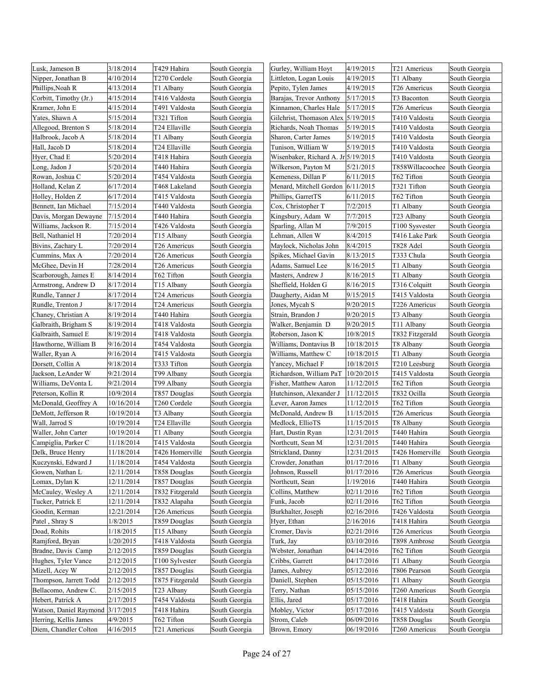| Lusk, Jameson B                  | 3/18/2014  | T429 Hahira     | South Georgia | Gurley, William Hoyt                | 4/19/2015  | T21 Americus     | South Georgia |
|----------------------------------|------------|-----------------|---------------|-------------------------------------|------------|------------------|---------------|
| Nipper, Jonathan B               | 4/10/2014  | T270 Cordele    | South Georgia | Littleton, Logan Louis              | 4/19/2015  | T1 Albany        | South Georgia |
| Phillips, Noah R                 | 4/13/2014  | T1 Albany       | South Georgia | Pepito, Tylen James                 | 4/19/2015  | T26 Americus     | South Georgia |
| Corbitt, Timothy (Jr.)           | 4/15/2014  | T416 Valdosta   | South Georgia | Barajas, Trevor Anthony             | 5/17/2015  | T3 Baconton      | South Georgia |
| Kramer, John E                   | 4/15/2014  | T491 Valdosta   | South Georgia | Kinnamon, Charles Hale              | 5/17/2015  | T26 Americus     | South Georgia |
| Yates, Shawn A                   | 5/15/2014  | T321 Tifton     | South Georgia | Gilchrist, Thomason Alex 5/19/2015  |            | T410 Valdosta    | South Georgia |
| Allegood, Brenton S              | 5/18/2014  | T24 Ellaville   | South Georgia | Richards, Noah Thomas               | 5/19/2015  | T410 Valdosta    | South Georgia |
| Halbrook, Jacob A                | 5/18/2014  | T1 Albany       | South Georgia | Sharon, Carter James                | 5/19/2015  | T410 Valdosta    | South Georgia |
| Hall, Jacob D                    | 5/18/2014  | T24 Ellaville   | South Georgia | Tunison, William W                  | 5/19/2015  | T410 Valdosta    | South Georgia |
| Hyer, Chad E                     | 5/20/2014  | T418 Hahira     | South Georgia | Wisenbaker, Richard A. Jr 5/19/2015 |            | T410 Valdosta    | South Georgia |
| Long, Jadon J                    | 5/20/2014  | T440 Hahira     | South Georgia | Wilkerson, Payton M                 | 5/21/2015  | T858Willacoochee | South Georgia |
| Rowan, Joshua C                  | 5/20/2014  | T454 Valdosta   | South Georgia | Kemeness, Dillan P                  | 6/11/2015  | T62 Tifton       | South Georgia |
| Holland, Kelan Z                 | 6/17/2014  | T468 Lakeland   | South Georgia | Menard, Mitchell Gordon 6/11/2015   |            | T321 Tifton      | South Georgia |
| Holley, Holden Z                 | 6/17/2014  | T415 Valdosta   | South Georgia | Phillips, GarretTS                  | 6/11/2015  | T62 Tifton       | South Georgia |
| Bennett, Ian Michael             | 7/15/2014  | T440 Valdosta   | South Georgia | Cox, Christopher T                  | 7/2/2015   | T1 Albany        | South Georgia |
| Davis, Morgan Dewayne            | 7/15/2014  | T440 Hahira     | South Georgia | Kingsbury, Adam W                   | 7/7/2015   | T23 Albany       | South Georgia |
| Williams, Jackson R.             | 7/15/2014  | T426 Valdosta   | South Georgia | Sparling, Allan M                   | 7/9/2015   | T100 Sysvester   | South Georgia |
| Bell, Nathaniel H                | 7/20/2014  | T15 Albany      | South Georgia | Lehman, Allen W                     | 8/4/2015   | T416 Lake Park   | South Georgia |
| Bivins, Zachary L                | 7/20/2014  | T26 Americus    | South Georgia | Maylock, Nicholas John              | 8/4/2015   | T828 Adel        | South Georgia |
| Cummins, Max A                   | 7/20/2014  | T26 Americus    | South Georgia | Spikes, Michael Gavin               | 8/13/2015  | T333 Chula       | South Georgia |
| McGhee, Devin H                  | 7/28/2014  | T26 Americus    | South Georgia | Adams, Samuel Lee                   | 8/16/2015  | T1 Albany        | South Georgia |
| Scarborough, James E             | 8/14/2014  | T62 Tifton      | South Georgia | Masters, Andrew J                   | 8/16/2015  | T1 Albany        | South Georgia |
| Armstrong, Andrew D              | 8/17/2014  | T15 Albany      | South Georgia | Sheffield, Holden G                 | 8/16/2015  | T316 Colquitt    | South Georgia |
| Rundle, Tanner J                 | 8/17/2014  | T24 Americus    | South Georgia | Daugherty, Aidan M                  | 9/15/2015  | T415 Valdosta    | South Georgia |
| Rundle, Trenton J                | 8/17/2014  | T24 Americus    | South Georgia | Jones, Mycah S                      | 9/20/2015  | T226 Americus    | South Georgia |
| Chaney, Christian A              | 8/19/2014  | T440 Hahira     | South Georgia | Strain. Brandon J                   | 9/20/2015  | T3 Albany        | South Georgia |
| Galbraith, Brigham S             | 8/19/2014  | T418 Valdosta   | South Georgia | Walker, Benjamin D                  | 9/20/2015  | T11 Albany       | South Georgia |
| Galbraith, Samuel E              | 8/19/2014  | T418 Valdosta   | South Georgia | Roberson, Jason K                   | 10/8/2015  | T832 Fitzgerald  | South Georgia |
| Hawthorne, William B             | 9/16/2014  | T454 Valdosta   | South Georgia | Williams, Dontavius B               | 10/18/2015 | T8 Albany        | South Georgia |
| Waller, Ryan A                   | 9/16/2014  | T415 Valdosta   | South Georgia | Williams, Matthew C                 | 10/18/2015 | T1 Albany        | South Georgia |
| Dorsett, Collin A                | 9/18/2014  | T333 Tifton     | South Georgia | Yancey, Michael F                   | 10/18/2015 | T210 Leesburg    | South Georgia |
| Jackson, LeAnder W               | 9/21/2014  | T99 Albany      | South Georgia | Richardson, William PaT             | 10/20/2015 | T415 Valdosta    | South Georgia |
| Williams, DeVonta L              | 9/21/2014  | T99 Albany      | South Georgia | Fisher, Matthew Aaron               | 11/12/2015 | T62 Tifton       | South Georgia |
| Peterson, Kollin R               | 10/9/2014  | T857 Douglas    | South Georgia | Hutchinson, Alexander J             | 11/12/2015 | T832 Ocilla      | South Georgia |
| McDonald, Geoffrey A             | 10/16/2014 | T260 Cordele    | South Georgia | Lever, Aaron James                  | 11/12/2015 | T62 Tifton       | South Georgia |
| DeMott, Jefferson R              | 10/19/2014 | T3 Albany       | South Georgia | McDonald, Andrew B                  | 11/15/2015 | T26 Americus     | South Georgia |
| Wall, Jarrod S                   | 10/19/2014 | T24 Ellaville   | South Georgia | Medlock, EllioTS                    | 11/15/2015 | T8 Albany        | South Georgia |
| Waller, John Carter              | 10/19/2014 | T1 Albany       | South Georgia | Hart, Dustin Ryan                   | 12/31/2015 | T440 Hahira      | South Georgia |
| Campiglia, Parker C              | 11/18/2014 | T415 Valdosta   | South Georgia | Northcutt, Sean M                   | 12/31/2015 | T440 Hahira      | South Georgia |
| Delk, Bruce Henry                | 11/18/2014 | T426 Homerville | South Georgia | Strickland, Danny                   | 12/31/2015 | T426 Homerville  | South Georgia |
| Kuczynski, Edward J              | 11/18/2014 | T454 Valdosta   | South Georgia | Crowder, Jonathan                   | 01/17/2016 | T1 Albany        | South Georgia |
| Gowen, Nathan L                  | 12/11/2014 | T858 Douglas    | South Georgia | Johnson, Russell                    | 01/17/2016 | T26 Americus     | South Georgia |
| Lomax, Dylan K                   | 12/11/2014 | T857 Douglas    | South Georgia | Northcutt, Sean                     | 1/19/2016  | T440 Hahira      | South Georgia |
| McCauley, Wesley A               | 12/11/2014 | T832 Fitzgerald | South Georgia | Collins, Matthew                    | 02/11/2016 | T62 Tifton       | South Georgia |
| Tucker, Patrick E                | 12/11/2014 | T832 Alapaha    | South Georgia | Funk, Jacob                         | 02/11/2016 | T62 Tifton       | South Georgia |
| Goodin, Kerman                   | 12/21/2014 | T26 Americus    | South Georgia | Burkhalter, Joseph                  | 02/16/2016 | T426 Valdosta    | South Georgia |
| Patel, Shray S                   | 1/8/2015   | T859 Douglas    | South Georgia | Hyer, Ethan                         | 2/16/2016  | T418 Hahira      | South Georgia |
| Doad, Rohits                     | 1/18/2015  | T15 Albany      | South Georgia | Cromer, Davis                       | 02/21/2016 | T26 Americus     | South Georgia |
| Ramjford, Bryan                  | 1/20/2015  | T418 Valdosta   | South Georgia | Turk, Jay                           | 03/10/2016 | T898 Ambrose     | South Georgia |
| Bradne, Davis Camp               | 2/12/2015  | T859 Douglas    | South Georgia | Webster, Jonathan                   | 04/14/2016 | T62 Tifton       | South Georgia |
| Hughes, Tyler Vance              | 2/12/2015  | T100 Sylvester  | South Georgia | Cribbs, Garrett                     | 04/17/2016 | T1 Albany        | South Georgia |
| Mizell, Acey W                   | 2/12/2015  | T857 Douglas    | South Georgia | James, Aubrey                       | 05/12/2016 | T806 Pearson     | South Georgia |
| Thompson, Jarrett Todd           | 2/12/2015  | T875 Fitzgerald | South Georgia | Daniell, Stephen                    | 05/15/2016 | T1 Albany        | South Georgia |
| Bellacomo, Andrew C.             | 2/15/2015  | T23 Albany      | South Georgia | Ferry, Nathan                       | 05/15/2016 | T260 Americus    | South Georgia |
| Hebert, Patrick A                | 2/17/2015  | T454 Valdosta   | South Georgia | Ellis, Jared                        | 05/17/2016 | T418 Hahira      | South Georgia |
| Watson, Daniel Raymond 3/17/2015 |            | T418 Hahira     | South Georgia | Mobley, Victor                      | 05/17/2016 | T415 Valdosta    | South Georgia |
| Herring, Kellis James            | 4/9/2015   | T62 Tifton      | South Georgia | Strom, Caleb                        | 06/09/2016 | T858 Douglas     | South Georgia |
| Diem, Chandler Colton            | 4/16/2015  | T21 Americus    | South Georgia | Brown, Emory                        | 06/19/2016 | T260 Americus    | South Georgia |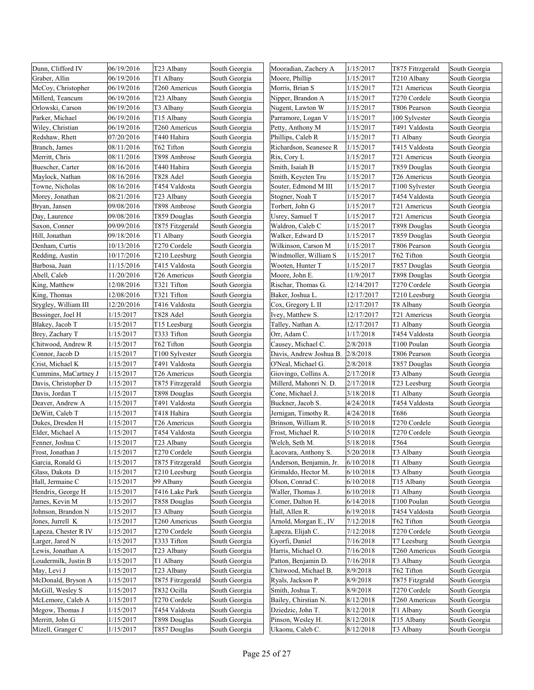| Dunn, Clifford IV                     | 06/19/2016 | T23 Albany                      | South Georgia                  | Mooradian, Zachery A                        | 1/15/2017  | T875 Fitrzgerald | South Georgia                  |
|---------------------------------------|------------|---------------------------------|--------------------------------|---------------------------------------------|------------|------------------|--------------------------------|
| Graber, Allin                         | 06/19/2016 | T1 Albany                       | South Georgia                  | Moore, Phillip                              | 1/15/2017  | T210 Albany      | South Georgia                  |
| McCoy, Christopher                    | 06/19/2016 | T260 Americus                   | South Georgia                  | Morris, Brian S                             | 1/15/2017  | T21 Americus     | South Georgia                  |
| Millerd, Teancum                      | 06/19/2016 | T23 Albany                      | South Georgia                  | Nipper, Brandon A                           | 1/15/2017  | T270 Cordele     | South Georgia                  |
| Orlowski, Carson                      | 06/19/2016 | T3 Albany                       | South Georgia                  | Nugent, Lawton W                            | 1/15/2017  | T806 Pearson     | South Georgia                  |
| Parker, Michael                       | 06/19/2016 | T <sub>15</sub> Albany          | South Georgia                  | Parramore, Logan V                          | 1/15/2017  | 100 Sylvester    | South Georgia                  |
| Wiley, Christian                      | 06/19/2016 | T260 Americus                   | South Georgia                  | Petty, Anthony M                            | 1/15/2017  | T491 Valdosta    | South Georgia                  |
| Redshaw, Rhett                        | 07/20/2016 | T440 Hahira                     | South Georgia                  | Phillips, Caleb R                           | 1/15/2017  | T1 Albany        | South Georgia                  |
| Branch, James                         | 08/11/2016 | T62 Tifton                      | South Georgia                  | Richardson, Seanesee R                      | 1/15/2017  | T415 Valdosta    | South Georgia                  |
| Merritt, Chris                        | 08/11/2016 | T898 Ambrose                    | South Georgia                  | Rix, Cory L                                 | 1/15/2017  | T21 Americus     | South Georgia                  |
| Buescher, Carter                      | 08/16/2016 | T440 Hahira                     | South Georgia                  | Smith, Isaiah B                             | 1/15/2017  | T859 Douglas     | South Georgia                  |
| Maylock, Nathan                       | 08/16/2016 | T828 Adel                       | South Georgia                  | Smith, Keycten Tru                          | 1/15/2017  | T26 Americus     | South Georgia                  |
| Towne, Nicholas                       | 08/16/2016 | T454 Valdosta                   | South Georgia                  | Souter, Edmond M III                        | 1/15/2017  | T100 Sylvester   | South Georgia                  |
| Morey, Jonathan                       | 08/21/2016 | T23 Albany                      | South Georgia                  | Stogner, Noah T                             | 1/15/2017  | T454 Valdosta    | South Georgia                  |
| Bryan, Jansen                         | 09/08/2016 | T898 Ambrose                    | South Georgia                  | Torbert, John G                             | 1/15/2017  | T21 Americus     | South Georgia                  |
| Day, Laurence                         | 09/08/2016 | T859 Douglas                    | South Georgia                  | Usrey, Samuel T                             | 1/15/2017  | T21 Americus     | South Georgia                  |
| Saxon, Conner                         | 09/09/2016 | T875 Fitzgerald                 | South Georgia                  | Waldron, Caleb C                            | 1/15/2017  | T898 Douglas     | South Georgia                  |
| Hill, Jonathan                        | 09/18/2016 | T1 Albany                       | South Georgia                  | Walker, Edward D                            | 1/15/2017  | T859 Douglas     | South Georgia                  |
| Denham, Curtis                        | 10/13/2016 | T270 Cordele                    | South Georgia                  | Wilkinson, Carson M                         | 1/15/2017  | T806 Pearson     | South Georgia                  |
| Redding, Austin                       | 10/17/2016 | T210 Leesburg                   | South Georgia                  | Windmoller, William S                       | 1/15/2017  | T62 Tifton       | South Georgia                  |
| Barbosa, Juan                         | 11/15/2016 | T415 Valdosta                   | South Georgia                  | Wooten, Hunter T                            | 1/15/2017  | T857 Douglas     | South Georgia                  |
| Abell, Caleb                          | 11/20/2016 | T26 Americus                    | South Georgia                  | Moore, John E.                              | 11/9/2017  | T898 Douglas     | South Georgia                  |
| King, Matthew                         | 12/08/2016 | T321 Tifton                     | South Georgia                  | Rischar, Thomas G.                          | 12/14/2017 | T270 Cordele     | South Georgia                  |
| King, Thomas                          | 12/08/2016 | T321 Tifton                     | South Georgia                  | Baker, Joshua L.                            | 12/17/2017 | T210 Leesburg    | South Georgia                  |
| Srygley, William III                  | 12/20/2016 | T416 Valdosta                   | South Georgia                  | Cox, Gregory L II                           | 12/17/2017 | T8 Albany        | South Georgia                  |
| Bessinger, Joel H                     | 1/15/2017  | T828 Adel                       | South Georgia                  | Ivey, Matthew S.                            | 12/17/2017 | T21 Americus     | South Georgia                  |
| Blakey, Jacob T                       | 1/15/2017  | T15 Leesburg                    | South Georgia                  | Talley, Nathan A.                           | 12/17/2017 | T1 Albany        | South Georgia                  |
| Brey, Zachary T                       | 1/15/2017  | T333 Tifton                     | South Georgia                  | Orr, Adam C.                                | 1/17/2018  | T454 Valdosta    | South Georgia                  |
| Chitwood, Andrew R                    | 1/15/2017  | T62 Tifton                      | South Georgia                  | Causey, Michael C.                          | 2/8/2018   | T100 Poulan      | South Georgia                  |
| Connor, Jacob D                       | 1/15/2017  |                                 | South Georgia                  | Davis, Andrew Joshua B.                     | 2/8/2018   | T806 Pearson     | South Georgia                  |
| Crist, Michael K                      | 1/15/2017  | T100 Sylvester<br>T491 Valdosta | South Georgia                  | O'Neal, Michael G.                          | 2/8/2018   | T857 Douglas     | South Georgia                  |
| Cummins, MaCartney J                  | 1/15/2017  | T26 Americus                    | South Georgia                  | Giovingo, Collins A.                        | 2/17/2018  | T3 Albany        | South Georgia                  |
| Davis, Christopher D                  | 1/15/2017  | T875 Fitrzgerald                | South Georgia                  | Millerd, Mahonri N. D.                      | 2/17/2018  | T23 Leesburg     | South Georgia                  |
| Davis, Jordan T                       | 1/15/2017  | T898 Douglas                    | South Georgia                  | Cone, Michael J.                            | 3/18/2018  | T1 Albany        | South Georgia                  |
| Deaver, Andrew A                      | 1/15/2017  | T491 Valdosta                   | South Georgia                  | Buckner, Jacob S.                           | 4/24/2018  | T454 Valdosta    | South Georgia                  |
|                                       | 1/15/2017  | T418 Hahira                     | South Georgia                  |                                             | 4/24/2018  | T686             |                                |
| DeWitt, Caleb T                       | 1/15/2017  | T26 Americus                    |                                | Jernigan, Timothy R.<br>Brinson, William R. | 5/10/2018  | T270 Cordele     | South Georgia                  |
| Dukes, Dresden H                      | 1/15/2017  | T454 Valdosta                   | South Georgia<br>South Georgia |                                             | 5/10/2018  | T270 Cordele     | South Georgia                  |
| Elder, Michael A<br>Fenner, Joshua C  | 1/15/2017  | T23 Albany                      | South Georgia                  | Frost, Michael R.                           | 5/18/2018  | T564             | South Georgia                  |
|                                       | 1/15/2017  | T270 Cordele                    |                                | Welch, Seth M.<br>Lacovara, Anthony S.      | 5/20/2018  | T3 Albany        | South Georgia                  |
| Frost, Jonathan J                     | 1/15/2017  | T875 Fitrzgerald                | South Georgia                  | Anderson, Benjamin, Jr.                     | 6/10/2018  | T1 Albany        | South Georgia<br>South Georgia |
| Garcia, Ronald G                      | 1/15/2017  |                                 | South Georgia<br>South Georgia | Grimaldo, Hector M.                         |            | T3 Albany        | South Georgia                  |
| Glass, Dakota D                       |            | T210 Leesburg                   |                                |                                             | 6/10/2018  |                  |                                |
| Hall, Jermaine C<br>Hendrix, George H | 1/15/2017  | 99 Albany                       | South Georgia                  | Olson, Conrad C.                            | 6/10/2018  | T15 Albany       | South Georgia                  |
|                                       | 1/15/2017  | T416 Lake Park                  | South Georgia                  | Waller, Thomas J.                           | 6/10/2018  | T1 Albany        | South Georgia                  |
| James, Kevin M                        | 1/15/2017  | T858 Douglas                    | South Georgia                  | Comer, Dalton H.                            | 6/14/2018  | T100 Poulan      | South Georgia                  |
| Johnson, Brandon N                    | 1/15/2017  | T3 Albany                       | South Georgia                  | Hall, Allen R.                              | 6/19/2018  | T454 Valdosta    | South Georgia                  |
| Jones, Jurrell K                      | 1/15/2017  | T260 Americus                   | South Georgia                  | Arnold, Morgan E., IV                       | 7/12/2018  | T62 Tifton       | South Georgia                  |
| Lapeza, Chester R IV                  | 1/15/2017  | T270 Cordele                    | South Georgia                  | Lapeza, Elijah C.                           | 7/12/2018  | T270 Cordele     | South Georgia                  |
| Larger, Jared N                       | 1/15/2017  | T333 Tifton                     | South Georgia                  | Gyorfi, Daniel                              | 7/16/2018  | T7 Leesburg      | South Georgia                  |
| Lewis, Jonathan A                     | 1/15/2017  | T23 Albany                      | South Georgia                  | Harris, Michael O.                          | 7/16/2018  | T260 Americus    | South Georgia                  |
| Loudermilk, Justin B                  | 1/15/2017  | T1 Albany                       | South Georgia                  | Patton, Benjamin D.                         | 7/16/2018  | T3 Albany        | South Georgia                  |
| May, Levi J                           | 1/15/2017  | T23 Albany                      | South Georgia                  | Chitwood, Michael B.                        | 8/9/2018   | T62 Tifton       | South Georgia                  |
| McDonald, Bryson A                    | 1/15/2017  | T875 Fitrzgerald                | South Georgia                  | Ryals, Jackson P.                           | 8/9/2018   | T875 Fitzgrald   | South Georgia                  |
| McGill, Wesley S                      | 1/15/2017  | T832 Ocilla                     | South Georgia                  | Smith, Joshua T.                            | 8/9/2018   | T270 Cordele     | South Georgia                  |
| McLemore, Caleb A                     | 1/15/2017  | T270 Cordele                    | South Georgia                  | Bailey, Chirstian N.                        | 8/12/2018  | T260 Americus    | South Georgia                  |
| Megow, Thomas J                       | 1/15/2017  | T454 Valdosta                   | South Georgia                  | Dziedzic, John T.                           | 8/12/2018  | T1 Albany        | South Georgia                  |
| Merritt, John G                       | 1/15/2017  | T898 Douglas                    | South Georgia                  | Pinson, Wesley H.                           | 8/12/2018  | T15 Albany       | South Georgia                  |
| Mizell, Granger C                     | 1/15/2017  | T857 Douglas                    | South Georgia                  | Ukaonu, Caleb C.                            | 8/12/2018  | T3 Albany        | South Georgia                  |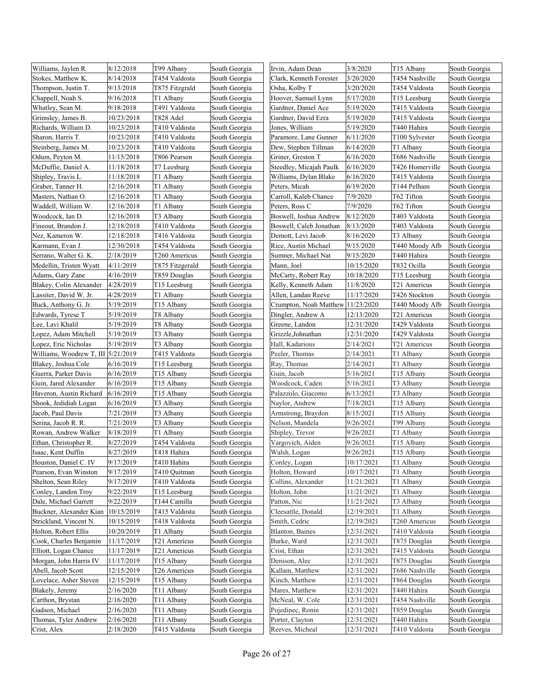| Williams, Jaylen R.                | 8/12/2018  | T99 Albany      | South Georgia | Irvin, Adam Dean                  | 3/8/2020   | T15 Albany      | South Georgia |
|------------------------------------|------------|-----------------|---------------|-----------------------------------|------------|-----------------|---------------|
| Stokes, Matthew K.                 | 8/14/2018  | T454 Valdosta   | South Georgia | Clark, Kenneth Forester           | 3/20/2020  | T454 Nashville  | South Georgia |
| Thompson, Justin T.                | 9/13/2018  | T875 Fitzgrald  | South Georgia | Osha, Kolby T                     | 3/20/2020  | T454 Valdosta   | South Georgia |
| Chappell, Noah S.                  | 9/16/2018  | T1 Albany       | South Georgia | Hoover, Samuel Lynn               | 5/17/2020  | T15 Leesburg    | South Georgia |
| Whatley, Sean M.                   | 9/18/2018  | T491 Valdosta   | South Georgia | Gardner, Daniel Ace               | 5/19/2020  | T415 Valdosta   | South Georgia |
| Grimsley, James B.                 | 10/23/2018 | T828 Adel       | South Georgia | Gardner, David Ezra               | 5/19/2020  | T415 Valdosta   | South Georgia |
| Richards, William D.               | 10/23/2018 | T410 Valdosta   | South Georgia | Jones, William                    | 5/19/2020  | T440 Hahira     | South Georgia |
| Sharon, Harris T.                  | 10/23/2018 | T410 Valdosta   | South Georgia | Paramore, Lane Gunner             | 6/11/2020  | T100 Sylvester  | South Georgia |
| Steinberg, James M.                | 10/23/2018 | T410 Valdosta   | South Georgia | Dew, Stephen Tillman              | 6/14/2020  | T1 Albany       | South Georgia |
| Odum, Peyton M.                    | 11/15/2018 | T806 Pearson    | South Georgia | Griner, Greston T                 | 6/16/2020  | T686 Nashville  | South Georgia |
| McDuffie, Daniel A.                | 11/18/2018 | T7 Leesburg     | South Georgia | Steedley, Micajah Paulk           | 6/16/2020  | T426 Homerville | South Georgia |
| Shipley, Travis L.                 | 11/18/2018 | T1 Albany       | South Georgia | Williams, Dylan Blake             | 6/16/2020  | T415 Valdosta   | South Georgia |
| Graber, Tanner H.                  | 12/16/2018 | T1 Albany       | South Georgia | Peters, Micah                     | 6/19/2020  | T144 Pelham     | South Georgia |
| Masters, Nathan O.                 | 12/16/2018 | T1 Albany       | South Georgia | Carroll, Kaleb Chance             | 7/9/2020   | T62 Tifton      | South Georgia |
| Waddell, William W.                | 12/16/2018 | T1 Albany       | South Georgia | Peters, Ross C                    | 7/9/2020   | T62 Tifton      | South Georgia |
| Woodcock, Ian D.                   | 12/16/2018 | T3 Albany       | South Georgia | Boswell, Joshua Andrew            | 8/12/2020  | T403 Valdosta   | South Georgia |
| Fineout, Brandon J.                | 12/18/2018 | T410 Valdosta   | South Georgia | Boswell, Caleb Jonathan           | 8/13/2020  | T403 Valdosta   | South Georgia |
| Nez, Kameron W.                    | 12/18/2018 | T416 Valdosta   | South Georgia | Demott, Levi Jacob                | 8/16/2020  | T3 Albany       | South Georgia |
| Karmann, Evan J.                   | 12/30/2018 | T454 Valdosta   | South Georgia | Rice, Austin Michael              | 9/15/2020  | T440 Moody Afb  | South Georgia |
| Serrano, Walter G. K.              | 2/18/2019  | T260 Americus   | South Georgia | Sumner, Michael Nat               | 9/15/2020  | T440 Hahira     | South Georgia |
| Medellin, Tristen Wyatt            | 4/11/2019  | T875 Fitzgerald | South Georgia | Mann, Joel                        | 10/15/2020 | T832 Ocilla     | South Georgia |
| Adams, Gary Zane                   | 4/16/2019  | T859 Douglas    | South Georgia | McCarty, Robert Ray               | 10/18/2020 | T15 Leesburg    | South Georgia |
| Blakey, Colin Alexander            | 4/28/2019  | T15 Leesburg    | South Georgia | Kelly, Kenneth Adam               | 11/8/2020  | T21 Americus    | South Georgia |
| Lassiter, David W. Jr.             | 4/28/2019  | T1 Albany       | South Georgia | Allen, Landan Reeve               | 11/17/2020 | T426 Stockton   | South Georgia |
| Buck, Anthony G. Jr.               | 5/19/2019  | T15 Albany      | South Georgia | Crumpton, Noah Matthew 11/23/2020 |            | T440 Moody Afb  | South Georgia |
| Edwards, Tyrese T                  | 5/19/2019  | T8 Albany       | South Georgia | Dingler, Andrew A                 | 12/13/2020 | T21 Americus    | South Georgia |
| Lee, Lavi Khalil                   | 5/19/2019  | T8 Albany       | South Georgia | Greene, Landon                    | 12/31/2020 | T429 Valdosta   | South Georgia |
| Lopez, Adam Mitchell               | 5/19/2019  | T3 Albany       | South Georgia | Grizzle, Johnathan                | 12/31/2020 | T429 Valdosta   | South Georgia |
| Lopez, Eric Nicholas               | 5/19/2019  | T3 Albany       | South Georgia | Hall, Kadarious                   | 2/14/2021  | T21 Americus    | South Georgia |
| Williams, Woodrew T, III 5/21/2019 |            | T415 Valdosta   | South Georgia | Peeler, Thomas                    | 2/14/2021  | T1 Albany       | South Georgia |
| Blakey, Joshua Cole                | 6/16/2019  | T15 Leesburg    | South Georgia | Ray, Thomas                       | 2/14/2021  | T1 Albany       | South Georgia |
| Guerra, Parker Davis               | 6/16/2019  | T15 Albany      | South Georgia | Guin, Jacob                       | 5/16/2021  | T15 Albany      | South Georgia |
| Guin, Jared Alexander              | 6/16/2019  | T15 Albany      | South Georgia | Woodcock, Caden                   | 5/16/2021  | T3 Albany       | South Georgia |
| Haveron, Austin Richard            | 6/16/2019  | T15 Albany      | South Georgia | Palazzolo, Giacomo                | 6/13/2021  | T3 Albany       | South Georgia |
| Shook, Jedidiah Logan              | 6/16/2019  | T3 Albany       | South Georgia | Naylor, Andrew                    | 7/18/2021  | T15 Albany      | South Georgia |
| Jacob, Paul Davis                  | 7/21/2019  | T3 Albany       | South Georgia | Armstrong, Braydon                | 8/15/2021  | T15 Albany      | South Georgia |
| Serina, Jacob R. R.                | 7/21/2019  | T3 Albany       | South Georgia | Nelson, Mandela                   | 9/26/2021  | T99 Albany      | South Georgia |
| Rowan, Andrew Walker               | 8/18/2019  | T1 Albany       | South Georgia | Shipley, Trevor                   | 9/26/2021  | T1 Albany       | South Georgia |
| Ethan, Christopher R.              | 8/27/2019  | T454 Valdosta   | South Georgia | Vargovich, Aiden                  | 9/26/2021  | T15 Albany      | South Georgia |
| Isaac, Kent Duffin                 | 8/27/2019  | T418 Hahira     | South Georgia | Walsh, Logan                      | 9/26/2021  | T15 Albany      | South Georgia |
| Houston, Daniel C. IV              | 9/17/2019  | T410 Hahira     | South Georgia | Conley, Logan                     | 10/17/2021 | T1 Albany       | South Georgia |
| Pearson, Evan Winston              | 9/17/2019  | T410 Quitman    | South Georgia | Holton, Howard                    | 10/17/2021 | T1 Albany       | South Georgia |
| Shelton, Sean Riley                | 9/17/2019  | T410 Valdosta   | South Georgia | Collins, Alexander                | 11/21/2021 | T1 Albany       | South Georgia |
| Conley, Landon Troy                | 9/22/2019  | T15 Leesburg    | South Georgia | Holton, John                      | 11/21/2021 | T1 Albany       | South Georgia |
| Dale, Michael Garrett              | 9/22/2019  | T144 Camilla    | South Georgia | Patton, Nic                       | 11/21/2021 | T3 Albany       | South Georgia |
| Buckner, Alexander Kian            | 10/15/2019 | T415 Valdosta   | South Georgia | Cleesattle, Donald                | 12/19/2021 | T1 Albany       | South Georgia |
| Strickland, Vincent N.             | 10/15/2019 | T418 Valdosta   | South Georgia | Smith, Cedric                     | 12/19/2021 | T260 Americus   | South Georgia |
| Holton, Robert Ellis               | 10/20/2019 | T1 Albany       | South Georgia | Blanton, Baines                   | 12/31/2021 | T410 Valdosta   | South Georgia |
| Cook, Charles Benjamin             | 11/17/2019 | T21 Americus    | South Georgia | Burke, Ward                       | 12/31/2021 | T875 Douglas    | South Georgia |
| Elliott, Logan Chance              | 11/17/2019 | T21 Americus    | South Georgia | Crist, Ethan                      | 12/31/2021 | T415 Valdosta   | South Georgia |
| Morgan, John Harris IV             | 11/17/2019 | T15 Albany      | South Georgia | Denison, Alec                     | 12/31/2021 | T875 Douglas    | South Georgia |
| Abell, Jacob Scott                 | 12/15/2019 | T26 Americus    | South Georgia | Kallam, Matthew                   | 12/31/2021 | T686 Nashville  | South Georgia |
| Lovelace, Asher Steven             | 12/15/2019 | T15 Albany      | South Georgia | Kinch, Matthew                    | 12/31/2021 | T864 Douglas    | South Georgia |
| Blakely, Jeremy                    | 2/16/2020  | T11 Albany      | South Georgia | Mares, Matthew                    | 12/31/2021 | T440 Hahira     | South Georgia |
| Carthon, Brystan                   | 2/16/2020  | T11 Albany      | South Georgia | McNeal, W. Cole                   | 12/31/2021 | T454 Nashville  | South Georgia |
| Gadson, Michael                    | 2/16/2020  | T11 Albany      | South Georgia | Pojedinec, Ronin                  | 12/31/2021 | T859 Douglas    | South Georgia |
| Thomas, Tyler Andrew               | 2/16/2020  | T11 Albany      | South Georgia | Porter, Clayton                   | 12/31/2021 | T440 Hahira     | South Georgia |
| Crist, Alex                        | 2/18/2020  | T415 Valdosta   | South Georgia | Reeves, Micheal                   | 12/31/2021 | T410 Valdosta   | South Georgia |